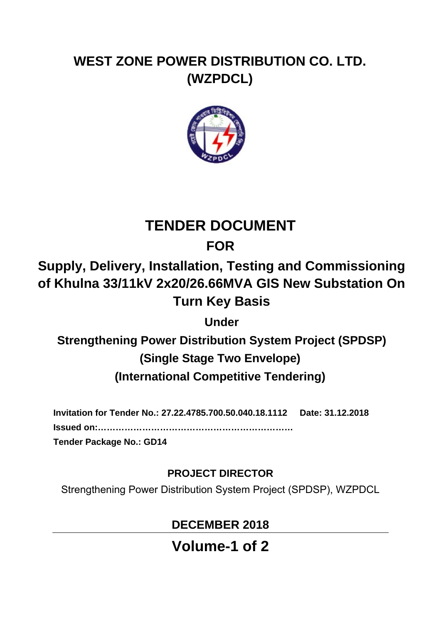# **WEST ZONE POWER DISTRIBUTION CO. LTD. (WZPDCL)**



# **TENDER DOCUMENT**

## **FOR**

# **Supply, Delivery, Installation, Testing and Commissioning of Khulna 33/11kV 2x20/26.66MVA GIS New Substation On Turn Key Basis**

**Under** 

**Strengthening Power Distribution System Project (SPDSP) (Single Stage Two Envelope)** 

**(International Competitive Tendering)**

**Invitation for Tender No.: 27.22.4785.700.50.040.18.1112 Date: 31.12.2018** 

**Issued on:…………………………………………………………** 

**Tender Package No.: GD14** 

### **PROJECT DIRECTOR**

Strengthening Power Distribution System Project (SPDSP), WZPDCL

# **DECEMBER 2018**

**Volume-1 of 2**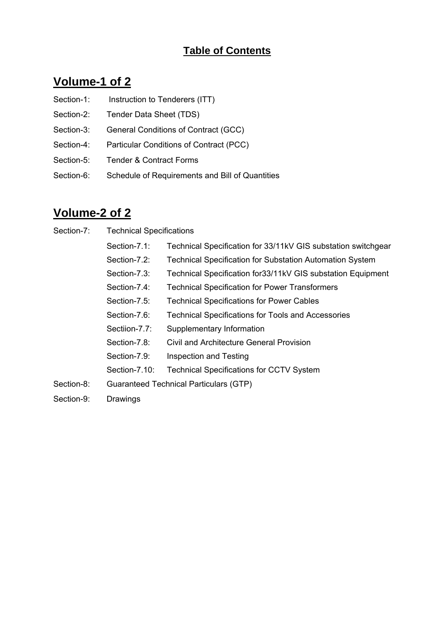#### **Table of Contents**

#### **Volume-1 of 2**

- Section-1: Instruction to Tenderers (ITT)
- Section-2: Tender Data Sheet (TDS)
- Section-3: General Conditions of Contract (GCC)
- Section-4: Particular Conditions of Contract (PCC)
- Section-5: Tender & Contract Forms
- Section-6: Schedule of Requirements and Bill of Quantities

#### **Volume-2 of 2**

| Section-7: | <b>Technical Specifications</b> |
|------------|---------------------------------|
|------------|---------------------------------|

| Section-7.1:  | Technical Specification for 33/11kV GIS substation switchgear |
|---------------|---------------------------------------------------------------|
| Section-7.2:  | Technical Specification for Substation Automation System      |
| Section-7.3:  | Technical Specification for 33/11kV GIS substation Equipment  |
| Section-7.4:  | <b>Technical Specification for Power Transformers</b>         |
| Section-7.5:  | <b>Technical Specifications for Power Cables</b>              |
| Section-7.6:  | <b>Technical Specifications for Tools and Accessories</b>     |
| Sectiion-7.7: | Supplementary Information                                     |
| Section-7.8:  | Civil and Architecture General Provision                      |
| Section-7.9:  | Inspection and Testing                                        |
| Section-7.10: | <b>Technical Specifications for CCTV System</b>               |
|               | Guaranteed Technical Particulars (GTP)                        |
|               |                                                               |

Section-9: Drawings

Section-8: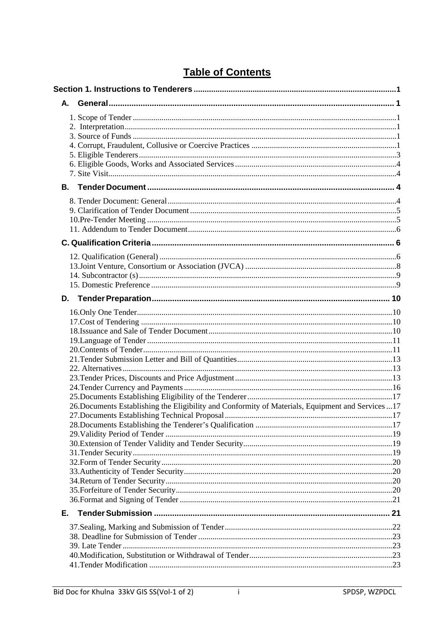|    | 26. Documents Establishing the Eligibility and Conformity of Materials, Equipment and Services  17 |  |
|----|----------------------------------------------------------------------------------------------------|--|
|    |                                                                                                    |  |
|    |                                                                                                    |  |
|    |                                                                                                    |  |
|    |                                                                                                    |  |
|    |                                                                                                    |  |
|    |                                                                                                    |  |
|    |                                                                                                    |  |
|    |                                                                                                    |  |
|    |                                                                                                    |  |
|    |                                                                                                    |  |
| Е. |                                                                                                    |  |
|    |                                                                                                    |  |
|    |                                                                                                    |  |
|    |                                                                                                    |  |
|    |                                                                                                    |  |
|    |                                                                                                    |  |

#### **Table of Contents**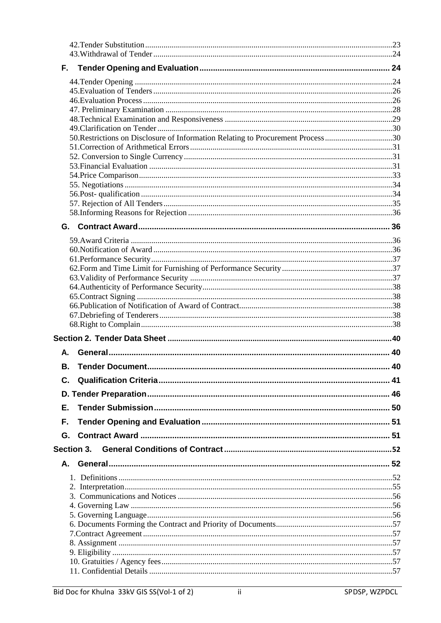| 50. Restrictions on Disclosure of Information Relating to Procurement Process 30 |  |
|----------------------------------------------------------------------------------|--|
|                                                                                  |  |
|                                                                                  |  |
|                                                                                  |  |
|                                                                                  |  |
|                                                                                  |  |
|                                                                                  |  |
|                                                                                  |  |
|                                                                                  |  |
|                                                                                  |  |
|                                                                                  |  |
|                                                                                  |  |
|                                                                                  |  |
|                                                                                  |  |
|                                                                                  |  |
|                                                                                  |  |
|                                                                                  |  |
|                                                                                  |  |
|                                                                                  |  |
| Α.                                                                               |  |
|                                                                                  |  |
|                                                                                  |  |
|                                                                                  |  |
| Е.                                                                               |  |
| F.                                                                               |  |
|                                                                                  |  |
|                                                                                  |  |
|                                                                                  |  |
|                                                                                  |  |
|                                                                                  |  |
|                                                                                  |  |
|                                                                                  |  |
|                                                                                  |  |
|                                                                                  |  |
|                                                                                  |  |
|                                                                                  |  |
|                                                                                  |  |
|                                                                                  |  |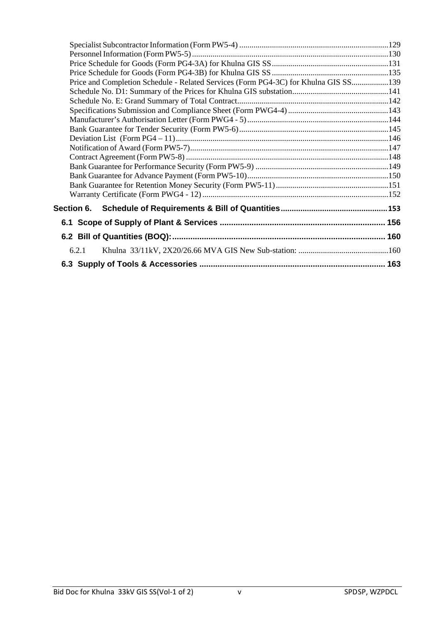| Price and Completion Schedule - Related Services (Form PG4-3C) for Khulna GIS SS139 |  |
|-------------------------------------------------------------------------------------|--|
|                                                                                     |  |
|                                                                                     |  |
|                                                                                     |  |
|                                                                                     |  |
|                                                                                     |  |
|                                                                                     |  |
|                                                                                     |  |
|                                                                                     |  |
|                                                                                     |  |
|                                                                                     |  |
|                                                                                     |  |
|                                                                                     |  |
|                                                                                     |  |
|                                                                                     |  |
|                                                                                     |  |
| 6.2.1                                                                               |  |
|                                                                                     |  |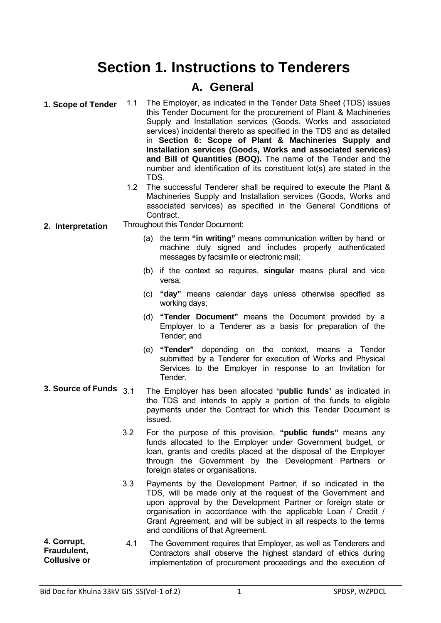# **Section 1. Instructions to Tenderers**

#### **A. General**

**1. Scope of Tender** 1.1 The Employer, as indicated in the Tender Data Sheet (TDS) issues this Tender Document for the procurement of Plant & Machineries Supply and Installation services (Goods, Works and associated services) incidental thereto as specified in the TDS and as detailed in **Section 6: Scope of Plant & Machineries Supply and Installation services (Goods, Works and associated services) and Bill of Quantities (BOQ).** The name of the Tender and the number and identification of its constituent lot(s) are stated in the TDS.

- 1.2 The successful Tenderer shall be required to execute the Plant & Machineries Supply and Installation services (Goods, Works and associated services) as specified in the General Conditions of Contract.
- **2. Interpretation** Throughout this Tender Document:
	- (a) the term **"in writing"** means communication written by hand or machine duly signed and includes properly authenticated messages by facsimile or electronic mail;
	- (b) if the context so requires, **singular** means plural and vice versa;
	- (c) **"day"** means calendar days unless otherwise specified as working days;
	- (d) **"Tender Document"** means the Document provided by a Employer to a Tenderer as a basis for preparation of the Tender; and
	- (e) **"Tender"** depending on the context, means a Tender submitted by a Tenderer for execution of Works and Physical Services to the Employer in response to an Invitation for Tender.
- **3. Source of Funds** 3.1 The Employer has been allocated **'public funds'** as indicated in the TDS and intends to apply a portion of the funds to eligible payments under the Contract for which this Tender Document is issued.
	- 3.2 For the purpose of this provision, **"public funds"** means any funds allocated to the Employer under Government budget, or loan, grants and credits placed at the disposal of the Employer through the Government by the Development Partners or foreign states or organisations.
	- 3.3 Payments by the Development Partner, if so indicated in the TDS, will be made only at the request of the Government and upon approval by the Development Partner or foreign state or organisation in accordance with the applicable Loan / Credit / Grant Agreement, and will be subject in all respects to the terms and conditions of that Agreement.
- **4. Corrupt, Fraudulent, Collusive or**  4.1 The Government requires that Employer, as well as Tenderers and Contractors shall observe the highest standard of ethics during implementation of procurement proceedings and the execution of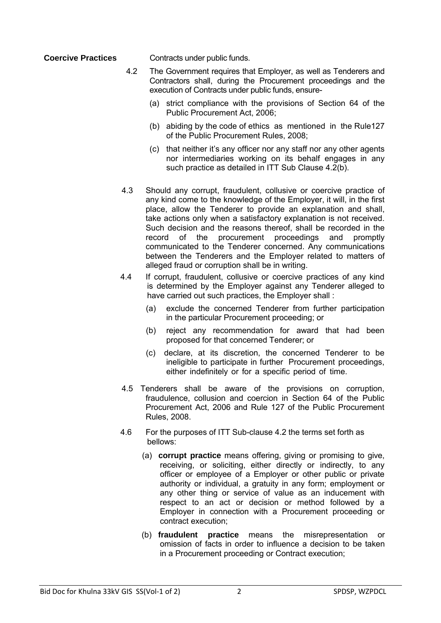**Coercive Practices Contracts under public funds.** 

- 4.2 The Government requires that Employer, as well as Tenderers and Contractors shall, during the Procurement proceedings and the execution of Contracts under public funds, ensure-
	- (a) strict compliance with the provisions of Section 64 of the Public Procurement Act, 2006;
	- (b) abiding by the code of ethics as mentioned in the Rule127 of the Public Procurement Rules, 2008;
	- (c) that neither it's any officer nor any staff nor any other agents nor intermediaries working on its behalf engages in any such practice as detailed in ITT Sub Clause 4.2(b).
- 4.3 Should any corrupt, fraudulent, collusive or coercive practice of any kind come to the knowledge of the Employer, it will, in the first place, allow the Tenderer to provide an explanation and shall, take actions only when a satisfactory explanation is not received. Such decision and the reasons thereof, shall be recorded in the record of the procurement proceedings and promptly communicated to the Tenderer concerned. Any communications between the Tenderers and the Employer related to matters of alleged fraud or corruption shall be in writing.
- 4.4 If corrupt, fraudulent, collusive or coercive practices of any kind is determined by the Employer against any Tenderer alleged to have carried out such practices, the Employer shall :
	- (a) exclude the concerned Tenderer from further participation in the particular Procurement proceeding; or
	- (b) reject any recommendation for award that had been proposed for that concerned Tenderer; or
	- (c) declare, at its discretion, the concerned Tenderer to be ineligible to participate in further Procurement proceedings, either indefinitely or for a specific period of time.
- 4.5 Tenderers shall be aware of the provisions on corruption, fraudulence, collusion and coercion in Section 64 of the Public Procurement Act, 2006 and Rule 127 of the Public Procurement Rules, 2008.
- 4.6 For the purposes of ITT Sub-clause 4.2 the terms set forth as bellows:
	- (a) **corrupt practice** means offering, giving or promising to give, receiving, or soliciting, either directly or indirectly, to any officer or employee of a Employer or other public or private authority or individual, a gratuity in any form; employment or any other thing or service of value as an inducement with respect to an act or decision or method followed by a Employer in connection with a Procurement proceeding or contract execution;
	- (b) **fraudulent practice** means the misrepresentation or omission of facts in order to influence a decision to be taken in a Procurement proceeding or Contract execution;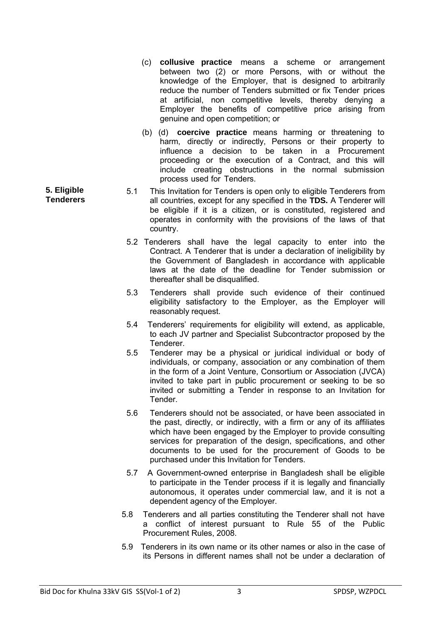- (c) **collusive practice** means a scheme or arrangement between two (2) or more Persons, with or without the knowledge of the Employer, that is designed to arbitrarily reduce the number of Tenders submitted or fix Tender prices at artificial, non competitive levels, thereby denying a Employer the benefits of competitive price arising from genuine and open competition; or
- (b) (d) **coercive practice** means harming or threatening to harm, directly or indirectly, Persons or their property to influence a decision to be taken in a Procurement proceeding or the execution of a Contract, and this will include creating obstructions in the normal submission process used for Tenders.
- 5.1 This Invitation for Tenders is open only to eligible Tenderers from all countries, except for any specified in the **TDS.** A Tenderer will be eligible if it is a citizen, or is constituted, registered and operates in conformity with the provisions of the laws of that country.
	- 5.2 Tenderers shall have the legal capacity to enter into the Contract. A Tenderer that is under a declaration of ineligibility by the Government of Bangladesh in accordance with applicable laws at the date of the deadline for Tender submission or thereafter shall be disqualified.
	- 5.3 Tenderers shall provide such evidence of their continued eligibility satisfactory to the Employer, as the Employer will reasonably request.
	- 5.4 Tenderers' requirements for eligibility will extend, as applicable, to each JV partner and Specialist Subcontractor proposed by the **Tenderer**
	- 5.5 Tenderer may be a physical or juridical individual or body of individuals, or company, association or any combination of them in the form of a Joint Venture, Consortium or Association (JVCA) invited to take part in public procurement or seeking to be so invited or submitting a Tender in response to an Invitation for Tender.
	- 5.6 Tenderers should not be associated, or have been associated in the past, directly, or indirectly, with a firm or any of its affiliates which have been engaged by the Employer to provide consulting services for preparation of the design, specifications, and other documents to be used for the procurement of Goods to be purchased under this Invitation for Tenders.
	- 5.7 A Government-owned enterprise in Bangladesh shall be eligible to participate in the Tender process if it is legally and financially autonomous, it operates under commercial law, and it is not a dependent agency of the Employer.
	- 5.8 Tenderers and all parties constituting the Tenderer shall not have a conflict of interest pursuant to Rule 55 of the Public Procurement Rules, 2008.
	- 5.9 Tenderers in its own name or its other names or also in the case of its Persons in different names shall not be under a declaration of

**5. Eligible Tenderers**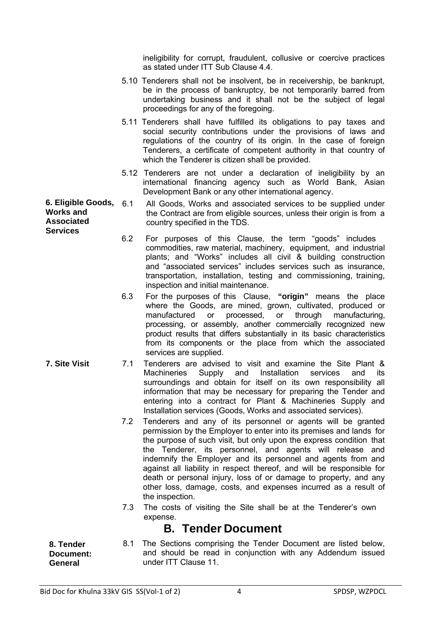ineligibility for corrupt, fraudulent, collusive or coercive practices as stated under ITT Sub Clause 4.4.

- 5.10 Tenderers shall not be insolvent, be in receivership, be bankrupt, be in the process of bankruptcy, be not temporarily barred from undertaking business and it shall not be the subject of legal proceedings for any of the foregoing.
- 5.11 Tenderers shall have fulfilled its obligations to pay taxes and social security contributions under the provisions of laws and regulations of the country of its origin. In the case of foreign Tenderers, a certificate of competent authority in that country of which the Tenderer is citizen shall be provided.
- 5.12 Tenderers are not under a declaration of ineligibility by an international financing agency such as World Bank, Asian Development Bank or any other international agency.
- **6. Eligible Goods, Works and Associated Services** 6.1 All Goods, Works and associated services to be supplied under the Contract are from eligible sources, unless their origin is from a country specified in the TDS.
	- 6.2 For purposes of this Clause, the term "goods" includes commodities, raw material, machinery, equipment, and industrial plants; and "Works" includes all civil & building construction and "associated services" includes services such as insurance, transportation, installation, testing and commissioning, training, inspection and initial maintenance.
	- 6.3 For the purposes of this Clause, **"origin"** means the place where the Goods, are mined, grown, cultivated, produced or manufactured or processed, or through manufacturing, processing, or assembly, another commercially recognized new product results that differs substantially in its basic characteristics from its components or the place from which the associated services are supplied.
- **7. Site Visit** 7.1 Tenderers are advised to visit and examine the Site Plant & Machineries Supply and Installation services and its surroundings and obtain for itself on its own responsibility all information that may be necessary for preparing the Tender and entering into a contract for Plant & Machineries Supply and Installation services (Goods, Works and associated services).
	- 7.2 Tenderers and any of its personnel or agents will be granted permission by the Employer to enter into its premises and lands for the purpose of such visit, but only upon the express condition that the Tenderer, its personnel, and agents will release and indemnify the Employer and its personnel and agents from and against all liability in respect thereof, and will be responsible for death or personal injury, loss of or damage to property, and any other loss, damage, costs, and expenses incurred as a result of the inspection.
	- 7.3 The costs of visiting the Site shall be at the Tenderer's own expense.

#### **B. Tender Document**

**8. Tender Document: General**  8.1 The Sections comprising the Tender Document are listed below, and should be read in conjunction with any Addendum issued under ITT Clause 11.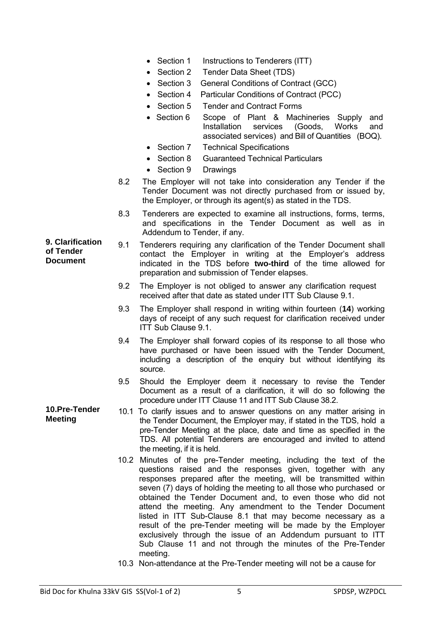- Section 1 Instructions to Tenderers (ITT)
- Section 2 Tender Data Sheet (TDS)
- Section 3 General Conditions of Contract (GCC)
- Section 4 Particular Conditions of Contract (PCC)
- Section 5 Tender and Contract Forms
- Section 6 Scope of Plant & Machineries Supply and Installation services (Goods, Works and associated services) and Bill of Quantities (BOQ).
- Section 7 Technical Specifications
- Section 8 Guaranteed Technical Particulars
- Section 9 Drawings
- 8.2 The Employer will not take into consideration any Tender if the Tender Document was not directly purchased from or issued by, the Employer, or through its agent(s) as stated in the TDS.
- 8.3 Tenderers are expected to examine all instructions, forms, terms, and specifications in the Tender Document as well as in Addendum to Tender, if any.
- 9.1 Tenderers requiring any clarification of the Tender Document shall contact the Employer in writing at the Employer's address indicated in the TDS before **two-third** of the time allowed for preparation and submission of Tender elapses.
	- 9.2 The Employer is not obliged to answer any clarification request received after that date as stated under ITT Sub Clause 9.1.
	- 9.3 The Employer shall respond in writing within fourteen (**14**) working days of receipt of any such request for clarification received under ITT Sub Clause 9.1.
	- 9.4 The Employer shall forward copies of its response to all those who have purchased or have been issued with the Tender Document, including a description of the enquiry but without identifying its source.
	- 9.5 Should the Employer deem it necessary to revise the Tender Document as a result of a clarification, it will do so following the procedure under ITT Clause 11 and ITT Sub Clause 38.2.
	- 10.1 To clarify issues and to answer questions on any matter arising in the Tender Document, the Employer may, if stated in the TDS, hold a pre-Tender Meeting at the place, date and time as specified in the TDS. All potential Tenderers are encouraged and invited to attend the meeting, if it is held.
		- 10.2 Minutes of the pre-Tender meeting, including the text of the questions raised and the responses given, together with any responses prepared after the meeting, will be transmitted within seven (7) days of holding the meeting to all those who purchased or obtained the Tender Document and, to even those who did not attend the meeting. Any amendment to the Tender Document listed in ITT Sub-Clause 8.1 that may become necessary as a result of the pre-Tender meeting will be made by the Employer exclusively through the issue of an Addendum pursuant to ITT Sub Clause 11 and not through the minutes of the Pre-Tender meeting.
		- 10.3 Non-attendance at the Pre-Tender meeting will not be a cause for

**9. Clarification of Tender Document**

**10.Pre-Tender** 

**Meeting**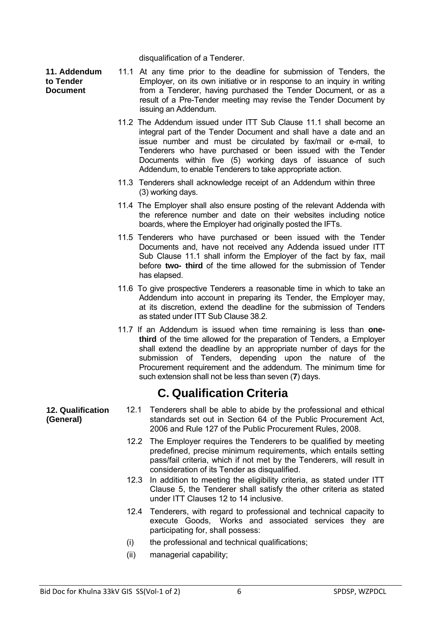disqualification of a Tenderer.

**11. Addendum to Tender Document**

- 11.1 At any time prior to the deadline for submission of Tenders, the Employer, on its own initiative or in response to an inquiry in writing from a Tenderer, having purchased the Tender Document, or as a result of a Pre-Tender meeting may revise the Tender Document by issuing an Addendum.
- 11.2 The Addendum issued under ITT Sub Clause 11.1 shall become an integral part of the Tender Document and shall have a date and an issue number and must be circulated by fax/mail or e-mail, to Tenderers who have purchased or been issued with the Tender Documents within five (5) working days of issuance of such Addendum, to enable Tenderers to take appropriate action.
- 11.3 Tenderers shall acknowledge receipt of an Addendum within three (3) working days.
- 11.4 The Employer shall also ensure posting of the relevant Addenda with the reference number and date on their websites including notice boards, where the Employer had originally posted the IFTs.
- 11.5 Tenderers who have purchased or been issued with the Tender Documents and, have not received any Addenda issued under ITT Sub Clause 11.1 shall inform the Employer of the fact by fax, mail before **two- third** of the time allowed for the submission of Tender has elapsed.
- 11.6 To give prospective Tenderers a reasonable time in which to take an Addendum into account in preparing its Tender, the Employer may, at its discretion, extend the deadline for the submission of Tenders as stated under ITT Sub Clause 38.2.
- 11.7 If an Addendum is issued when time remaining is less than **onethird** of the time allowed for the preparation of Tenders, a Employer shall extend the deadline by an appropriate number of days for the submission of Tenders, depending upon the nature of the Procurement requirement and the addendum. The minimum time for such extension shall not be less than seven (**7**) days.

#### **C. Qualification Criteria**

- 12.1 Tenderers shall be able to abide by the professional and ethical standards set out in Section 64 of the Public Procurement Act, 2006 and Rule 127 of the Public Procurement Rules, 2008.
	- 12.2 The Employer requires the Tenderers to be qualified by meeting predefined, precise minimum requirements, which entails setting pass/fail criteria, which if not met by the Tenderers, will result in consideration of its Tender as disqualified.
	- 12.3 In addition to meeting the eligibility criteria, as stated under ITT Clause 5, the Tenderer shall satisfy the other criteria as stated under ITT Clauses 12 to 14 inclusive.
	- 12.4 Tenderers, with regard to professional and technical capacity to execute Goods, Works and associated services they are participating for, shall possess:
	- (i) the professional and technical qualifications;
	- (ii) managerial capability;

**12. Qualification (General)**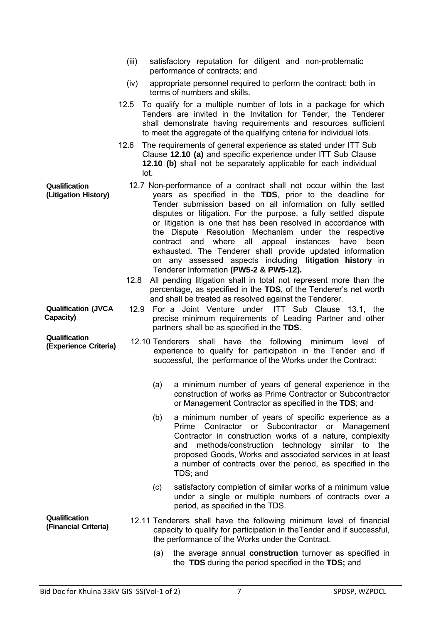- (iii) satisfactory reputation for diligent and non-problematic performance of contracts; and
- (iv) appropriate personnel required to perform the contract; both in terms of numbers and skills.
- 12.5 To qualify for a multiple number of lots in a package for which Tenders are invited in the Invitation for Tender, the Tenderer shall demonstrate having requirements and resources sufficient to meet the aggregate of the qualifying criteria for individual lots.
- 12.6 The requirements of general experience as stated under ITT Sub Clause **12.10 (a)** and specific experience under ITT Sub Clause **12.10 (b)** shall not be separately applicable for each individual lot.
- **Qualification (Litigation History)** 12.7 Non-performance of a contract shall not occur within the last years as specified in the **TDS**, prior to the deadline for Tender submission based on all information on fully settled disputes or litigation. For the purpose, a fully settled dispute or litigation is one that has been resolved in accordance with the Dispute Resolution Mechanism under the respective contract and where all appeal instances have been exhausted. The Tenderer shall provide updated information on any assessed aspects including **litigation history** in Tenderer Information **(PW5-2 & PW5-12).**
	- 12.8 All pending litigation shall in total not represent more than the percentage, as specified in the **TDS**, of the Tenderer's net worth and shall be treated as resolved against the Tenderer.
- **Qualification (JVCA**  12.9 For a Joint Venture under ITT Sub Clause 13.1, the precise minimum requirements of Leading Partner and other partners shall be as specified in the **TDS**.
- **(Experience Criteria)** 12.10 Tenderers shall have the following minimum level of experience to qualify for participation in the Tender and if successful, the performance of the Works under the Contract:
	- (a) a minimum number of years of general experience in the construction of works as Prime Contractor or Subcontractor or Management Contractor as specified in the **TDS**; and
	- (b) a minimum number of years of specific experience as a Prime Contractor or Subcontractor or Management Contractor in construction works of a nature, complexity and methods/construction technology similar to the proposed Goods, Works and associated services in at least a number of contracts over the period, as specified in the TDS; and
	- (c) satisfactory completion of similar works of a minimum value under a single or multiple numbers of contracts over a period, as specified in the TDS.
- **Qualification (Financial Criteria)** 12.11 Tenderers shall have the following minimum level of financial capacity to qualify for participation in theTender and if successful, the performance of the Works under the Contract.
	- (a) the average annual **construction** turnover as specified in the **TDS** during the period specified in the **TDS;** and

**Capacity)**

**Qualification**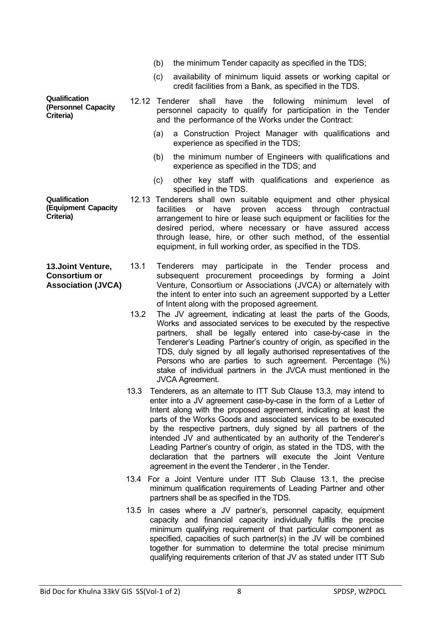- (b) the minimum Tender capacity as specified in the TDS;
- (c) availability of minimum liquid assets or working capital or credit facilities from a Bank, as specified in the TDS.
- **Qualification (Personnel Capacity Criteria)**
- 12.12 Tenderer shall have the following minimum level of personnel capacity to qualify for participation in the Tender and the performance of the Works under the Contract:
	- (a) a Construction Project Manager with qualifications and experience as specified in the TDS;
	- (b) the minimum number of Engineers with qualifications and experience as specified in the TDS; and
	- (c) other key staff with qualifications and experience as specified in the TDS.
- **Qualification (Equipment Capacity Criteria)**  12.13 Tenderers shall own suitable equipment and other physical facilities or have proven access through contractual arrangement to hire or lease such equipment or facilities for the desired period, where necessary or have assured access through lease, hire, or other such method, of the essential equipment, in full working order, as specified in the TDS.
- **13.Joint Venture, Consortium or Association (JVCA)** 13.1 Tenderers may participate in the Tender process and subsequent procurement proceedings by forming a Joint Venture, Consortium or Associations (JVCA) or alternately with the intent to enter into such an agreement supported by a Letter of Intent along with the proposed agreement.
	- 13.2 The JV agreement, indicating at least the parts of the Goods, Works and associated services to be executed by the respective partners, shall be legally entered into case-by-case in the Tenderer's Leading Partner's country of origin, as specified in the TDS, duly signed by all legally authorised representatives of the Persons who are parties to such agreement. Percentage (%) stake of individual partners in the JVCA must mentioned in the JVCA Agreement.
	- 13.3 Tenderers, as an alternate to ITT Sub Clause 13.3, may intend to enter into a JV agreement case-by-case in the form of a Letter of Intent along with the proposed agreement, indicating at least the parts of the Works Goods and associated services to be executed by the respective partners, duly signed by all partners of the intended JV and authenticated by an authority of the Tenderer's Leading Partner's country of origin, as stated in the TDS, with the declaration that the partners will execute the Joint Venture agreement in the event the Tenderer , in the Tender.
	- 13.4 For a Joint Venture under ITT Sub Clause 13.1, the precise minimum qualification requirements of Leading Partner and other partners shall be as specified in the TDS.
	- 13.5 In cases where a JV partner's, personnel capacity, equipment capacity and financial capacity individually fulfils the precise minimum qualifying requirement of that particular component as specified, capacities of such partner(s) in the JV will be combined together for summation to determine the total precise minimum qualifying requirements criterion of that JV as stated under ITT Sub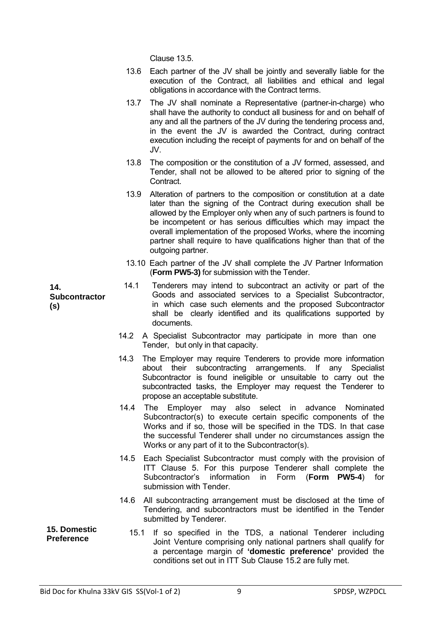Clause 13.5.

- 13.6 Each partner of the JV shall be jointly and severally liable for the execution of the Contract, all liabilities and ethical and legal obligations in accordance with the Contract terms.
- 13.7 The JV shall nominate a Representative (partner-in-charge) who shall have the authority to conduct all business for and on behalf of any and all the partners of the JV during the tendering process and, in the event the JV is awarded the Contract, during contract execution including the receipt of payments for and on behalf of the JV.
- 13.8 The composition or the constitution of a JV formed, assessed, and Tender, shall not be allowed to be altered prior to signing of the **Contract**
- 13.9 Alteration of partners to the composition or constitution at a date later than the signing of the Contract during execution shall be allowed by the Employer only when any of such partners is found to be incompetent or has serious difficulties which may impact the overall implementation of the proposed Works, where the incoming partner shall require to have qualifications higher than that of the outgoing partner.
- 13.10 Each partner of the JV shall complete the JV Partner Information (**Form PW5-3)** for submission with the Tender.
- 14.1 Tenderers may intend to subcontract an activity or part of the Goods and associated services to a Specialist Subcontractor, in which case such elements and the proposed Subcontractor shall be clearly identified and its qualifications supported by documents.
	- 14.2 A Specialist Subcontractor may participate in more than one Tender, but only in that capacity.
	- 14.3 The Employer may require Tenderers to provide more information about their subcontracting arrangements. If any Specialist Subcontractor is found ineligible or unsuitable to carry out the subcontracted tasks, the Employer may request the Tenderer to propose an acceptable substitute.
	- 14.4 The Employer may also select in advance Nominated Subcontractor(s) to execute certain specific components of the Works and if so, those will be specified in the TDS. In that case the successful Tenderer shall under no circumstances assign the Works or any part of it to the Subcontractor(s).
	- 14.5 Each Specialist Subcontractor must comply with the provision of ITT Clause 5. For this purpose Tenderer shall complete the Subcontractor's information in Form (**Form PW5-4**) for submission with Tender.
	- 14.6 All subcontracting arrangement must be disclosed at the time of Tendering, and subcontractors must be identified in the Tender submitted by Tenderer.
- **15. Domestic Preference** 15.1 If so specified in the TDS, a national Tenderer including Joint Venture comprising only national partners shall qualify for a percentage margin of **'domestic preference'** provided the conditions set out in ITT Sub Clause 15.2 are fully met.

**14.** 

**(s)** 

**Subcontractor**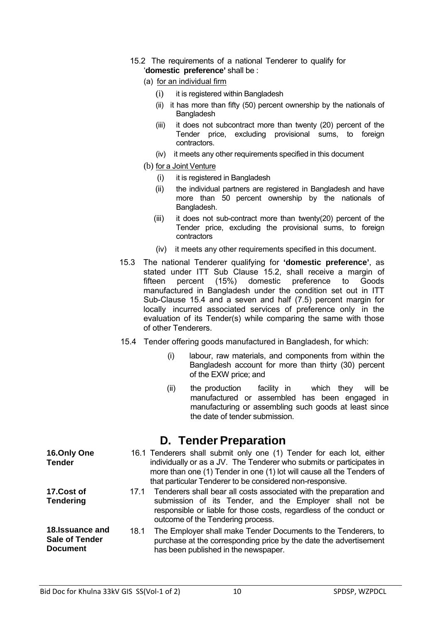- 15.2 The requirements of a national Tenderer to qualify for '**domestic preference'** shall be :
	- (a) for an individual firm
		- (i) it is registered within Bangladesh
		- (ii) it has more than fifty (50) percent ownership by the nationals of **Bangladesh**
		- (iii) it does not subcontract more than twenty (20) percent of the Tender price, excluding provisional sums, to foreign contractors.
		- (iv) it meets any other requirements specified in this document
	- (b) for a Joint Venture
		- (i) it is registered in Bangladesh
		- (ii) the individual partners are registered in Bangladesh and have more than 50 percent ownership by the nationals of Bangladesh.
		- (iii) it does not sub-contract more than twenty(20) percent of the Tender price, excluding the provisional sums, to foreign contractors
		- (iv) it meets any other requirements specified in this document.
- 15.3 The national Tenderer qualifying for **'domestic preference'**, as stated under ITT Sub Clause 15.2, shall receive a margin of fifteen percent (15%) domestic preference to Goods manufactured in Bangladesh under the condition set out in ITT Sub-Clause 15.4 and a seven and half (7.5) percent margin for locally incurred associated services of preference only in the evaluation of its Tender(s) while comparing the same with those of other Tenderers.
- 15.4 Tender offering goods manufactured in Bangladesh, for which:
	- (i) labour, raw materials, and components from within the Bangladesh account for more than thirty (30) percent of the EXW price; and
	- (ii) the production facility in which they will be manufactured or assembled has been engaged in manufacturing or assembling such goods at least since the date of tender submission.

#### **D. Tender Preparation**

| 16.Only One<br><b>Tender</b>   |      | 16.1 Tenderers shall submit only one (1) Tender for each lot, either<br>individually or as a JV. The Tenderer who submits or participates in<br>more than one (1) Tender in one (1) lot will cause all the Tenders of<br>that particular Tenderer to be considered non-responsive. |
|--------------------------------|------|------------------------------------------------------------------------------------------------------------------------------------------------------------------------------------------------------------------------------------------------------------------------------------|
| 17.Cost of<br><b>Tendering</b> | 17.1 | Tenderers shall bear all costs associated with the preparation and<br>submission of its Tender, and the Employer shall not be<br>responsible or liable for those costs, regardless of the conduct or<br>outcome of the Tendering process.                                          |

**18.Issuance and Sale of Tender Document** 18.1 The Employer shall make Tender Documents to the Tenderers, to purchase at the corresponding price by the date the advertisement has been published in the newspaper.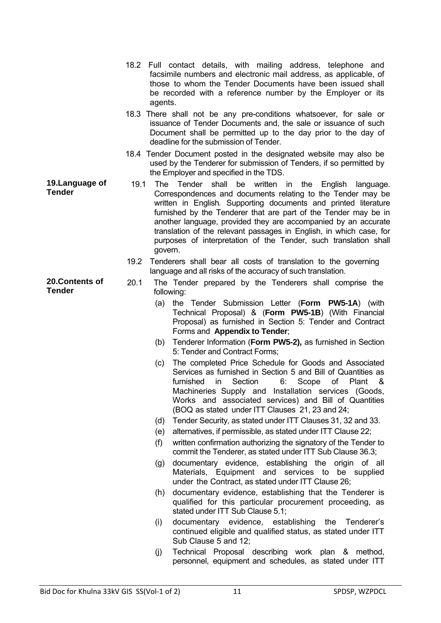- 18.2 Full contact details, with mailing address, telephone and facsimile numbers and electronic mail address, as applicable, of those to whom the Tender Documents have been issued shall be recorded with a reference number by the Employer or its agents.
- 18.3 There shall not be any pre-conditions whatsoever, for sale or issuance of Tender Documents and, the sale or issuance of such Document shall be permitted up to the day prior to the day of deadline for the submission of Tender.
- 18.4 Tender Document posted in the designated website may also be used by the Tenderer for submission of Tenders, if so permitted by the Employer and specified in the TDS.
- **19.Language of Tender** 19.1 The Tender shall be written in the English language. Correspondences and documents relating to the Tender may be written in English*.* Supporting documents and printed literature furnished by the Tenderer that are part of the Tender may be in another language, provided they are accompanied by an accurate translation of the relevant passages in English, in which case, for purposes of interpretation of the Tender, such translation shall govern.
	- 19.2 Tenderers shall bear all costs of translation to the governing language and all risks of the accuracy of such translation.
	- 20.1 The Tender prepared by the Tenderers shall comprise the following:
		- (a) the Tender Submission Letter (**Form PW5-1A**) (with Technical Proposal) & (**Form PW5-1B**) (With Financial Proposal) as furnished in Section 5: Tender and Contract Forms and **Appendix to Tender**;
		- (b) Tenderer Information (**Form PW5-2),** as furnished in Section 5: Tender and Contract Forms;
		- (c) The completed Price Schedule for Goods and Associated Services as furnished in Section 5 and Bill of Quantities as furnished in Section 6: Scope of Plant & Machineries Supply and Installation services (Goods, Works and associated services) and Bill of Quantities (BOQ as stated under ITT Clauses 21, 23 and 24;
		- (d) Tender Security, as stated under ITT Clauses 31, 32 and 33.
		- (e) alternatives, if permissible, as stated under ITT Clause 22;
		- (f) written confirmation authorizing the signatory of the Tender to commit the Tenderer, as stated under ITT Sub Clause 36.3;
		- (g) documentary evidence, establishing the origin of all Materials, Equipment and services to be supplied under the Contract, as stated under ITT Clause 26;
		- (h) documentary evidence, establishing that the Tenderer is qualified for this particular procurement proceeding, as stated under ITT Sub Clause 5.1;
		- (i) documentary evidence, establishing the Tenderer's continued eligible and qualified status, as stated under ITT Sub Clause 5 and 12;
		- (j) Technical Proposal describing work plan & method, personnel, equipment and schedules, as stated under ITT

**20.Contents of** 

**Tender**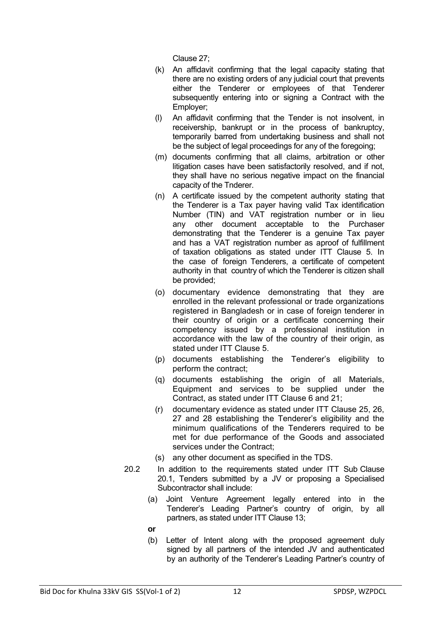Clause 27;

- (k) An affidavit confirming that the legal capacity stating that there are no existing orders of any judicial court that prevents either the Tenderer or employees of that Tenderer subsequently entering into or signing a Contract with the Employer;
- (l) An affidavit confirming that the Tender is not insolvent, in receivership, bankrupt or in the process of bankruptcy, temporarily barred from undertaking business and shall not be the subject of legal proceedings for any of the foregoing;
- (m) documents confirming that all claims, arbitration or other litigation cases have been satisfactorily resolved, and if not, they shall have no serious negative impact on the financial capacity of the Tnderer.
- (n) A certificate issued by the competent authority stating that the Tenderer is a Tax payer having valid Tax identification Number (TIN) and VAT registration number or in lieu any other document acceptable to the Purchaser demonstrating that the Tenderer is a genuine Tax payer and has a VAT registration number as aproof of fulfillment of taxation obligations as stated under ITT Clause 5. In the case of foreign Tenderers, a certificate of competent authority in that country of which the Tenderer is citizen shall be provided;
- (o) documentary evidence demonstrating that they are enrolled in the relevant professional or trade organizations registered in Bangladesh or in case of foreign tenderer in their country of origin or a certificate concerning their competency issued by a professional institution in accordance with the law of the country of their origin, as stated under ITT Clause 5.
- (p) documents establishing the Tenderer's eligibility to perform the contract;
- (q) documents establishing the origin of all Materials, Equipment and services to be supplied under the Contract, as stated under ITT Clause 6 and 21;
- (r) documentary evidence as stated under ITT Clause 25, 26, 27 and 28 establishing the Tenderer's eligibility and the minimum qualifications of the Tenderers required to be met for due performance of the Goods and associated services under the Contract:
- (s) any other document as specified in the TDS.
- 20.2 In addition to the requirements stated under ITT Sub Clause 20.1, Tenders submitted by a JV or proposing a Specialised Subcontractor shall include:
	- (a) Joint Venture Agreement legally entered into in the Tenderer's Leading Partner's country of origin, by all partners, as stated under ITT Clause 13;

**or**

(b) Letter of Intent along with the proposed agreement duly signed by all partners of the intended JV and authenticated by an authority of the Tenderer's Leading Partner's country of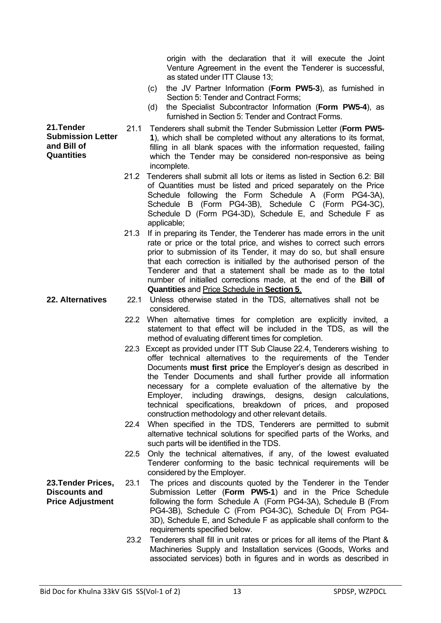origin with the declaration that it will execute the Joint Venture Agreement in the event the Tenderer is successful, as stated under ITT Clause 13;

- (c) the JV Partner Information (**Form PW5-3**), as furnished in Section 5: Tender and Contract Forms;
- (d) the Specialist Subcontractor Information (**Form PW5-4**), as furnished in Section 5: Tender and Contract Forms.
- 21.1 Tenderers shall submit the Tender Submission Letter (**Form PW5- 1**), which shall be completed without any alterations to its format, filling in all blank spaces with the information requested, failing which the Tender may be considered non-responsive as being incomplete.
- 21.2 Tenderers shall submit all lots or items as listed in Section 6.2: Bill of Quantities must be listed and priced separately on the Price Schedule following the Form Schedule A (Form PG4-3A), Schedule B (Form PG4-3B), Schedule C (Form PG4-3C), Schedule D (Form PG4-3D), Schedule E, and Schedule F as applicable;
- 21.3 If in preparing its Tender, the Tenderer has made errors in the unit rate or price or the total price, and wishes to correct such errors prior to submission of its Tender, it may do so, but shall ensure that each correction is initialled by the authorised person of the Tenderer and that a statement shall be made as to the total number of initialled corrections made, at the end of the **Bill of Quantities** and Price Schedule in **Section 5**.
- **22. Alternatives** 22.1 Unless otherwise stated in the TDS, alternatives shall not be considered.
	- 22.2 When alternative times for completion are explicitly invited, a statement to that effect will be included in the TDS, as will the method of evaluating different times for completion.
	- 22.3 Except as provided under ITT Sub Clause 22.4, Tenderers wishing to offer technical alternatives to the requirements of the Tender Documents **must first price** the Employer's design as described in the Tender Documents and shall further provide all information necessary for a complete evaluation of the alternative by the Employer, including drawings, designs, design calculations, technical specifications, breakdown of prices, and proposed construction methodology and other relevant details.
	- 22.4 When specified in the TDS, Tenderers are permitted to submit alternative technical solutions for specified parts of the Works, and such parts will be identified in the TDS.
	- 22.5 Only the technical alternatives, if any, of the lowest evaluated Tenderer conforming to the basic technical requirements will be considered by the Employer.
- **23.Tender Prices, Discounts and Price Adjustment** 23.1 The prices and discounts quoted by the Tenderer in the Tender Submission Letter (**Form PW5-1**) and in the Price Schedule following the form Schedule A (Form PG4-3A), Schedule B (From PG4-3B), Schedule C (From PG4-3C), Schedule D( From PG4- 3D), Schedule E, and Schedule F as applicable shall conform to the requirements specified below.
	- 23.2 Tenderers shall fill in unit rates or prices for all items of the Plant & Machineries Supply and Installation services (Goods, Works and associated services) both in figures and in words as described in

**21.Tender Submission Letter and Bill of Quantities**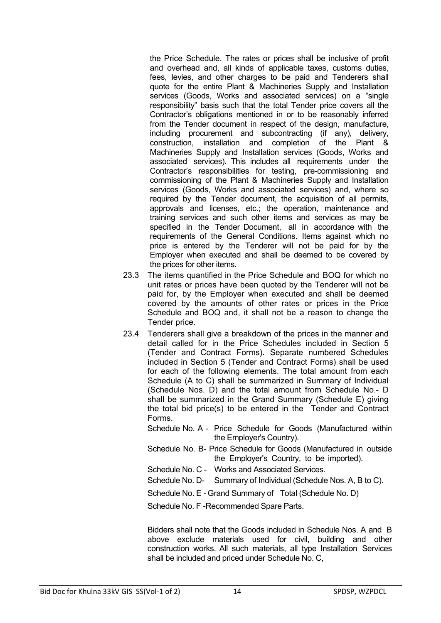the Price Schedule. The rates or prices shall be inclusive of profit and overhead and, all kinds of applicable taxes, customs duties, fees, levies, and other charges to be paid and Tenderers shall quote for the entire Plant & Machineries Supply and Installation services (Goods, Works and associated services) on a "single responsibility" basis such that the total Tender price covers all the Contractor's obligations mentioned in or to be reasonably inferred from the Tender document in respect of the design, manufacture, including procurement and subcontracting (if any), delivery, construction, installation and completion of the Plant & Machineries Supply and Installation services (Goods, Works and associated services). This includes all requirements under the Contractor's responsibilities for testing, pre-commissioning and commissioning of the Plant & Machineries Supply and Installation services (Goods, Works and associated services) and, where so required by the Tender document, the acquisition of all permits, approvals and licenses, etc.; the operation, maintenance and training services and such other items and services as may be specified in the Tender Document, all in accordance with the requirements of the General Conditions. Items against which no price is entered by the Tenderer will not be paid for by the Employer when executed and shall be deemed to be covered by the prices for other items.

- 23.3 The items quantified in the Price Schedule and BOQ for which no unit rates or prices have been quoted by the Tenderer will not be paid for, by the Employer when executed and shall be deemed covered by the amounts of other rates or prices in the Price Schedule and BOQ and, it shall not be a reason to change the Tender price.
- 23.4 Tenderers shall give a breakdown of the prices in the manner and detail called for in the Price Schedules included in Section 5 (Tender and Contract Forms). Separate numbered Schedules included in Section 5 (Tender and Contract Forms) shall be used for each of the following elements. The total amount from each Schedule (A to C) shall be summarized in Summary of Individual (Schedule Nos. D) and the total amount from Schedule No.- D shall be summarized in the Grand Summary (Schedule E) giving the total bid price(s) to be entered in the Tender and Contract Forms.
	- Schedule No. A Price Schedule for Goods (Manufactured within the Employer's Country).
	- Schedule No. B- Price Schedule for Goods (Manufactured in outside the Employer's Country, to be imported).
	- Schedule No. C Works and Associated Services.
	- Schedule No. D- Summary of Individual (Schedule Nos. A, B to C).
	- Schedule No. E Grand Summary of Total (Schedule No. D)

Schedule No. F -Recommended Spare Parts.

Bidders shall note that the Goods included in Schedule Nos. A and B above exclude materials used for civil, building and other construction works. All such materials, all type Installation Services shall be included and priced under Schedule No. C,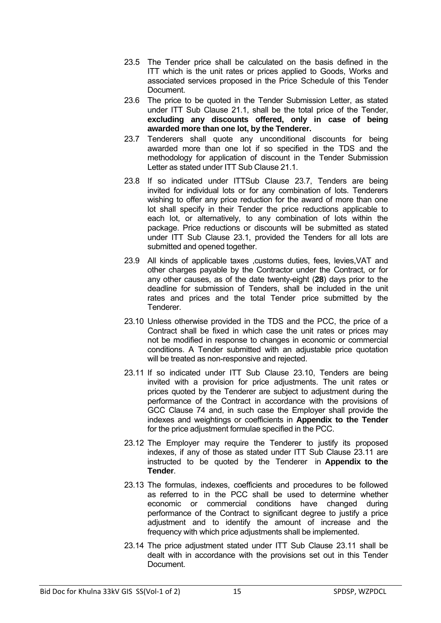- 23.5 The Tender price shall be calculated on the basis defined in the ITT which is the unit rates or prices applied to Goods, Works and associated services proposed in the Price Schedule of this Tender Document.
- 23.6 The price to be quoted in the Tender Submission Letter, as stated under ITT Sub Clause 21.1, shall be the total price of the Tender, **excluding any discounts offered, only in case of being awarded more than one lot, by the Tenderer.**
- 23.7 Tenderers shall quote any unconditional discounts for being awarded more than one lot if so specified in the TDS and the methodology for application of discount in the Tender Submission Letter as stated under ITT Sub Clause 21.1.
- 23.8 If so indicated under ITTSub Clause 23.7, Tenders are being invited for individual lots or for any combination of lots. Tenderers wishing to offer any price reduction for the award of more than one lot shall specify in their Tender the price reductions applicable to each lot, or alternatively, to any combination of lots within the package. Price reductions or discounts will be submitted as stated under ITT Sub Clause 23.1, provided the Tenders for all lots are submitted and opened together.
- 23.9 All kinds of applicable taxes , customs duties, fees, levies, VAT and other charges payable by the Contractor under the Contract, or for any other causes, as of the date twenty-eight (**28**) days prior to the deadline for submission of Tenders, shall be included in the unit rates and prices and the total Tender price submitted by the Tenderer.
- 23.10 Unless otherwise provided in the TDS and the PCC, the price of a Contract shall be fixed in which case the unit rates or prices may not be modified in response to changes in economic or commercial conditions. A Tender submitted with an adjustable price quotation will be treated as non-responsive and rejected.
- 23.11 If so indicated under ITT Sub Clause 23.10, Tenders are being invited with a provision for price adjustments. The unit rates or prices quoted by the Tenderer are subject to adjustment during the performance of the Contract in accordance with the provisions of GCC Clause 74 and, in such case the Employer shall provide the indexes and weightings or coefficients in **Appendix to the Tender**  for the price adjustment formulae specified in the PCC.
- 23.12 The Employer may require the Tenderer to justify its proposed indexes, if any of those as stated under ITT Sub Clause 23.11 are instructed to be quoted by the Tenderer in **Appendix to the Tender**.
- 23.13 The formulas, indexes, coefficients and procedures to be followed as referred to in the PCC shall be used to determine whether economic or commercial conditions have changed during performance of the Contract to significant degree to justify a price adjustment and to identify the amount of increase and the frequency with which price adjustments shall be implemented.
- 23.14 The price adjustment stated under ITT Sub Clause 23.11 shall be dealt with in accordance with the provisions set out in this Tender Document.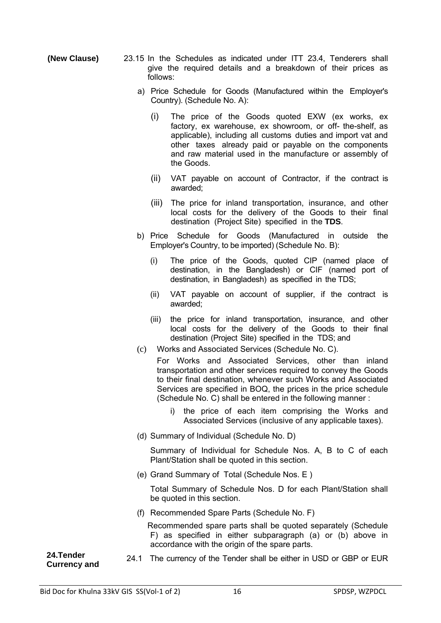- **(New Clause)** 23.15 In the Schedules as indicated under ITT 23.4, Tenderers shall give the required details and a breakdown of their prices as follows:
	- a) Price Schedule for Goods (Manufactured within the Employer's Country). (Schedule No. A):
		- (i) The price of the Goods quoted EXW (ex works, ex factory, ex warehouse, ex showroom, or off- the-shelf, as applicable), including all customs duties and import vat and other taxes already paid or payable on the components and raw material used in the manufacture or assembly of the Goods.
		- (ii) VAT payable on account of Contractor, if the contract is awarded;
		- (iii) The price for inland transportation, insurance, and other local costs for the delivery of the Goods to their final destination (Project Site) specified in the **TDS**.
	- b) Price Schedule for Goods (Manufactured in outside the Employer's Country, to be imported) (Schedule No. B):
		- (i) The price of the Goods, quoted CIP (named place of destination, in the Bangladesh) or CIF (named port of destination, in Bangladesh) as specified in the TDS;
		- (ii) VAT payable on account of supplier, if the contract is awarded;
		- (iii) the price for inland transportation, insurance, and other local costs for the delivery of the Goods to their final destination (Project Site) specified in the TDS; and
	- (c) Works and Associated Services (Schedule No. C).
		- For Works and Associated Services, other than inland transportation and other services required to convey the Goods to their final destination, whenever such Works and Associated Services are specified in BOQ, the prices in the price schedule (Schedule No. C) shall be entered in the following manner :
			- i) the price of each item comprising the Works and Associated Services (inclusive of any applicable taxes).
	- (d) Summary of Individual (Schedule No. D)

 Summary of Individual for Schedule Nos. A, B to C of each Plant/Station shall be quoted in this section.

(e) Grand Summary of Total (Schedule Nos. E )

 Total Summary of Schedule Nos. D for each Plant/Station shall be quoted in this section.

(f) Recommended Spare Parts (Schedule No. F)

 Recommended spare parts shall be quoted separately (Schedule F) as specified in either subparagraph (a) or (b) above in accordance with the origin of the spare parts.

**24.Tender** 

**Currency and** 24.1 The currency of the Tender shall be either in USD or GBP or EUR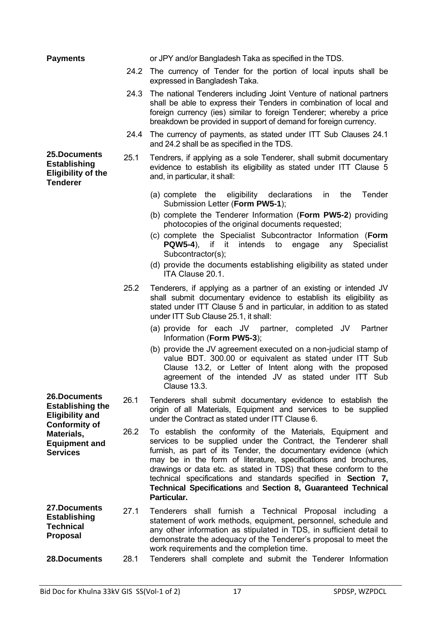| <b>Payments</b>                                                                           |      | or JPY and/or Bangladesh Taka as specified in the TDS.                                                                                                                                                                                                                                                                                                                                                                                                                                    |
|-------------------------------------------------------------------------------------------|------|-------------------------------------------------------------------------------------------------------------------------------------------------------------------------------------------------------------------------------------------------------------------------------------------------------------------------------------------------------------------------------------------------------------------------------------------------------------------------------------------|
|                                                                                           | 24.2 | The currency of Tender for the portion of local inputs shall be<br>expressed in Bangladesh Taka.                                                                                                                                                                                                                                                                                                                                                                                          |
|                                                                                           | 24.3 | The national Tenderers including Joint Venture of national partners<br>shall be able to express their Tenders in combination of local and<br>foreign currency (ies) similar to foreign Tenderer; whereby a price<br>breakdown be provided in support of demand for foreign currency.                                                                                                                                                                                                      |
|                                                                                           | 24.4 | The currency of payments, as stated under ITT Sub Clauses 24.1<br>and 24.2 shall be as specified in the TDS.                                                                                                                                                                                                                                                                                                                                                                              |
| 25.Documents<br><b>Establishing</b><br><b>Eligibility of the</b><br><b>Tenderer</b>       | 25.1 | Tendrers, if applying as a sole Tenderer, shall submit documentary<br>evidence to establish its eligibility as stated under ITT Clause 5<br>and, in particular, it shall:                                                                                                                                                                                                                                                                                                                 |
|                                                                                           |      | (a) complete the eligibility declarations<br>the<br>Tender<br>in<br>Submission Letter (Form PW5-1);                                                                                                                                                                                                                                                                                                                                                                                       |
|                                                                                           |      | (b) complete the Tenderer Information (Form PW5-2) providing<br>photocopies of the original documents requested;                                                                                                                                                                                                                                                                                                                                                                          |
|                                                                                           |      | (c) complete the Specialist Subcontractor Information (Form<br>$PQW5-4$ ),<br>if<br>it it<br>intends<br><b>Specialist</b><br>to<br>engage<br>any<br>Subcontractor(s);                                                                                                                                                                                                                                                                                                                     |
|                                                                                           |      | (d) provide the documents establishing eligibility as stated under<br>ITA Clause 20.1.                                                                                                                                                                                                                                                                                                                                                                                                    |
|                                                                                           | 25.2 | Tenderers, if applying as a partner of an existing or intended JV<br>shall submit documentary evidence to establish its eligibility as<br>stated under ITT Clause 5 and in particular, in addition to as stated<br>under ITT Sub Clause 25.1, it shall:                                                                                                                                                                                                                                   |
|                                                                                           |      | (a) provide for each JV partner, completed JV<br>Partner<br>Information (Form PW5-3);                                                                                                                                                                                                                                                                                                                                                                                                     |
|                                                                                           |      | (b) provide the JV agreement executed on a non-judicial stamp of<br>value BDT. 300.00 or equivalent as stated under ITT Sub<br>Clause 13.2, or Letter of Intent along with the proposed<br>agreement of the intended JV as stated under ITT Sub<br><b>Clause 13.3.</b>                                                                                                                                                                                                                    |
| 26.Documents<br><b>Establishing the</b><br><b>Eligibility and</b><br><b>Conformity of</b> | 26.1 | Tenderers shall submit documentary evidence to establish the<br>origin of all Materials, Equipment and services to be supplied<br>under the Contract as stated under ITT Clause 6.                                                                                                                                                                                                                                                                                                        |
| Materials,<br><b>Equipment and</b><br><b>Services</b>                                     | 26.2 | To establish the conformity of the Materials, Equipment and<br>services to be supplied under the Contract, the Tenderer shall<br>furnish, as part of its Tender, the documentary evidence (which<br>may be in the form of literature, specifications and brochures,<br>drawings or data etc. as stated in TDS) that these conform to the<br>technical specifications and standards specified in Section 7,<br>Technical Specifications and Section 8, Guaranteed Technical<br>Particular. |
| 27.Documents<br><b>Establishing</b><br><b>Technical</b><br><b>Proposal</b>                | 27.1 | Tenderers shall furnish a Technical Proposal including a<br>statement of work methods, equipment, personnel, schedule and<br>any other information as stipulated in TDS, in sufficient detail to<br>demonstrate the adequacy of the Tenderer's proposal to meet the<br>work requirements and the completion time.                                                                                                                                                                         |
| 28.Documents                                                                              | 28.1 | Tenderers shall complete and submit the Tenderer Information                                                                                                                                                                                                                                                                                                                                                                                                                              |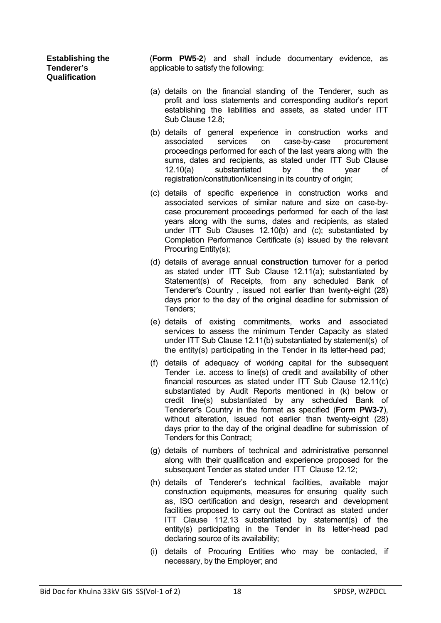**Establishing the Tenderer's Qualification** 

(**Form PW5-2**) and shall include documentary evidence, as applicable to satisfy the following:

- (a) details on the financial standing of the Tenderer, such as profit and loss statements and corresponding auditor's report establishing the liabilities and assets, as stated under ITT Sub Clause 12.8;
- (b) details of general experience in construction works and associated services on case-by-case procurement proceedings performed for each of the last years along with the sums, dates and recipients, as stated under ITT Sub Clause 12.10(a) substantiated by the year of registration/constitution/licensing in its country of origin;
- (c) details of specific experience in construction works and associated services of similar nature and size on case-bycase procurement proceedings performed for each of the last years along with the sums, dates and recipients, as stated under ITT Sub Clauses 12.10(b) and (c); substantiated by Completion Performance Certificate (s) issued by the relevant Procuring Entity(s);
- (d) details of average annual **construction** turnover for a period as stated under ITT Sub Clause 12.11(a); substantiated by Statement(s) of Receipts, from any scheduled Bank of Tenderer's Country , issued not earlier than twenty-eight (28) days prior to the day of the original deadline for submission of Tenders;
- (e) details of existing commitments, works and associated services to assess the minimum Tender Capacity as stated under ITT Sub Clause 12.11(b) substantiated by statement(s) of the entity(s) participating in the Tender in its letter-head pad;
- (f) details of adequacy of working capital for the subsequent Tender i.e. access to line(s) of credit and availability of other financial resources as stated under ITT Sub Clause 12.11(c) substantiated by Audit Reports mentioned in (k) below or credit line(s) substantiated by any scheduled Bank of Tenderer's Country in the format as specified (**Form PW3-7**), without alteration, issued not earlier than twenty-eight (28) days prior to the day of the original deadline for submission of Tenders for this Contract;
- (g) details of numbers of technical and administrative personnel along with their qualification and experience proposed for the subsequent Tender as stated under ITT Clause 12.12;
- (h) details of Tenderer's technical facilities, available major construction equipments, measures for ensuring quality such as, ISO certification and design, research and development facilities proposed to carry out the Contract as stated under ITT Clause 112.13 substantiated by statement(s) of the entity(s) participating in the Tender in its letter-head pad declaring source of its availability;
- (i) details of Procuring Entities who may be contacted, if necessary, by the Employer; and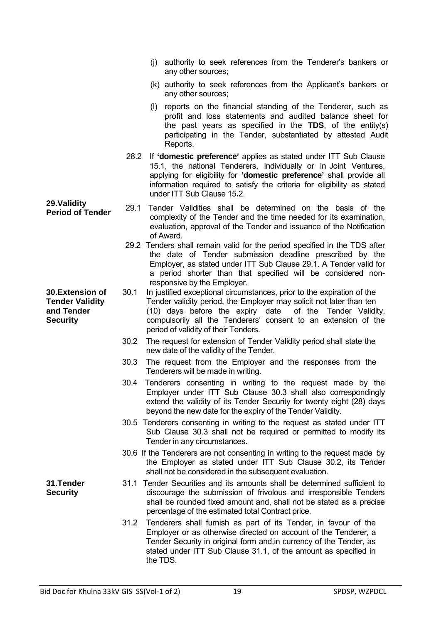any other sources; (k) authority to seek references from the Applicant's bankers or any other sources; (l) reports on the financial standing of the Tenderer, such as profit and loss statements and audited balance sheet for the past years as specified in the **TDS**, of the entity(s) participating in the Tender, substantiated by attested Audit Reports. 28.2 If **'domestic preference'** applies as stated under ITT Sub Clause 15.1, the national Tenderers, individually or in Joint Ventures, applying for eligibility for **'domestic preference'** shall provide all information required to satisfy the criteria for eligibility as stated under ITT Sub Clause 15**.**2. **29.Validity Period of Tender** 29.1 Tender Validities shall be determined on the basis of the complexity of the Tender and the time needed for its examination, evaluation, approval of the Tender and issuance of the Notification of Award. 29.2 Tenders shall remain valid for the period specified in the TDS after the date of Tender submission deadline prescribed by the Employer, as stated under ITT Sub Clause 29.1. A Tender valid for a period shorter than that specified will be considered nonresponsive by the Employer. **30.Extension of Tender Validity and Tender Security** 30.1 In justified exceptional circumstances, prior to the expiration of the Tender validity period, the Employer may solicit not later than ten (10) days before the expiry date of the Tender Validity, compulsorily all the Tenderers' consent to an extension of the period of validity of their Tenders. 30.2 The request for extension of Tender Validity period shall state the new date of the validity of the Tender. 30.3 The request from the Employer and the responses from the Tenderers will be made in writing. 30.4 Tenderers consenting in writing to the request made by the Employer under ITT Sub Clause 30.3 shall also correspondingly extend the validity of its Tender Security for twenty eight (28) days beyond the new date for the expiry of the Tender Validity. 30.5 Tenderers consenting in writing to the request as stated under ITT Sub Clause 30.3 shall not be required or permitted to modify its Tender in any circumstances. 30.6 If the Tenderers are not consenting in writing to the request made by the Employer as stated under ITT Sub Clause 30.2, its Tender shall not be considered in the subsequent evaluation. **31.Tender Security** 31.1 Tender Securities and its amounts shall be determined sufficient to discourage the submission of frivolous and irresponsible Tenders shall be rounded fixed amount and, shall not be stated as a precise percentage of the estimated total Contract price. 31.2 Tenderers shall furnish as part of its Tender, in favour of the Employer or as otherwise directed on account of the Tenderer, a Tender Security in original form and,in currency of the Tender, as stated under ITT Sub Clause 31.1, of the amount as specified in the TDS.

(j) authority to seek references from the Tenderer's bankers or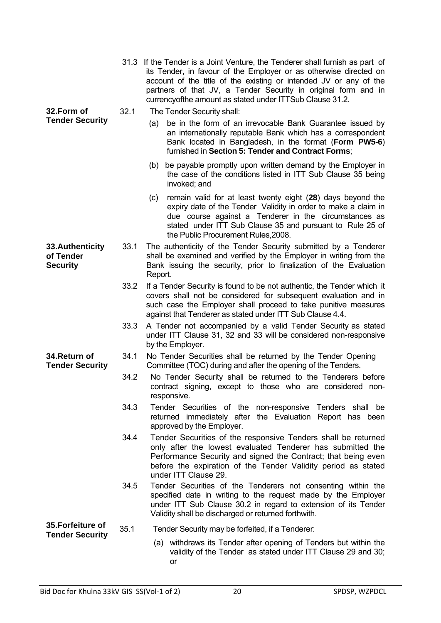|                                                  |      | 31.3 If the Tender is a Joint Venture, the Tenderer shall furnish as part of<br>its Tender, in favour of the Employer or as otherwise directed on<br>account of the title of the existing or intended JV or any of the<br>partners of that JV, a Tender Security in original form and in<br>currencyofthe amount as stated under ITTSub Clause 31.2. |
|--------------------------------------------------|------|------------------------------------------------------------------------------------------------------------------------------------------------------------------------------------------------------------------------------------------------------------------------------------------------------------------------------------------------------|
| 32.Form of                                       | 32.1 | The Tender Security shall:                                                                                                                                                                                                                                                                                                                           |
| <b>Tender Security</b>                           |      | be in the form of an irrevocable Bank Guarantee issued by<br>(a)<br>an internationally reputable Bank which has a correspondent<br>Bank located in Bangladesh, in the format (Form PW5-6)<br>furnished in Section 5: Tender and Contract Forms;                                                                                                      |
|                                                  |      | be payable promptly upon written demand by the Employer in<br>(b)<br>the case of the conditions listed in ITT Sub Clause 35 being<br>invoked; and                                                                                                                                                                                                    |
|                                                  |      | remain valid for at least twenty eight (28) days beyond the<br>(c)<br>expiry date of the Tender Validity in order to make a claim in<br>due course against a Tenderer in the circumstances as<br>stated under ITT Sub Clause 35 and pursuant to Rule 25 of<br>the Public Procurement Rules, 2008.                                                    |
| 33. Authenticity<br>of Tender<br><b>Security</b> | 33.1 | The authenticity of the Tender Security submitted by a Tenderer<br>shall be examined and verified by the Employer in writing from the<br>Bank issuing the security, prior to finalization of the Evaluation<br>Report.                                                                                                                               |
|                                                  | 33.2 | If a Tender Security is found to be not authentic, the Tender which it<br>covers shall not be considered for subsequent evaluation and in<br>such case the Employer shall proceed to take punitive measures<br>against that Tenderer as stated under ITT Sub Clause 4.4.                                                                             |
|                                                  | 33.3 | A Tender not accompanied by a valid Tender Security as stated<br>under ITT Clause 31, 32 and 33 will be considered non-responsive<br>by the Employer.                                                                                                                                                                                                |
| 34.Return of<br><b>Tender Security</b>           | 34.1 | No Tender Securities shall be returned by the Tender Opening<br>Committee (TOC) during and after the opening of the Tenders.                                                                                                                                                                                                                         |
|                                                  | 34.2 | No Tender Security shall be returned to the Tenderers before<br>contract signing, except to those who are considered non-<br>responsive.                                                                                                                                                                                                             |
|                                                  | 34.3 | Tender Securities of the non-responsive Tenders shall be<br>returned immediately after the Evaluation Report has been<br>approved by the Employer.                                                                                                                                                                                                   |
|                                                  | 34.4 | Tender Securities of the responsive Tenders shall be returned<br>only after the lowest evaluated Tenderer has submitted the<br>Performance Security and signed the Contract; that being even<br>before the expiration of the Tender Validity period as stated<br>under ITT Clause 29.                                                                |
|                                                  | 34.5 | Tender Securities of the Tenderers not consenting within the<br>specified date in writing to the request made by the Employer<br>under ITT Sub Clause 30.2 in regard to extension of its Tender<br>Validity shall be discharged or returned forthwith.                                                                                               |
| 35.Forfeiture of                                 | 35.1 | Tender Security may be forfeited, if a Tenderer:                                                                                                                                                                                                                                                                                                     |
| <b>Tender Security</b>                           |      | (a) withdraws its Tender after opening of Tenders but within the<br>validity of the Tender as stated under ITT Clause 29 and 30;<br>or                                                                                                                                                                                                               |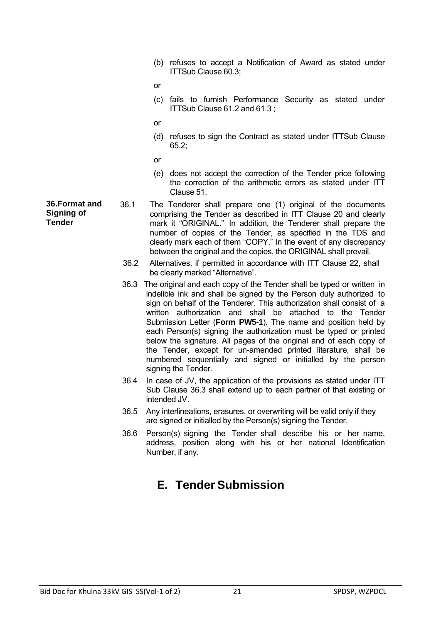(b) refuses to accept a Notification of Award as stated under ITTSub Clause 60.3;

or

- (c) fails to furnish Performance Security as stated under ITTSub Clause 61.2 and 61.3 ;
- or
- (d) refuses to sign the Contract as stated under ITTSub Clause 65.2;
- or
- (e) does not accept the correction of the Tender price following the correction of the arithmetic errors as stated under ITT Clause 51.
- **36.Format and Signing of Tender** 36.1 The Tenderer shall prepare one (1) original of the documents comprising the Tender as described in ITT Clause 20 and clearly mark it "ORIGINAL." In addition, the Tenderer shall prepare the number of copies of the Tender, as specified in the TDS and clearly mark each of them "COPY." In the event of any discrepancy between the original and the copies, the ORIGINAL shall prevail.
	- 36.2 Alternatives, if permitted in accordance with ITT Clause 22, shall be clearly marked "Alternative".
	- 36.3 The original and each copy of the Tender shall be typed or written in indelible ink and shall be signed by the Person duly authorized to sign on behalf of the Tenderer. This authorization shall consist of a written authorization and shall be attached to the Tender Submission Letter (**Form PW5-1**). The name and position held by each Person(s) signing the authorization must be typed or printed below the signature. All pages of the original and of each copy of the Tender, except for un-amended printed literature, shall be numbered sequentially and signed or initialled by the person signing the Tender.
	- 36.4 In case of JV, the application of the provisions as stated under ITT Sub Clause 36.3 shall extend up to each partner of that existing or intended JV.
	- 36.5 Any interlineations, erasures, or overwriting will be valid only if they are signed or initialled by the Person(s) signing the Tender.
	- 36.6 Person(s) signing the Tender shall describe his or her name, address, position along with his or her national Identification Number, if any.

#### **E. Tender Submission**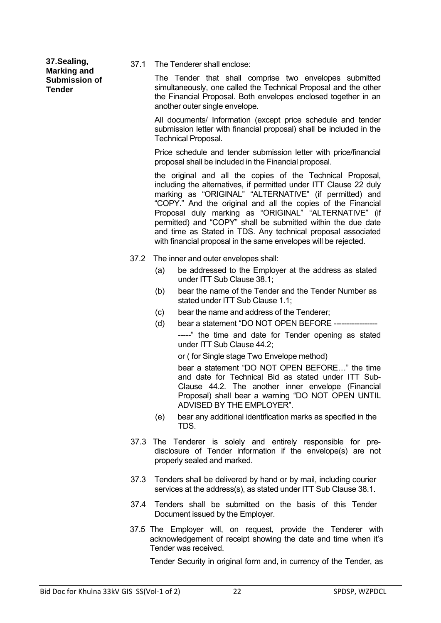**37.Sealing, Marking and Submission of Tender**

37.1 The Tenderer shall enclose:

The Tender that shall comprise two envelopes submitted simultaneously, one called the Technical Proposal and the other the Financial Proposal. Both envelopes enclosed together in an another outer single envelope.

All documents/ Information (except price schedule and tender submission letter with financial proposal) shall be included in the Technical Proposal.

Price schedule and tender submission letter with price/financial proposal shall be included in the Financial proposal.

the original and all the copies of the Technical Proposal, including the alternatives, if permitted under ITT Clause 22 duly marking as "ORIGINAL" "ALTERNATIVE" (if permitted) and "COPY." And the original and all the copies of the Financial Proposal duly marking as "ORIGINAL" "ALTERNATIVE" (if permitted) and "COPY" shall be submitted within the due date and time as Stated in TDS. Any technical proposal associated with financial proposal in the same envelopes will be rejected.

- 37.2 The inner and outer envelopes shall:
	- (a) be addressed to the Employer at the address as stated under ITT Sub Clause 38.1;
	- (b) bear the name of the Tender and the Tender Number as stated under ITT Sub Clause 1.1;
	- (c) bear the name and address of the Tenderer;
	- (d) bear a statement "DO NOT OPEN BEFORE -----------------

-----" the time and date for Tender opening as stated under ITT Sub Clause 44.2;

or ( for Single stage Two Envelope method)

bear a statement "DO NOT OPEN BEFORE…" the time and date for Technical Bid as stated under ITT Sub-Clause 44.2. The another inner envelope (Financial Proposal) shall bear a warning "DO NOT OPEN UNTIL ADVISED BY THE EMPLOYER".

- (e) bear any additional identification marks as specified in the TDS.
- 37.3 The Tenderer is solely and entirely responsible for predisclosure of Tender information if the envelope(s) are not properly sealed and marked.
- 37.3 Tenders shall be delivered by hand or by mail, including courier services at the address(s), as stated under ITT Sub Clause 38.1.
- 37.4 Tenders shall be submitted on the basis of this Tender Document issued by the Employer.
- 37.5 The Employer will, on request, provide the Tenderer with acknowledgement of receipt showing the date and time when it's Tender was received.

Tender Security in original form and, in currency of the Tender, as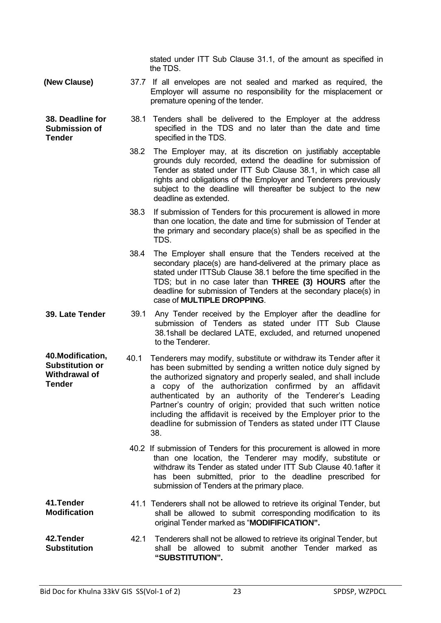|                                                                                      |      | stated under ITT Sub Clause 31.1, of the amount as specified in<br>the TDS.                                                                                                                                                                                                                                                                                                                                                                                                                                                            |
|--------------------------------------------------------------------------------------|------|----------------------------------------------------------------------------------------------------------------------------------------------------------------------------------------------------------------------------------------------------------------------------------------------------------------------------------------------------------------------------------------------------------------------------------------------------------------------------------------------------------------------------------------|
| (New Clause)                                                                         |      | 37.7 If all envelopes are not sealed and marked as required, the<br>Employer will assume no responsibility for the misplacement or<br>premature opening of the tender.                                                                                                                                                                                                                                                                                                                                                                 |
| 38. Deadline for<br><b>Submission of</b><br><b>Tender</b>                            | 38.1 | Tenders shall be delivered to the Employer at the address<br>specified in the TDS and no later than the date and time<br>specified in the TDS.                                                                                                                                                                                                                                                                                                                                                                                         |
|                                                                                      | 38.2 | The Employer may, at its discretion on justifiably acceptable<br>grounds duly recorded, extend the deadline for submission of<br>Tender as stated under ITT Sub Clause 38.1, in which case all<br>rights and obligations of the Employer and Tenderers previously<br>subject to the deadline will thereafter be subject to the new<br>deadline as extended.                                                                                                                                                                            |
|                                                                                      | 38.3 | If submission of Tenders for this procurement is allowed in more<br>than one location, the date and time for submission of Tender at<br>the primary and secondary place(s) shall be as specified in the<br>TDS.                                                                                                                                                                                                                                                                                                                        |
|                                                                                      | 38.4 | The Employer shall ensure that the Tenders received at the<br>secondary place(s) are hand-delivered at the primary place as<br>stated under ITTSub Clause 38.1 before the time specified in the<br>TDS; but in no case later than THREE (3) HOURS after the<br>deadline for submission of Tenders at the secondary place(s) in<br>case of MULTIPLE DROPPING.                                                                                                                                                                           |
| 39. Late Tender                                                                      | 39.1 | Any Tender received by the Employer after the deadline for<br>submission of Tenders as stated under ITT Sub Clause<br>38.1 shall be declared LATE, excluded, and returned unopened<br>to the Tenderer.                                                                                                                                                                                                                                                                                                                                 |
| 40. Modification,<br><b>Substitution or</b><br><b>Withdrawal of</b><br><b>Tender</b> | 40.1 | Tenderers may modify, substitute or withdraw its Tender after it<br>has been submitted by sending a written notice duly signed by<br>the authorized signatory and properly sealed, and shall include<br>a copy of the authorization confirmed by an affidavit<br>authenticated by an authority of the Tenderer's Leading<br>Partner's country of origin; provided that such written notice<br>including the affidavit is received by the Employer prior to the<br>deadline for submission of Tenders as stated under ITT Clause<br>38. |
|                                                                                      |      | 40.2 If submission of Tenders for this procurement is allowed in more<br>than one location, the Tenderer may modify, substitute or<br>withdraw its Tender as stated under ITT Sub Clause 40.1 after it<br>has been submitted, prior to the deadline prescribed for<br>submission of Tenders at the primary place.                                                                                                                                                                                                                      |
| 41.Tender<br><b>Modification</b>                                                     |      | 41.1 Tenderers shall not be allowed to retrieve its original Tender, but<br>shall be allowed to submit corresponding modification to its<br>original Tender marked as "MODIFIFICATION".                                                                                                                                                                                                                                                                                                                                                |
| 42. Tender<br><b>Substitution</b>                                                    | 42.1 | Tenderers shall not be allowed to retrieve its original Tender, but<br>shall be allowed to submit another Tender marked as<br>"SUBSTITUTION".                                                                                                                                                                                                                                                                                                                                                                                          |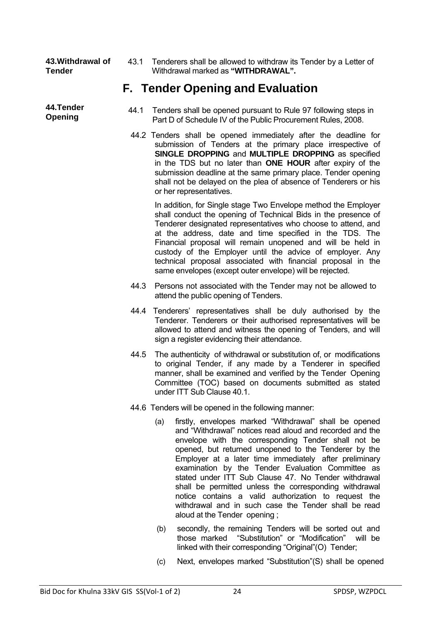| 43. Withdrawal of | 43.1 Tenderers shall be allowed to withdraw its Tender by a Letter of |
|-------------------|-----------------------------------------------------------------------|
| <b>Tender</b>     | Withdrawal marked as "WITHDRAWAL".                                    |

#### **F. Tender Opening and Evaluation**

- **44. I ender** 44.1 Tenders shall be opened pursuant to Rule 97 following steps in<br>Opening **Deming** But D of Schedule IV of the Public Procurement Rules 2008 Part D of Schedule IV of the Public Procurement Rules, 2008.
	- 44.2 Tenders shall be opened immediately after the deadline for submission of Tenders at the primary place irrespective of **SINGLE DROPPING** and **MULTIPLE DROPPING** as specified in the TDS but no later than **ONE HOUR** after expiry of the submission deadline at the same primary place. Tender opening shall not be delayed on the plea of absence of Tenderers or his or her representatives.

In addition, for Single stage Two Envelope method the Employer shall conduct the opening of Technical Bids in the presence of Tenderer designated representatives who choose to attend, and at the address, date and time specified in the TDS. The Financial proposal will remain unopened and will be held in custody of the Employer until the advice of employer. Any technical proposal associated with financial proposal in the same envelopes (except outer envelope) will be rejected.

- 44.3 Persons not associated with the Tender may not be allowed to attend the public opening of Tenders.
- 44.4 Tenderers' representatives shall be duly authorised by the Tenderer. Tenderers or their authorised representatives will be allowed to attend and witness the opening of Tenders, and will sign a register evidencing their attendance.
- 44.5 The authenticity of withdrawal or substitution of, or modifications to original Tender, if any made by a Tenderer in specified manner, shall be examined and verified by the Tender Opening Committee (TOC) based on documents submitted as stated under ITT Sub Clause 40.1.
- 44.6 Tenders will be opened in the following manner:
	- (a) firstly, envelopes marked "Withdrawal" shall be opened and "Withdrawal" notices read aloud and recorded and the envelope with the corresponding Tender shall not be opened, but returned unopened to the Tenderer by the Employer at a later time immediately after preliminary examination by the Tender Evaluation Committee as stated under ITT Sub Clause 47. No Tender withdrawal shall be permitted unless the corresponding withdrawal notice contains a valid authorization to request the withdrawal and in such case the Tender shall be read aloud at the Tender opening ;
	- (b) secondly, the remaining Tenders will be sorted out and those marked "Substitution" or "Modification" will be linked with their corresponding "Original"(O) Tender;
	- (c) Next, envelopes marked "Substitution"(S) shall be opened

**44.Tender**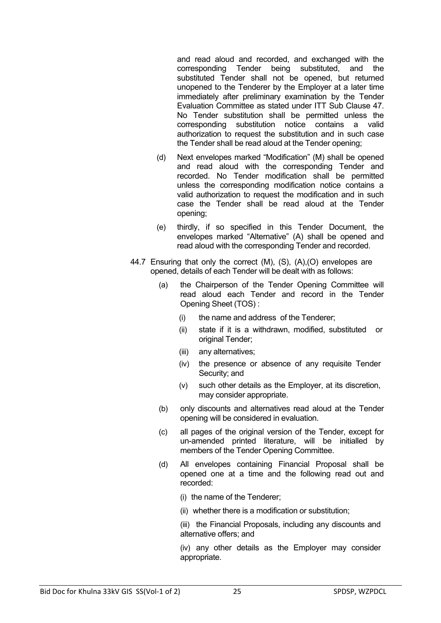and read aloud and recorded, and exchanged with the corresponding Tender being substituted, and the substituted Tender shall not be opened, but returned unopened to the Tenderer by the Employer at a later time immediately after preliminary examination by the Tender Evaluation Committee as stated under ITT Sub Clause 47. No Tender substitution shall be permitted unless the corresponding substitution notice contains a valid authorization to request the substitution and in such case the Tender shall be read aloud at the Tender opening;

- (d) Next envelopes marked "Modification" (M) shall be opened and read aloud with the corresponding Tender and recorded. No Tender modification shall be permitted unless the corresponding modification notice contains a valid authorization to request the modification and in such case the Tender shall be read aloud at the Tender opening;
- (e) thirdly, if so specified in this Tender Document, the envelopes marked "Alternative" (A) shall be opened and read aloud with the corresponding Tender and recorded.
- 44.7 Ensuring that only the correct (M), (S), (A),(O) envelopes are opened, details of each Tender will be dealt with as follows:
	- (a) the Chairperson of the Tender Opening Committee will read aloud each Tender and record in the Tender Opening Sheet (TOS) :
		- (i) the name and address of the Tenderer;
		- (ii) state if it is a withdrawn, modified, substituted or original Tender;
		- (iii) any alternatives;
		- (iv) the presence or absence of any requisite Tender Security; and
		- (v) such other details as the Employer, at its discretion, may consider appropriate.
	- (b) only discounts and alternatives read aloud at the Tender opening will be considered in evaluation.
	- (c) all pages of the original version of the Tender, except for un-amended printed literature, will be initialled by members of the Tender Opening Committee.
	- (d) All envelopes containing Financial Proposal shall be opened one at a time and the following read out and recorded:
		- (i) the name of the Tenderer;
		- (ii) whether there is a modification or substitution;

(iii) the Financial Proposals, including any discounts and alternative offers; and

(iv) any other details as the Employer may consider appropriate.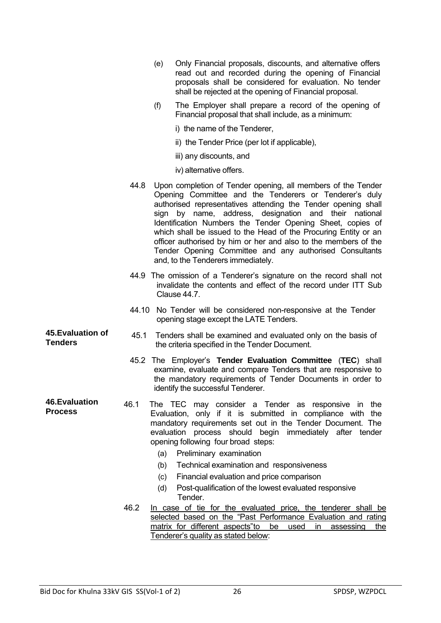- (e) Only Financial proposals, discounts, and alternative offers read out and recorded during the opening of Financial proposals shall be considered for evaluation. No tender shall be rejected at the opening of Financial proposal.
- (f) The Employer shall prepare a record of the opening of Financial proposal that shall include, as a minimum:
	- i) the name of the Tenderer,
	- ii) the Tender Price (per lot if applicable),
	- iii) any discounts, and
	- iv) alternative offers.
- 44.8 Upon completion of Tender opening, all members of the Tender Opening Committee and the Tenderers or Tenderer's duly authorised representatives attending the Tender opening shall sign by name, address, designation and their national Identification Numbers the Tender Opening Sheet, copies of which shall be issued to the Head of the Procuring Entity or an officer authorised by him or her and also to the members of the Tender Opening Committee and any authorised Consultants and, to the Tenderers immediately.
- 44.9 The omission of a Tenderer's signature on the record shall not invalidate the contents and effect of the record under ITT Sub Clause 44.7.
- 44.10 No Tender will be considered non-responsive at the Tender opening stage except the LATE Tenders.
- **45.Evaluation of 45. Evaluation of** 45.1 Tenders shall be examined and evaluated only on the basis of **Tenders** the criteria specified in the Tender Document the criteria specified in the Tender Document.
	- 45.2 The Employer's **Tender Evaluation Committee** (**TEC**) shall examine, evaluate and compare Tenders that are responsive to the mandatory requirements of Tender Documents in order to identify the successful Tenderer.
- **46.Evaluation Process** 46.1 The TEC may consider a Tender as responsive in the Evaluation, only if it is submitted in compliance with the mandatory requirements set out in the Tender Document. The evaluation process should begin immediately after tender opening following four broad steps:
	- (a) Preliminary examination
	- (b) Technical examination and responsiveness
	- (c) Financial evaluation and price comparison
	- (d) Post-qualification of the lowest evaluated responsive Tender.
	- 46.2 In case of tie for the evaluated price, the tenderer shall be selected based on the "Past Performance Evaluation and rating matrix for different aspects" to be used in assessing the Tenderer's quality as stated below: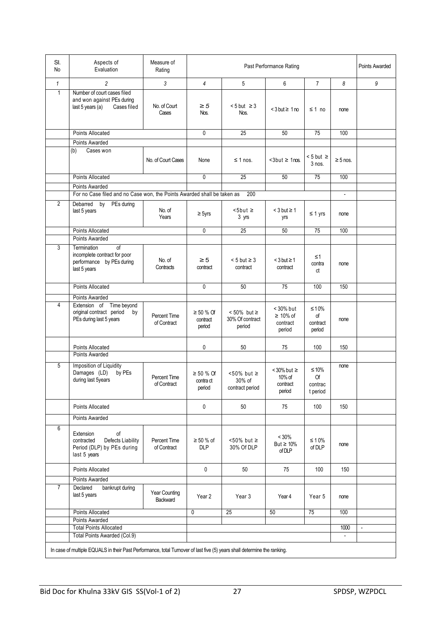| SI.<br>No                                                                                                                | Aspects of<br>Evaluation                                                                                    | Measure of<br>Rating               | Past Performance Rating               |                                                  |                                                   |                                         | Points Awarded         |                          |
|--------------------------------------------------------------------------------------------------------------------------|-------------------------------------------------------------------------------------------------------------|------------------------------------|---------------------------------------|--------------------------------------------------|---------------------------------------------------|-----------------------------------------|------------------------|--------------------------|
| $\mathbf{1}$                                                                                                             | $\overline{c}$                                                                                              | 3                                  | 4                                     | 5                                                | 6                                                 | $\overline{7}$                          | 8                      | 9                        |
| $\mathbf{1}$                                                                                                             | Number of court cases filed<br>and won against PEs during<br>last 5 years (a)<br>Cases filed                | No. of Court<br>Cases              | $\geq 5$<br>Nos.                      | $< 5$ but $\geq 3$<br>Nos.                       | $<$ 3 but $\geq 1$ no                             | ≤ 1 no                                  | none                   |                          |
|                                                                                                                          | <b>Points Allocated</b>                                                                                     |                                    | $\mathbf{0}$                          | 25                                               | 50                                                | 75                                      | 100                    |                          |
|                                                                                                                          | Points Awarded                                                                                              |                                    |                                       |                                                  |                                                   |                                         |                        |                          |
|                                                                                                                          | (b)<br>Cases won                                                                                            | No. of Court Cases                 | None                                  | $\leq$ 1 nos.                                    | $<3$ but $\geq 1$ nos.                            | $< 5$ but $\geq$<br>$3$ nos.            | $\geq$ 5 nos.          |                          |
|                                                                                                                          | <b>Points Allocated</b>                                                                                     |                                    | 0                                     | $\overline{25}$                                  | 50                                                | $\overline{75}$                         | 100                    |                          |
|                                                                                                                          | Points Awarded                                                                                              |                                    |                                       |                                                  |                                                   |                                         |                        |                          |
|                                                                                                                          | For no Case filed and no Case won, the Points Awarded shall be taken as                                     |                                    | 200                                   |                                                  |                                                   |                                         |                        |                          |
| $\overline{2}$                                                                                                           | Debarred by<br>PEs during<br>last 5 years                                                                   | No. of<br>Years                    | $\geq$ 5yrs                           | $5$ but $\ge$<br>3 yrs                           | $<$ 3 but $\geq$ 1<br>yrs                         | $\leq 1$ yrs                            | none                   |                          |
|                                                                                                                          | <b>Points Allocated</b>                                                                                     |                                    | $\mathbf{0}$                          | $\overline{25}$                                  | 50                                                | $\overline{75}$                         | 100                    |                          |
|                                                                                                                          | Points Awarded                                                                                              |                                    |                                       |                                                  |                                                   |                                         |                        |                          |
| 3                                                                                                                        | $\overline{of}$<br>Termination<br>incomplete contract for poor<br>performance by PEs during<br>last 5 years | No. of<br>Contracts                | $\geq 5$<br>contract                  | $< 5$ but $\geq 3$<br>contract                   | $<$ 3 but $\geq$ 1<br>contract                    | ≤1<br>contra<br>ct                      | none                   |                          |
|                                                                                                                          | Points Allocated                                                                                            |                                    | 0                                     | 50                                               | 75                                                | 100                                     | 150                    |                          |
|                                                                                                                          | Points Awarded                                                                                              |                                    |                                       |                                                  |                                                   |                                         |                        |                          |
| 4                                                                                                                        | Extension of Time beyond<br>original contract period<br>by<br>PEs during last 5 years                       | Percent Time<br>of Contract        | $\geq 50$ % Of<br>contract<br>period  | $< 50\%$ but $\geq$<br>30% Of contract<br>period | < 30% but<br>$\geq 10\%$ of<br>contract<br>period | $\leq 10\%$<br>of<br>contract<br>period | none                   |                          |
|                                                                                                                          | Points Allocated                                                                                            |                                    | 0                                     | 50                                               | 75                                                | 100                                     | 150                    |                          |
|                                                                                                                          | Points Awarded                                                                                              |                                    |                                       |                                                  |                                                   |                                         |                        |                          |
| 5                                                                                                                        | Imposition of Liquidity<br>Damages (LD)<br>by PEs<br>during last 5years                                     | <b>Percent Time</b><br>of Contract | $\geq 50$ % Of<br>contra ct<br>period | $< 50\%$ but $\geq$<br>30% of<br>contract period | $<$ 30% but $\ge$<br>10% of<br>contract<br>period | $≤ 10%$<br>Of<br>contrac<br>t period    | none                   |                          |
|                                                                                                                          | Points Allocated                                                                                            |                                    | 0                                     | 50                                               | 75                                                | 100                                     | 150                    |                          |
|                                                                                                                          | Points Awarded                                                                                              |                                    |                                       |                                                  |                                                   |                                         |                        |                          |
| 6                                                                                                                        | Extension<br>of<br>Defects Liability<br>contracted<br>Period (DLP) by PEs during<br>last 5 years            | Percent Time<br>of Contract        | $\geq 50 \%$ of<br><b>DLP</b>         | $<$ 50% but $\ge$<br>30% Of DLP                  | $< 30\%$<br>But $\geq 10\%$<br>of DLP             | $\leq 10\%$<br>of DLP                   | none                   |                          |
|                                                                                                                          | Points Allocated                                                                                            |                                    | 0                                     | 50                                               | 75                                                | 100                                     | 150                    |                          |
|                                                                                                                          | Points Awarded                                                                                              |                                    |                                       |                                                  |                                                   |                                         |                        |                          |
| $\overline{7}$                                                                                                           | Declared<br>bankrupt during<br>last 5 years                                                                 | Year Counting<br>Backward          | Year 2                                | Year 3                                           | Year 4                                            | Year 5                                  | none                   |                          |
|                                                                                                                          | Points Allocated                                                                                            |                                    | 0                                     | 25                                               | 50                                                | 75                                      | 100                    |                          |
|                                                                                                                          | Points Awarded                                                                                              |                                    |                                       |                                                  |                                                   |                                         |                        |                          |
|                                                                                                                          | <b>Total Points Allocated</b><br>Total Points Awarded (Col.9)                                               |                                    |                                       |                                                  |                                                   |                                         | 1000<br>$\blacksquare$ | $\overline{\phantom{a}}$ |
|                                                                                                                          |                                                                                                             |                                    |                                       |                                                  |                                                   |                                         |                        |                          |
| In case of multiple EQUALS in their Past Performance, total Turnover of last five (5) years shall determine the ranking. |                                                                                                             |                                    |                                       |                                                  |                                                   |                                         |                        |                          |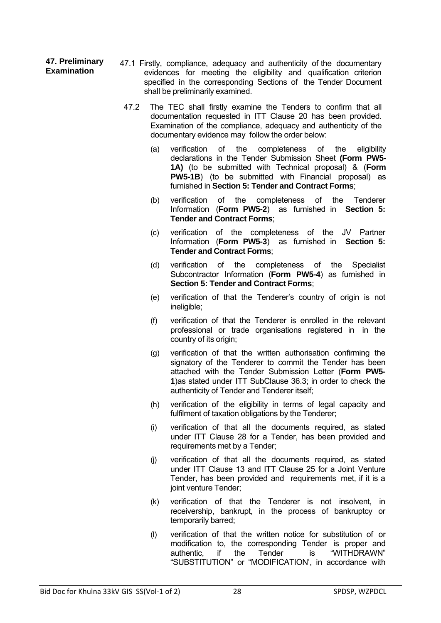- **47. Preliminary 47. Preliminary** 47.1 Firstly, compliance, adequacy and authenticity of the documentary<br>**Examination** exidences for meeting the eligibility and qualification criterion evidences for meeting the eligibility and qualification criterion specified in the corresponding Sections of the Tender Document shall be preliminarily examined.
	- 47.2 The TEC shall firstly examine the Tenders to confirm that all documentation requested in ITT Clause 20 has been provided. Examination of the compliance, adequacy and authenticity of the documentary evidence may follow the order below:
		- (a) verification of the completeness of the eligibility declarations in the Tender Submission Sheet **(Form PW5- 1A)** (to be submitted with Technical proposal) & (**Form PW5-1B**) (to be submitted with Financial proposal) as furnished in **Section 5: Tender and Contract Forms**;
		- (b) verification of the completeness of the Tenderer Information (**Form PW5-2**) as furnished in **Section 5: Tender and Contract Forms**;
		- (c) verification of the completeness of the JV Partner Information (**Form PW5-3**) as furnished in **Section 5: Tender and Contract Forms**;
		- (d) verification of the completeness of the Specialist Subcontractor Information (**Form PW5-4**) as furnished in **Section 5: Tender and Contract Forms**;
		- (e) verification of that the Tenderer's country of origin is not ineligible;
		- (f) verification of that the Tenderer is enrolled in the relevant professional or trade organisations registered in in the country of its origin;
		- (g) verification of that the written authorisation confirming the signatory of the Tenderer to commit the Tender has been attached with the Tender Submission Letter (**Form PW5- 1**)as stated under ITT SubClause 36.3; in order to check the authenticity of Tender and Tenderer itself;
		- (h) verification of the eligibility in terms of legal capacity and fulfilment of taxation obligations by the Tenderer;
		- (i) verification of that all the documents required, as stated under ITT Clause 28 for a Tender, has been provided and requirements met by a Tender;
		- (j) verification of that all the documents required, as stated under ITT Clause 13 and ITT Clause 25 for a Joint Venture Tender, has been provided and requirements met, if it is a joint venture Tender:
		- (k) verification of that the Tenderer is not insolvent, in receivership, bankrupt, in the process of bankruptcy or temporarily barred;
		- (l) verification of that the written notice for substitution of or modification to, the corresponding Tender is proper and authentic, if the Tender is "WITHDRAWN" "SUBSTITUTION" or "MODIFICATION', in accordance with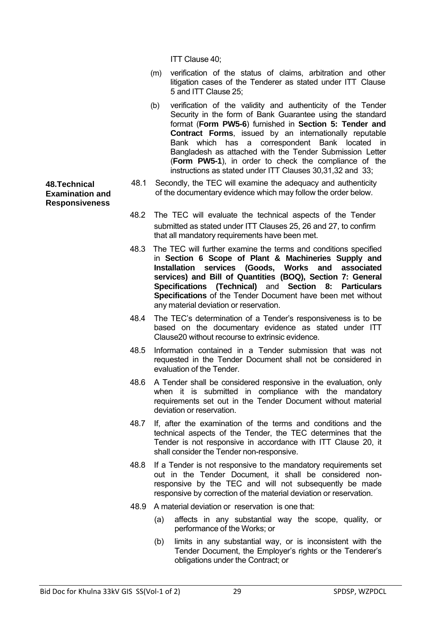ITT Clause 40;

- (m) verification of the status of claims, arbitration and other litigation cases of the Tenderer as stated under ITT Clause 5 and ITT Clause 25;
- (b) verification of the validity and authenticity of the Tender Security in the form of Bank Guarantee using the standard format (**Form PW5-6**) furnished in **Section 5: Tender and Contract Forms**, issued by an internationally reputable Bank which has a correspondent Bank located in Bangladesh as attached with the Tender Submission Letter (**Form PW5-1**), in order to check the compliance of the instructions as stated under ITT Clauses 30,31,32 and 33;
- 48.1 Secondly, the TEC will examine the adequacy and authenticity of the documentary evidence which may follow the order below.

48.2 The TEC will evaluate the technical aspects of the Tender submitted as stated under ITT Clauses 25, 26 and 27, to confirm that all mandatory requirements have been met.

- 48.3 The TEC will further examine the terms and conditions specified in **Section 6 Scope of Plant & Machineries Supply and Installation services (Goods, Works and associated services) and Bill of Quantities (BOQ), Section 7: General Specifications (Technical)** and **Section 8: Particulars Specifications** of the Tender Document have been met without any material deviation or reservation.
- 48.4 The TEC's determination of a Tender's responsiveness is to be based on the documentary evidence as stated under ITT Clause20 without recourse to extrinsic evidence.
- 48.5 Information contained in a Tender submission that was not requested in the Tender Document shall not be considered in evaluation of the Tender.
- 48.6 A Tender shall be considered responsive in the evaluation, only when it is submitted in compliance with the mandatory requirements set out in the Tender Document without material deviation or reservation.
- 48.7 If, after the examination of the terms and conditions and the technical aspects of the Tender, the TEC determines that the Tender is not responsive in accordance with ITT Clause 20, it shall consider the Tender non-responsive.
- 48.8 If a Tender is not responsive to the mandatory requirements set out in the Tender Document, it shall be considered nonresponsive by the TEC and will not subsequently be made responsive by correction of the material deviation or reservation.
- 48.9 A material deviation or reservation is one that:
	- (a) affects in any substantial way the scope, quality, or performance of the Works; or
	- (b) limits in any substantial way, or is inconsistent with the Tender Document, the Employer's rights or the Tenderer's obligations under the Contract; or

**48.Technical Examination and Responsiveness**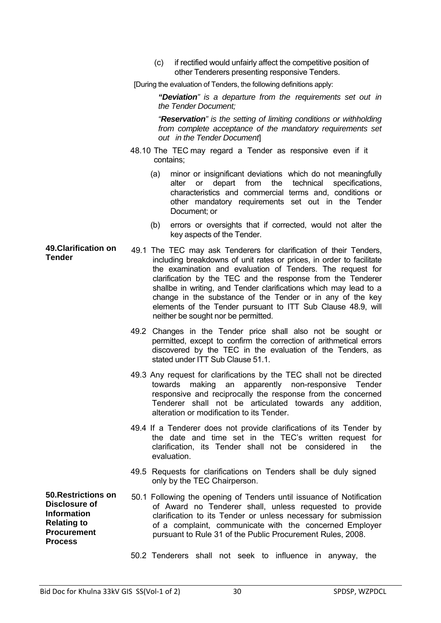|                                                                                                                                 | (c) |                                                                                                                                                                                                                                                                                                                                                                                                                                                                                                                   | if rectified would unfairly affect the competitive position of<br>other Tenderers presenting responsive Tenders. |             |     |           |                 |     |
|---------------------------------------------------------------------------------------------------------------------------------|-----|-------------------------------------------------------------------------------------------------------------------------------------------------------------------------------------------------------------------------------------------------------------------------------------------------------------------------------------------------------------------------------------------------------------------------------------------------------------------------------------------------------------------|------------------------------------------------------------------------------------------------------------------|-------------|-----|-----------|-----------------|-----|
|                                                                                                                                 |     | [During the evaluation of Tenders, the following definitions apply:                                                                                                                                                                                                                                                                                                                                                                                                                                               |                                                                                                                  |             |     |           |                 |     |
|                                                                                                                                 |     | "Deviation" is a departure from the requirements set out in<br>the Tender Document;                                                                                                                                                                                                                                                                                                                                                                                                                               |                                                                                                                  |             |     |           |                 |     |
|                                                                                                                                 |     | "Reservation" is the setting of limiting conditions or withholding<br>from complete acceptance of the mandatory requirements set<br>out in the Tender Document                                                                                                                                                                                                                                                                                                                                                    |                                                                                                                  |             |     |           |                 |     |
|                                                                                                                                 |     | 48.10 The TEC may regard a Tender as responsive even if it<br>contains;                                                                                                                                                                                                                                                                                                                                                                                                                                           |                                                                                                                  |             |     |           |                 |     |
|                                                                                                                                 | (a) | minor or insignificant deviations which do not meaningfully<br>alter<br>characteristics and commercial terms and, conditions or<br>other mandatory requirements set out in the Tender<br>Document; or                                                                                                                                                                                                                                                                                                             | or                                                                                                               | depart from | the | technical | specifications, |     |
|                                                                                                                                 | (b) | errors or oversights that if corrected, would not alter the<br>key aspects of the Tender.                                                                                                                                                                                                                                                                                                                                                                                                                         |                                                                                                                  |             |     |           |                 |     |
| <b>49. Clarification on</b><br><b>Tender</b>                                                                                    |     | 49.1 The TEC may ask Tenderers for clarification of their Tenders,<br>including breakdowns of unit rates or prices, in order to facilitate<br>the examination and evaluation of Tenders. The request for<br>clarification by the TEC and the response from the Tenderer<br>shallbe in writing, and Tender clarifications which may lead to a<br>change in the substance of the Tender or in any of the key<br>elements of the Tender pursuant to ITT Sub Clause 48.9, will<br>neither be sought nor be permitted. |                                                                                                                  |             |     |           |                 |     |
|                                                                                                                                 |     | 49.2 Changes in the Tender price shall also not be sought or<br>permitted, except to confirm the correction of arithmetical errors<br>discovered by the TEC in the evaluation of the Tenders, as<br>stated under ITT Sub Clause 51.1.                                                                                                                                                                                                                                                                             |                                                                                                                  |             |     |           |                 |     |
|                                                                                                                                 |     | 49.3 Any request for clarifications by the TEC shall not be directed<br>towards making an apparently non-responsive Tender<br>responsive and reciprocally the response from the concerned<br>Tenderer shall not be articulated towards any addition,<br>alteration or modification to its Tender.                                                                                                                                                                                                                 |                                                                                                                  |             |     |           |                 |     |
|                                                                                                                                 |     | 49.4 If a Tenderer does not provide clarifications of its Tender by<br>the date and time set in the TEC's written request for<br>clarification, its Tender shall not be considered in<br>evaluation.                                                                                                                                                                                                                                                                                                              |                                                                                                                  |             |     |           |                 | the |
|                                                                                                                                 |     | 49.5 Requests for clarifications on Tenders shall be duly signed<br>only by the TEC Chairperson.                                                                                                                                                                                                                                                                                                                                                                                                                  |                                                                                                                  |             |     |           |                 |     |
| 50. Restrictions on<br><b>Disclosure of</b><br><b>Information</b><br><b>Relating to</b><br><b>Procurement</b><br><b>Process</b> |     | 50.1 Following the opening of Tenders until issuance of Notification<br>of Award no Tenderer shall, unless requested to provide<br>clarification to its Tender or unless necessary for submission<br>of a complaint, communicate with the concerned Employer<br>pursuant to Rule 31 of the Public Procurement Rules, 2008.                                                                                                                                                                                        |                                                                                                                  |             |     |           |                 |     |
|                                                                                                                                 |     | 50.2 Tenderers shall not seek to influence in anyway, the                                                                                                                                                                                                                                                                                                                                                                                                                                                         |                                                                                                                  |             |     |           |                 |     |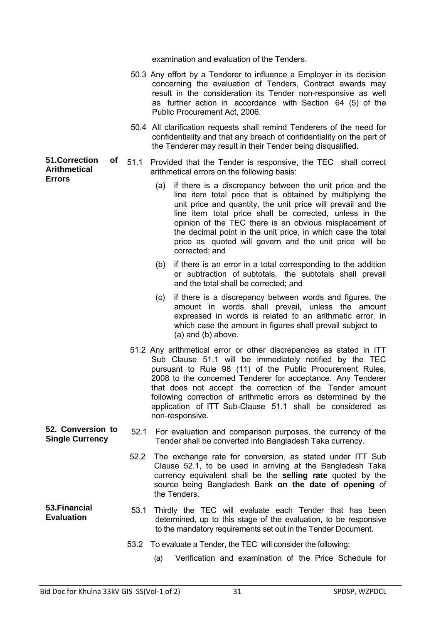examination and evaluation of the Tenders.

- 50.3 Any effort by a Tenderer to influence a Employer in its decision concerning the evaluation of Tenders, Contract awards may result in the consideration its Tender non-responsive as well as further action in accordance with Section 64 (5) of the Public Procurement Act, 2006.
- 50.4 All clarification requests shall remind Tenderers of the need for confidentiality and that any breach of confidentiality on the part of the Tenderer may result in their Tender being disqualified.
- **51.Correction of Arithmetical Errors** 51.1 Provided that the Tender is responsive, the TEC shall correct arithmetical errors on the following basis:
	- (a) if there is a discrepancy between the unit price and the line item total price that is obtained by multiplying the unit price and quantity, the unit price will prevail and the line item total price shall be corrected, unless in the opinion of the TEC there is an obvious misplacement of the decimal point in the unit price, in which case the total price as quoted will govern and the unit price will be corrected; and
	- (b) if there is an error in a total corresponding to the addition or subtraction of subtotals, the subtotals shall prevail and the total shall be corrected; and
	- (c) if there is a discrepancy between words and figures, the amount in words shall prevail, unless the amount expressed in words is related to an arithmetic error, in which case the amount in figures shall prevail subject to (a) and (b) above.
	- 51.2 Any arithmetical error or other discrepancies as stated in ITT Sub Clause 51.1 will be immediately notified by the TEC pursuant to Rule 98 (11) of the Public Procurement Rules, 2008 to the concerned Tenderer for acceptance. Any Tenderer that does not accept the correction of the Tender amount following correction of arithmetic errors as determined by the application of ITT Sub-Clause 51.1 shall be considered as non-responsive.
- **52. Conversion to S2. Conversion to** 52.1 For evaluation and comparison purposes, the currency of the **Single Currency** Tender shall be converted into Bangladesh Taka currency Tender shall be converted into Bangladesh Taka currency.
	- 52.2 The exchange rate for conversion, as stated under ITT Sub Clause 52.1, to be used in arriving at the Bangladesh Taka currency equivalent shall be the **selling rate** quoted by the source being Bangladesh Bank **on the date of opening** of the Tenders.
- **53.Financial**  53.1 Thirdly the TEC will evaluate each Tender that has been determined, up to this stage of the evaluation, to be responsive to the mandatory requirements set out in the Tender Document.
	- 53.2 To evaluate a Tender, the TEC will consider the following:
		- (a) Verification and examination of the Price Schedule for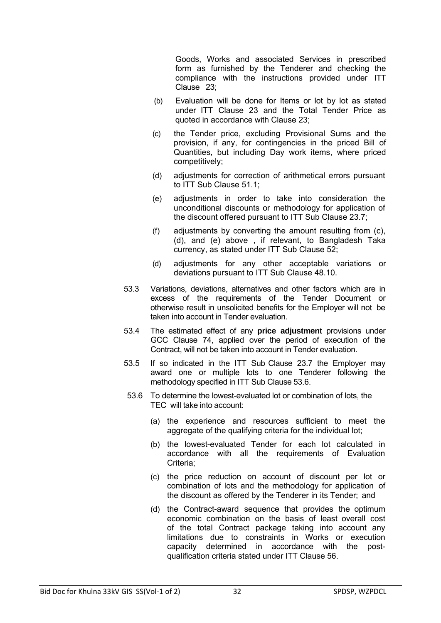Goods, Works and associated Services in prescribed form as furnished by the Tenderer and checking the compliance with the instructions provided under ITT Clause 23;

- (b) Evaluation will be done for Items or lot by lot as stated under ITT Clause 23 and the Total Tender Price as quoted in accordance with Clause 23;
- (c) the Tender price, excluding Provisional Sums and the provision, if any, for contingencies in the priced Bill of Quantities, but including Day work items, where priced competitively;
- (d) adjustments for correction of arithmetical errors pursuant to ITT Sub Clause 51.1;
- (e) adjustments in order to take into consideration the unconditional discounts or methodology for application of the discount offered pursuant to ITT Sub Clause 23.7;
- (f) adjustments by converting the amount resulting from (c), (d), and (e) above , if relevant, to Bangladesh Taka currency, as stated under ITT Sub Clause 52;
- (d) adjustments for any other acceptable variations or deviations pursuant to ITT Sub Clause 48.10.
- 53.3 Variations, deviations, alternatives and other factors which are in excess of the requirements of the Tender Document or otherwise result in unsolicited benefits for the Employer will not be taken into account in Tender evaluation.
- 53.4 The estimated effect of any **price adjustment** provisions under GCC Clause 74, applied over the period of execution of the Contract, will not be taken into account in Tender evaluation.
- 53.5 If so indicated in the ITT Sub Clause 23.7 the Employer may award one or multiple lots to one Tenderer following the methodology specified in ITT Sub Clause 53.6.
- 53.6 To determine the lowest-evaluated lot or combination of lots, the TEC will take into account:
	- (a) the experience and resources sufficient to meet the aggregate of the qualifying criteria for the individual lot;
	- (b) the lowest-evaluated Tender for each lot calculated in accordance with all the requirements of Evaluation Criteria;
	- (c) the price reduction on account of discount per lot or combination of lots and the methodology for application of the discount as offered by the Tenderer in its Tender; and
	- (d) the Contract-award sequence that provides the optimum economic combination on the basis of least overall cost of the total Contract package taking into account any limitations due to constraints in Works or execution capacity determined in accordance with the postqualification criteria stated under ITT Clause 56.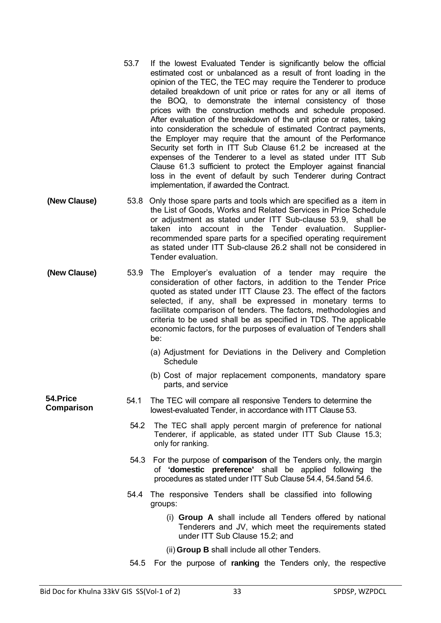- 53.7 If the lowest Evaluated Tender is significantly below the official estimated cost or unbalanced as a result of front loading in the opinion of the TEC, the TEC may require the Tenderer to produce detailed breakdown of unit price or rates for any or all items of the BOQ, to demonstrate the internal consistency of those prices with the construction methods and schedule proposed. After evaluation of the breakdown of the unit price or rates, taking into consideration the schedule of estimated Contract payments, the Employer may require that the amount of the Performance Security set forth in ITT Sub Clause 61.2 be increased at the expenses of the Tenderer to a level as stated under ITT Sub Clause 61.3 sufficient to protect the Employer against financial loss in the event of default by such Tenderer during Contract implementation, if awarded the Contract.
- **(New Clause)** 53.8 Only those spare parts and tools which are specified as a item in the List of Goods, Works and Related Services in Price Schedule or adjustment as stated under ITT Sub-clause 53.9, shall be taken into account in the Tender evaluation. Supplierrecommended spare parts for a specified operating requirement as stated under ITT Sub-clause 26.2 shall not be considered in Tender evaluation.
- **(New Clause)** 53.9 The Employer's evaluation of a tender may require the consideration of other factors, in addition to the Tender Price quoted as stated under ITT Clause 23. The effect of the factors selected, if any, shall be expressed in monetary terms to facilitate comparison of tenders. The factors, methodologies and criteria to be used shall be as specified in TDS. The applicable economic factors, for the purposes of evaluation of Tenders shall be:
	- (a) Adjustment for Deviations in the Delivery and Completion **Schedule**
	- (b) Cost of major replacement components, mandatory spare parts, and service

**54.Price** 

- **54.Price**<br>**Comparison** 54.1 The TEC will compare all responsive Tenders to determine the<br>lowest-evaluated Tender in accordance with ITT Clause 53 lowest-evaluated Tender, in accordance with ITT Clause 53.
	- 54.2 The TEC shall apply percent margin of preference for national Tenderer, if applicable, as stated under ITT Sub Clause 15.3; only for ranking.
	- 54.3 For the purpose of **comparison** of the Tenders only, the margin of **'domestic preference'** shall be applied following the procedures as stated under ITT Sub Clause 54.4, 54.5and 54.6.
	- 54.4 The responsive Tenders shall be classified into following groups:
		- (i) **Group A** shall include all Tenders offered by national Tenderers and JV, which meet the requirements stated under ITT Sub Clause 15.2; and
		- (ii) **Group B** shall include all other Tenders.
	- 54.5 For the purpose of **ranking** the Tenders only, the respective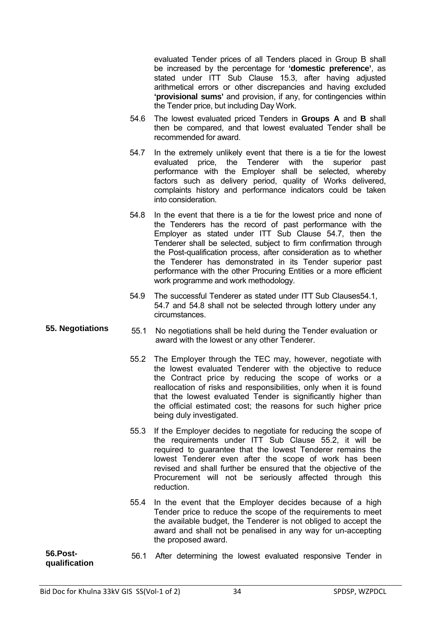evaluated Tender prices of all Tenders placed in Group B shall be increased by the percentage for **'domestic preference'**, as stated under ITT Sub Clause 15.3, after having adjusted arithmetical errors or other discrepancies and having excluded **'provisional sums'** and provision, if any, for contingencies within the Tender price, but including Day Work.

- 54.6 The lowest evaluated priced Tenders in **Groups A** and **B** shall then be compared, and that lowest evaluated Tender shall be recommended for award.
- 54.7 In the extremely unlikely event that there is a tie for the lowest evaluated price, the Tenderer with the superior past performance with the Employer shall be selected, whereby factors such as delivery period, quality of Works delivered, complaints history and performance indicators could be taken into consideration.
- 54.8 In the event that there is a tie for the lowest price and none of the Tenderers has the record of past performance with the Employer as stated under ITT Sub Clause 54.7, then the Tenderer shall be selected, subject to firm confirmation through the Post-qualification process, after consideration as to whether the Tenderer has demonstrated in its Tender superior past performance with the other Procuring Entities or a more efficient work programme and work methodology.
- 54.9 The successful Tenderer as stated under ITT Sub Clauses54.1, 54.7 and 54.8 shall not be selected through lottery under any circumstances.
- **55. Negotiations** 55.1 No negotiations shall be held during the Tender evaluation or award with the lowest or any other Tenderer.
	- 55.2 The Employer through the TEC may, however, negotiate with the lowest evaluated Tenderer with the objective to reduce the Contract price by reducing the scope of works or a reallocation of risks and responsibilities, only when it is found that the lowest evaluated Tender is significantly higher than the official estimated cost; the reasons for such higher price being duly investigated.
	- 55.3 If the Employer decides to negotiate for reducing the scope of the requirements under ITT Sub Clause 55.2, it will be required to guarantee that the lowest Tenderer remains the lowest Tenderer even after the scope of work has been revised and shall further be ensured that the objective of the Procurement will not be seriously affected through this reduction.
	- 55.4 In the event that the Employer decides because of a high Tender price to reduce the scope of the requirements to meet the available budget, the Tenderer is not obliged to accept the award and shall not be penalised in any way for un-accepting the proposed award.

```
56.Post-
56.Post- 56.1 After determining the lowest evaluated responsive Tender in qualification
```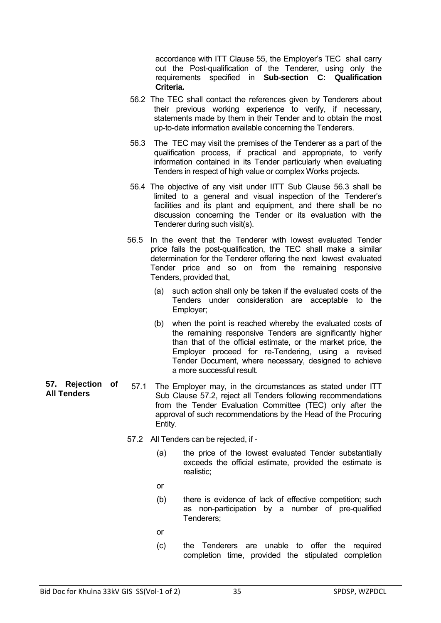accordance with ITT Clause 55, the Employer's TEC shall carry out the Post-qualification of the Tenderer, using only the requirements specified in **Sub-section C: Qualification Criteria.**

- 56.2 The TEC shall contact the references given by Tenderers about their previous working experience to verify, if necessary, statements made by them in their Tender and to obtain the most up-to-date information available concerning the Tenderers.
- 56.3 The TEC may visit the premises of the Tenderer as a part of the qualification process, if practical and appropriate, to verify information contained in its Tender particularly when evaluating Tenders in respect of high value or complex Works projects.
- 56.4 The objective of any visit under IITT Sub Clause 56.3 shall be limited to a general and visual inspection of the Tenderer's facilities and its plant and equipment, and there shall be no discussion concerning the Tender or its evaluation with the Tenderer during such visit(s).
- 56.5 In the event that the Tenderer with lowest evaluated Tender price fails the post-qualification, the TEC shall make a similar determination for the Tenderer offering the next lowest evaluated Tender price and so on from the remaining responsive Tenders, provided that,
	- (a) such action shall only be taken if the evaluated costs of the Tenders under consideration are acceptable to the Employer;
	- (b) when the point is reached whereby the evaluated costs of the remaining responsive Tenders are significantly higher than that of the official estimate, or the market price, the Employer proceed for re-Tendering, using a revised Tender Document, where necessary, designed to achieve a more successful result.
- **57. Rejection of**  57.1 The Employer may, in the circumstances as stated under ITT Sub Clause 57.2, reject all Tenders following recommendations from the Tender Evaluation Committee (TEC) only after the approval of such recommendations by the Head of the Procuring Entity.
	- 57.2 All Tenders can be rejected, if
		- (a) the price of the lowest evaluated Tender substantially exceeds the official estimate, provided the estimate is realistic;
		- or
		- (b) there is evidence of lack of effective competition; such as non-participation by a number of pre-qualified Tenderers;
		- or
		- (c) the Tenderers are unable to offer the required completion time, provided the stipulated completion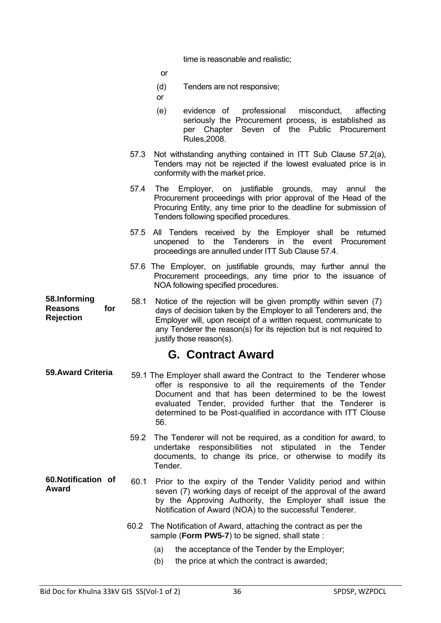time is reasonable and realistic;

or

- (d) Tenders are not responsive;
- or
- (e) evidence of professional misconduct, affecting seriously the Procurement process, is established as per Chapter Seven of the Public Procurement Rules,2008.
- 57.3 Not withstanding anything contained in ITT Sub Clause 57.2(a), Tenders may not be rejected if the lowest evaluated price is in conformity with the market price.
- 57.4 The Employer, on justifiable grounds, may annul the Procurement proceedings with prior approval of the Head of the Procuring Entity, any time prior to the deadline for submission of Tenders following specified procedures.
- 57.5 All Tenders received by the Employer shall be returned unopened to the Tenderers in the event Procurement proceedings are annulled under ITT Sub Clause 57.4.
- 57.6 The Employer, on justifiable grounds, may further annul the Procurement proceedings, any time prior to the issuance of NOA following specified procedures.
- **58.Informing Reasons for Rejection** 58.1 Notice of the rejection will be given promptly within seven (7) days of decision taken by the Employer to all Tenderers and, the Employer will, upon receipt of a written request, communicate to any Tenderer the reason(s) for its rejection but is not required to justify those reason(s).

#### **G. Contract Award**

- **59.Award Criteria** 59.1 The Employer shall award the Contract to the Tenderer whose offer is responsive to all the requirements of the Tender Document and that has been determined to be the lowest evaluated Tender, provided further that the Tenderer is determined to be Post-qualified in accordance with ITT Clouse 56.
	- 59.2 The Tenderer will not be required, as a condition for award, to undertake responsibilities not stipulated in the Tender documents, to change its price, or otherwise to modify its Tender.
- **60.Notification of 60.Notification of** 60.1 Prior to the expiry of the Tender Validity period and within<br>Award seven (7) working days of receipt of the approval of the award by the Approving Authority, the Employer shall issue the Notification of Award (NOA) to the successful Tenderer.
	- 60.2 The Notification of Award, attaching the contract as per the sample (**Form PW5-7**) to be signed, shall state :
		- (a) the acceptance of the Tender by the Employer;
		- (b) the price at which the contract is awarded;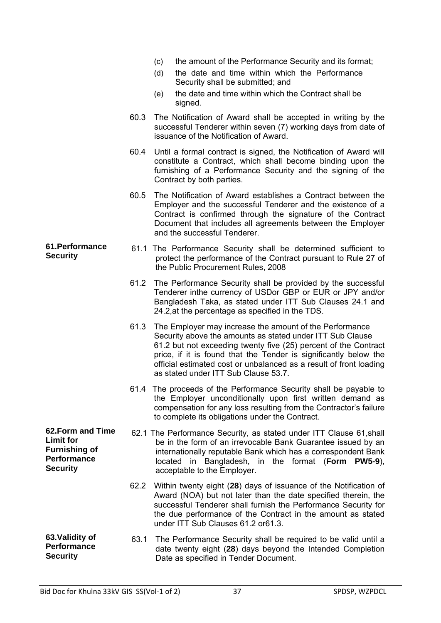- (c) the amount of the Performance Security and its format;
- (d) the date and time within which the Performance Security shall be submitted; and
- (e) the date and time within which the Contract shall be signed.
- 60.3 The Notification of Award shall be accepted in writing by the successful Tenderer within seven (7) working days from date of issuance of the Notification of Award.
- 60.4 Until a formal contract is signed, the Notification of Award will constitute a Contract, which shall become binding upon the furnishing of a Performance Security and the signing of the Contract by both parties.
- 60.5 The Notification of Award establishes a Contract between the Employer and the successful Tenderer and the existence of a Contract is confirmed through the signature of the Contract Document that includes all agreements between the Employer and the successful Tenderer.
- **S1.Performance** 61.1 The Performance Security shall be determined sufficient to<br>Security shall be determined sufficient to performance of the Contract pursuant to Pule 27 of protect the performance of the Contract pursuant to Rule 27 of the Public Procurement Rules, 2008
	- 61.2 The Performance Security shall be provided by the successful Tenderer inthe currency of USDor GBP or EUR or JPY and/or Bangladesh Taka, as stated under ITT Sub Clauses 24.1 and 24.2,at the percentage as specified in the TDS.
	- 61.3 The Employer may increase the amount of the Performance Security above the amounts as stated under ITT Sub Clause 61.2 but not exceeding twenty five (25) percent of the Contract price, if it is found that the Tender is significantly below the official estimated cost or unbalanced as a result of front loading as stated under ITT Sub Clause 53.7.
	- 61.4 The proceeds of the Performance Security shall be payable to the Employer unconditionally upon first written demand as compensation for any loss resulting from the Contractor's failure to complete its obligations under the Contract.
- **62.Form and Time Furnishing of Performance**  62.1 The Performance Security, as stated under ITT Clause 61,shall be in the form of an irrevocable Bank Guarantee issued by an internationally reputable Bank which has a correspondent Bank located in Bangladesh, in the format (**Form PW5-9**), acceptable to the Employer.
	- 62.2 Within twenty eight (**28**) days of issuance of the Notification of Award (NOA) but not later than the date specified therein, the successful Tenderer shall furnish the Performance Security for the due performance of the Contract in the amount as stated under ITT Sub Clauses 61.2 or61.3.
- **63.Validity of Performance Security** 63.1 The Performance Security shall be required to be valid until a date twenty eight (**28**) days beyond the Intended Completion Date as specified in Tender Document.

**61.Performance** 

**Limit for** 

**Security**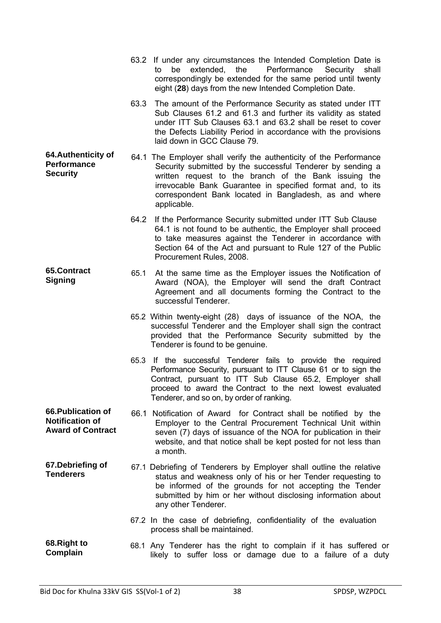|                                                                          |      | 63.2 If under any circumstances the Intended Completion Date is<br>Performance<br>extended, the<br>Security<br>to<br>be<br>shall<br>correspondingly be extended for the same period until twenty<br>eight (28) days from the new Intended Completion Date.                                                                       |
|--------------------------------------------------------------------------|------|----------------------------------------------------------------------------------------------------------------------------------------------------------------------------------------------------------------------------------------------------------------------------------------------------------------------------------|
|                                                                          | 63.3 | The amount of the Performance Security as stated under ITT<br>Sub Clauses 61.2 and 61.3 and further its validity as stated<br>under ITT Sub Clauses 63.1 and 63.2 shall be reset to cover<br>the Defects Liability Period in accordance with the provisions<br>laid down in GCC Clause 79.                                       |
| 64. Authenticity of<br><b>Performance</b><br><b>Security</b>             |      | 64.1 The Employer shall verify the authenticity of the Performance<br>Security submitted by the successful Tenderer by sending a<br>written request to the branch of the Bank issuing the<br>irrevocable Bank Guarantee in specified format and, to its<br>correspondent Bank located in Bangladesh, as and where<br>applicable. |
|                                                                          | 64.2 | If the Performance Security submitted under ITT Sub Clause<br>64.1 is not found to be authentic, the Employer shall proceed<br>to take measures against the Tenderer in accordance with<br>Section 64 of the Act and pursuant to Rule 127 of the Public<br>Procurement Rules, 2008.                                              |
| 65.Contract<br><b>Signing</b>                                            | 65.1 | At the same time as the Employer issues the Notification of<br>Award (NOA), the Employer will send the draft Contract<br>Agreement and all documents forming the Contract to the<br>successful Tenderer.                                                                                                                         |
|                                                                          |      | 65.2 Within twenty-eight (28) days of issuance of the NOA, the<br>successful Tenderer and the Employer shall sign the contract<br>provided that the Performance Security submitted by the<br>Tenderer is found to be genuine.                                                                                                    |
|                                                                          |      | 65.3 If the successful Tenderer fails to provide the required<br>Performance Security, pursuant to ITT Clause 61 or to sign the<br>Contract, pursuant to ITT Sub Clause 65.2, Employer shall<br>proceed to award the Contract to the next lowest evaluated<br>Tenderer, and so on, by order of ranking.                          |
| 66. Publication of<br><b>Notification of</b><br><b>Award of Contract</b> |      | 66.1 Notification of Award for Contract shall be notified by the<br>Employer to the Central Procurement Technical Unit within<br>seven (7) days of issuance of the NOA for publication in their<br>website, and that notice shall be kept posted for not less than<br>a month.                                                   |
| 67. Debriefing of<br><b>Tenderers</b>                                    |      | 67.1 Debriefing of Tenderers by Employer shall outline the relative<br>status and weakness only of his or her Tender requesting to<br>be informed of the grounds for not accepting the Tender<br>submitted by him or her without disclosing information about<br>any other Tenderer.                                             |
|                                                                          |      | 67.2 In the case of debriefing, confidentiality of the evaluation<br>process shall be maintained.                                                                                                                                                                                                                                |
| 68. Right to<br>Complain                                                 |      | 68.1 Any Tenderer has the right to complain if it has suffered or<br>likely to suffer loss or damage due to a failure of a duty                                                                                                                                                                                                  |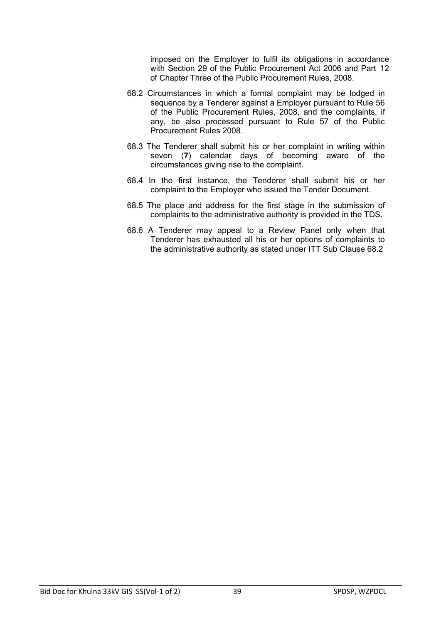imposed on the Employer to fulfil its obligations in accordance with Section 29 of the Public Procurement Act 2006 and Part 12 of Chapter Three of the Public Procurement Rules, 2008.

- 68.2 Circumstances in which a formal complaint may be lodged in sequence by a Tenderer against a Employer pursuant to Rule 56 of the Public Procurement Rules, 2008, and the complaints, if any, be also processed pursuant to Rule 57 of the Public Procurement Rules 2008.
- 68.3 The Tenderer shall submit his or her complaint in writing within seven (**7**) calendar days of becoming aware of the circumstances giving rise to the complaint.
- 68.4 In the first instance, the Tenderer shall submit his or her complaint to the Employer who issued the Tender Document.
- 68.5 The place and address for the first stage in the submission of complaints to the administrative authority is provided in the TDS.
- 68.6 A Tenderer may appeal to a Review Panel only when that Tenderer has exhausted all his or her options of complaints to the administrative authority as stated under ITT Sub Clause 68.2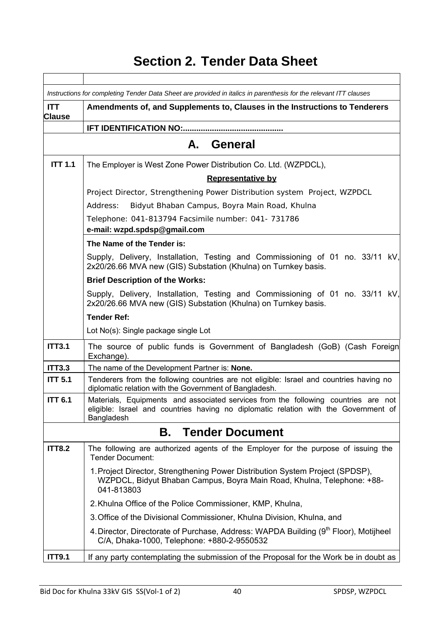## **Section 2. Tender Data Sheet**

|                             | Instructions for completing Tender Data Sheet are provided in italics in parenthesis for the relevant ITT clauses                                                                       |  |  |  |  |  |
|-----------------------------|-----------------------------------------------------------------------------------------------------------------------------------------------------------------------------------------|--|--|--|--|--|
| <b>ITT</b><br><b>Clause</b> | Amendments of, and Supplements to, Clauses in the Instructions to Tenderers                                                                                                             |  |  |  |  |  |
|                             |                                                                                                                                                                                         |  |  |  |  |  |
| A. General                  |                                                                                                                                                                                         |  |  |  |  |  |
| <b>ITT 1.1</b>              | The Employer is West Zone Power Distribution Co. Ltd. (WZPDCL),                                                                                                                         |  |  |  |  |  |
|                             | <b>Representative by</b>                                                                                                                                                                |  |  |  |  |  |
|                             | Project Director, Strengthening Power Distribution system Project, WZPDCL                                                                                                               |  |  |  |  |  |
|                             | Bidyut Bhaban Campus, Boyra Main Road, Khulna<br>Address:                                                                                                                               |  |  |  |  |  |
|                             | Telephone: 041-813794 Facsimile number: 041- 731786                                                                                                                                     |  |  |  |  |  |
|                             | e-mail: wzpd.spdsp@gmail.com                                                                                                                                                            |  |  |  |  |  |
|                             | The Name of the Tender is:                                                                                                                                                              |  |  |  |  |  |
|                             | Supply, Delivery, Installation, Testing and Commissioning of 01 no. 33/11 kV,<br>2x20/26.66 MVA new (GIS) Substation (Khulna) on Turnkey basis.                                         |  |  |  |  |  |
|                             | <b>Brief Description of the Works:</b>                                                                                                                                                  |  |  |  |  |  |
|                             | Supply, Delivery, Installation, Testing and Commissioning of 01 no. 33/11 kV,<br>2x20/26.66 MVA new (GIS) Substation (Khulna) on Turnkey basis.                                         |  |  |  |  |  |
|                             | <b>Tender Ref:</b>                                                                                                                                                                      |  |  |  |  |  |
|                             | Lot No(s): Single package single Lot                                                                                                                                                    |  |  |  |  |  |
| <b>ITT3.1</b>               | The source of public funds is Government of Bangladesh (GoB) (Cash Foreign<br>Exchange).                                                                                                |  |  |  |  |  |
| <b>ITT3.3</b>               | The name of the Development Partner is: None.                                                                                                                                           |  |  |  |  |  |
| <b>ITT 5.1</b>              | Tenderers from the following countries are not eligible: Israel and countries having no<br>diplomatic relation with the Government of Bangladesh.                                       |  |  |  |  |  |
| <b>ITT 6.1</b>              | Materials, Equipments and associated services from the following countries are not<br>eligible: Israel and countries having no diplomatic relation with the Government of<br>Bangladesh |  |  |  |  |  |
|                             | <b>Tender Document</b><br>В.                                                                                                                                                            |  |  |  |  |  |
| <b>ITT8.2</b>               | The following are authorized agents of the Employer for the purpose of issuing the<br><b>Tender Document:</b>                                                                           |  |  |  |  |  |
|                             | 1. Project Director, Strengthening Power Distribution System Project (SPDSP),<br>WZPDCL, Bidyut Bhaban Campus, Boyra Main Road, Khulna, Telephone: +88-<br>041-813803                   |  |  |  |  |  |
|                             | 2. Khulna Office of the Police Commissioner, KMP, Khulna,                                                                                                                               |  |  |  |  |  |
|                             | 3. Office of the Divisional Commissioner, Khulna Division, Khulna, and                                                                                                                  |  |  |  |  |  |
|                             | 4. Director, Directorate of Purchase, Address: WAPDA Building (9 <sup>th</sup> Floor), Motijheel<br>C/A, Dhaka-1000, Telephone: +880-2-9550532                                          |  |  |  |  |  |
| <b>ITT9.1</b>               | If any party contemplating the submission of the Proposal for the Work be in doubt as                                                                                                   |  |  |  |  |  |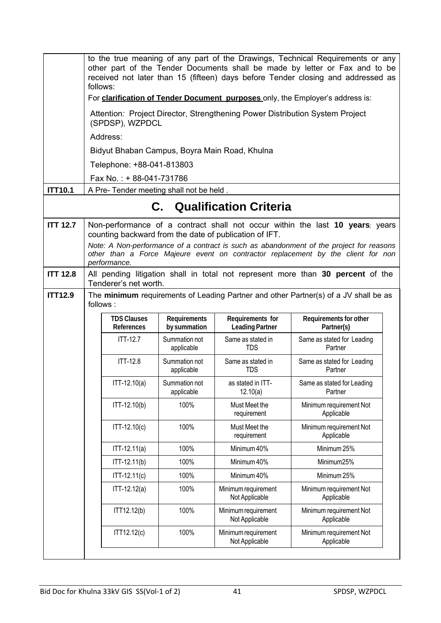|                 | to the true meaning of any part of the Drawings, Technical Requirements or any<br>other part of the Tender Documents shall be made by letter or Fax and to be<br>received not later than 15 (fifteen) days before Tender closing and addressed as<br>follows: |                              |                                            |                                                                                                                                                                                                                                                              |  |  |  |  |  |
|-----------------|---------------------------------------------------------------------------------------------------------------------------------------------------------------------------------------------------------------------------------------------------------------|------------------------------|--------------------------------------------|--------------------------------------------------------------------------------------------------------------------------------------------------------------------------------------------------------------------------------------------------------------|--|--|--|--|--|
|                 |                                                                                                                                                                                                                                                               |                              |                                            | For clarification of Tender Document purposes only, the Employer's address is:                                                                                                                                                                               |  |  |  |  |  |
|                 | Attention: Project Director, Strengthening Power Distribution System Project<br>(SPDSP), WZPDCL                                                                                                                                                               |                              |                                            |                                                                                                                                                                                                                                                              |  |  |  |  |  |
|                 | Address:                                                                                                                                                                                                                                                      |                              |                                            |                                                                                                                                                                                                                                                              |  |  |  |  |  |
|                 | Bidyut Bhaban Campus, Boyra Main Road, Khulna                                                                                                                                                                                                                 |                              |                                            |                                                                                                                                                                                                                                                              |  |  |  |  |  |
|                 | Telephone: +88-041-813803                                                                                                                                                                                                                                     |                              |                                            |                                                                                                                                                                                                                                                              |  |  |  |  |  |
|                 | Fax No.: +88-041-731786                                                                                                                                                                                                                                       |                              |                                            |                                                                                                                                                                                                                                                              |  |  |  |  |  |
| <b>ITT10.1</b>  | A Pre- Tender meeting shall not be held.                                                                                                                                                                                                                      |                              |                                            |                                                                                                                                                                                                                                                              |  |  |  |  |  |
|                 |                                                                                                                                                                                                                                                               |                              | <b>C.</b> Qualification Criteria           |                                                                                                                                                                                                                                                              |  |  |  |  |  |
| <b>ITT 12.7</b> | counting backward from the date of publication of IFT.<br>performance.                                                                                                                                                                                        |                              |                                            | Non-performance of a contract shall not occur within the last 10 years; years<br>Note: A Non-performance of a contract is such as abandonment of the project for reasons<br>other than a Force Majeure event on contractor replacement by the client for non |  |  |  |  |  |
| <b>ITT 12.8</b> | Tenderer's net worth.                                                                                                                                                                                                                                         |                              |                                            | All pending litigation shall in total not represent more than 30 percent of the                                                                                                                                                                              |  |  |  |  |  |
| <b>ITT12.9</b>  | follows:                                                                                                                                                                                                                                                      |                              |                                            | The minimum requirements of Leading Partner and other Partner(s) of a JV shall be as                                                                                                                                                                         |  |  |  |  |  |
|                 | <b>TDS Clauses</b><br><b>References</b>                                                                                                                                                                                                                       | Requirements<br>by summation | Requirements for<br><b>Leading Partner</b> | Requirements for other<br>Partner(s)                                                                                                                                                                                                                         |  |  |  |  |  |
|                 | <b>ITT-12.7</b>                                                                                                                                                                                                                                               | Summation not<br>applicable  | Same as stated in<br><b>TDS</b>            | Same as stated for Leading<br>Partner                                                                                                                                                                                                                        |  |  |  |  |  |
|                 | <b>ITT-12.8</b>                                                                                                                                                                                                                                               | Summation not<br>applicable  | Same as stated in<br><b>TDS</b>            | Same as stated for Leading<br>Partner                                                                                                                                                                                                                        |  |  |  |  |  |
|                 | $ITT-12.10(a)$                                                                                                                                                                                                                                                | Summation not<br>applicable  | as stated in ITT-<br>12.10(a)              | Same as stated for Leading<br>Partner                                                                                                                                                                                                                        |  |  |  |  |  |
|                 | ITT-12.10(b)                                                                                                                                                                                                                                                  | 100%                         | Must Meet the<br>requirement               | Minimum requirement Not<br>Applicable                                                                                                                                                                                                                        |  |  |  |  |  |
|                 | ITT-12.10(c)                                                                                                                                                                                                                                                  | 100%                         | Must Meet the<br>requirement               | Minimum requirement Not<br>Applicable                                                                                                                                                                                                                        |  |  |  |  |  |
|                 | $ITT-12.11(a)$                                                                                                                                                                                                                                                | 100%                         | Minimum 40%                                | Minimum 25%                                                                                                                                                                                                                                                  |  |  |  |  |  |
|                 | ITT-12.11(b)                                                                                                                                                                                                                                                  | 100%                         | Minimum 40%                                | Minimum25%                                                                                                                                                                                                                                                   |  |  |  |  |  |
|                 | ITT-12.11(c)                                                                                                                                                                                                                                                  | 100%                         | Minimum 40%                                | Minimum 25%                                                                                                                                                                                                                                                  |  |  |  |  |  |
|                 | $ITT-12.12(a)$                                                                                                                                                                                                                                                | 100%                         | Minimum requirement<br>Not Applicable      | Minimum requirement Not<br>Applicable                                                                                                                                                                                                                        |  |  |  |  |  |
|                 | ITT12.12(b)                                                                                                                                                                                                                                                   | 100%                         | Minimum requirement<br>Not Applicable      | Minimum requirement Not<br>Applicable                                                                                                                                                                                                                        |  |  |  |  |  |
|                 | ITT12.12(c)                                                                                                                                                                                                                                                   | 100%                         | Minimum requirement<br>Not Applicable      | Minimum requirement Not<br>Applicable                                                                                                                                                                                                                        |  |  |  |  |  |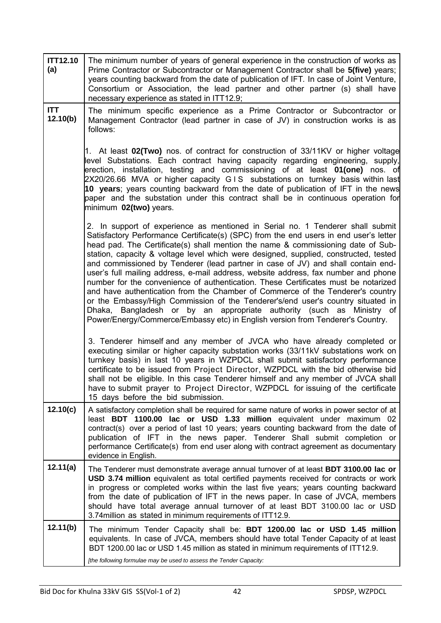| <b>ITT12.10</b><br>(a) | The minimum number of years of general experience in the construction of works as<br>Prime Contractor or Subcontractor or Management Contractor shall be 5(five) years;<br>years counting backward from the date of publication of IFT. In case of Joint Venture,<br>Consortium or Association, the lead partner and other partner (s) shall have<br>necessary experience as stated in ITT12.9;                                                                                                                                                                                                                                                                                                                                                                                                                                                                                                                                                     |
|------------------------|-----------------------------------------------------------------------------------------------------------------------------------------------------------------------------------------------------------------------------------------------------------------------------------------------------------------------------------------------------------------------------------------------------------------------------------------------------------------------------------------------------------------------------------------------------------------------------------------------------------------------------------------------------------------------------------------------------------------------------------------------------------------------------------------------------------------------------------------------------------------------------------------------------------------------------------------------------|
| <b>ITT</b><br>12.10(b) | The minimum specific experience as a Prime Contractor or Subcontractor or<br>Management Contractor (lead partner in case of JV) in construction works is as<br>follows:                                                                                                                                                                                                                                                                                                                                                                                                                                                                                                                                                                                                                                                                                                                                                                             |
|                        | 1. At least 02(Two) nos. of contract for construction of 33/11KV or higher voltage<br>level Substations. Each contract having capacity regarding engineering, supply,<br>erection, installation, testing and commissioning of at least 01(one) nos. of<br>2X20/26.66 MVA or higher capacity GIS substations on turnkey basis within last<br>10 years; years counting backward from the date of publication of IFT in the news<br>paper and the substation under this contract shall be in continuous operation for<br>minimum 02(two) years.                                                                                                                                                                                                                                                                                                                                                                                                        |
|                        | 2. In support of experience as mentioned in Serial no. 1 Tenderer shall submit<br>Satisfactory Performance Certificate(s) (SPC) from the end users in end user's letter<br>head pad. The Certificate(s) shall mention the name & commissioning date of Sub-<br>station, capacity & voltage level which were designed, supplied, constructed, tested<br>and commissioned by Tenderer (lead partner in case of JV) and shall contain end-<br>user's full mailing address, e-mail address, website address, fax number and phone<br>number for the convenience of authentication. These Certificates must be notarized<br>and have authentication from the Chamber of Commerce of the Tenderer's country<br>or the Embassy/High Commission of the Tenderer's/end user's country situated in<br>Dhaka, Bangladesh or by an appropriate authority (such as Ministry of<br>Power/Energy/Commerce/Embassy etc) in English version from Tenderer's Country. |
|                        | 3. Tenderer himself and any member of JVCA who have already completed or<br>executing similar or higher capacity substation works (33/11kV substations work on<br>turnkey basis) in last 10 years in WZPDCL shall submit satisfactory performance<br>certificate to be issued from Project Director, WZPDCL with the bid otherwise bid<br>shall not be eligible. In this case Tenderer himself and any member of JVCA shall<br>have to submit prayer to Project Director, WZPDCL for issuing of the certificate<br>15 days before the bid submission.                                                                                                                                                                                                                                                                                                                                                                                               |
| 12.10(c)               | A satisfactory completion shall be required for same nature of works in power sector of at<br>least BDT 1100.00 lac or USD 1.33 million equivalent under maximum 02<br>contract(s) over a period of last 10 years; years counting backward from the date of<br>publication of IFT in the news paper. Tenderer Shall submit completion or<br>performance Certificate(s) from end user along with contract agreement as documentary<br>evidence in English.                                                                                                                                                                                                                                                                                                                                                                                                                                                                                           |
| 12.11(a)               | The Tenderer must demonstrate average annual turnover of at least <b>BDT 3100.00 lac or</b><br>USD 3.74 million equivalent as total certified payments received for contracts or work<br>in progress or completed works within the last five years; years counting backward<br>from the date of publication of IFT in the news paper. In case of JVCA, members<br>should have total average annual turnover of at least BDT 3100.00 lac or USD<br>3.74 million as stated in minimum requirements of ITT12.9.                                                                                                                                                                                                                                                                                                                                                                                                                                        |
| 12.11(b)               | The minimum Tender Capacity shall be: BDT 1200.00 lac or USD 1.45 million<br>equivalents. In case of JVCA, members should have total Tender Capacity of at least<br>BDT 1200.00 lac or USD 1.45 million as stated in minimum requirements of ITT12.9.                                                                                                                                                                                                                                                                                                                                                                                                                                                                                                                                                                                                                                                                                               |
|                        | [the following formulae may be used to assess the Tender Capacity:                                                                                                                                                                                                                                                                                                                                                                                                                                                                                                                                                                                                                                                                                                                                                                                                                                                                                  |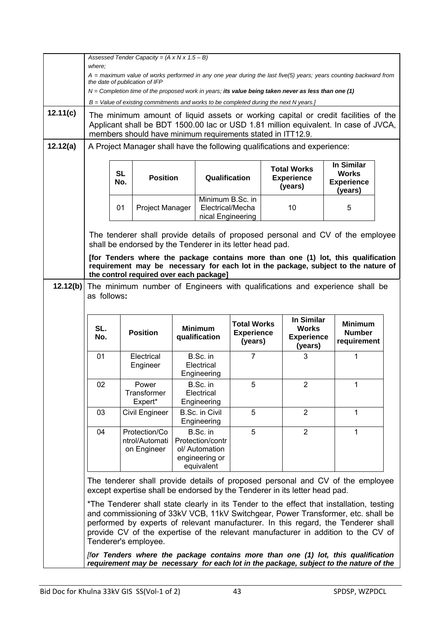|          | Assessed Tender Capacity = $(A \times N \times 1.5 - B)$                                                                                                                                                                                                                                                                            |                                     |                                                           |  |                                                           |                                                    |                                                            |                                                    |                                                                                                                                                                                                                                                                                                                                                        |  |
|----------|-------------------------------------------------------------------------------------------------------------------------------------------------------------------------------------------------------------------------------------------------------------------------------------------------------------------------------------|-------------------------------------|-----------------------------------------------------------|--|-----------------------------------------------------------|----------------------------------------------------|------------------------------------------------------------|----------------------------------------------------|--------------------------------------------------------------------------------------------------------------------------------------------------------------------------------------------------------------------------------------------------------------------------------------------------------------------------------------------------------|--|
|          | where:<br>A = maximum value of works performed in any one year during the last five(5) years; years counting backward from                                                                                                                                                                                                          |                                     |                                                           |  |                                                           |                                                    |                                                            |                                                    |                                                                                                                                                                                                                                                                                                                                                        |  |
|          | the date of publication of IFP<br>$N =$ Completion time of the proposed work in years; its value being taken never as less than one (1)                                                                                                                                                                                             |                                     |                                                           |  |                                                           |                                                    |                                                            |                                                    |                                                                                                                                                                                                                                                                                                                                                        |  |
|          |                                                                                                                                                                                                                                                                                                                                     |                                     |                                                           |  |                                                           |                                                    |                                                            |                                                    |                                                                                                                                                                                                                                                                                                                                                        |  |
| 12.11(c) | $B =$ Value of existing commitments and works to be completed during the next N years.]<br>The minimum amount of liquid assets or working capital or credit facilities of the<br>Applicant shall be BDT 1500.00 lac or USD 1.81 million equivalent. In case of JVCA,<br>members should have minimum requirements stated in ITT12.9. |                                     |                                                           |  |                                                           |                                                    |                                                            |                                                    |                                                                                                                                                                                                                                                                                                                                                        |  |
| 12.12(a) | A Project Manager shall have the following qualifications and experience:                                                                                                                                                                                                                                                           |                                     |                                                           |  |                                                           |                                                    |                                                            |                                                    |                                                                                                                                                                                                                                                                                                                                                        |  |
|          |                                                                                                                                                                                                                                                                                                                                     | <b>SL</b><br><b>Position</b><br>No. |                                                           |  | Qualification                                             |                                                    |                                                            | <b>Total Works</b><br><b>Experience</b><br>(years) | <b>In Similar</b><br><b>Works</b><br><b>Experience</b><br>(years)                                                                                                                                                                                                                                                                                      |  |
|          |                                                                                                                                                                                                                                                                                                                                     | 01                                  | Project Manager                                           |  | Minimum B.Sc. in<br>Electrical/Mecha<br>nical Engineering |                                                    |                                                            | 10                                                 | 5                                                                                                                                                                                                                                                                                                                                                      |  |
|          |                                                                                                                                                                                                                                                                                                                                     |                                     | shall be endorsed by the Tenderer in its letter head pad. |  |                                                           |                                                    |                                                            |                                                    | The tenderer shall provide details of proposed personal and CV of the employee                                                                                                                                                                                                                                                                         |  |
|          |                                                                                                                                                                                                                                                                                                                                     |                                     | the control required over each package]                   |  |                                                           |                                                    |                                                            |                                                    | [for Tenders where the package contains more than one (1) lot, this qualification<br>requirement may be necessary for each lot in the package, subject to the nature of                                                                                                                                                                                |  |
| 12.12(b) | as follows:                                                                                                                                                                                                                                                                                                                         |                                     |                                                           |  |                                                           |                                                    |                                                            |                                                    | The minimum number of Engineers with qualifications and experience shall be                                                                                                                                                                                                                                                                            |  |
|          | SL.<br>No.                                                                                                                                                                                                                                                                                                                          |                                     | <b>Position</b>                                           |  | <b>Minimum</b><br>qualification                           | <b>Total Works</b><br><b>Experience</b><br>(years) | In Similar<br><b>Works</b><br><b>Experience</b><br>(years) |                                                    | <b>Minimum</b><br><b>Number</b><br>requirement                                                                                                                                                                                                                                                                                                         |  |
|          | 01                                                                                                                                                                                                                                                                                                                                  |                                     | Electrical<br>Engineer                                    |  | B.Sc. in<br>Electrical<br>Engineering                     | 7                                                  |                                                            | 3                                                  | 1                                                                                                                                                                                                                                                                                                                                                      |  |
|          | 02                                                                                                                                                                                                                                                                                                                                  |                                     | Power<br>Transformer<br>Expert*                           |  | B.Sc. in<br>Electrical<br>Engineering                     | 5                                                  |                                                            | $\overline{2}$                                     | $\mathbf{1}$                                                                                                                                                                                                                                                                                                                                           |  |
|          | 03                                                                                                                                                                                                                                                                                                                                  |                                     | Civil Engineer                                            |  | <b>B.Sc. in Civil</b><br>Engineering                      | 5                                                  |                                                            | 2                                                  | 1                                                                                                                                                                                                                                                                                                                                                      |  |
|          | $\overline{2}$<br>B.Sc. in<br>5<br>1<br>Protection/Co<br>04<br>ntrol/Automati<br>Protection/contr<br>on Engineer<br>ol/ Automation<br>engineering or<br>equivalent                                                                                                                                                                  |                                     |                                                           |  |                                                           |                                                    |                                                            |                                                    |                                                                                                                                                                                                                                                                                                                                                        |  |
|          | The tenderer shall provide details of proposed personal and CV of the employee<br>except expertise shall be endorsed by the Tenderer in its letter head pad.                                                                                                                                                                        |                                     |                                                           |  |                                                           |                                                    |                                                            |                                                    |                                                                                                                                                                                                                                                                                                                                                        |  |
|          |                                                                                                                                                                                                                                                                                                                                     |                                     | Tenderer's employee.                                      |  |                                                           |                                                    |                                                            |                                                    | *The Tenderer shall state clearly in its Tender to the effect that installation, testing<br>and commissioning of 33kV VCB, 11kV Switchgear, Power Transformer, etc. shall be<br>performed by experts of relevant manufacturer. In this regard, the Tenderer shall<br>provide CV of the expertise of the relevant manufacturer in addition to the CV of |  |
|          |                                                                                                                                                                                                                                                                                                                                     |                                     |                                                           |  |                                                           |                                                    |                                                            |                                                    | [for Tenders where the package contains more than one (1) lot, this qualification<br>requirement may be necessary for each lot in the package, subject to the nature of the                                                                                                                                                                            |  |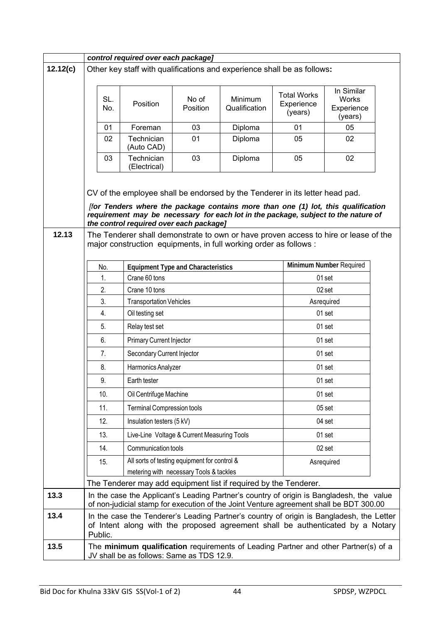|          | control required over each package]                                                                                                                                                                                                                                                                                                                                                       |            |                                                                                         |                              |                                                                                                                                                                                    |                                             |                                              |  |  |
|----------|-------------------------------------------------------------------------------------------------------------------------------------------------------------------------------------------------------------------------------------------------------------------------------------------------------------------------------------------------------------------------------------------|------------|-----------------------------------------------------------------------------------------|------------------------------|------------------------------------------------------------------------------------------------------------------------------------------------------------------------------------|---------------------------------------------|----------------------------------------------|--|--|
| 12.12(c) |                                                                                                                                                                                                                                                                                                                                                                                           |            |                                                                                         |                              | Other key staff with qualifications and experience shall be as follows:                                                                                                            |                                             |                                              |  |  |
|          |                                                                                                                                                                                                                                                                                                                                                                                           | SL.<br>No. | Position                                                                                | No of<br>Position            | Minimum<br>Qualification                                                                                                                                                           | <b>Total Works</b><br>Experience<br>(years) | In Similar<br>Works<br>Experience<br>(years) |  |  |
|          |                                                                                                                                                                                                                                                                                                                                                                                           | 01         | Foreman                                                                                 | 03                           | 01                                                                                                                                                                                 | 05                                          |                                              |  |  |
|          |                                                                                                                                                                                                                                                                                                                                                                                           | 02         | Technician<br>(Auto CAD)                                                                | 01                           | Diploma                                                                                                                                                                            | 05                                          | 02                                           |  |  |
|          |                                                                                                                                                                                                                                                                                                                                                                                           | 03         | Technician<br>(Electrical)                                                              | 03<br>05<br>02<br>Diploma    |                                                                                                                                                                                    |                                             |                                              |  |  |
| 12.13    | CV of the employee shall be endorsed by the Tenderer in its letter head pad.<br>[for Tenders where the package contains more than one (1) lot, this qualification<br>requirement may be necessary for each lot in the package, subject to the nature of<br>the control required over each package]<br>The Tenderer shall demonstrate to own or have proven access to hire or lease of the |            |                                                                                         |                              |                                                                                                                                                                                    |                                             |                                              |  |  |
|          |                                                                                                                                                                                                                                                                                                                                                                                           |            |                                                                                         |                              | major construction equipments, in full working order as follows :                                                                                                                  |                                             |                                              |  |  |
|          | No.                                                                                                                                                                                                                                                                                                                                                                                       |            | <b>Equipment Type and Characteristics</b>                                               |                              |                                                                                                                                                                                    |                                             | Minimum Number Required                      |  |  |
|          | 1.                                                                                                                                                                                                                                                                                                                                                                                        |            | Crane 60 tons                                                                           |                              |                                                                                                                                                                                    |                                             | 01 set                                       |  |  |
|          | 2.                                                                                                                                                                                                                                                                                                                                                                                        |            | Crane 10 tons                                                                           |                              |                                                                                                                                                                                    |                                             | 02 set                                       |  |  |
|          | 3.<br>4.                                                                                                                                                                                                                                                                                                                                                                                  |            | <b>Transportation Vehicles</b>                                                          |                              |                                                                                                                                                                                    |                                             | Asrequired<br>01 set                         |  |  |
|          |                                                                                                                                                                                                                                                                                                                                                                                           |            | Oil testing set                                                                         |                              |                                                                                                                                                                                    |                                             |                                              |  |  |
|          | 5.                                                                                                                                                                                                                                                                                                                                                                                        |            | 01 set<br>Relay test set                                                                |                              |                                                                                                                                                                                    |                                             |                                              |  |  |
|          | 6.                                                                                                                                                                                                                                                                                                                                                                                        |            | Primary Current Injector<br>01 set                                                      |                              |                                                                                                                                                                                    |                                             |                                              |  |  |
|          | 7.                                                                                                                                                                                                                                                                                                                                                                                        |            | 01 set<br>Secondary Current Injector                                                    |                              |                                                                                                                                                                                    |                                             |                                              |  |  |
|          | 8.                                                                                                                                                                                                                                                                                                                                                                                        |            |                                                                                         | 01 set<br>Harmonics Analyzer |                                                                                                                                                                                    |                                             |                                              |  |  |
|          | 9.                                                                                                                                                                                                                                                                                                                                                                                        |            | Earth tester                                                                            |                              |                                                                                                                                                                                    |                                             | 01 set                                       |  |  |
|          | 10.                                                                                                                                                                                                                                                                                                                                                                                       |            | Oil Centrifuge Machine                                                                  |                              |                                                                                                                                                                                    |                                             | 01 set                                       |  |  |
|          | 11.                                                                                                                                                                                                                                                                                                                                                                                       |            | <b>Terminal Compression tools</b>                                                       |                              |                                                                                                                                                                                    |                                             | 05 set                                       |  |  |
|          | 12.                                                                                                                                                                                                                                                                                                                                                                                       |            | Insulation testers (5 kV)                                                               |                              |                                                                                                                                                                                    |                                             | 04 set                                       |  |  |
|          | 13.                                                                                                                                                                                                                                                                                                                                                                                       |            | Live-Line Voltage & Current Measuring Tools                                             |                              |                                                                                                                                                                                    |                                             | 01 set                                       |  |  |
|          | 14.                                                                                                                                                                                                                                                                                                                                                                                       |            | Communication tools                                                                     |                              |                                                                                                                                                                                    |                                             | 02 set                                       |  |  |
|          | 15.                                                                                                                                                                                                                                                                                                                                                                                       |            | All sorts of testing equipment for control &<br>metering with necessary Tools & tackles |                              |                                                                                                                                                                                    |                                             | Asrequired                                   |  |  |
|          |                                                                                                                                                                                                                                                                                                                                                                                           |            |                                                                                         |                              | The Tenderer may add equipment list if required by the Tenderer.                                                                                                                   |                                             |                                              |  |  |
| 13.3     |                                                                                                                                                                                                                                                                                                                                                                                           |            |                                                                                         |                              | In the case the Applicant's Leading Partner's country of origin is Bangladesh, the value<br>of non-judicial stamp for execution of the Joint Venture agreement shall be BDT 300.00 |                                             |                                              |  |  |
| 13.4     | Public.                                                                                                                                                                                                                                                                                                                                                                                   |            |                                                                                         |                              | In the case the Tenderer's Leading Partner's country of origin is Bangladesh, the Letter<br>of Intent along with the proposed agreement shall be authenticated by a Notary         |                                             |                                              |  |  |
| 13.5     |                                                                                                                                                                                                                                                                                                                                                                                           |            | JV shall be as follows: Same as TDS 12.9.                                               |                              | The minimum qualification requirements of Leading Partner and other Partner(s) of a                                                                                                |                                             |                                              |  |  |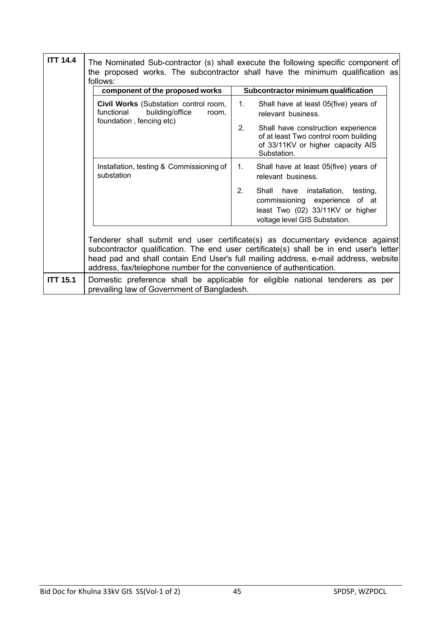| <b>ITT 14.4</b><br>The Nominated Sub-contractor (s) shall execute the following specific component of<br>the proposed works. The subcontractor shall have the minimum qualification as<br>follows: |                                                                                                             |                                                                                                                                                                                                                                                                |  |  |  |  |  |  |
|----------------------------------------------------------------------------------------------------------------------------------------------------------------------------------------------------|-------------------------------------------------------------------------------------------------------------|----------------------------------------------------------------------------------------------------------------------------------------------------------------------------------------------------------------------------------------------------------------|--|--|--|--|--|--|
|                                                                                                                                                                                                    | component of the proposed works                                                                             | Subcontractor minimum qualification                                                                                                                                                                                                                            |  |  |  |  |  |  |
|                                                                                                                                                                                                    | Civil Works (Substation control room,<br>functional<br>building/office<br>room,<br>foundation, fencing etc) | 1.<br>Shall have at least 05(five) years of<br>relevant business.                                                                                                                                                                                              |  |  |  |  |  |  |
|                                                                                                                                                                                                    |                                                                                                             | 2 <sub>1</sub><br>Shall have construction experience<br>of at least Two control room building<br>of 33/11KV or higher capacity AIS<br>Substation.                                                                                                              |  |  |  |  |  |  |
|                                                                                                                                                                                                    | Installation, testing & Commissioning of<br>substation                                                      | Shall have at least 05(five) years of<br>1.<br>relevant business.                                                                                                                                                                                              |  |  |  |  |  |  |
|                                                                                                                                                                                                    |                                                                                                             | Shall have installation, testing,<br>2.<br>commissioning experience of at<br>least Two (02) 33/11KV or higher<br>voltage level GIS Substation.                                                                                                                 |  |  |  |  |  |  |
|                                                                                                                                                                                                    | address, fax/telephone number for the convenience of authentication.                                        | Tenderer shall submit end user certificate(s) as documentary evidence against<br>subcontractor qualification. The end user certificate(s) shall be in end user's letter<br>head pad and shall contain End User's full mailing address, e-mail address, website |  |  |  |  |  |  |
| <b>ITT 15.1</b>                                                                                                                                                                                    | prevailing law of Government of Bangladesh.                                                                 | Domestic preference shall be applicable for eligible national tenderers as per                                                                                                                                                                                 |  |  |  |  |  |  |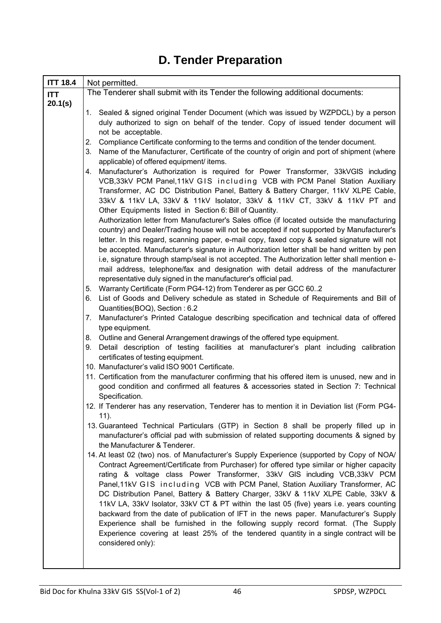| <b>ITT 18.4</b> | Not permitted.                                                                                                                                                                                 |
|-----------------|------------------------------------------------------------------------------------------------------------------------------------------------------------------------------------------------|
| <b>ITT</b>      | The Tenderer shall submit with its Tender the following additional documents:                                                                                                                  |
| 20.1(s)         |                                                                                                                                                                                                |
|                 | 1. Sealed & signed original Tender Document (which was issued by WZPDCL) by a person                                                                                                           |
|                 | duly authorized to sign on behalf of the tender. Copy of issued tender document will                                                                                                           |
|                 | not be acceptable.                                                                                                                                                                             |
|                 | Compliance Certificate conforming to the terms and condition of the tender document.<br>2.<br>Name of the Manufacturer, Certificate of the country of origin and port of shipment (where<br>3. |
|                 | applicable) of offered equipment/ items.                                                                                                                                                       |
|                 | 4. Manufacturer's Authorization is required for Power Transformer, 33kVGIS including                                                                                                           |
|                 | VCB,33kV PCM Panel,11kV GIS including VCB with PCM Panel Station Auxiliary                                                                                                                     |
|                 | Transformer, AC DC Distribution Panel, Battery & Battery Charger, 11kV XLPE Cable,                                                                                                             |
|                 | 33kV & 11kV LA, 33kV & 11kV Isolator, 33kV & 11kV CT, 33kV & 11kV PT and                                                                                                                       |
|                 | Other Equipments listed in Section 6: Bill of Quantity.                                                                                                                                        |
|                 | Authorization letter from Manufacturer's Sales office (if located outside the manufacturing                                                                                                    |
|                 | country) and Dealer/Trading house will not be accepted if not supported by Manufacturer's                                                                                                      |
|                 | letter. In this regard, scanning paper, e-mail copy, faxed copy & sealed signature will not                                                                                                    |
|                 | be accepted. Manufacturer's signature in Authorization letter shall be hand written by pen                                                                                                     |
|                 | i.e, signature through stamp/seal is not accepted. The Authorization letter shall mention e-                                                                                                   |
|                 | mail address, telephone/fax and designation with detail address of the manufacturer                                                                                                            |
|                 | representative duly signed in the manufacturer's official pad.                                                                                                                                 |
|                 | 5. Warranty Certificate (Form PG4-12) from Tenderer as per GCC 602<br>List of Goods and Delivery schedule as stated in Schedule of Requirements and Bill of<br>6.                              |
|                 | Quantities (BOQ), Section: 6.2                                                                                                                                                                 |
|                 | Manufacturer's Printed Catalogue describing specification and technical data of offered<br>7.                                                                                                  |
|                 | type equipment.                                                                                                                                                                                |
|                 | 8. Outline and General Arrangement drawings of the offered type equipment.                                                                                                                     |
|                 | Detail description of testing facilities at manufacturer's plant including calibration<br>9.                                                                                                   |
|                 | certificates of testing equipment.                                                                                                                                                             |
|                 | 10. Manufacturer's valid ISO 9001 Certificate.                                                                                                                                                 |
|                 | 11. Certification from the manufacturer confirming that his offered item is unused, new and in                                                                                                 |
|                 | good condition and confirmed all features & accessories stated in Section 7: Technical                                                                                                         |
|                 | Specification.<br>12. If Tenderer has any reservation, Tenderer has to mention it in Deviation list (Form PG4-                                                                                 |
|                 | 11).                                                                                                                                                                                           |
|                 | 13. Guaranteed Technical Particulars (GTP) in Section 8 shall be properly filled up in                                                                                                         |
|                 | manufacturer's official pad with submission of related supporting documents & signed by                                                                                                        |
|                 | the Manufacturer & Tenderer.                                                                                                                                                                   |
|                 | 14. At least 02 (two) nos. of Manufacturer's Supply Experience (supported by Copy of NOA/                                                                                                      |
|                 | Contract Agreement/Certificate from Purchaser) for offered type similar or higher capacity                                                                                                     |
|                 | rating & voltage class Power Transformer, 33kV GIS including VCB, 33kV PCM                                                                                                                     |
|                 | Panel, 11kV GIS including VCB with PCM Panel, Station Auxiliary Transformer, AC                                                                                                                |
|                 | DC Distribution Panel, Battery & Battery Charger, 33kV & 11kV XLPE Cable, 33kV &                                                                                                               |
|                 | 11kV LA, 33kV Isolator, 33kV CT & PT within the last 05 (five) years i.e. years counting<br>backward from the date of publication of IFT in the news paper. Manufacturer's Supply              |
|                 | Experience shall be furnished in the following supply record format. (The Supply                                                                                                               |
|                 | Experience covering at least 25% of the tendered quantity in a single contract will be                                                                                                         |
|                 | considered only):                                                                                                                                                                              |
|                 |                                                                                                                                                                                                |
|                 |                                                                                                                                                                                                |

# **D. Tender Preparation**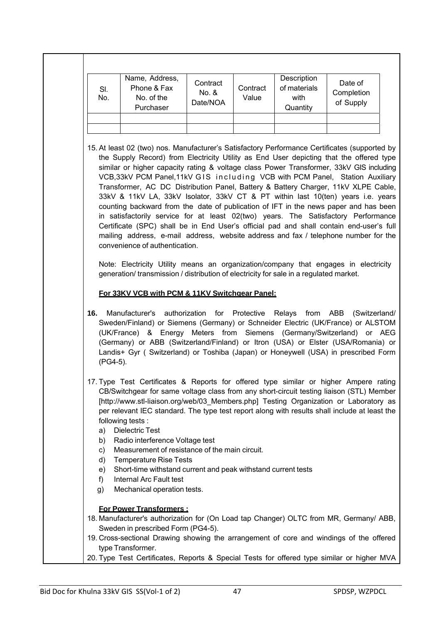| SI.<br>No.              | Name, Address,<br>Phone & Fax<br>No. of the<br>Purchaser                                                                                                                                                                                                                                                                                                                                                                                                                                                                                                                                                                             | Contract<br>No. &<br>Date/NOA | Contract<br>Value | Description<br>of materials<br>with<br>Quantity | Date of<br>Completion<br>of Supply |
|-------------------------|--------------------------------------------------------------------------------------------------------------------------------------------------------------------------------------------------------------------------------------------------------------------------------------------------------------------------------------------------------------------------------------------------------------------------------------------------------------------------------------------------------------------------------------------------------------------------------------------------------------------------------------|-------------------------------|-------------------|-------------------------------------------------|------------------------------------|
|                         | 15. At least 02 (two) nos. Manufacturer's Satisfactory Performance Certificates (supported by<br>the Supply Record) from Electricity Utility as End User depicting that the offered type<br>similar or higher capacity rating & voltage class Power Transformer, 33kV GIS including<br>VCB,33kV PCM Panel,11kV GIS including VCB with PCM Panel, Station Auxiliary<br>Transformer, AC DC Distribution Panel, Battery & Battery Charger, 11kV XLPE Cable,<br>33kV & 11kV LA, 33kV Isolator, 33kV CT & PT within last 10(ten) years i.e. years<br>counting backward from the date of publication of IFT in the news paper and has been |                               |                   |                                                 |                                    |
|                         | in satisfactorily service for at least 02(two) years. The Satisfactory Performance<br>Certificate (SPC) shall be in End User's official pad and shall contain end-user's full<br>mailing address, e-mail address, website address and fax / telephone number for the<br>convenience of authentication.<br>Note: Electricity Utility means an organization/company that engages in electricity                                                                                                                                                                                                                                        |                               |                   |                                                 |                                    |
|                         | generation/ transmission / distribution of electricity for sale in a regulated market.<br>For 33KV VCB with PCM & 11KV Switchgear Panel:                                                                                                                                                                                                                                                                                                                                                                                                                                                                                             |                               |                   |                                                 |                                    |
|                         |                                                                                                                                                                                                                                                                                                                                                                                                                                                                                                                                                                                                                                      |                               |                   |                                                 |                                    |
| 16.<br>(PG4-5).         | Manufacturer's authorization for Protective Relays from ABB (Switzerland/<br>Sweden/Finland) or Siemens (Germany) or Schneider Electric (UK/France) or ALSTOM<br>(UK/France) & Energy Meters from Siemens (Germany/Switzerland) or AEG<br>(Germany) or ABB (Switzerland/Finland) or Itron (USA) or Elster (USA/Romania) or<br>Landis+ Gyr (Switzerland) or Toshiba (Japan) or Honeywell (USA) in prescribed Form                                                                                                                                                                                                                     |                               |                   |                                                 |                                    |
| a)<br>b)                | 17. Type Test Certificates & Reports for offered type similar or higher Ampere rating<br>CB/Switchgear for same voltage class from any short-circuit testing liaison (STL) Member<br>[http://www.stl-liaison.org/web/03_Members.php] Testing Organization or Laboratory as<br>per relevant IEC standard. The type test report along with results shall include at least the<br>following tests:<br><b>Dielectric Test</b><br>Radio interference Voltage test                                                                                                                                                                         |                               |                   |                                                 |                                    |
| C)<br>d)<br>e)<br>$f$ ) | Measurement of resistance of the main circuit.<br><b>Temperature Rise Tests</b><br>Short-time withstand current and peak withstand current tests<br>Internal Arc Fault test                                                                                                                                                                                                                                                                                                                                                                                                                                                          |                               |                   |                                                 |                                    |

20. Type Test Certificates, Reports & Special Tests for offered type similar or higher MVA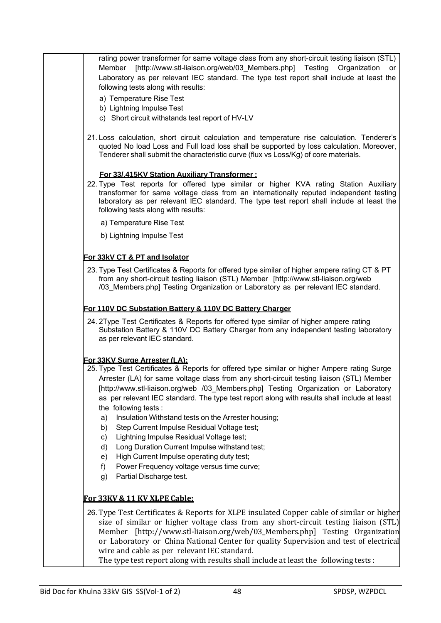rating power transformer for same voltage class from any short-circuit testing liaison (STL) Member [http://www.stl-liaison.org/web/03\_Members.php] Testing Organization or Laboratory as per relevant IEC standard. The type test report shall include at least the following tests along with results: a) Temperature Rise Test b) Lightning Impulse Test c) Short circuit withstands test report of HV-LV 21. Loss calculation, short circuit calculation and temperature rise calculation. Tenderer's quoted No load Loss and Full load loss shall be supported by loss calculation. Moreover, Tenderer shall submit the characteristic curve (flux vs Loss/Kg) of core materials. **For 33/.415KV Station Auxiliary Transformer :** 22. Type Test reports for offered type similar or higher KVA rating Station Auxiliary transformer for same voltage class from an internationally reputed independent testing laboratory as per relevant IEC standard. The type test report shall include at least the following tests along with results: a) Temperature Rise Test b) Lightning Impulse Test **For 33kV CT & PT and Isolator** 23. Type Test Certificates & Reports for offered type similar of higher ampere rating CT & PT from any short-circuit testing liaison (STL) Member [http://www.stl-liaison.org/web /03\_Members.php] Testing Organization or Laboratory as per relevant IEC standard. **For 110V DC Substation Battery & 110V DC Battery Charger** 24. 2Type Test Certificates & Reports for offered type similar of higher ampere rating Substation Battery & 110V DC Battery Charger from any independent testing laboratory as per relevant IEC standard. **For 33KV Surge Arrester (LA):** 25. Type Test Certificates & Reports for offered type similar or higher Ampere rating Surge Arrester (LA) for same voltage class from any short-circuit testing liaison (STL) Member [http://www.stl-liaison.org/web /03\_Members.php] Testing Organization or Laboratory as per relevant IEC standard. The type test report along with results shall include at least the following tests : a) Insulation Withstand tests on the Arrester housing; b) Step Current Impulse Residual Voltage test; c) Lightning Impulse Residual Voltage test; d) Long Duration Current Impulse withstand test; e) High Current Impulse operating duty test; f) Power Frequency voltage versus time curve; g) Partial Discharge test. **For 33KV & 11 KV XLPE Cable:** 26. Type Test Certificates & Reports for XLPE insulated Copper cable of similar or higher size of similar or higher voltage class from any short-circuit testing liaison (STL) Member [http://www.stl-liaison.org/web/03\_Members.php] Testing Organization or Laboratory or China National Center for quality Supervision and test of electrical wire and cable as per relevant IEC standard. The type test report along with results shall include at least the following tests :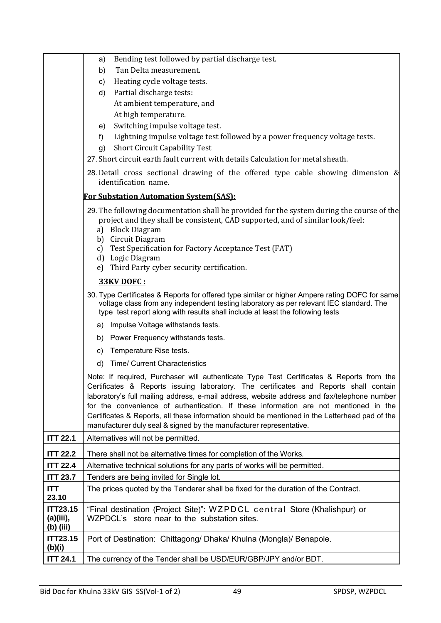|                                           | Bending test followed by partial discharge test.<br>a)                                                                                                                                                                                                                                                                                                                                                                                                                                                                                            |
|-------------------------------------------|---------------------------------------------------------------------------------------------------------------------------------------------------------------------------------------------------------------------------------------------------------------------------------------------------------------------------------------------------------------------------------------------------------------------------------------------------------------------------------------------------------------------------------------------------|
|                                           | Tan Delta measurement.<br>b)                                                                                                                                                                                                                                                                                                                                                                                                                                                                                                                      |
|                                           | Heating cycle voltage tests.<br>C)                                                                                                                                                                                                                                                                                                                                                                                                                                                                                                                |
|                                           | Partial discharge tests:<br>d)                                                                                                                                                                                                                                                                                                                                                                                                                                                                                                                    |
|                                           | At ambient temperature, and                                                                                                                                                                                                                                                                                                                                                                                                                                                                                                                       |
|                                           | At high temperature.                                                                                                                                                                                                                                                                                                                                                                                                                                                                                                                              |
|                                           | Switching impulse voltage test.<br>e)                                                                                                                                                                                                                                                                                                                                                                                                                                                                                                             |
|                                           | Lightning impulse voltage test followed by a power frequency voltage tests.<br>f)                                                                                                                                                                                                                                                                                                                                                                                                                                                                 |
|                                           | <b>Short Circuit Capability Test</b><br>g)                                                                                                                                                                                                                                                                                                                                                                                                                                                                                                        |
|                                           | 27. Short circuit earth fault current with details Calculation for metal sheath.                                                                                                                                                                                                                                                                                                                                                                                                                                                                  |
|                                           | 28. Detail cross sectional drawing of the offered type cable showing dimension &<br>identification name.                                                                                                                                                                                                                                                                                                                                                                                                                                          |
|                                           | <b>For Substation Automation System (SAS):</b>                                                                                                                                                                                                                                                                                                                                                                                                                                                                                                    |
|                                           | 29. The following documentation shall be provided for the system during the course of the<br>project and they shall be consistent, CAD supported, and of similar look/feel:<br>a) Block Diagram<br>b) Circuit Diagram<br>Test Specification for Factory Acceptance Test (FAT)<br>c)<br>d) Logic Diagram                                                                                                                                                                                                                                           |
|                                           | Third Party cyber security certification.<br>e)                                                                                                                                                                                                                                                                                                                                                                                                                                                                                                   |
|                                           | <b>33KV DOFC:</b>                                                                                                                                                                                                                                                                                                                                                                                                                                                                                                                                 |
|                                           | 30. Type Certificates & Reports for offered type similar or higher Ampere rating DOFC for same<br>voltage class from any independent testing laboratory as per relevant IEC standard. The<br>type test report along with results shall include at least the following tests                                                                                                                                                                                                                                                                       |
|                                           | Impulse Voltage withstands tests.<br>a)                                                                                                                                                                                                                                                                                                                                                                                                                                                                                                           |
|                                           | Power Frequency withstands tests.<br>b)                                                                                                                                                                                                                                                                                                                                                                                                                                                                                                           |
|                                           | Temperature Rise tests.<br>C)                                                                                                                                                                                                                                                                                                                                                                                                                                                                                                                     |
|                                           | <b>Time/ Current Characteristics</b><br>d)                                                                                                                                                                                                                                                                                                                                                                                                                                                                                                        |
|                                           | Note: If required, Purchaser will authenticate Type Test Certificates & Reports from the<br>Certificates & Reports issuing laboratory. The certificates and Reports shall contain<br>laboratory's full mailing address, e-mail address, website address and fax/telephone number<br>for the convenience of authentication. If these information are not mentioned in the<br>Certificates & Reports, all these information should be mentioned in the Letterhead pad of the<br>manufacturer duly seal & signed by the manufacturer representative. |
| <b>ITT 22.1</b>                           | Alternatives will not be permitted.                                                                                                                                                                                                                                                                                                                                                                                                                                                                                                               |
| <b>ITT 22.2</b>                           | There shall not be alternative times for completion of the Works.                                                                                                                                                                                                                                                                                                                                                                                                                                                                                 |
| <b>ITT 22.4</b>                           | Alternative technical solutions for any parts of works will be permitted.                                                                                                                                                                                                                                                                                                                                                                                                                                                                         |
| <b>ITT 23.7</b>                           | Tenders are being invited for Single lot.                                                                                                                                                                                                                                                                                                                                                                                                                                                                                                         |
| <b>ITT</b><br>23.10                       | The prices quoted by the Tenderer shall be fixed for the duration of the Contract.                                                                                                                                                                                                                                                                                                                                                                                                                                                                |
| <b>ITT23.15</b><br>(a)(iii),<br>(b) (iii) | "Final destination (Project Site)": WZPDCL central Store (Khalishpur) or<br>WZPDCL's store near to the substation sites.                                                                                                                                                                                                                                                                                                                                                                                                                          |
| <b>ITT23.15</b><br>(b)(i)                 | Port of Destination: Chittagong/ Dhaka/ Khulna (Mongla)/ Benapole.                                                                                                                                                                                                                                                                                                                                                                                                                                                                                |
| <b>ITT 24.1</b>                           | The currency of the Tender shall be USD/EUR/GBP/JPY and/or BDT.                                                                                                                                                                                                                                                                                                                                                                                                                                                                                   |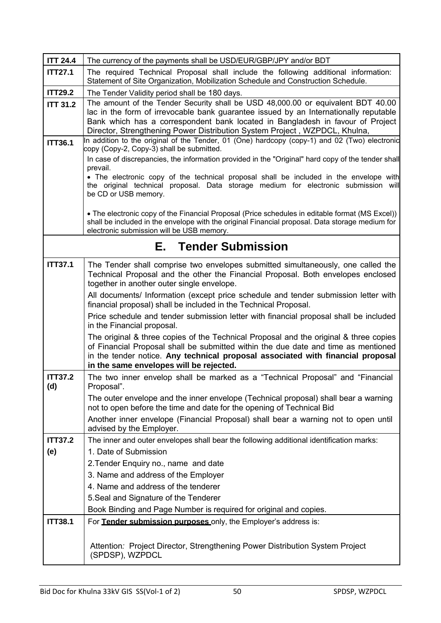| <b>ITT 24.4</b>       | The currency of the payments shall be USD/EUR/GBP/JPY and/or BDT                                                                                                                                                                                                                                                                         |
|-----------------------|------------------------------------------------------------------------------------------------------------------------------------------------------------------------------------------------------------------------------------------------------------------------------------------------------------------------------------------|
| <b>ITT27.1</b>        | The required Technical Proposal shall include the following additional information:<br>Statement of Site Organization, Mobilization Schedule and Construction Schedule.                                                                                                                                                                  |
| <b>ITT29.2</b>        | The Tender Validity period shall be 180 days.                                                                                                                                                                                                                                                                                            |
| <b>ITT 31.2</b>       | The amount of the Tender Security shall be USD 48,000.00 or equivalent BDT 40.00<br>lac in the form of irrevocable bank guarantee issued by an Internationally reputable<br>Bank which has a correspondent bank located in Bangladesh in favour of Project<br>Director, Strengthening Power Distribution System Project, WZPDCL, Khulna, |
| <b>ITT36.1</b>        | In addition to the original of the Tender, 01 (One) hardcopy (copy-1) and 02 (Two) electronic<br>copy (Copy-2, Copy-3) shall be submitted.                                                                                                                                                                                               |
|                       | In case of discrepancies, the information provided in the "Original" hard copy of the tender shall<br>prevail.                                                                                                                                                                                                                           |
|                       | • The electronic copy of the technical proposal shall be included in the envelope with<br>the original technical proposal. Data storage medium for electronic submission will<br>be CD or USB memory.                                                                                                                                    |
|                       | • The electronic copy of the Financial Proposal (Price schedules in editable format (MS Excel))<br>shall be included in the envelope with the original Financial proposal. Data storage medium for<br>electronic submission will be USB memory.                                                                                          |
|                       | <b>E.</b> Tender Submission                                                                                                                                                                                                                                                                                                              |
| <b>ITT37.1</b>        | The Tender shall comprise two envelopes submitted simultaneously, one called the<br>Technical Proposal and the other the Financial Proposal. Both envelopes enclosed<br>together in another outer single envelope.                                                                                                                       |
|                       | All documents/ Information (except price schedule and tender submission letter with<br>financial proposal) shall be included in the Technical Proposal.                                                                                                                                                                                  |
|                       | Price schedule and tender submission letter with financial proposal shall be included<br>in the Financial proposal.                                                                                                                                                                                                                      |
|                       | The original & three copies of the Technical Proposal and the original & three copies<br>of Financial Proposal shall be submitted within the due date and time as mentioned<br>in the tender notice. Any technical proposal associated with financial proposal<br>in the same envelopes will be rejected.                                |
| <b>ITT37.2</b><br>(d) | The two inner envelop shall be marked as a "Technical Proposal" and "Financial<br>Proposal".                                                                                                                                                                                                                                             |
|                       | The outer envelope and the inner envelope (Technical proposal) shall bear a warning<br>not to open before the time and date for the opening of Technical Bid                                                                                                                                                                             |
|                       | Another inner envelope (Financial Proposal) shall bear a warning not to open until<br>advised by the Employer.                                                                                                                                                                                                                           |
| <b>ITT37.2</b>        | The inner and outer envelopes shall bear the following additional identification marks:                                                                                                                                                                                                                                                  |
| (e)                   | 1. Date of Submission                                                                                                                                                                                                                                                                                                                    |
|                       | 2. Tender Enquiry no., name and date                                                                                                                                                                                                                                                                                                     |
|                       | 3. Name and address of the Employer                                                                                                                                                                                                                                                                                                      |
|                       | 4. Name and address of the tenderer<br>5. Seal and Signature of the Tenderer                                                                                                                                                                                                                                                             |
|                       | Book Binding and Page Number is required for original and copies.                                                                                                                                                                                                                                                                        |
| <b>ITT38.1</b>        | For Tender submission purposes only, the Employer's address is:                                                                                                                                                                                                                                                                          |
|                       | Attention: Project Director, Strengthening Power Distribution System Project<br>(SPDSP), WZPDCL                                                                                                                                                                                                                                          |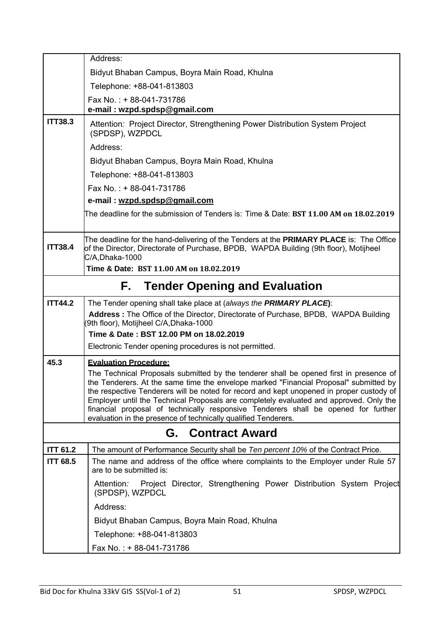|                          | Address:                                                                                                                                                                                                                                                                                                                                                                                                                                                                                                                      |  |  |  |  |
|--------------------------|-------------------------------------------------------------------------------------------------------------------------------------------------------------------------------------------------------------------------------------------------------------------------------------------------------------------------------------------------------------------------------------------------------------------------------------------------------------------------------------------------------------------------------|--|--|--|--|
|                          | Bidyut Bhaban Campus, Boyra Main Road, Khulna                                                                                                                                                                                                                                                                                                                                                                                                                                                                                 |  |  |  |  |
|                          | Telephone: +88-041-813803                                                                                                                                                                                                                                                                                                                                                                                                                                                                                                     |  |  |  |  |
|                          | Fax No.: + 88-041-731786<br>e-mail: wzpd.spdsp@gmail.com                                                                                                                                                                                                                                                                                                                                                                                                                                                                      |  |  |  |  |
| <b>ITT38.3</b>           | Attention: Project Director, Strengthening Power Distribution System Project<br>(SPDSP), WZPDCL                                                                                                                                                                                                                                                                                                                                                                                                                               |  |  |  |  |
|                          | Address:                                                                                                                                                                                                                                                                                                                                                                                                                                                                                                                      |  |  |  |  |
|                          | Bidyut Bhaban Campus, Boyra Main Road, Khulna                                                                                                                                                                                                                                                                                                                                                                                                                                                                                 |  |  |  |  |
|                          | Telephone: +88-041-813803                                                                                                                                                                                                                                                                                                                                                                                                                                                                                                     |  |  |  |  |
|                          | Fax No.: +88-041-731786                                                                                                                                                                                                                                                                                                                                                                                                                                                                                                       |  |  |  |  |
|                          | e-mail: wzpd.spdsp@gmail.com                                                                                                                                                                                                                                                                                                                                                                                                                                                                                                  |  |  |  |  |
|                          | The deadline for the submission of Tenders is: Time & Date: BST 11.00 AM on 18.02.2019                                                                                                                                                                                                                                                                                                                                                                                                                                        |  |  |  |  |
| <b>ITT38.4</b>           | The deadline for the hand-delivering of the Tenders at the PRIMARY PLACE is: The Office<br>of the Director, Directorate of Purchase, BPDB, WAPDA Building (9th floor), Motijheel<br>C/A,Dhaka-1000                                                                                                                                                                                                                                                                                                                            |  |  |  |  |
|                          | Time & Date: BST 11.00 AM on 18.02.2019                                                                                                                                                                                                                                                                                                                                                                                                                                                                                       |  |  |  |  |
|                          | <b>Tender Opening and Evaluation</b><br>F.                                                                                                                                                                                                                                                                                                                                                                                                                                                                                    |  |  |  |  |
| <b>ITT44.2</b>           | The Tender opening shall take place at (always the PRIMARY PLACE):                                                                                                                                                                                                                                                                                                                                                                                                                                                            |  |  |  |  |
|                          | Address : The Office of the Director, Directorate of Purchase, BPDB, WAPDA Building<br>9th floor), Motijheel C/A, Dhaka-1000                                                                                                                                                                                                                                                                                                                                                                                                  |  |  |  |  |
|                          | Time & Date: BST 12.00 PM on 18.02.2019                                                                                                                                                                                                                                                                                                                                                                                                                                                                                       |  |  |  |  |
|                          | Electronic Tender opening procedures is not permitted.                                                                                                                                                                                                                                                                                                                                                                                                                                                                        |  |  |  |  |
| 45.3                     | <b>Evaluation Procedure:</b>                                                                                                                                                                                                                                                                                                                                                                                                                                                                                                  |  |  |  |  |
|                          | The Technical Proposals submitted by the tenderer shall be opened first in presence of<br>the Tenderers. At the same time the envelope marked "Financial Proposal" submitted by<br>the respective Tenderers will be noted for record and kept unopened in proper custody of<br>Employer until the Technical Proposals are completely evaluated and approved. Only the<br>financial proposal of technically responsive Tenderers shall be opened for further<br>evaluation in the presence of technically qualified Tenderers. |  |  |  |  |
| <b>G.</b> Contract Award |                                                                                                                                                                                                                                                                                                                                                                                                                                                                                                                               |  |  |  |  |
| <b>ITT 61.2</b>          | The amount of Performance Security shall be Ten percent 10% of the Contract Price.                                                                                                                                                                                                                                                                                                                                                                                                                                            |  |  |  |  |
| <b>ITT 68.5</b>          | The name and address of the office where complaints to the Employer under Rule 57<br>are to be submitted is:                                                                                                                                                                                                                                                                                                                                                                                                                  |  |  |  |  |
|                          | Attention: Project Director, Strengthening Power Distribution System Project<br>(SPDSP), WZPDCL                                                                                                                                                                                                                                                                                                                                                                                                                               |  |  |  |  |
|                          | Address:                                                                                                                                                                                                                                                                                                                                                                                                                                                                                                                      |  |  |  |  |
|                          | Bidyut Bhaban Campus, Boyra Main Road, Khulna                                                                                                                                                                                                                                                                                                                                                                                                                                                                                 |  |  |  |  |
|                          | Telephone: +88-041-813803                                                                                                                                                                                                                                                                                                                                                                                                                                                                                                     |  |  |  |  |
|                          | Fax No.: + 88-041-731786                                                                                                                                                                                                                                                                                                                                                                                                                                                                                                      |  |  |  |  |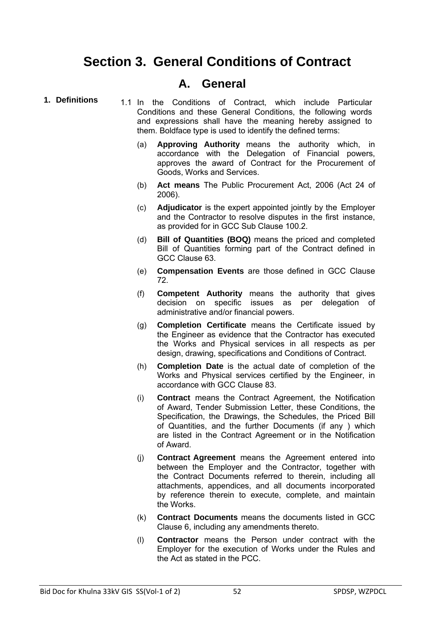### **Section 3. General Conditions of Contract**

#### **A. General**

- 
- **1. Definitions** 1.1 In the Conditions of Contract, which include Particular Conditions and these General Conditions, the following words and expressions shall have the meaning hereby assigned to them. Boldface type is used to identify the defined terms:
	- (a) **Approving Authority** means the authority which, in accordance with the Delegation of Financial powers, approves the award of Contract for the Procurement of Goods, Works and Services.
	- (b) **Act means** The Public Procurement Act, 2006 (Act 24 of 2006).
	- (c) **Adjudicator** is the expert appointed jointly by the Employer and the Contractor to resolve disputes in the first instance, as provided for in GCC Sub Clause 100.2.
	- (d) **Bill of Quantities (BOQ)** means the priced and completed Bill of Quantities forming part of the Contract defined in GCC Clause 63.
	- (e) **Compensation Events** are those defined in GCC Clause 72.
	- (f) **Competent Authority** means the authority that gives decision on specific issues as per delegation of administrative and/or financial powers.
	- (g) **Completion Certificate** means the Certificate issued by the Engineer as evidence that the Contractor has executed the Works and Physical services in all respects as per design, drawing, specifications and Conditions of Contract.
	- (h) **Completion Date** is the actual date of completion of the Works and Physical services certified by the Engineer, in accordance with GCC Clause 83.
	- (i) **Contract** means the Contract Agreement, the Notification of Award, Tender Submission Letter, these Conditions, the Specification, the Drawings, the Schedules, the Priced Bill of Quantities, and the further Documents (if any ) which are listed in the Contract Agreement or in the Notification of Award.
	- (j) **Contract Agreement** means the Agreement entered into between the Employer and the Contractor, together with the Contract Documents referred to therein, including all attachments, appendices, and all documents incorporated by reference therein to execute, complete, and maintain the Works.
	- (k) **Contract Documents** means the documents listed in GCC Clause 6, including any amendments thereto.
	- (l) **Contractor** means the Person under contract with the Employer for the execution of Works under the Rules and the Act as stated in the PCC.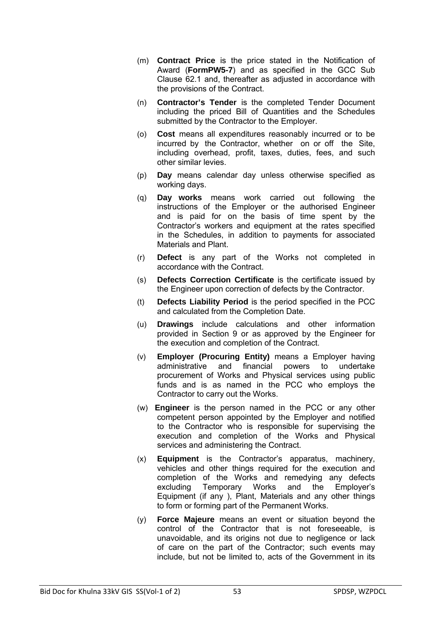- (m) **Contract Price** is the price stated in the Notification of Award (**FormPW5-7**) and as specified in the GCC Sub Clause 62.1 and, thereafter as adjusted in accordance with the provisions of the Contract.
- (n) **Contractor's Tender** is the completed Tender Document including the priced Bill of Quantities and the Schedules submitted by the Contractor to the Employer.
- (o) **Cost** means all expenditures reasonably incurred or to be incurred by the Contractor, whether on or off the Site, including overhead, profit, taxes, duties, fees, and such other similar levies.
- (p) **Day** means calendar day unless otherwise specified as working days.
- (q) **Day works** means work carried out following the instructions of the Employer or the authorised Engineer and is paid for on the basis of time spent by the Contractor's workers and equipment at the rates specified in the Schedules, in addition to payments for associated Materials and Plant.
- (r) **Defect** is any part of the Works not completed in accordance with the Contract.
- (s) **Defects Correction Certificate** is the certificate issued by the Engineer upon correction of defects by the Contractor.
- (t) **Defects Liability Period** is the period specified in the PCC and calculated from the Completion Date.
- (u) **Drawings** include calculations and other information provided in Section 9 or as approved by the Engineer for the execution and completion of the Contract.
- (v) **Employer (Procuring Entity)** means a Employer having administrative and financial powers to undertake procurement of Works and Physical services using public funds and is as named in the PCC who employs the Contractor to carry out the Works.
- (w) **Engineer** is the person named in the PCC or any other competent person appointed by the Employer and notified to the Contractor who is responsible for supervising the execution and completion of the Works and Physical services and administering the Contract.
- (x) **Equipment** is the Contractor's apparatus, machinery, vehicles and other things required for the execution and completion of the Works and remedying any defects excluding Temporary Works and the Employer's Equipment (if any ), Plant, Materials and any other things to form or forming part of the Permanent Works.
- (y) **Force Majeure** means an event or situation beyond the control of the Contractor that is not foreseeable, is unavoidable, and its origins not due to negligence or lack of care on the part of the Contractor; such events may include, but not be limited to, acts of the Government in its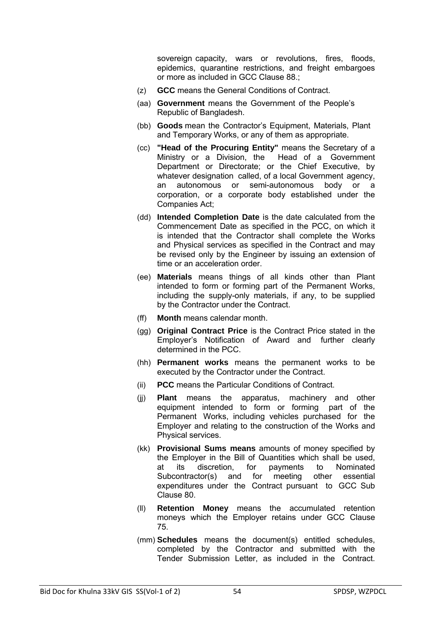sovereign capacity, wars or revolutions, fires, floods, epidemics, quarantine restrictions, and freight embargoes or more as included in GCC Clause 88.;

- (z) **GCC** means the General Conditions of Contract.
- (aa) **Government** means the Government of the People's Republic of Bangladesh.
- (bb) **Goods** mean the Contractor's Equipment, Materials, Plant and Temporary Works, or any of them as appropriate.
- (cc) **"Head of the Procuring Entity"** means the Secretary of a Ministry or a Division, the Head of a Government Department or Directorate; or the Chief Executive, by whatever designation called, of a local Government agency, an autonomous or semi-autonomous body or a corporation, or a corporate body established under the Companies Act;
- (dd) **Intended Completion Date** is the date calculated from the Commencement Date as specified in the PCC, on which it is intended that the Contractor shall complete the Works and Physical services as specified in the Contract and may be revised only by the Engineer by issuing an extension of time or an acceleration order.
- (ee) **Materials** means things of all kinds other than Plant intended to form or forming part of the Permanent Works, including the supply-only materials, if any, to be supplied by the Contractor under the Contract.
- (ff) **Month** means calendar month.
- (gg) **Original Contract Price** is the Contract Price stated in the Employer's Notification of Award and further clearly determined in the PCC.
- (hh) **Permanent works** means the permanent works to be executed by the Contractor under the Contract.
- (ii) **PCC** means the Particular Conditions of Contract.
- (jj) **Plant** means the apparatus, machinery and other equipment intended to form or forming part of the Permanent Works, including vehicles purchased for the Employer and relating to the construction of the Works and Physical services.
- (kk) **Provisional Sums means** amounts of money specified by the Employer in the Bill of Quantities which shall be used, at its discretion, for payments to Nominated Subcontractor(s) and for meeting other essential expenditures under the Contract pursuant to GCC Sub Clause 80.
- (ll) **Retention Money** means the accumulated retention moneys which the Employer retains under GCC Clause 75.
- (mm) **Schedules** means the document(s) entitled schedules, completed by the Contractor and submitted with the Tender Submission Letter, as included in the Contract.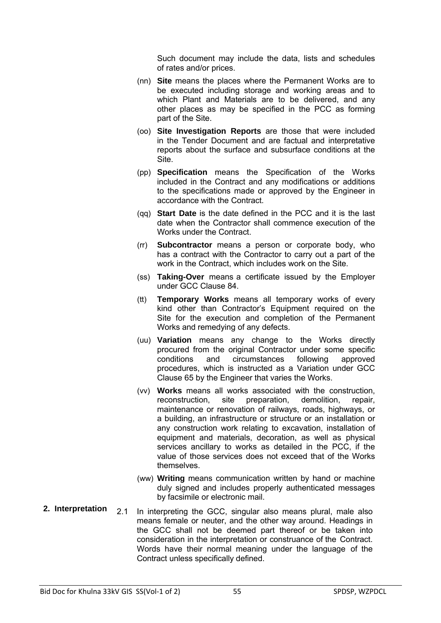Such document may include the data, lists and schedules of rates and/or prices.

- (nn) **Site** means the places where the Permanent Works are to be executed including storage and working areas and to which Plant and Materials are to be delivered, and any other places as may be specified in the PCC as forming part of the Site.
- (oo) **Site Investigation Reports** are those that were included in the Tender Document and are factual and interpretative reports about the surface and subsurface conditions at the Site.
- (pp) **Specification** means the Specification of the Works included in the Contract and any modifications or additions to the specifications made or approved by the Engineer in accordance with the Contract.
- (qq) **Start Date** is the date defined in the PCC and it is the last date when the Contractor shall commence execution of the Works under the Contract.
- (rr) **Subcontractor** means a person or corporate body, who has a contract with the Contractor to carry out a part of the work in the Contract, which includes work on the Site.
- (ss) **Taking-Over** means a certificate issued by the Employer under GCC Clause 84.
- (tt) **Temporary Works** means all temporary works of every kind other than Contractor's Equipment required on the Site for the execution and completion of the Permanent Works and remedying of any defects.
- (uu) **Variation** means any change to the Works directly procured from the original Contractor under some specific conditions and circumstances following approved procedures, which is instructed as a Variation under GCC Clause 65 by the Engineer that varies the Works.
- (vv) **Works** means all works associated with the construction, reconstruction, site preparation, demolition, repair, maintenance or renovation of railways, roads, highways, or a building, an infrastructure or structure or an installation or any construction work relating to excavation, installation of equipment and materials, decoration, as well as physical services ancillary to works as detailed in the PCC, if the value of those services does not exceed that of the Works themselves.
- (ww) **Writing** means communication written by hand or machine duly signed and includes properly authenticated messages by facsimile or electronic mail.
- **2. Interpretation** 2.1 In interpreting the GCC, singular also means plural, male also means female or neuter, and the other way around. Headings in the GCC shall not be deemed part thereof or be taken into consideration in the interpretation or construance of the Contract. Words have their normal meaning under the language of the Contract unless specifically defined.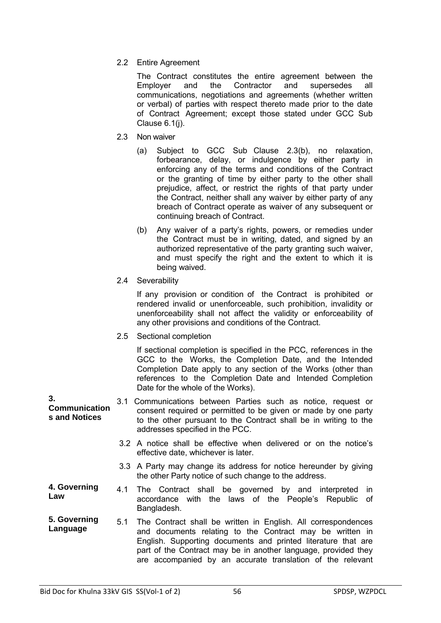2.2 Entire Agreement

 The Contract constitutes the entire agreement between the Employer and the Contractor and supersedes all communications, negotiations and agreements (whether written or verbal) of parties with respect thereto made prior to the date of Contract Agreement; except those stated under GCC Sub Clause 6.1(j).

- 2.3 Non waiver
	- (a) Subject to GCC Sub Clause 2.3(b), no relaxation, forbearance, delay, or indulgence by either party in enforcing any of the terms and conditions of the Contract or the granting of time by either party to the other shall prejudice, affect, or restrict the rights of that party under the Contract, neither shall any waiver by either party of any breach of Contract operate as waiver of any subsequent or continuing breach of Contract.
	- (b) Any waiver of a party's rights, powers, or remedies under the Contract must be in writing, dated, and signed by an authorized representative of the party granting such waiver. and must specify the right and the extent to which it is being waived.
- 2.4 Severability

 If any provision or condition of the Contract is prohibited or rendered invalid or unenforceable, such prohibition, invalidity or unenforceability shall not affect the validity or enforceability of any other provisions and conditions of the Contract.

2.5 Sectional completion

 If sectional completion is specified in the PCC, references in the GCC to the Works, the Completion Date, and the Intended Completion Date apply to any section of the Works (other than references to the Completion Date and Intended Completion Date for the whole of the Works).

- **Communication s and Notices**  3.1 Communications between Parties such as notice, request or consent required or permitted to be given or made by one party to the other pursuant to the Contract shall be in writing to the addresses specified in the PCC.
	- 3.2 A notice shall be effective when delivered or on the notice's effective date, whichever is later.
	- 3.3 A Party may change its address for notice hereunder by giving the other Party notice of such change to the address.
- **4. Governing Law** 4.1 The Contract shall be governed by and interpreted in accordance with the laws of the People's Republic of Bangladesh.
- **5. Governing Language**  5.1 The Contract shall be written in English. All correspondences and documents relating to the Contract may be written in English. Supporting documents and printed literature that are part of the Contract may be in another language, provided they are accompanied by an accurate translation of the relevant

**3.**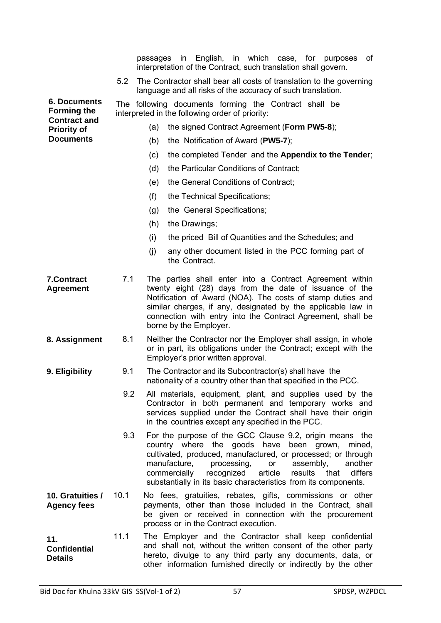|                                                                  |      |     | interpretation of the Contract, such translation shall govern.                                                                                                                                                                                                                                                                                                                       |
|------------------------------------------------------------------|------|-----|--------------------------------------------------------------------------------------------------------------------------------------------------------------------------------------------------------------------------------------------------------------------------------------------------------------------------------------------------------------------------------------|
|                                                                  | 5.2  |     | The Contractor shall bear all costs of translation to the governing<br>language and all risks of the accuracy of such translation.                                                                                                                                                                                                                                                   |
| <b>6. Documents</b><br><b>Forming the</b><br><b>Contract and</b> |      |     | The following documents forming the Contract shall be<br>interpreted in the following order of priority:                                                                                                                                                                                                                                                                             |
| <b>Priority of</b>                                               |      | (a) | the signed Contract Agreement (Form PW5-8);                                                                                                                                                                                                                                                                                                                                          |
| <b>Documents</b>                                                 |      | (b) | the Notification of Award (PW5-7);                                                                                                                                                                                                                                                                                                                                                   |
|                                                                  |      | (c) | the completed Tender and the Appendix to the Tender;                                                                                                                                                                                                                                                                                                                                 |
|                                                                  |      | (d) | the Particular Conditions of Contract;                                                                                                                                                                                                                                                                                                                                               |
|                                                                  |      | (e) | the General Conditions of Contract;                                                                                                                                                                                                                                                                                                                                                  |
|                                                                  |      | (f) | the Technical Specifications;                                                                                                                                                                                                                                                                                                                                                        |
|                                                                  |      | (g) | the General Specifications;                                                                                                                                                                                                                                                                                                                                                          |
|                                                                  |      | (h) | the Drawings;                                                                                                                                                                                                                                                                                                                                                                        |
|                                                                  |      | (i) | the priced Bill of Quantities and the Schedules; and                                                                                                                                                                                                                                                                                                                                 |
|                                                                  |      | (j) | any other document listed in the PCC forming part of<br>the Contract.                                                                                                                                                                                                                                                                                                                |
| <b>7.Contract</b><br><b>Agreement</b>                            | 7.1  |     | The parties shall enter into a Contract Agreement within<br>twenty eight (28) days from the date of issuance of the<br>Notification of Award (NOA). The costs of stamp duties and<br>similar charges, if any, designated by the applicable law in<br>connection with entry into the Contract Agreement, shall be<br>borne by the Employer.                                           |
| 8. Assignment                                                    | 8.1  |     | Neither the Contractor nor the Employer shall assign, in whole<br>or in part, its obligations under the Contract; except with the<br>Employer's prior written approval.                                                                                                                                                                                                              |
| 9. Eligibility                                                   | 9.1  |     | The Contractor and its Subcontractor(s) shall have the<br>nationality of a country other than that specified in the PCC.                                                                                                                                                                                                                                                             |
|                                                                  | 9.2  |     | All materials, equipment, plant, and supplies used by the<br>Contractor in both permanent and temporary works and<br>services supplied under the Contract shall have their origin<br>in the countries except any specified in the PCC.                                                                                                                                               |
|                                                                  | 9.3  |     | For the purpose of the GCC Clause 9.2, origin means the<br>country where the goods have been grown,<br>mined,<br>cultivated, produced, manufactured, or processed; or through<br>manufacture,<br>processing,<br>or<br>assembly,<br>another<br>results<br>that<br>differs<br>commercially<br>recognized<br>article<br>substantially in its basic characteristics from its components. |
| 10. Gratuities /<br><b>Agency fees</b>                           | 10.1 |     | No fees, gratuities, rebates, gifts, commissions or other<br>payments, other than those included in the Contract, shall<br>be given or received in connection with the procurement<br>process or in the Contract execution.                                                                                                                                                          |
| 11.<br><b>Confidential</b><br><b>Details</b>                     | 11.1 |     | The Employer and the Contractor shall keep confidential<br>and shall not, without the written consent of the other party<br>hereto, divulge to any third party any documents, data, or                                                                                                                                                                                               |

passages in English, in which case, for purposes of

other information furnished directly or indirectly by the other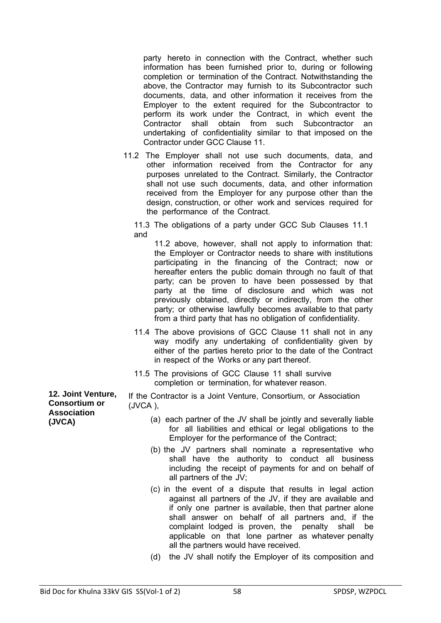party hereto in connection with the Contract, whether such information has been furnished prior to, during or following completion or termination of the Contract. Notwithstanding the above, the Contractor may furnish to its Subcontractor such documents, data, and other information it receives from the Employer to the extent required for the Subcontractor to perform its work under the Contract, in which event the Contractor shall obtain from such Subcontractor an undertaking of confidentiality similar to that imposed on the Contractor under GCC Clause 11.

11.2 The Employer shall not use such documents, data, and other information received from the Contractor for any purposes unrelated to the Contract. Similarly, the Contractor shall not use such documents, data, and other information received from the Employer for any purpose other than the design, construction, or other work and services required for the performance of the Contract.

11.3 The obligations of a party under GCC Sub Clauses 11.1 and

11.2 above, however, shall not apply to information that: the Employer or Contractor needs to share with institutions participating in the financing of the Contract; now or hereafter enters the public domain through no fault of that party; can be proven to have been possessed by that party at the time of disclosure and which was not previously obtained, directly or indirectly, from the other party; or otherwise lawfully becomes available to that party from a third party that has no obligation of confidentiality.

- 11.4 The above provisions of GCC Clause 11 shall not in any way modify any undertaking of confidentiality given by either of the parties hereto prior to the date of the Contract in respect of the Works or any part thereof.
- 11.5 The provisions of GCC Clause 11 shall survive completion or termination, for whatever reason.

If the Contractor is a Joint Venture, Consortium, or Association (JVCA ),

- (a) each partner of the JV shall be jointly and severally liable for all liabilities and ethical or legal obligations to the Employer for the performance of the Contract;
- (b) the JV partners shall nominate a representative who shall have the authority to conduct all business including the receipt of payments for and on behalf of all partners of the JV;
- (c) in the event of a dispute that results in legal action against all partners of the JV, if they are available and if only one partner is available, then that partner alone shall answer on behalf of all partners and, if the complaint lodged is proven, the penalty shall be applicable on that lone partner as whatever penalty all the partners would have received.
- (d) the JV shall notify the Employer of its composition and

**12. Joint Venture, Consortium or Association (JVCA)**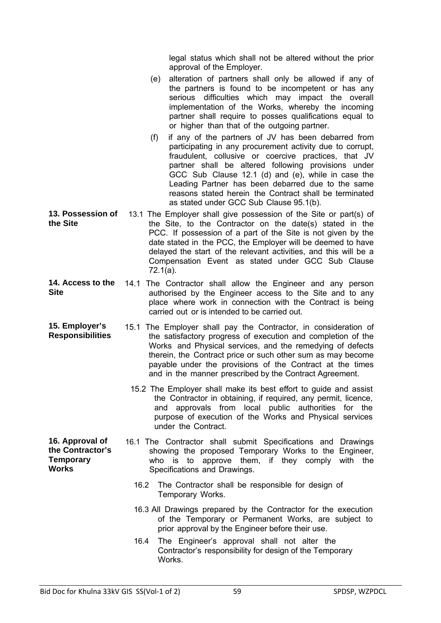legal status which shall not be altered without the prior approval of the Employer.

- (e) alteration of partners shall only be allowed if any of the partners is found to be incompetent or has any serious difficulties which may impact the overall implementation of the Works, whereby the incoming partner shall require to posses qualifications equal to or higher than that of the outgoing partner.
- (f) if any of the partners of JV has been debarred from participating in any procurement activity due to corrupt, fraudulent, collusive or coercive practices, that JV partner shall be altered following provisions under GCC Sub Clause 12.1 (d) and (e), while in case the Leading Partner has been debarred due to the same reasons stated herein the Contract shall be terminated as stated under GCC Sub Clause 95.1(b).
- **13. Possession of the Site**  13.1 The Employer shall give possession of the Site or part(s) of the Site, to the Contractor on the date(s) stated in the PCC. If possession of a part of the Site is not given by the date stated in the PCC, the Employer will be deemed to have delayed the start of the relevant activities, and this will be a Compensation Event as stated under GCC Sub Clause 72.1(a).
- 14. Access to the 14.1 The Contractor shall allow the Engineer and any person **Site**  authorised by the Engineer access to the Site and to any place where work in connection with the Contract is being carried out or is intended to be carried out.
- **15. Employer's Responsibilities**  15.1 The Employer shall pay the Contractor, in consideration of the satisfactory progress of execution and completion of the Works and Physical services, and the remedying of defects therein, the Contract price or such other sum as may become payable under the provisions of the Contract at the times and in the manner prescribed by the Contract Agreement.
	- 15.2 The Employer shall make its best effort to guide and assist the Contractor in obtaining, if required, any permit, licence, and approvals from local public authorities for the purpose of execution of the Works and Physical services under the Contract.
- **16. Approval of the Contractor's Temporary Works**  16.1 The Contractor shall submit Specifications and Drawings showing the proposed Temporary Works to the Engineer, who is to approve them, if they comply with the Specifications and Drawings.
	- 16.2 The Contractor shall be responsible for design of Temporary Works.
	- 16.3 All Drawings prepared by the Contractor for the execution of the Temporary or Permanent Works, are subject to prior approval by the Engineer before their use.
	- 16.4 The Engineer's approval shall not alter the Contractor's responsibility for design of the Temporary **Works**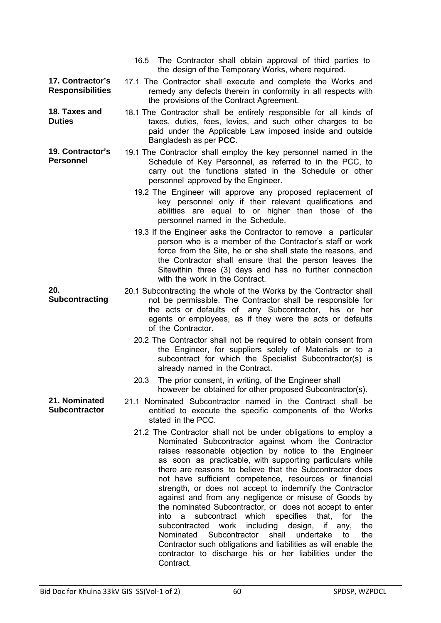|                                             | The Contractor shall obtain approval of third parties to<br>16.5<br>the design of the Temporary Works, where required.                                                                                                                                                                                                                                                                                                                                                                                                                                                                                                                                                                                                                                                                                                                                                                                     |
|---------------------------------------------|------------------------------------------------------------------------------------------------------------------------------------------------------------------------------------------------------------------------------------------------------------------------------------------------------------------------------------------------------------------------------------------------------------------------------------------------------------------------------------------------------------------------------------------------------------------------------------------------------------------------------------------------------------------------------------------------------------------------------------------------------------------------------------------------------------------------------------------------------------------------------------------------------------|
| 17. Contractor's<br><b>Responsibilities</b> | 17.1 The Contractor shall execute and complete the Works and<br>remedy any defects therein in conformity in all respects with<br>the provisions of the Contract Agreement.                                                                                                                                                                                                                                                                                                                                                                                                                                                                                                                                                                                                                                                                                                                                 |
| 18. Taxes and<br><b>Duties</b>              | 18.1 The Contractor shall be entirely responsible for all kinds of<br>taxes, duties, fees, levies, and such other charges to be<br>paid under the Applicable Law imposed inside and outside<br>Bangladesh as per PCC.                                                                                                                                                                                                                                                                                                                                                                                                                                                                                                                                                                                                                                                                                      |
| 19. Contractor's<br><b>Personnel</b>        | 19.1 The Contractor shall employ the key personnel named in the<br>Schedule of Key Personnel, as referred to in the PCC, to<br>carry out the functions stated in the Schedule or other<br>personnel approved by the Engineer.                                                                                                                                                                                                                                                                                                                                                                                                                                                                                                                                                                                                                                                                              |
|                                             | 19.2 The Engineer will approve any proposed replacement of<br>key personnel only if their relevant qualifications and<br>abilities are equal to or higher than those of the<br>personnel named in the Schedule.                                                                                                                                                                                                                                                                                                                                                                                                                                                                                                                                                                                                                                                                                            |
|                                             | 19.3 If the Engineer asks the Contractor to remove a particular<br>person who is a member of the Contractor's staff or work<br>force from the Site, he or she shall state the reasons, and<br>the Contractor shall ensure that the person leaves the<br>Sitewithin three (3) days and has no further connection<br>with the work in the Contract.                                                                                                                                                                                                                                                                                                                                                                                                                                                                                                                                                          |
| 20.<br>Subcontracting                       | 20.1 Subcontracting the whole of the Works by the Contractor shall<br>not be permissible. The Contractor shall be responsible for<br>the acts or defaults of any Subcontractor, his or her<br>agents or employees, as if they were the acts or defaults<br>of the Contractor.                                                                                                                                                                                                                                                                                                                                                                                                                                                                                                                                                                                                                              |
|                                             | 20.2 The Contractor shall not be required to obtain consent from<br>the Engineer, for suppliers solely of Materials or to a<br>subcontract for which the Specialist Subcontractor(s) is<br>already named in the Contract.                                                                                                                                                                                                                                                                                                                                                                                                                                                                                                                                                                                                                                                                                  |
|                                             | The prior consent, in writing, of the Engineer shall<br>20.3<br>however be obtained for other proposed Subcontractor(s).                                                                                                                                                                                                                                                                                                                                                                                                                                                                                                                                                                                                                                                                                                                                                                                   |
| 21. Nominated<br><b>Subcontractor</b>       | 21.1 Nominated Subcontractor named in the Contract shall be<br>entitled to execute the specific components of the Works<br>stated in the PCC.                                                                                                                                                                                                                                                                                                                                                                                                                                                                                                                                                                                                                                                                                                                                                              |
|                                             | 21.2 The Contractor shall not be under obligations to employ a<br>Nominated Subcontractor against whom the Contractor<br>raises reasonable objection by notice to the Engineer<br>as soon as practicable, with supporting particulars while<br>there are reasons to believe that the Subcontractor does<br>not have sufficient competence, resources or financial<br>strength, or does not accept to indemnify the Contractor<br>against and from any negligence or misuse of Goods by<br>the nominated Subcontractor, or does not accept to enter<br>subcontract which<br>specifies<br>into<br>that,<br>for<br>the<br>a<br>subcontracted<br>work<br>including<br>the<br>design,<br>if<br>any,<br>Subcontractor<br>shall<br>Nominated<br>undertake<br>to<br>the<br>Contractor such obligations and liabilities as will enable the<br>contractor to discharge his or her liabilities under the<br>Contract. |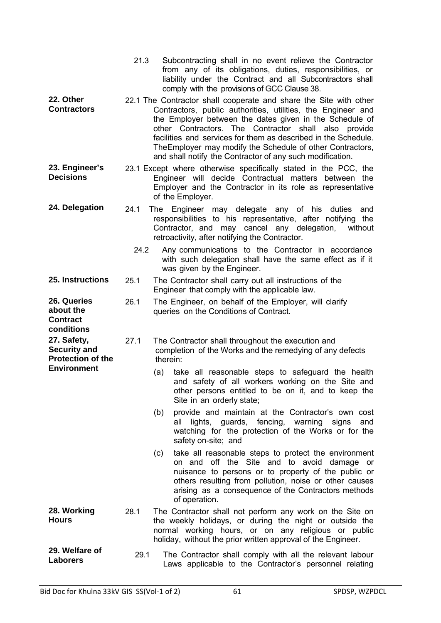|                                                                | 21.3                                                                                                                                                                                                     | Subcontracting shall in no event relieve the Contractor<br>from any of its obligations, duties, responsibilities, or<br>liability under the Contract and all Subcontractors shall<br>comply with the provisions of GCC Clause 38.                                                                                                                                                                                                                    |  |
|----------------------------------------------------------------|----------------------------------------------------------------------------------------------------------------------------------------------------------------------------------------------------------|------------------------------------------------------------------------------------------------------------------------------------------------------------------------------------------------------------------------------------------------------------------------------------------------------------------------------------------------------------------------------------------------------------------------------------------------------|--|
| 22. Other<br><b>Contractors</b>                                |                                                                                                                                                                                                          | 22.1 The Contractor shall cooperate and share the Site with other<br>Contractors, public authorities, utilities, the Engineer and<br>the Employer between the dates given in the Schedule of<br>other Contractors. The Contractor shall also<br>provide<br>facilities and services for them as described in the Schedule.<br>The Employer may modify the Schedule of other Contractors,<br>and shall notify the Contractor of any such modification. |  |
| 23. Engineer's<br><b>Decisions</b>                             | 23.1 Except where otherwise specifically stated in the PCC, the<br>Engineer will decide Contractual matters between the<br>Employer and the Contractor in its role as representative<br>of the Employer. |                                                                                                                                                                                                                                                                                                                                                                                                                                                      |  |
| 24. Delegation                                                 | 24.1                                                                                                                                                                                                     | Engineer may delegate any of his duties<br>The<br>and<br>responsibilities to his representative, after notifying<br>the<br>Contractor, and may cancel any delegation,<br>without<br>retroactivity, after notifying the Contractor.                                                                                                                                                                                                                   |  |
|                                                                | 24.2                                                                                                                                                                                                     | Any communications to the Contractor in accordance<br>with such delegation shall have the same effect as if it<br>was given by the Engineer.                                                                                                                                                                                                                                                                                                         |  |
| 25. Instructions                                               | 25.1                                                                                                                                                                                                     | The Contractor shall carry out all instructions of the<br>Engineer that comply with the applicable law.                                                                                                                                                                                                                                                                                                                                              |  |
| 26. Queries<br>about the<br><b>Contract</b><br>conditions      | 26.1                                                                                                                                                                                                     | The Engineer, on behalf of the Employer, will clarify<br>queries on the Conditions of Contract.                                                                                                                                                                                                                                                                                                                                                      |  |
| 27. Safety,<br><b>Security and</b><br><b>Protection of the</b> | 27.1                                                                                                                                                                                                     | The Contractor shall throughout the execution and<br>completion of the Works and the remedying of any defects<br>therein:                                                                                                                                                                                                                                                                                                                            |  |
| <b>Environment</b>                                             |                                                                                                                                                                                                          | take all reasonable steps to safeguard the health<br>(a)<br>and safety of all workers working on the Site and<br>other persons entitled to be on it, and to keep the<br>Site in an orderly state;                                                                                                                                                                                                                                                    |  |
|                                                                |                                                                                                                                                                                                          | (b)<br>provide and maintain at the Contractor's own cost<br>lights, guards, fencing, warning signs<br>and<br>all<br>watching for the protection of the Works or for the<br>safety on-site; and                                                                                                                                                                                                                                                       |  |
|                                                                |                                                                                                                                                                                                          | take all reasonable steps to protect the environment<br>(c)<br>on and off the Site and to avoid damage or<br>nuisance to persons or to property of the public or<br>others resulting from pollution, noise or other causes<br>arising as a consequence of the Contractors methods<br>of operation.                                                                                                                                                   |  |
| 28. Working<br><b>Hours</b>                                    | 28.1                                                                                                                                                                                                     | The Contractor shall not perform any work on the Site on<br>the weekly holidays, or during the night or outside the<br>normal working hours, or on any religious or public<br>holiday, without the prior written approval of the Engineer.                                                                                                                                                                                                           |  |
| 29. Welfare of<br><b>Laborers</b>                              | 29.1                                                                                                                                                                                                     | The Contractor shall comply with all the relevant labour<br>Laws applicable to the Contractor's personnel relating                                                                                                                                                                                                                                                                                                                                   |  |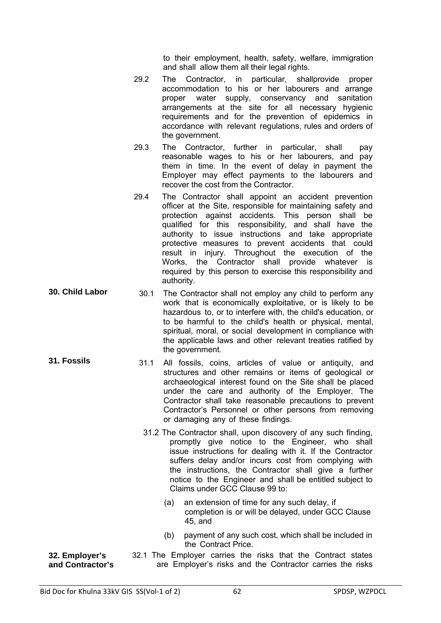to their employment, health, safety, welfare, immigration and shall allow them all their legal rights.

- 29.2 The Contractor, in particular, shallprovide proper accommodation to his or her labourers and arrange proper water supply, conservancy and sanitation arrangements at the site for all necessary hygienic requirements and for the prevention of epidemics in accordance with relevant regulations, rules and orders of the government.
- 29.3 The Contractor, further in particular, shall pay reasonable wages to his or her labourers, and pay them in time. In the event of delay in payment the Employer may effect payments to the labourers and recover the cost from the Contractor.
- 29.4 The Contractor shall appoint an accident prevention officer at the Site, responsible for maintaining safety and protection against accidents. This person shall be qualified for this responsibility, and shall have the authority to issue instructions and take appropriate protective measures to prevent accidents that could result in injury. Throughout the execution of the Works, the Contractor shall provide whatever is required by this person to exercise this responsibility and authority.
- **30. Child Labor** 30.1 The Contractor shall not employ any child to perform any work that is economically exploitative, or is likely to be hazardous to, or to interfere with, the child's education, or to be harmful to the child's health or physical, mental, spiritual, moral, or social development in compliance with the applicable laws and other relevant treaties ratified by the government.
- **31. Fossils** 31.1 All fossils, coins, articles of value or antiquity, and structures and other remains or items of geological or archaeological interest found on the Site shall be placed under the care and authority of the Employer. The Contractor shall take reasonable precautions to prevent Contractor's Personnel or other persons from removing or damaging any of these findings.
	- 31.2 The Contractor shall, upon discovery of any such finding, promptly give notice to the Engineer, who shall issue instructions for dealing with it. If the Contractor suffers delay and/or incurs cost from complying with the instructions, the Contractor shall give a further notice to the Engineer and shall be entitled subject to Claims under GCC Clause 99 to:
		- (a) an extension of time for any such delay, if completion is or will be delayed, under GCC Clause 45, and
		- (b) payment of any such cost, which shall be included in the Contract Price.
- **32. Employer's and Contractor's**
- 32.1 The Employer carries the risks that the Contract states are Employer's risks and the Contractor carries the risks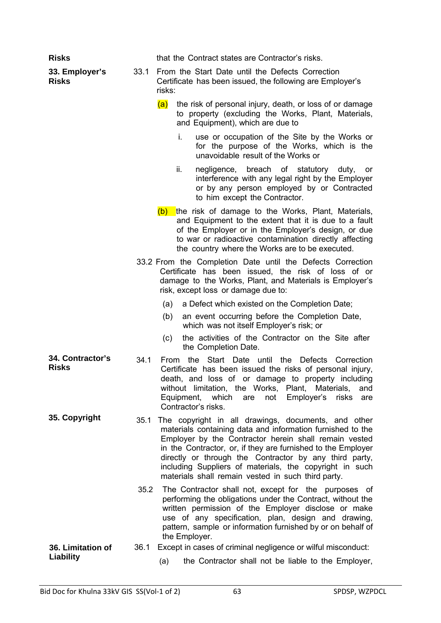| <b>Risks</b>                     |      | that the Contract states are Contractor's risks.                                                                                                                                                                                                                                                                                                                                                                      |
|----------------------------------|------|-----------------------------------------------------------------------------------------------------------------------------------------------------------------------------------------------------------------------------------------------------------------------------------------------------------------------------------------------------------------------------------------------------------------------|
| 33. Employer's<br><b>Risks</b>   | 33.1 | From the Start Date until the Defects Correction<br>Certificate has been issued, the following are Employer's<br>risks:                                                                                                                                                                                                                                                                                               |
|                                  |      | (a)<br>the risk of personal injury, death, or loss of or damage<br>to property (excluding the Works, Plant, Materials,<br>and Equipment), which are due to                                                                                                                                                                                                                                                            |
|                                  |      | i.<br>use or occupation of the Site by the Works or<br>for the purpose of the Works, which is the<br>unavoidable result of the Works or                                                                                                                                                                                                                                                                               |
|                                  |      | ii.<br>negligence, breach of statutory duty,<br>or<br>interference with any legal right by the Employer<br>or by any person employed by or Contracted<br>to him except the Contractor.                                                                                                                                                                                                                                |
|                                  |      | (b) the risk of damage to the Works, Plant, Materials,<br>and Equipment to the extent that it is due to a fault<br>of the Employer or in the Employer's design, or due<br>to war or radioactive contamination directly affecting<br>the country where the Works are to be executed.                                                                                                                                   |
|                                  |      | 33.2 From the Completion Date until the Defects Correction<br>Certificate has been issued, the risk of loss of or<br>damage to the Works, Plant, and Materials is Employer's<br>risk, except loss or damage due to:                                                                                                                                                                                                   |
|                                  |      | a Defect which existed on the Completion Date;<br>(a)<br>an event occurring before the Completion Date,<br>(b)<br>which was not itself Employer's risk; or<br>the activities of the Contractor on the Site after<br>(c)                                                                                                                                                                                               |
|                                  |      | the Completion Date.                                                                                                                                                                                                                                                                                                                                                                                                  |
| 34. Contractor's<br><b>Risks</b> | 34.1 | the Start Date until the Defects Correction<br>From<br>Certificate has been issued the risks of personal injury,<br>death, and loss of or damage to property including<br>without limitation, the Works, Plant, Materials,<br>and<br>Equipment, which<br>Employer's<br>not<br>risks<br>are<br>are<br>Contractor's risks.                                                                                              |
| 35. Copyright                    | 35.1 | The copyright in all drawings, documents, and other<br>materials containing data and information furnished to the<br>Employer by the Contractor herein shall remain vested<br>in the Contractor, or, if they are furnished to the Employer<br>directly or through the Contractor by any third party,<br>including Suppliers of materials, the copyright in such<br>materials shall remain vested in such third party. |
|                                  | 35.2 | The Contractor shall not, except for the purposes of<br>performing the obligations under the Contract, without the<br>written permission of the Employer disclose or make<br>use of any specification, plan, design and drawing,<br>pattern, sample or information furnished by or on behalf of<br>the Employer.                                                                                                      |
| 36. Limitation of<br>Liability   | 36.1 | Except in cases of criminal negligence or wilful misconduct:<br>the Contractor shall not be liable to the Employer,<br>(a)                                                                                                                                                                                                                                                                                            |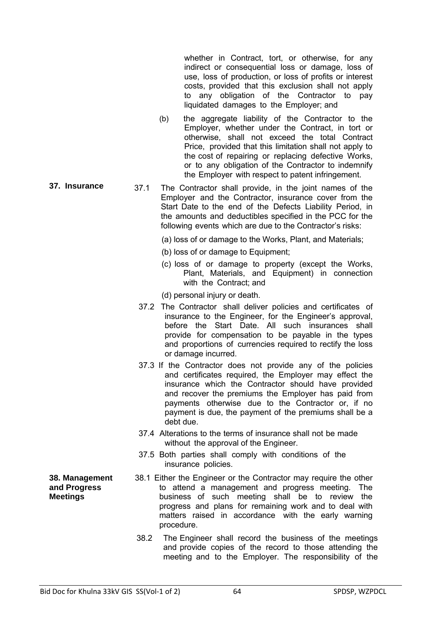whether in Contract, tort, or otherwise, for any indirect or consequential loss or damage, loss of use, loss of production, or loss of profits or interest costs, provided that this exclusion shall not apply to any obligation of the Contractor to pay liquidated damages to the Employer; and

- (b) the aggregate liability of the Contractor to the Employer, whether under the Contract, in tort or otherwise, shall not exceed the total Contract Price, provided that this limitation shall not apply to the cost of repairing or replacing defective Works, or to any obligation of the Contractor to indemnify the Employer with respect to patent infringement.
- **37. Insurance** 37.1 The Contractor shall provide, in the joint names of the Employer and the Contractor, insurance cover from the Start Date to the end of the Defects Liability Period, in the amounts and deductibles specified in the PCC for the following events which are due to the Contractor's risks:
	- (a) loss of or damage to the Works, Plant, and Materials;
	- (b) loss of or damage to Equipment;
	- (c) loss of or damage to property (except the Works, Plant, Materials, and Equipment) in connection with the Contract; and

(d) personal injury or death.

- 37.2 The Contractor shall deliver policies and certificates of insurance to the Engineer, for the Engineer's approval, before the Start Date. All such insurances shall provide for compensation to be payable in the types and proportions of currencies required to rectify the loss or damage incurred.
- 37.3 If the Contractor does not provide any of the policies and certificates required, the Employer may effect the insurance which the Contractor should have provided and recover the premiums the Employer has paid from payments otherwise due to the Contractor or, if no payment is due, the payment of the premiums shall be a debt due.
- 37.4 Alterations to the terms of insurance shall not be made without the approval of the Engineer.
- 37.5 Both parties shall comply with conditions of the insurance policies.
- 38.1 Either the Engineer or the Contractor may require the other to attend a management and progress meeting. The business of such meeting shall be to review the progress and plans for remaining work and to deal with matters raised in accordance with the early warning procedure.
	- 38.2 The Engineer shall record the business of the meetings and provide copies of the record to those attending the meeting and to the Employer. The responsibility of the

**38. Management and Progress Meetings**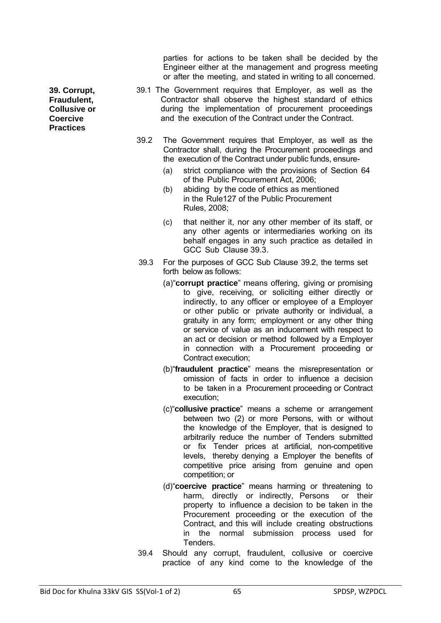parties for actions to be taken shall be decided by the Engineer either at the management and progress meeting or after the meeting, and stated in writing to all concerned.

- 39.1 The Government requires that Employer, as well as the Contractor shall observe the highest standard of ethics during the implementation of procurement proceedings and the execution of the Contract under the Contract.
- 39.2 The Government requires that Employer, as well as the Contractor shall, during the Procurement proceedings and the execution of the Contract under public funds, ensure-
	- (a) strict compliance with the provisions of Section 64 of the Public Procurement Act, 2006;
	- (b) abiding by the code of ethics as mentioned in the Rule127 of the Public Procurement Rules, 2008;
	- (c) that neither it, nor any other member of its staff, or any other agents or intermediaries working on its behalf engages in any such practice as detailed in GCC Sub Clause 39.3.
- 39.3 For the purposes of GCC Sub Clause 39.2, the terms set forth below as follows:
	- (a)"**corrupt practice**" means offering, giving or promising to give, receiving, or soliciting either directly or indirectly, to any officer or employee of a Employer or other public or private authority or individual, a gratuity in any form; employment or any other thing or service of value as an inducement with respect to an act or decision or method followed by a Employer in connection with a Procurement proceeding or Contract execution;
	- (b)"**fraudulent practice**" means the misrepresentation or omission of facts in order to influence a decision to be taken in a Procurement proceeding or Contract execution;
	- (c)"**collusive practice**" means a scheme or arrangement between two (2) or more Persons, with or without the knowledge of the Employer, that is designed to arbitrarily reduce the number of Tenders submitted or fix Tender prices at artificial, non-competitive levels, thereby denying a Employer the benefits of competitive price arising from genuine and open competition; or
	- (d)"**coercive practice**" means harming or threatening to harm, directly or indirectly, Persons or their property to influence a decision to be taken in the Procurement proceeding or the execution of the Contract, and this will include creating obstructions in the normal submission process used for **Tenders**
- 39.4 Should any corrupt, fraudulent, collusive or coercive practice of any kind come to the knowledge of the

**39. Corrupt, Fraudulent, Collusive or Coercive Practices**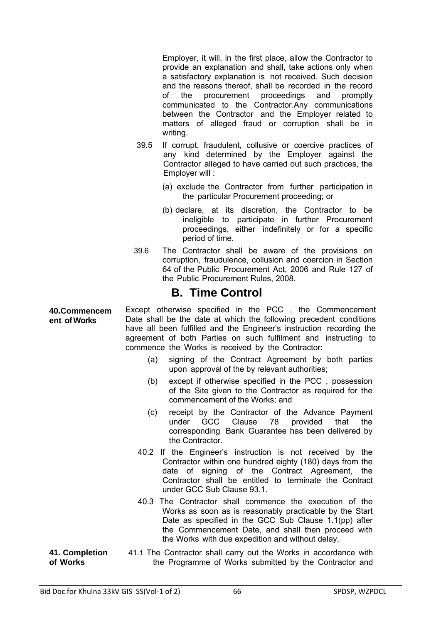Employer, it will, in the first place, allow the Contractor to provide an explanation and shall, take actions only when a satisfactory explanation is not received. Such decision and the reasons thereof, shall be recorded in the record of the procurement proceedings and promptly communicated to the Contractor.Any communications between the Contractor and the Employer related to matters of alleged fraud or corruption shall be in writing.

- 39.5 If corrupt, fraudulent, collusive or coercive practices of any kind determined by the Employer against the Contractor alleged to have carried out such practices, the Employer will :
	- (a) exclude the Contractor from further participation in the particular Procurement proceeding; or
	- (b) declare, at its discretion, the Contractor to be ineligible to participate in further Procurement proceedings, either indefinitely or for a specific period of time.
- 39.6 The Contractor shall be aware of the provisions on corruption, fraudulence, collusion and coercion in Section 64 of the Public Procurement Act, 2006 and Rule 127 of the Public Procurement Rules, 2008.

## **B. Time Control**

**40.Commencem ent of Works**  Except otherwise specified in the PCC , the Commencement Date shall be the date at which the following precedent conditions have all been fulfilled and the Engineer's instruction recording the agreement of both Parties on such fulfilment and instructing to commence the Works is received by the Contractor:

- (a) signing of the Contract Agreement by both parties upon approval of the by relevant authorities;
- (b) except if otherwise specified in the PCC , possession of the Site given to the Contractor as required for the commencement of the Works; and
- (c) receipt by the Contractor of the Advance Payment under GCC Clause 78 provided that the corresponding Bank Guarantee has been delivered by the Contractor.
- 40.2 If the Engineer's instruction is not received by the Contractor within one hundred eighty (180) days from the date of signing of the Contract Agreement, the Contractor shall be entitled to terminate the Contract under GCC Sub Clause 93.1.
- 40.3 The Contractor shall commence the execution of the Works as soon as is reasonably practicable by the Start Date as specified in the GCC Sub Clause 1.1(pp) after the Commencement Date, and shall then proceed with the Works with due expedition and without delay.
- **41. Completion of Works**  41.1 The Contractor shall carry out the Works in accordance with the Programme of Works submitted by the Contractor and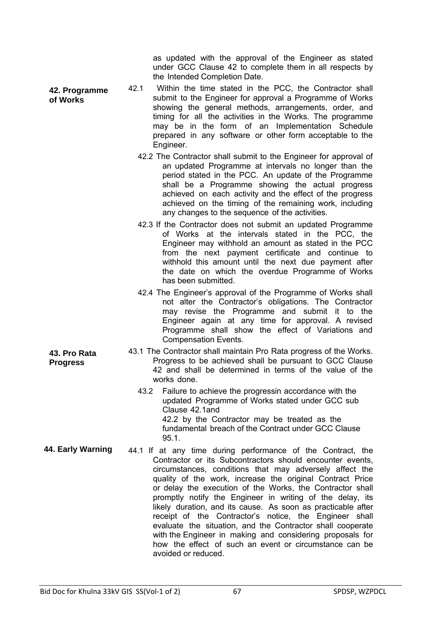as updated with the approval of the Engineer as stated under GCC Clause 42 to complete them in all respects by the Intended Completion Date.

- **42. Programme of Works**  42.1 Within the time stated in the PCC, the Contractor shall submit to the Engineer for approval a Programme of Works showing the general methods, arrangements, order, and timing for all the activities in the Works. The programme may be in the form of an Implementation Schedule prepared in any software or other form acceptable to the Engineer.
	- 42.2 The Contractor shall submit to the Engineer for approval of an updated Programme at intervals no longer than the period stated in the PCC. An update of the Programme shall be a Programme showing the actual progress achieved on each activity and the effect of the progress achieved on the timing of the remaining work, including any changes to the sequence of the activities.
	- 42.3 If the Contractor does not submit an updated Programme of Works at the intervals stated in the PCC, the Engineer may withhold an amount as stated in the PCC from the next payment certificate and continue to withhold this amount until the next due payment after the date on which the overdue Programme of Works has been submitted.
	- 42.4 The Engineer's approval of the Programme of Works shall not alter the Contractor's obligations. The Contractor may revise the Programme and submit it to the Engineer again at any time for approval. A revised Programme shall show the effect of Variations and Compensation Events.
	- 43.1 The Contractor shall maintain Pro Rata progress of the Works. Progress to be achieved shall be pursuant to GCC Clause 42 and shall be determined in terms of the value of the works done.
		- 43.2 Failure to achieve the progressin accordance with the updated Programme of Works stated under GCC sub Clause 42.1and 42.2 by the Contractor may be treated as the fundamental breach of the Contract under GCC Clause 95.1.
- **44. Early Warning** 44.1 If at any time during performance of the Contract, the Contractor or its Subcontractors should encounter events, circumstances, conditions that may adversely affect the quality of the work, increase the original Contract Price or delay the execution of the Works, the Contractor shall promptly notify the Engineer in writing of the delay, its likely duration, and its cause. As soon as practicable after receipt of the Contractor's notice, the Engineer shall evaluate the situation, and the Contractor shall cooperate with the Engineer in making and considering proposals for how the effect of such an event or circumstance can be avoided or reduced.

**43. Pro Rata Progress**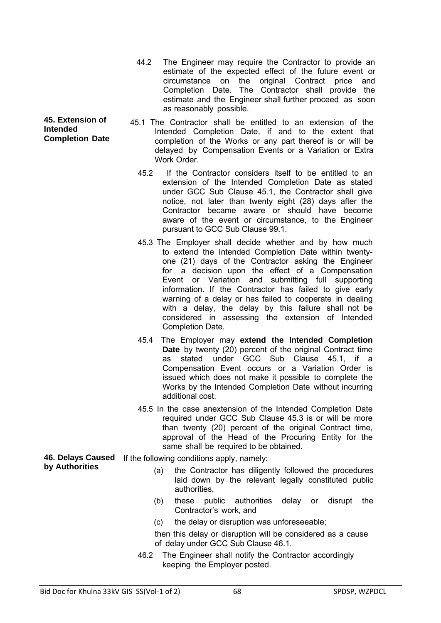- 44.2 The Engineer may require the Contractor to provide an estimate of the expected effect of the future event or circumstance on the original Contract price and Completion Date. The Contractor shall provide the estimate and the Engineer shall further proceed as soon as reasonably possible.
- 45.1 The Contractor shall be entitled to an extension of the Intended Completion Date, if and to the extent that completion of the Works or any part thereof is or will be delayed by Compensation Events or a Variation or Extra Work Order
	- 45.2 If the Contractor considers itself to be entitled to an extension of the Intended Completion Date as stated under GCC Sub Clause 45.1, the Contractor shall give notice, not later than twenty eight (28) days after the Contractor became aware or should have become aware of the event or circumstance, to the Engineer pursuant to GCC Sub Clause 99.1.
	- 45.3 The Employer shall decide whether and by how much to extend the Intended Completion Date within twentyone (21) days of the Contractor asking the Engineer for a decision upon the effect of a Compensation Event or Variation and submitting full supporting information. If the Contractor has failed to give early warning of a delay or has failed to cooperate in dealing with a delay, the delay by this failure shall not be considered in assessing the extension of Intended Completion Date.
	- 45.4 The Employer may **extend the Intended Completion Date** by twenty (20) percent of the original Contract time as stated under GCC Sub Clause 45.1, if a Compensation Event occurs or a Variation Order is issued which does not make it possible to complete the Works by the Intended Completion Date without incurring additional cost.
	- 45.5 In the case anextension of the Intended Completion Date required under GCC Sub Clause 45.3 is or will be more than twenty (20) percent of the original Contract time, approval of the Head of the Procuring Entity for the same shall be required to be obtained.
- **46. Delays Caused**  If the following conditions apply, namely: **by Authorities** 
	- (a) the Contractor has diligently followed the procedures laid down by the relevant legally constituted public authorities,
	- (b) these public authorities delay or disrupt the Contractor's work, and
	- (c) the delay or disruption was unforeseeable;

then this delay or disruption will be considered as a cause of delay under GCC Sub Clause 46.1.

46.2 The Engineer shall notify the Contractor accordingly keeping the Employer posted.

**45. Extension of Intended Completion Date**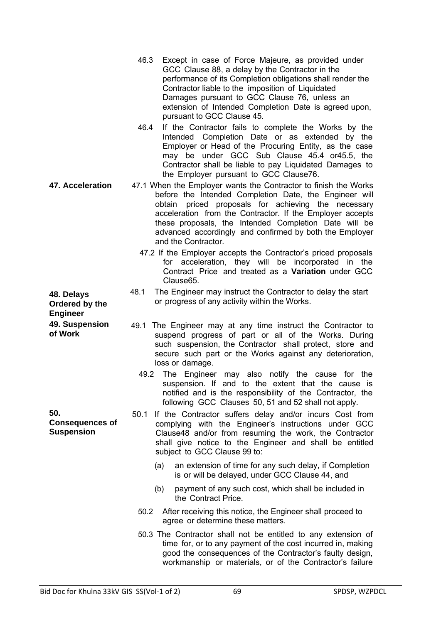| 46.3 | Except in case of Force Majeure, as provided under         |
|------|------------------------------------------------------------|
|      | GCC Clause 88, a delay by the Contractor in the            |
|      | performance of its Completion obligations shall render the |
|      | Contractor liable to the imposition of Liquidated          |
|      | Damages pursuant to GCC Clause 76, unless an               |
|      | extension of Intended Completion Date is agreed upon,      |
|      | pursuant to GCC Clause 45.                                 |

- 46.4 If the Contractor fails to complete the Works by the Intended Completion Date or as extended by the Employer or Head of the Procuring Entity, as the case may be under GCC Sub Clause 45.4 or45.5, the Contractor shall be liable to pay Liquidated Damages to the Employer pursuant to GCC Clause76.
- **47. Acceleration** 47.1 When the Employer wants the Contractor to finish the Works before the Intended Completion Date, the Engineer will obtain priced proposals for achieving the necessary acceleration from the Contractor. If the Employer accepts these proposals, the Intended Completion Date will be advanced accordingly and confirmed by both the Employer and the Contractor.
	- 47.2 If the Employer accepts the Contractor's priced proposals for acceleration, they will be incorporated in the Contract Price and treated as a **Variation** under GCC Clause65.
	- 48.1 The Engineer may instruct the Contractor to delay the start or progress of any activity within the Works.
	- 49.1 The Engineer may at any time instruct the Contractor to suspend progress of part or all of the Works. During such suspension, the Contractor shall protect, store and secure such part or the Works against any deterioration, loss or damage.
		- 49.2 The Engineer may also notify the cause for the suspension. If and to the extent that the cause is notified and is the responsibility of the Contractor, the following GCC Clauses 50, 51 and 52 shall not apply.
	- 50.1 If the Contractor suffers delay and/or incurs Cost from complying with the Engineer's instructions under GCC Clause48 and/or from resuming the work, the Contractor shall give notice to the Engineer and shall be entitled subject to GCC Clause 99 to:
		- (a) an extension of time for any such delay, if Completion is or will be delayed, under GCC Clause 44, and
		- (b) payment of any such cost, which shall be included in the Contract Price.
		- 50.2 After receiving this notice, the Engineer shall proceed to agree or determine these matters.
		- 50.3 The Contractor shall not be entitled to any extension of time for, or to any payment of the cost incurred in, making good the consequences of the Contractor's faulty design, workmanship or materials, or of the Contractor's failure

**48. Delays Ordered by the Engineer 49. Suspension of Work** 

**50. Consequences of Suspension**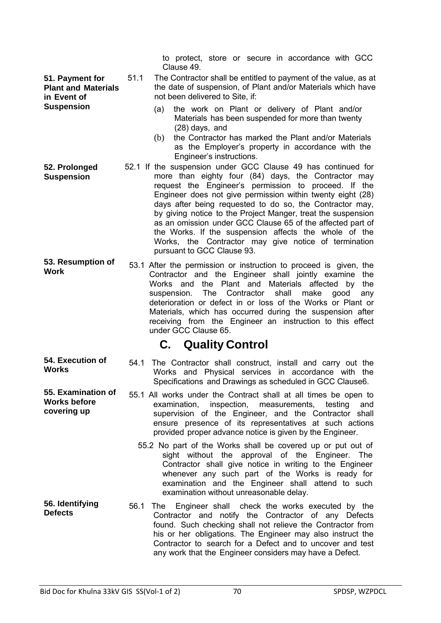**51. Payment for Plant and Materials in Event of Suspension** 

to protect, store or secure in accordance with GCC Clause 49.

- 51.1 The Contractor shall be entitled to payment of the value, as at the date of suspension, of Plant and/or Materials which have not been delivered to Site, if:
	- (a) the work on Plant or delivery of Plant and/or Materials has been suspended for more than twenty (28) days, and
	- (b) the Contractor has marked the Plant and/or Materials as the Employer's property in accordance with the Engineer's instructions.
- **52. Prolonged Suspension**  52.1 If the suspension under GCC Clause 49 has continued for more than eighty four (84) days, the Contractor may request the Engineer's permission to proceed. If the Engineer does not give permission within twenty eight (28) days after being requested to do so, the Contractor may, by giving notice to the Project Manger, treat the suspension as an omission under GCC Clause 65 of the affected part of the Works. If the suspension affects the whole of the Works, the Contractor may give notice of termination pursuant to GCC Clause 93.
- **53. Resumption of Work** 53.1 After the permission or instruction to proceed is given, the Contractor and the Engineer shall jointly examine the Works and the Plant and Materials affected by the suspension. The Contractor shall make good any deterioration or defect in or loss of the Works or Plant or Materials, which has occurred during the suspension after receiving from the Engineer an instruction to this effect under GCC Clause 65.

## **C. Quality Control**

- **54. Execution of 54. Execution of** 54.1 The Contractor shall construct, install and carry out the Works Works and Physical services in accordance with the Specifications and Drawings as scheduled in GCC Clause6.
- **55. Examination of**  55.1 All works under the Contract shall at all times be open to examination, inspection, measurements, testing and supervision of the Engineer, and the Contractor shall ensure presence of its representatives at such actions provided proper advance notice is given by the Engineer.
	- 55.2 No part of the Works shall be covered up or put out of sight without the approval of the Engineer. The Contractor shall give notice in writing to the Engineer whenever any such part of the Works is ready for examination and the Engineer shall attend to such examination without unreasonable delay.
- **56. Identifying 56. Identifying** 56.1 The Engineer shall check the works executed by the Defects Contractor and notify the Contractor of any Defects found. Such checking shall not relieve the Contractor from his or her obligations. The Engineer may also instruct the Contractor to search for a Defect and to uncover and test any work that the Engineer considers may have a Defect.

**Works before covering up**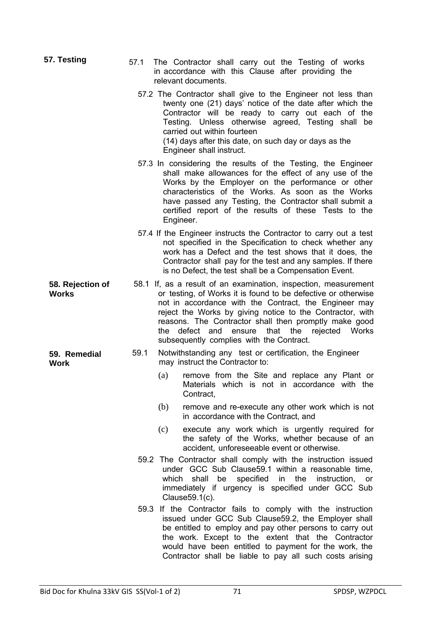| 57. Testing                      | 57.1 | The Contractor shall carry out the Testing of works<br>in accordance with this Clause after providing the<br>relevant documents.                                                                                                                                                                                                                                                                                            |
|----------------------------------|------|-----------------------------------------------------------------------------------------------------------------------------------------------------------------------------------------------------------------------------------------------------------------------------------------------------------------------------------------------------------------------------------------------------------------------------|
|                                  |      | 57.2 The Contractor shall give to the Engineer not less than<br>twenty one (21) days' notice of the date after which the<br>Contractor will be ready to carry out each of the<br>Testing. Unless otherwise agreed, Testing shall be<br>carried out within fourteen<br>(14) days after this date, on such day or days as the<br>Engineer shall instruct.                                                                     |
|                                  |      | 57.3 In considering the results of the Testing, the Engineer<br>shall make allowances for the effect of any use of the<br>Works by the Employer on the performance or other<br>characteristics of the Works. As soon as the Works<br>have passed any Testing, the Contractor shall submit a<br>certified report of the results of these Tests to the<br>Engineer.                                                           |
|                                  |      | 57.4 If the Engineer instructs the Contractor to carry out a test<br>not specified in the Specification to check whether any<br>work has a Defect and the test shows that it does, the<br>Contractor shall pay for the test and any samples. If there<br>is no Defect, the test shall be a Compensation Event.                                                                                                              |
| 58. Rejection of<br><b>Works</b> |      | 58.1 If, as a result of an examination, inspection, measurement<br>or testing, of Works it is found to be defective or otherwise<br>not in accordance with the Contract, the Engineer may<br>reject the Works by giving notice to the Contractor, with<br>reasons. The Contractor shall then promptly make good<br>that the<br>defect and<br>rejected<br>Works<br>the<br>ensure<br>subsequently complies with the Contract. |
| 59. Remedial<br><b>Work</b>      | 59.1 | Notwithstanding any test or certification, the Engineer<br>may instruct the Contractor to:                                                                                                                                                                                                                                                                                                                                  |
|                                  |      | remove from the Site and replace any Plant or<br>(a)<br>Materials which is not in accordance with the<br>Contract,                                                                                                                                                                                                                                                                                                          |
|                                  |      | (b)<br>remove and re-execute any other work which is not<br>in accordance with the Contract, and                                                                                                                                                                                                                                                                                                                            |
|                                  |      | execute any work which is urgently required for<br>(c)<br>the safety of the Works, whether because of an<br>accident, unforeseeable event or otherwise.                                                                                                                                                                                                                                                                     |
|                                  |      | 59.2 The Contractor shall comply with the instruction issued<br>under GCC Sub Clause 59.1 within a reasonable time,<br>specified<br>the<br>which<br>shall<br>be<br>in<br>instruction,<br>or<br>immediately if urgency is specified under GCC Sub<br>Clause 59.1(c).                                                                                                                                                         |
|                                  | 59.3 | If the Contractor fails to comply with the instruction<br>issued under GCC Sub Clause 59.2, the Employer shall<br>be entitled to employ and pay other persons to carry out<br>the work. Except to the extent that the Contractor<br>would have been entitled to payment for the work, the<br>Contractor shall be liable to pay all such costs arising                                                                       |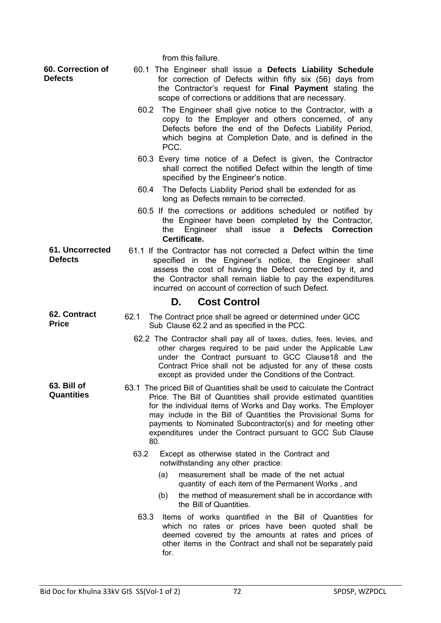from this failure. **60. Correction of Defects**  60.1 The Engineer shall issue a **Defects Liability Schedule**  for correction of Defects within fifty six (56) days from the Contractor's request for **Final Payment** stating the scope of corrections or additions that are necessary. 60.2 The Engineer shall give notice to the Contractor, with a copy to the Employer and others concerned, of any Defects before the end of the Defects Liability Period, which begins at Completion Date, and is defined in the PCC. 60.3 Every time notice of a Defect is given, the Contractor shall correct the notified Defect within the length of time specified by the Engineer's notice. 60.4 The Defects Liability Period shall be extended for as long as Defects remain to be corrected. 60.5 If the corrections or additions scheduled or notified by the Engineer have been completed by the Contractor, the Engineer shall issue a **Defects Correction Certificate. 61. Uncorrected Defects**  61.1 If the Contractor has not corrected a Defect within the time specified in the Engineer's notice, the Engineer shall assess the cost of having the Defect corrected by it, and the Contractor shall remain liable to pay the expenditures incurred on account of correction of such Defect. **D. Cost Control 62. Contract Price**  62.1 The Contract price shall be agreed or determined under GCC Sub Clause 62.2 and as specified in the PCC. 62.2 The Contractor shall pay all of taxes, duties, fees, levies, and other charges required to be paid under the Applicable Law under the Contract pursuant to GCC Clause18 and the Contract Price shall not be adjusted for any of these costs except as provided under the Conditions of the Contract. **63. Bill of Quantities**  63.1 The priced Bill of Quantities shall be used to calculate the Contract Price. The Bill of Quantities shall provide estimated quantities for the individual items of Works and Day works. The Employer may include in the Bill of Quantities the Provisional Sums for payments to Nominated Subcontractor(s) and for meeting other expenditures under the Contract pursuant to GCC Sub Clause 80. 63.2 Except as otherwise stated in the Contract and notwithstanding any other practice: (a) measurement shall be made of the net actual quantity of each item of the Permanent Works , and (b) the method of measurement shall be in accordance with the Bill of Quantities. 63.3 Items of works quantified in the Bill of Quantities for which no rates or prices have been quoted shall be deemed covered by the amounts at rates and prices of other items in the Contract and shall not be separately paid for.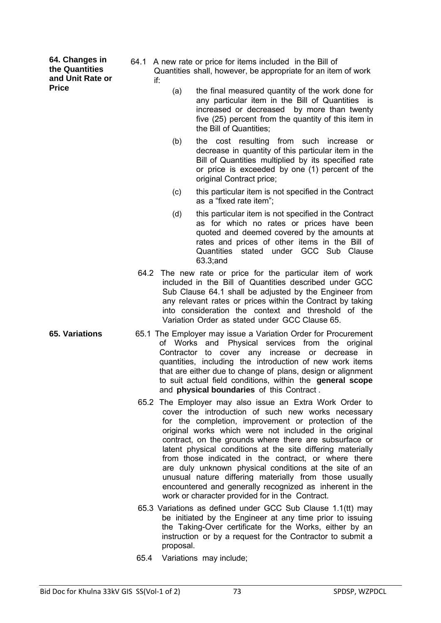**64. Changes in the Quantities and Unit Rate or Price** 

- 64.1 A new rate or price for items included in the Bill of Quantities shall, however, be appropriate for an item of work if:
	- (a) the final measured quantity of the work done for any particular item in the Bill of Quantities is increased or decreased by more than twenty five (25) percent from the quantity of this item in the Bill of Quantities;
	- (b) the cost resulting from such increase or decrease in quantity of this particular item in the Bill of Quantities multiplied by its specified rate or price is exceeded by one (1) percent of the original Contract price:
	- (c) this particular item is not specified in the Contract as a "fixed rate item";
	- (d) this particular item is not specified in the Contract as for which no rates or prices have been quoted and deemed covered by the amounts at rates and prices of other items in the Bill of Quantities stated under GCC Sub Clause 63.3;and
	- 64.2 The new rate or price for the particular item of work included in the Bill of Quantities described under GCC Sub Clause 64.1 shall be adjusted by the Engineer from any relevant rates or prices within the Contract by taking into consideration the context and threshold of the Variation Order as stated under GCC Clause 65.
- **65. Variations** 65.1 The Employer may issue a Variation Order for Procurement of Works and Physical services from the original Contractor to cover any increase or decrease in quantities, including the introduction of new work items that are either due to change of plans, design or alignment to suit actual field conditions, within the **general scope**  and **physical boundaries** of this Contract .
	- 65.2 The Employer may also issue an Extra Work Order to cover the introduction of such new works necessary for the completion, improvement or protection of the original works which were not included in the original contract, on the grounds where there are subsurface or latent physical conditions at the site differing materially from those indicated in the contract, or where there are duly unknown physical conditions at the site of an unusual nature differing materially from those usually encountered and generally recognized as inherent in the work or character provided for in the Contract.
	- 65.3 Variations as defined under GCC Sub Clause 1.1(tt) may be initiated by the Engineer at any time prior to issuing the Taking-Over certificate for the Works, either by an instruction or by a request for the Contractor to submit a proposal.
	- 65.4 Variations may include;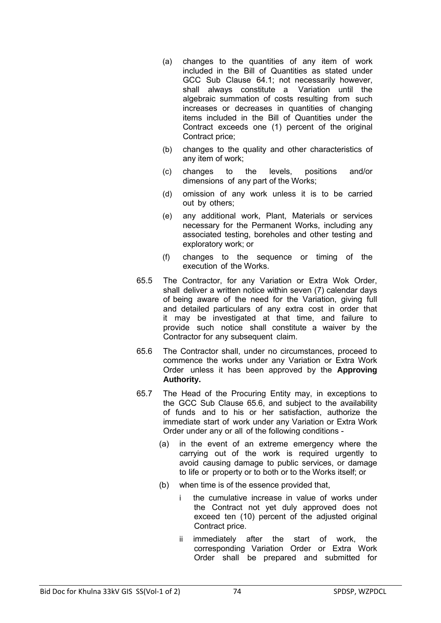- (a) changes to the quantities of any item of work included in the Bill of Quantities as stated under GCC Sub Clause 64.1; not necessarily however, shall always constitute a Variation until the algebraic summation of costs resulting from such increases or decreases in quantities of changing items included in the Bill of Quantities under the Contract exceeds one (1) percent of the original Contract price;
- (b) changes to the quality and other characteristics of any item of work;
- (c) changes to the levels, positions and/or dimensions of any part of the Works;
- (d) omission of any work unless it is to be carried out by others;
- (e) any additional work, Plant, Materials or services necessary for the Permanent Works, including any associated testing, boreholes and other testing and exploratory work; or
- (f) changes to the sequence or timing of the execution of the Works.
- 65.5 The Contractor, for any Variation or Extra Wok Order, shall deliver a written notice within seven (7) calendar days of being aware of the need for the Variation, giving full and detailed particulars of any extra cost in order that it may be investigated at that time, and failure to provide such notice shall constitute a waiver by the Contractor for any subsequent claim.
- 65.6 The Contractor shall, under no circumstances, proceed to commence the works under any Variation or Extra Work Order unless it has been approved by the **Approving Authority.**
- 65.7 The Head of the Procuring Entity may, in exceptions to the GCC Sub Clause 65.6, and subject to the availability of funds and to his or her satisfaction, authorize the immediate start of work under any Variation or Extra Work Order under any or all of the following conditions -
	- (a) in the event of an extreme emergency where the carrying out of the work is required urgently to avoid causing damage to public services, or damage to life or property or to both or to the Works itself; or
	- (b) when time is of the essence provided that,
		- i the cumulative increase in value of works under the Contract not yet duly approved does not exceed ten (10) percent of the adjusted original Contract price.
		- ii immediately after the start of work, the corresponding Variation Order or Extra Work Order shall be prepared and submitted for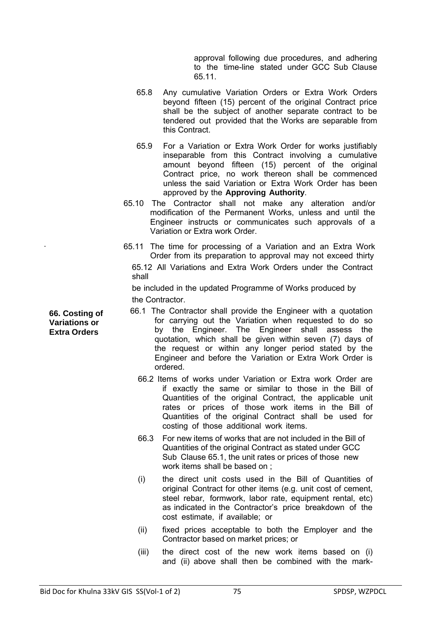approval following due procedures, and adhering to the time-line stated under GCC Sub Clause 65.11.

- 65.8 Any cumulative Variation Orders or Extra Work Orders beyond fifteen (15) percent of the original Contract price shall be the subject of another separate contract to be tendered out provided that the Works are separable from this Contract.
- 65.9 For a Variation or Extra Work Order for works justifiably inseparable from this Contract involving a cumulative amount beyond fifteen (15) percent of the original Contract price, no work thereon shall be commenced unless the said Variation or Extra Work Order has been approved by the **Approving Authority**.
- 65.10 The Contractor shall not make any alteration and/or modification of the Permanent Works, unless and until the Engineer instructs or communicates such approvals of a Variation or Extra work Order.
- . 65.11 The time for processing of a Variation and an Extra Work Order from its preparation to approval may not exceed thirty 65.12 All Variations and Extra Work Orders under the Contract shall

be included in the updated Programme of Works produced by the Contractor.

- 66.1 The Contractor shall provide the Engineer with a quotation for carrying out the Variation when requested to do so by the Engineer. The Engineer shall assess the quotation, which shall be given within seven (7) days of the request or within any longer period stated by the Engineer and before the Variation or Extra Work Order is ordered.
	- 66.2 Items of works under Variation or Extra work Order are if exactly the same or similar to those in the Bill of Quantities of the original Contract, the applicable unit rates or prices of those work items in the Bill of Quantities of the original Contract shall be used for costing of those additional work items.
	- 66.3 For new items of works that are not included in the Bill of Quantities of the original Contract as stated under GCC Sub Clause 65.1, the unit rates or prices of those new work items shall be based on ;
	- (i) the direct unit costs used in the Bill of Quantities of original Contract for other items (e.g. unit cost of cement, steel rebar, formwork, labor rate, equipment rental, etc) as indicated in the Contractor's price breakdown of the cost estimate, if available; or
	- (ii) fixed prices acceptable to both the Employer and the Contractor based on market prices; or
	- (iii) the direct cost of the new work items based on (i) and (ii) above shall then be combined with the mark-

**66. Costing of Variations or Extra Orders**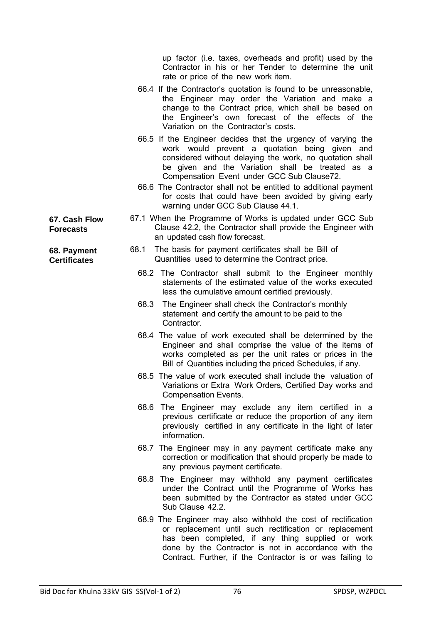up factor (i.e. taxes, overheads and profit) used by the Contractor in his or her Tender to determine the unit rate or price of the new work item.

- 66.4 If the Contractor's quotation is found to be unreasonable, the Engineer may order the Variation and make a change to the Contract price, which shall be based on the Engineer's own forecast of the effects of the Variation on the Contractor's costs.
- 66.5 If the Engineer decides that the urgency of varying the work would prevent a quotation being given and considered without delaying the work, no quotation shall be given and the Variation shall be treated as a Compensation Event under GCC Sub Clause72.
- 66.6 The Contractor shall not be entitled to additional payment for costs that could have been avoided by giving early warning under GCC Sub Clause 44.1.
- 67.1 When the Programme of Works is updated under GCC Sub Clause 42.2, the Contractor shall provide the Engineer with an updated cash flow forecast.
	- 68.1 The basis for payment certificates shall be Bill of Quantities used to determine the Contract price.
		- 68.2 The Contractor shall submit to the Engineer monthly statements of the estimated value of the works executed less the cumulative amount certified previously.
		- 68.3 The Engineer shall check the Contractor's monthly statement and certify the amount to be paid to the Contractor.
		- 68.4 The value of work executed shall be determined by the Engineer and shall comprise the value of the items of works completed as per the unit rates or prices in the Bill of Quantities including the priced Schedules, if any.
		- 68.5 The value of work executed shall include the valuation of Variations or Extra Work Orders, Certified Day works and Compensation Events.
		- 68.6 The Engineer may exclude any item certified in a previous certificate or reduce the proportion of any item previously certified in any certificate in the light of later information.
		- 68.7 The Engineer may in any payment certificate make any correction or modification that should properly be made to any previous payment certificate.
		- 68.8 The Engineer may withhold any payment certificates under the Contract until the Programme of Works has been submitted by the Contractor as stated under GCC Sub Clause 42.2.
		- 68.9 The Engineer may also withhold the cost of rectification or replacement until such rectification or replacement has been completed, if any thing supplied or work done by the Contractor is not in accordance with the Contract. Further, if the Contractor is or was failing to

**67. Cash Flow Forecasts** 

**68. Payment Certificates**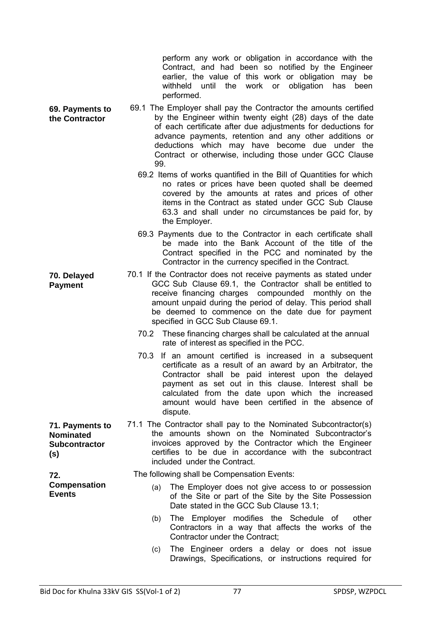perform any work or obligation in accordance with the Contract, and had been so notified by the Engineer earlier, the value of this work or obligation may be withheld until the work or obligation has been performed.

- **69. Payments to**  69.1 The Employer shall pay the Contractor the amounts certified by the Engineer within twenty eight (28) days of the date of each certificate after due adjustments for deductions for advance payments, retention and any other additions or deductions which may have become due under the Contract or otherwise, including those under GCC Clause 99.
	- 69.2 Items of works quantified in the Bill of Quantities for which no rates or prices have been quoted shall be deemed covered by the amounts at rates and prices of other items in the Contract as stated under GCC Sub Clause 63.3 and shall under no circumstances be paid for, by the Employer.
	- 69.3 Payments due to the Contractor in each certificate shall be made into the Bank Account of the title of the Contract specified in the PCC and nominated by the Contractor in the currency specified in the Contract.
	- 70.1 If the Contractor does not receive payments as stated under GCC Sub Clause 69.1, the Contractor shall be entitled to receive financing charges compounded monthly on the amount unpaid during the period of delay. This period shall be deemed to commence on the date due for payment specified in GCC Sub Clause 69.1.
		- 70.2 These financing charges shall be calculated at the annual rate of interest as specified in the PCC.
		- 70.3 If an amount certified is increased in a subsequent certificate as a result of an award by an Arbitrator, the Contractor shall be paid interest upon the delayed payment as set out in this clause. Interest shall be calculated from the date upon which the increased amount would have been certified in the absence of dispute.
- **71. Payments to**  71.1 The Contractor shall pay to the Nominated Subcontractor(s) the amounts shown on the Nominated Subcontractor's invoices approved by the Contractor which the Engineer certifies to be due in accordance with the subcontract included under the Contract.

The following shall be Compensation Events:

- (a) The Employer does not give access to or possession of the Site or part of the Site by the Site Possession Date stated in the GCC Sub Clause 13.1;
- (b) The Employer modifies the Schedule of other Contractors in a way that affects the works of the Contractor under the Contract;
- (c) The Engineer orders a delay or does not issue Drawings, Specifications, or instructions required for

**the Contractor** 

**70. Delayed Payment** 

**Nominated Subcontractor** 

**Compensation** 

**(s)** 

**72.** 

**Events**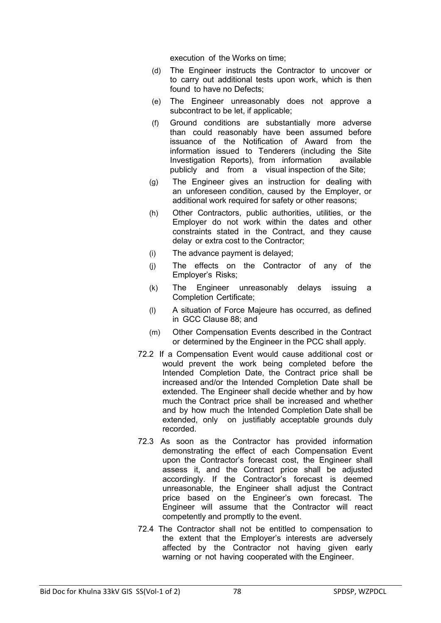execution of the Works on time;

- (d) The Engineer instructs the Contractor to uncover or to carry out additional tests upon work, which is then found to have no Defects;
- (e) The Engineer unreasonably does not approve a subcontract to be let, if applicable;
- (f) Ground conditions are substantially more adverse than could reasonably have been assumed before issuance of the Notification of Award from the information issued to Tenderers (including the Site Investigation Reports), from information available publicly and from a visual inspection of the Site;
- (g) The Engineer gives an instruction for dealing with an unforeseen condition, caused by the Employer, or additional work required for safety or other reasons;
- (h) Other Contractors, public authorities, utilities, or the Employer do not work within the dates and other constraints stated in the Contract, and they cause delay or extra cost to the Contractor;
- (i) The advance payment is delayed;
- (j) The effects on the Contractor of any of the Employer's Risks;
- (k) The Engineer unreasonably delays issuing a Completion Certificate;
- (l) A situation of Force Majeure has occurred, as defined in GCC Clause 88; and
- (m) Other Compensation Events described in the Contract or determined by the Engineer in the PCC shall apply.
- 72.2 If a Compensation Event would cause additional cost or would prevent the work being completed before the Intended Completion Date, the Contract price shall be increased and/or the Intended Completion Date shall be extended. The Engineer shall decide whether and by how much the Contract price shall be increased and whether and by how much the Intended Completion Date shall be extended, only on justifiably acceptable grounds duly recorded.
- 72.3 As soon as the Contractor has provided information demonstrating the effect of each Compensation Event upon the Contractor's forecast cost, the Engineer shall assess it, and the Contract price shall be adjusted accordingly. If the Contractor's forecast is deemed unreasonable, the Engineer shall adjust the Contract price based on the Engineer's own forecast. The Engineer will assume that the Contractor will react competently and promptly to the event.
- 72.4 The Contractor shall not be entitled to compensation to the extent that the Employer's interests are adversely affected by the Contractor not having given early warning or not having cooperated with the Engineer.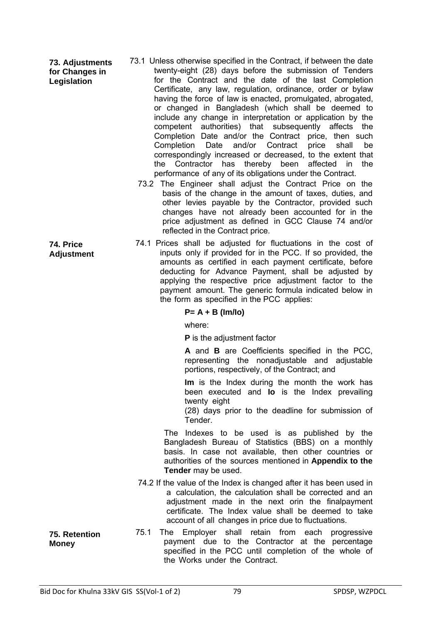**73. Adjustments for Changes in Legislation** 

**74. Price Adjustment** 

- 73.1 Unless otherwise specified in the Contract, if between the date twenty-eight (28) days before the submission of Tenders for the Contract and the date of the last Completion Certificate, any law, regulation, ordinance, order or bylaw having the force of law is enacted, promulgated, abrogated, or changed in Bangladesh (which shall be deemed to include any change in interpretation or application by the competent authorities) that subsequently affects the Completion Date and/or the Contract price, then such Completion Date and/or Contract price shall be correspondingly increased or decreased, to the extent that the Contractor has thereby been affected in the performance of any of its obligations under the Contract.
	- 73.2 The Engineer shall adjust the Contract Price on the basis of the change in the amount of taxes, duties, and other levies payable by the Contractor, provided such changes have not already been accounted for in the price adjustment as defined in GCC Clause 74 and/or reflected in the Contract price.
- 74.1 Prices shall be adjusted for fluctuations in the cost of inputs only if provided for in the PCC. If so provided, the amounts as certified in each payment certificate, before deducting for Advance Payment, shall be adjusted by applying the respective price adjustment factor to the payment amount. The generic formula indicated below in the form as specified in the PCC applies:

#### **P= A + B (Im/Io)**

where:

**P** is the adjustment factor

**A** and **B** are Coefficients specified in the PCC, representing the nonadjustable and adjustable portions, respectively, of the Contract; and

**Im** is the Index during the month the work has been executed and **Io** is the Index prevailing twenty eight

(28) days prior to the deadline for submission of Tender.

The Indexes to be used is as published by the Bangladesh Bureau of Statistics (BBS) on a monthly basis. In case not available, then other countries or authorities of the sources mentioned in **Appendix to the Tender** may be used.

74.2 If the value of the Index is changed after it has been used in a calculation, the calculation shall be corrected and an adjustment made in the next orin the finalpayment certificate. The Index value shall be deemed to take account of all changes in price due to fluctuations.

75.1 The Employer shall retain from each progressive payment due to the Contractor at the percentage specified in the PCC until completion of the whole of the Works under the Contract.

**75. Retention** 

**Money**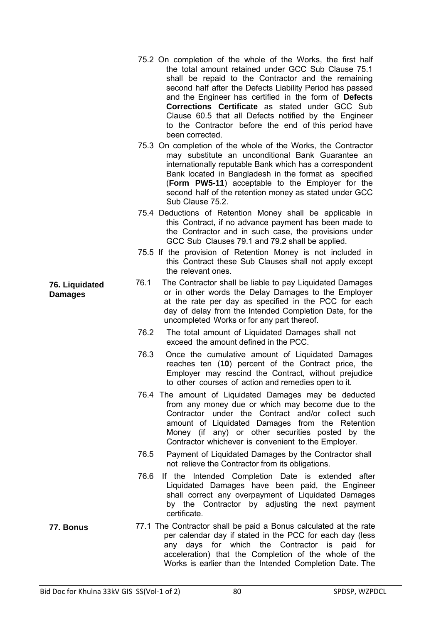- 75.2 On completion of the whole of the Works, the first half the total amount retained under GCC Sub Clause 75.1 shall be repaid to the Contractor and the remaining second half after the Defects Liability Period has passed and the Engineer has certified in the form of **Defects Corrections Certificate** as stated under GCC Sub Clause 60.5 that all Defects notified by the Engineer to the Contractor before the end of this period have been corrected.
- 75.3 On completion of the whole of the Works, the Contractor may substitute an unconditional Bank Guarantee an internationally reputable Bank which has a correspondent Bank located in Bangladesh in the format as specified (**Form PW5-11**) acceptable to the Employer for the second half of the retention money as stated under GCC Sub Clause 75.2.
- 75.4 Deductions of Retention Money shall be applicable in this Contract, if no advance payment has been made to the Contractor and in such case, the provisions under GCC Sub Clauses 79.1 and 79.2 shall be applied.
- 75.5 If the provision of Retention Money is not included in this Contract these Sub Clauses shall not apply except the relevant ones.
- 76.1 The Contractor shall be liable to pay Liquidated Damages or in other words the Delay Damages to the Employer at the rate per day as specified in the PCC for each day of delay from the Intended Completion Date, for the uncompleted Works or for any part thereof.
	- 76.2 The total amount of Liquidated Damages shall not exceed the amount defined in the PCC.
	- 76.3 Once the cumulative amount of Liquidated Damages reaches ten (**10**) percent of the Contract price, the Employer may rescind the Contract, without prejudice to other courses of action and remedies open to it.
	- 76.4 The amount of Liquidated Damages may be deducted from any money due or which may become due to the Contractor under the Contract and/or collect such amount of Liquidated Damages from the Retention Money (if any) or other securities posted by the Contractor whichever is convenient to the Employer.
	- 76.5 Payment of Liquidated Damages by the Contractor shall not relieve the Contractor from its obligations.
	- 76.6 If the Intended Completion Date is extended after Liquidated Damages have been paid, the Engineer shall correct any overpayment of Liquidated Damages by the Contractor by adjusting the next payment certificate.
- **77. Bonus** 77.1 The Contractor shall be paid a Bonus calculated at the rate per calendar day if stated in the PCC for each day (less any days for which the Contractor is paid for acceleration) that the Completion of the whole of the Works is earlier than the Intended Completion Date. The

**76. Liquidated Damages**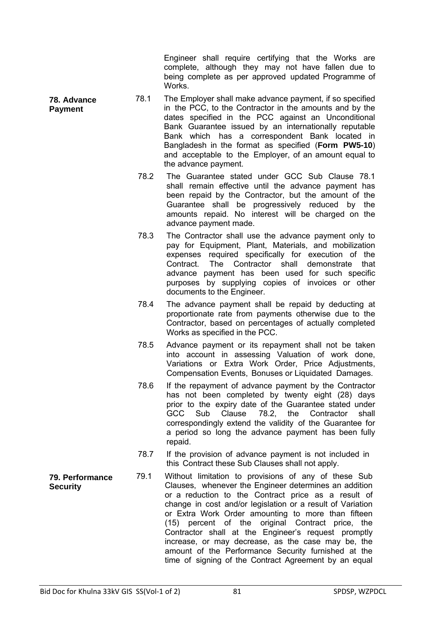Engineer shall require certifying that the Works are complete, although they may not have fallen due to being complete as per approved updated Programme of **Works** 

- 78.1 The Employer shall make advance payment, if so specified in the PCC, to the Contractor in the amounts and by the dates specified in the PCC against an Unconditional Bank Guarantee issued by an internationally reputable Bank which has a correspondent Bank located in Bangladesh in the format as specified (**Form PW5-10**) and acceptable to the Employer, of an amount equal to the advance payment.
	- 78.2 The Guarantee stated under GCC Sub Clause 78.1 shall remain effective until the advance payment has been repaid by the Contractor, but the amount of the Guarantee shall be progressively reduced by the amounts repaid. No interest will be charged on the advance payment made.
	- 78.3 The Contractor shall use the advance payment only to pay for Equipment, Plant, Materials, and mobilization expenses required specifically for execution of the Contract. The Contractor shall demonstrate that advance payment has been used for such specific purposes by supplying copies of invoices or other documents to the Engineer.
	- 78.4 The advance payment shall be repaid by deducting at proportionate rate from payments otherwise due to the Contractor, based on percentages of actually completed Works as specified in the PCC.
	- 78.5 Advance payment or its repayment shall not be taken into account in assessing Valuation of work done, Variations or Extra Work Order, Price Adjustments, Compensation Events, Bonuses or Liquidated Damages.
	- 78.6 If the repayment of advance payment by the Contractor has not been completed by twenty eight (28) days prior to the expiry date of the Guarantee stated under GCC Sub Clause 78.2, the Contractor shall correspondingly extend the validity of the Guarantee for a period so long the advance payment has been fully repaid.
	- 78.7 If the provision of advance payment is not included in this Contract these Sub Clauses shall not apply.
- 79.1 Without limitation to provisions of any of these Sub Clauses, whenever the Engineer determines an addition or a reduction to the Contract price as a result of change in cost and/or legislation or a result of Variation or Extra Work Order amounting to more than fifteen (15) percent of the original Contract price, the Contractor shall at the Engineer's request promptly increase, or may decrease, as the case may be, the amount of the Performance Security furnished at the time of signing of the Contract Agreement by an equal

**79. Performance Security** 

**78. Advance Payment**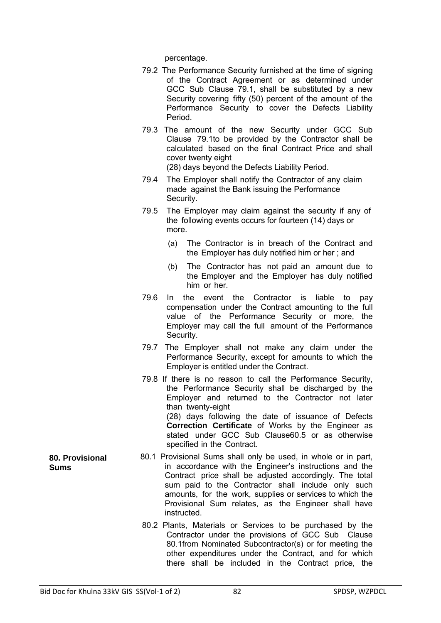percentage.

- 79.2 The Performance Security furnished at the time of signing of the Contract Agreement or as determined under GCC Sub Clause 79.1, shall be substituted by a new Security covering fifty (50) percent of the amount of the Performance Security to cover the Defects Liability Period.
- 79.3 The amount of the new Security under GCC Sub Clause 79.1to be provided by the Contractor shall be calculated based on the final Contract Price and shall cover twenty eight

(28) days beyond the Defects Liability Period.

- 79.4 The Employer shall notify the Contractor of any claim made against the Bank issuing the Performance Security.
- 79.5 The Employer may claim against the security if any of the following events occurs for fourteen (14) days or more.
	- (a) The Contractor is in breach of the Contract and the Employer has duly notified him or her ; and
	- (b) The Contractor has not paid an amount due to the Employer and the Employer has duly notified him or her.
- 79.6 In the event the Contractor is liable to pay compensation under the Contract amounting to the full value of the Performance Security or more, the Employer may call the full amount of the Performance Security.
- 79.7 The Employer shall not make any claim under the Performance Security, except for amounts to which the Employer is entitled under the Contract.
- 79.8 If there is no reason to call the Performance Security, the Performance Security shall be discharged by the Employer and returned to the Contractor not later than twenty-eight (28) days following the date of issuance of Defects **Correction Certificate** of Works by the Engineer as stated under GCC Sub Clause60.5 or as otherwise specified in the Contract.
- 80.1 Provisional Sums shall only be used, in whole or in part, in accordance with the Engineer's instructions and the Contract price shall be adjusted accordingly. The total sum paid to the Contractor shall include only such amounts, for the work, supplies or services to which the Provisional Sum relates, as the Engineer shall have instructed.
	- 80.2 Plants, Materials or Services to be purchased by the Contractor under the provisions of GCC Sub Clause 80.1from Nominated Subcontractor(s) or for meeting the other expenditures under the Contract, and for which there shall be included in the Contract price, the

**80. Provisional Sums**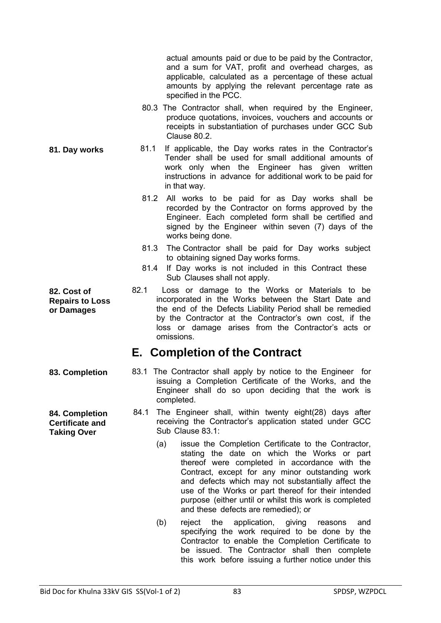actual amounts paid or due to be paid by the Contractor, and a sum for VAT, profit and overhead charges, as applicable, calculated as a percentage of these actual amounts by applying the relevant percentage rate as specified in the PCC.

- 80.3 The Contractor shall, when required by the Engineer, produce quotations, invoices, vouchers and accounts or receipts in substantiation of purchases under GCC Sub Clause 80.2.
- **81. Day works** 81.1 If applicable, the Day works rates in the Contractor's Tender shall be used for small additional amounts of work only when the Engineer has given written instructions in advance for additional work to be paid for in that way.
	- 81.2 All works to be paid for as Day works shall be recorded by the Contractor on forms approved by the Engineer. Each completed form shall be certified and signed by the Engineer within seven (7) days of the works being done.
	- 81.3 The Contractor shall be paid for Day works subject to obtaining signed Day works forms.
	- 81.4 If Day works is not included in this Contract these Sub Clauses shall not apply.
	- 82.1 Loss or damage to the Works or Materials to be incorporated in the Works between the Start Date and the end of the Defects Liability Period shall be remedied by the Contractor at the Contractor's own cost, if the loss or damage arises from the Contractor's acts or omissions.

## **E. Completion of the Contract**

- **83. Completion** 83.1 The Contractor shall apply by notice to the Engineer for issuing a Completion Certificate of the Works, and the Engineer shall do so upon deciding that the work is completed.
	- 84.1 The Engineer shall, within twenty eight(28) days after receiving the Contractor's application stated under GCC Sub Clause 83.1:
		- (a) issue the Completion Certificate to the Contractor, stating the date on which the Works or part thereof were completed in accordance with the Contract, except for any minor outstanding work and defects which may not substantially affect the use of the Works or part thereof for their intended purpose (either until or whilst this work is completed and these defects are remedied); or
		- (b) reject the application, giving reasons and specifying the work required to be done by the Contractor to enable the Completion Certificate to be issued. The Contractor shall then complete this work before issuing a further notice under this

**82. Cost of Repairs to Loss or Damages** 

**84. Completion Certificate and Taking Over**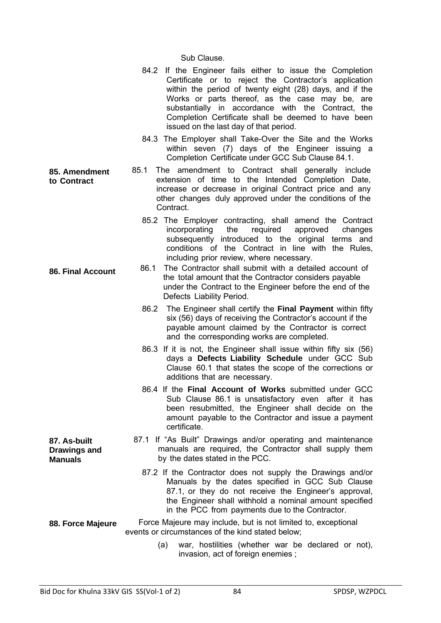Sub Clause.

| 84.2 If the Engineer fails either to issue the Completion |
|-----------------------------------------------------------|
| Certificate or to reject the Contractor's application     |
| within the period of twenty eight (28) days, and if the   |
| Works or parts thereof, as the case may be, are           |
| substantially in accordance with the Contract, the        |
| Completion Certificate shall be deemed to have been       |
| issued on the last day of that period.                    |

- 84.3 The Employer shall Take-Over the Site and the Works within seven (7) days of the Engineer issuing a Completion Certificate under GCC Sub Clause 84.1.
- **85. Amendment to Contract**  85.1 The amendment to Contract shall generally include extension of time to the Intended Completion Date, increase or decrease in original Contract price and any other changes duly approved under the conditions of the Contract.
	- 85.2 The Employer contracting, shall amend the Contract incorporating the required approved changes subsequently introduced to the original terms and conditions of the Contract in line with the Rules, including prior review, where necessary.
- **86. Final Account** 86.1 The Contractor shall submit with a detailed account of the total amount that the Contractor considers payable under the Contract to the Engineer before the end of the Defects Liability Period.
	- 86.2 The Engineer shall certify the **Final Payment** within fifty six (56) days of receiving the Contractor's account if the payable amount claimed by the Contractor is correct and the corresponding works are completed.
	- 86.3 If it is not, the Engineer shall issue within fifty six (56) days a **Defects Liability Schedule** under GCC Sub Clause 60.1 that states the scope of the corrections or additions that are necessary.
	- 86.4 If the **Final Account of Works** submitted under GCC Sub Clause 86.1 is unsatisfactory even after it has been resubmitted, the Engineer shall decide on the amount payable to the Contractor and issue a payment certificate.
	- 87.1 If "As Built" Drawings and/or operating and maintenance manuals are required, the Contractor shall supply them by the dates stated in the PCC.
		- 87.2 If the Contractor does not supply the Drawings and/or Manuals by the dates specified in GCC Sub Clause 87.1, or they do not receive the Engineer's approval, the Engineer shall withhold a nominal amount specified in the PCC from payments due to the Contractor.
- **88. Force Majeure** Force Majeure may include, but is not limited to, exceptional events or circumstances of the kind stated below;
	- (a) war, hostilities (whether war be declared or not), invasion, act of foreign enemies ;

**87. As-built Drawings and Manuals**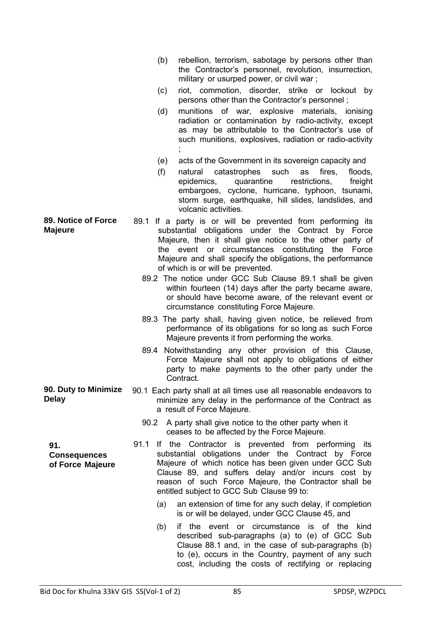|                                                | rebellion, terrorism, sabotage by persons other than<br>(b)<br>the Contractor's personnel, revolution, insurrection,<br>military or usurped power, or civil war;                                                                                                                                                                       |
|------------------------------------------------|----------------------------------------------------------------------------------------------------------------------------------------------------------------------------------------------------------------------------------------------------------------------------------------------------------------------------------------|
|                                                | riot, commotion, disorder, strike or lockout by<br>(c)<br>persons other than the Contractor's personnel;                                                                                                                                                                                                                               |
|                                                | munitions of war, explosive materials, ionising<br>(d)<br>radiation or contamination by radio-activity, except<br>as may be attributable to the Contractor's use of<br>such munitions, explosives, radiation or radio-activity                                                                                                         |
|                                                | acts of the Government in its sovereign capacity and<br>(e)                                                                                                                                                                                                                                                                            |
|                                                | (f)<br>catastrophes<br>such<br>fires,<br>floods,<br>natural<br>as<br>epidemics,<br>quarantine<br>restrictions,<br>freight<br>embargoes, cyclone, hurricane, typhoon, tsunami,<br>storm surge, earthquake, hill slides, landslides, and<br>volcanic activities.                                                                         |
| <b>89. Notice of Force</b><br><b>Majeure</b>   | 89.1 If a party is or will be prevented from performing its<br>substantial obligations under the Contract by Force<br>Majeure, then it shall give notice to the other party of<br>the event or circumstances constituting the Force<br>Majeure and shall specify the obligations, the performance<br>of which is or will be prevented. |
|                                                | 89.2 The notice under GCC Sub Clause 89.1 shall be given<br>within fourteen (14) days after the party became aware,<br>or should have become aware, of the relevant event or<br>circumstance constituting Force Majeure.                                                                                                               |
|                                                | 89.3 The party shall, having given notice, be relieved from<br>performance of its obligations for so long as such Force<br>Majeure prevents it from performing the works.                                                                                                                                                              |
|                                                | Notwithstanding any other provision of this Clause,<br>89.4<br>Force Majeure shall not apply to obligations of either<br>party to make payments to the other party under the<br>Contract.                                                                                                                                              |
| 90. Duty to Minimize<br><b>Delay</b>           | 90.1 Each party shall at all times use all reasonable endeavors to<br>minimize any delay in the performance of the Contract as<br>a result of Force Majeure.                                                                                                                                                                           |
|                                                | 90.2 A party shall give notice to the other party when it<br>ceases to be affected by the Force Majeure.                                                                                                                                                                                                                               |
| 91.<br><b>Consequences</b><br>of Force Majeure | 91.1<br>If the Contractor is prevented from performing its<br>substantial obligations under the Contract by Force<br>Majeure of which notice has been given under GCC Sub<br>Clause 89, and suffers delay and/or incurs cost by<br>reason of such Force Majeure, the Contractor shall be<br>entitled subject to GCC Sub Clause 99 to:  |
|                                                | an extension of time for any such delay, if completion<br>(a)<br>is or will be delayed, under GCC Clause 45, and                                                                                                                                                                                                                       |
|                                                | if the event or circumstance is<br>of the<br>kind<br>(b)<br>described sub-paragraphs (a) to (e) of GCC Sub<br>Clause 88.1 and, in the case of sub-paragraphs (b)<br>to (e), occurs in the Country, payment of any such<br>cost, including the costs of rectifying or replacing                                                         |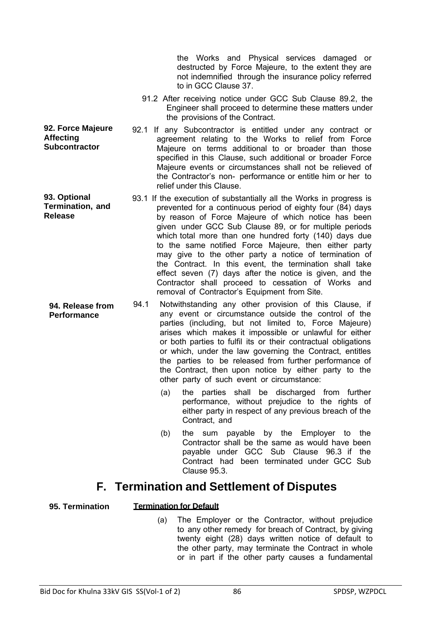the Works and Physical services damaged or destructed by Force Majeure, to the extent they are not indemnified through the insurance policy referred to in GCC Clause 37.

- 91.2 After receiving notice under GCC Sub Clause 89.2, the Engineer shall proceed to determine these matters under the provisions of the Contract.
- **92. Force Majeure Subcontractor** 92.1 If any Subcontractor is entitled under any contract or agreement relating to the Works to relief from Force Majeure on terms additional to or broader than those specified in this Clause, such additional or broader Force Majeure events or circumstances shall not be relieved of the Contractor's non- performance or entitle him or her to relief under this Clause.
- **93. Optional Termination, and Release**  93.1 If the execution of substantially all the Works in progress is prevented for a continuous period of eighty four (84) days by reason of Force Majeure of which notice has been given under GCC Sub Clause 89, or for multiple periods which total more than one hundred forty (140) days due to the same notified Force Majeure, then either party may give to the other party a notice of termination of the Contract. In this event, the termination shall take effect seven (7) days after the notice is given, and the Contractor shall proceed to cessation of Works and removal of Contractor's Equipment from Site.
	- 94.1 Notwithstanding any other provision of this Clause, if any event or circumstance outside the control of the parties (including, but not limited to, Force Majeure) arises which makes it impossible or unlawful for either or both parties to fulfil its or their contractual obligations or which, under the law governing the Contract, entitles the parties to be released from further performance of the Contract, then upon notice by either party to the other party of such event or circumstance:
		- (a) the parties shall be discharged from further performance, without prejudice to the rights of either party in respect of any previous breach of the Contract, and
		- (b) the sum payable by the Employer to the Contractor shall be the same as would have been payable under GCC Sub Clause 96.3 if the Contract had been terminated under GCC Sub Clause 95.3.

## **F. Termination and Settlement of Disputes**

### **95. Termination Termination for Default**

(a) The Employer or the Contractor, without prejudice to any other remedy for breach of Contract, by giving twenty eight (28) days written notice of default to the other party, may terminate the Contract in whole or in part if the other party causes a fundamental

**Affecting** 

**94. Release from Performance**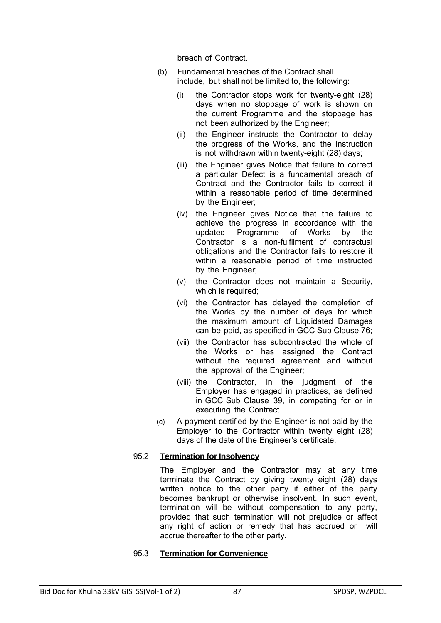breach of Contract.

- (b) Fundamental breaches of the Contract shall include, but shall not be limited to, the following:
	- (i) the Contractor stops work for twenty-eight (28) days when no stoppage of work is shown on the current Programme and the stoppage has not been authorized by the Engineer;
	- (ii) the Engineer instructs the Contractor to delay the progress of the Works, and the instruction is not withdrawn within twenty-eight (28) days;
	- (iii) the Engineer gives Notice that failure to correct a particular Defect is a fundamental breach of Contract and the Contractor fails to correct it within a reasonable period of time determined by the Engineer;
	- (iv) the Engineer gives Notice that the failure to achieve the progress in accordance with the updated Programme of Works by the Contractor is a non-fulfilment of contractual obligations and the Contractor fails to restore it within a reasonable period of time instructed by the Engineer;
	- (v) the Contractor does not maintain a Security, which is required;
	- (vi) the Contractor has delayed the completion of the Works by the number of days for which the maximum amount of Liquidated Damages can be paid, as specified in GCC Sub Clause 76;
	- (vii) the Contractor has subcontracted the whole of the Works or has assigned the Contract without the required agreement and without the approval of the Engineer;
	- (viii) the Contractor, in the judgment of the Employer has engaged in practices, as defined in GCC Sub Clause 39, in competing for or in executing the Contract.
- (c) A payment certified by the Engineer is not paid by the Employer to the Contractor within twenty eight (28) days of the date of the Engineer's certificate.

## 95.2 **Termination for Insolvency**

The Employer and the Contractor may at any time terminate the Contract by giving twenty eight (28) days written notice to the other party if either of the party becomes bankrupt or otherwise insolvent. In such event, termination will be without compensation to any party, provided that such termination will not prejudice or affect any right of action or remedy that has accrued or will accrue thereafter to the other party.

#### 95.3 **Termination for Convenience**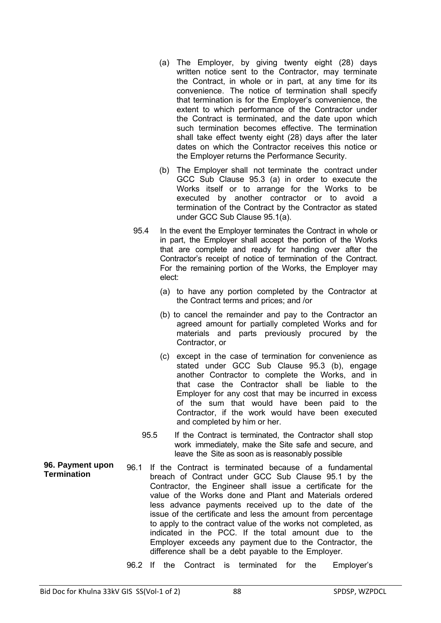- (a) The Employer, by giving twenty eight (28) days written notice sent to the Contractor, may terminate the Contract, in whole or in part, at any time for its convenience. The notice of termination shall specify that termination is for the Employer's convenience, the extent to which performance of the Contractor under the Contract is terminated, and the date upon which such termination becomes effective. The termination shall take effect twenty eight (28) days after the later dates on which the Contractor receives this notice or the Employer returns the Performance Security.
- (b) The Employer shall not terminate the contract under GCC Sub Clause 95.3 (a) in order to execute the Works itself or to arrange for the Works to be executed by another contractor or to avoid a termination of the Contract by the Contractor as stated under GCC Sub Clause 95.1(a).
- 95.4 In the event the Employer terminates the Contract in whole or in part, the Employer shall accept the portion of the Works that are complete and ready for handing over after the Contractor's receipt of notice of termination of the Contract. For the remaining portion of the Works, the Employer may elect:
	- (a) to have any portion completed by the Contractor at the Contract terms and prices; and /or
	- (b) to cancel the remainder and pay to the Contractor an agreed amount for partially completed Works and for materials and parts previously procured by the Contractor, or
	- (c) except in the case of termination for convenience as stated under GCC Sub Clause 95.3 (b), engage another Contractor to complete the Works, and in that case the Contractor shall be liable to the Employer for any cost that may be incurred in excess of the sum that would have been paid to the Contractor, if the work would have been executed and completed by him or her.
	- 95.5 If the Contract is terminated, the Contractor shall stop work immediately, make the Site safe and secure, and leave the Site as soon as is reasonably possible
- **96. Payment upon Termination**  96.1 If the Contract is terminated because of a fundamental breach of Contract under GCC Sub Clause 95.1 by the Contractor, the Engineer shall issue a certificate for the value of the Works done and Plant and Materials ordered less advance payments received up to the date of the issue of the certificate and less the amount from percentage to apply to the contract value of the works not completed, as indicated in the PCC. If the total amount due to the Employer exceeds any payment due to the Contractor, the difference shall be a debt payable to the Employer.
	- 96.2 If the Contract is terminated for the Employer's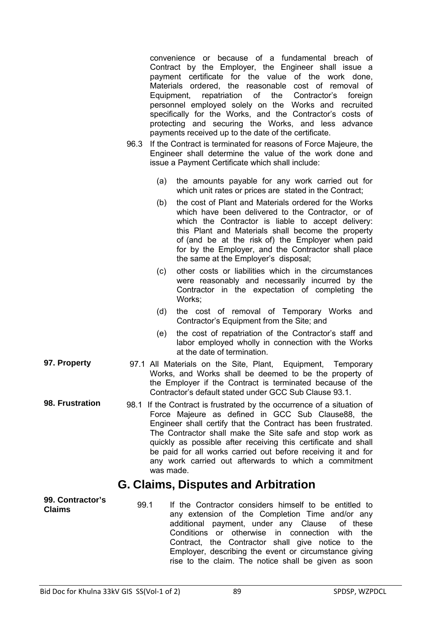|                                   | convenience or because of a fundamental breach of<br>Contract by the Employer, the Engineer shall issue a<br>payment certificate for the value of the work done,<br>Materials ordered, the reasonable cost of removal of<br>Equipment, repatriation of the Contractor's<br>foreign<br>personnel employed solely on the Works and recruited<br>specifically for the Works, and the Contractor's costs of<br>protecting and securing the Works, and less advance<br>payments received up to the date of the certificate.<br>If the Contract is terminated for reasons of Force Majeure, the<br>96.3<br>Engineer shall determine the value of the work done and<br>issue a Payment Certificate which shall include: |
|-----------------------------------|------------------------------------------------------------------------------------------------------------------------------------------------------------------------------------------------------------------------------------------------------------------------------------------------------------------------------------------------------------------------------------------------------------------------------------------------------------------------------------------------------------------------------------------------------------------------------------------------------------------------------------------------------------------------------------------------------------------|
|                                   | the amounts payable for any work carried out for<br>(a)<br>which unit rates or prices are stated in the Contract;                                                                                                                                                                                                                                                                                                                                                                                                                                                                                                                                                                                                |
|                                   | the cost of Plant and Materials ordered for the Works<br>(b)<br>which have been delivered to the Contractor, or of<br>which the Contractor is liable to accept delivery:<br>this Plant and Materials shall become the property<br>of (and be at the risk of) the Employer when paid<br>for by the Employer, and the Contractor shall place<br>the same at the Employer's disposal;                                                                                                                                                                                                                                                                                                                               |
|                                   | other costs or liabilities which in the circumstances<br>(c)<br>were reasonably and necessarily incurred by the<br>Contractor in the expectation of completing the<br>Works;                                                                                                                                                                                                                                                                                                                                                                                                                                                                                                                                     |
|                                   | the cost of removal of Temporary Works and<br>(d)<br>Contractor's Equipment from the Site; and                                                                                                                                                                                                                                                                                                                                                                                                                                                                                                                                                                                                                   |
|                                   | the cost of repatriation of the Contractor's staff and<br>(e)<br>labor employed wholly in connection with the Works<br>at the date of termination.                                                                                                                                                                                                                                                                                                                                                                                                                                                                                                                                                               |
| 97. Property                      | 97.1 All Materials on the Site, Plant, Equipment, Temporary<br>Works, and Works shall be deemed to be the property of<br>the Employer if the Contract is terminated because of the<br>Contractor's default stated under GCC Sub Clause 93.1.                                                                                                                                                                                                                                                                                                                                                                                                                                                                     |
| 98. Frustration                   | 98.1 If the Contract is frustrated by the occurrence of a situation of<br>Force Majeure as defined in GCC Sub Clause88, the<br>Engineer shall certify that the Contract has been frustrated.<br>The Contractor shall make the Site safe and stop work as<br>quickly as possible after receiving this certificate and shall<br>be paid for all works carried out before receiving it and for<br>any work carried out afterwards to which a commitment<br>was made.                                                                                                                                                                                                                                                |
|                                   | G. Claims, Disputes and Arbitration                                                                                                                                                                                                                                                                                                                                                                                                                                                                                                                                                                                                                                                                              |
| 99. Contractor's<br><b>Claims</b> | 99.1<br>If the Contractor considers himself to be entitled to<br>any extension of the Completion Time and/or any<br>payment, under any Clause<br>additional<br>of these<br>Conditions or otherwise<br>in connection<br>with<br>the<br>Contract, the Contractor shall give notice to the<br>Employer, describing the event or circumstance giving<br>rise to the claim. The notice shall be given as soon                                                                                                                                                                                                                                                                                                         |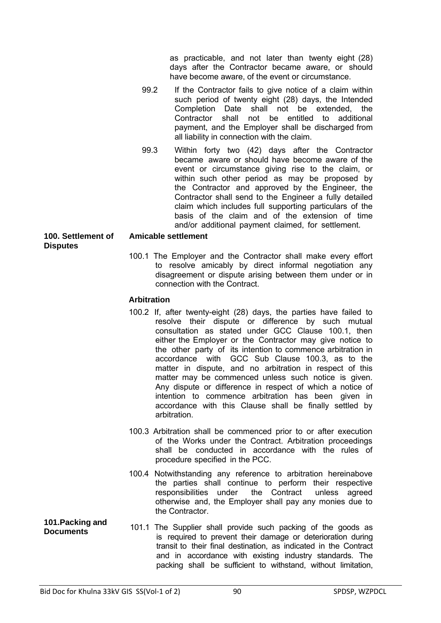as practicable, and not later than twenty eight (28) days after the Contractor became aware, or should have become aware, of the event or circumstance.

- 99.2 If the Contractor fails to give notice of a claim within such period of twenty eight (28) days, the Intended Completion Date shall not be extended, the Contractor shall not be entitled to additional payment, and the Employer shall be discharged from all liability in connection with the claim.
- 99.3 Within forty two (42) days after the Contractor became aware or should have become aware of the event or circumstance giving rise to the claim, or within such other period as may be proposed by the Contractor and approved by the Engineer, the Contractor shall send to the Engineer a fully detailed claim which includes full supporting particulars of the basis of the claim and of the extension of time and/or additional payment claimed, for settlement.

#### **100. Settlement of Disputes Amicable settlement**

100.1 The Employer and the Contractor shall make every effort to resolve amicably by direct informal negotiation any disagreement or dispute arising between them under or in connection with the Contract.

### **Arbitration**

- 100.2 If, after twenty-eight (28) days, the parties have failed to resolve their dispute or difference by such mutual consultation as stated under GCC Clause 100.1, then either the Employer or the Contractor may give notice to the other party of its intention to commence arbitration in accordance with GCC Sub Clause 100.3, as to the matter in dispute, and no arbitration in respect of this matter may be commenced unless such notice is given. Any dispute or difference in respect of which a notice of intention to commence arbitration has been given in accordance with this Clause shall be finally settled by arbitration.
- 100.3 Arbitration shall be commenced prior to or after execution of the Works under the Contract. Arbitration proceedings shall be conducted in accordance with the rules of procedure specified in the PCC.
- 100.4 Notwithstanding any reference to arbitration hereinabove the parties shall continue to perform their respective responsibilities under the Contract unless agreed otherwise and, the Employer shall pay any monies due to the Contractor.
- **101.Packing and Documents** 101.1 The Supplier shall provide such packing of the goods as is required to prevent their damage or deterioration during transit to their final destination, as indicated in the Contract and in accordance with existing industry standards. The packing shall be sufficient to withstand, without limitation,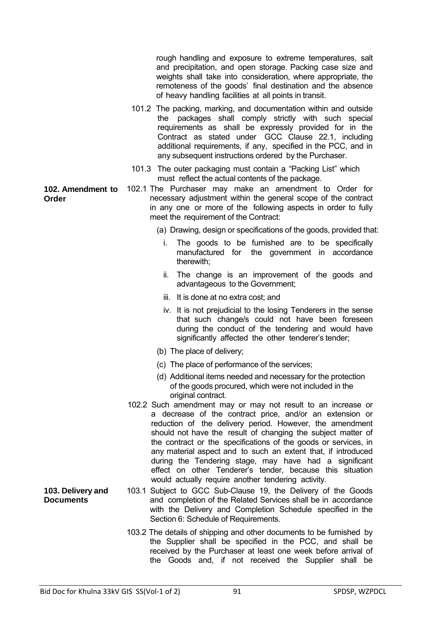rough handling and exposure to extreme temperatures, salt and precipitation, and open storage. Packing case size and weights shall take into consideration, where appropriate, the remoteness of the goods' final destination and the absence of heavy handling facilities at all points in transit.

- 101.2 The packing, marking, and documentation within and outside the packages shall comply strictly with such special requirements as shall be expressly provided for in the Contract as stated under GCC Clause 22.1, including additional requirements, if any, specified in the PCC, and in any subsequent instructions ordered by the Purchaser.
- 101.3 The outer packaging must contain a "Packing List" which must reflect the actual contents of the package.
- **102. Amendment to Order**  102.1 The Purchaser may make an amendment to Order for necessary adjustment within the general scope of the contract in any one or more of the following aspects in order to fully meet the requirement of the Contract:
	- (a) Drawing, design or specifications of the goods, provided that:
		- The goods to be furnished are to be specifically manufactured for the government in accordance therewith;
		- ii. The change is an improvement of the goods and advantageous to the Government;
		- iii. It is done at no extra cost; and
		- iv. It is not prejudicial to the losing Tenderers in the sense that such change/s could not have been foreseen during the conduct of the tendering and would have significantly affected the other tenderer's tender;
	- (b) The place of delivery;
	- (c) The place of performance of the services;
	- (d) Additional items needed and necessary for the protection of the goods procured, which were not included in the original contract.
	- 102.2 Such amendment may or may not result to an increase or a decrease of the contract price, and/or an extension or reduction of the delivery period. However, the amendment should not have the result of changing the subject matter of the contract or the specifications of the goods or services, in any material aspect and to such an extent that, if introduced during the Tendering stage, may have had a significant effect on other Tenderer's tender, because this situation would actually require another tendering activity.
	- 103.1 Subject to GCC Sub-Clause 19, the Delivery of the Goods and completion of the Related Services shall be in accordance with the Delivery and Completion Schedule specified in the Section 6: Schedule of Requirements.
		- 103.2 The details of shipping and other documents to be furnished by the Supplier shall be specified in the PCC, and shall be received by the Purchaser at least one week before arrival of the Goods and, if not received the Supplier shall be

**103. Delivery and Documents**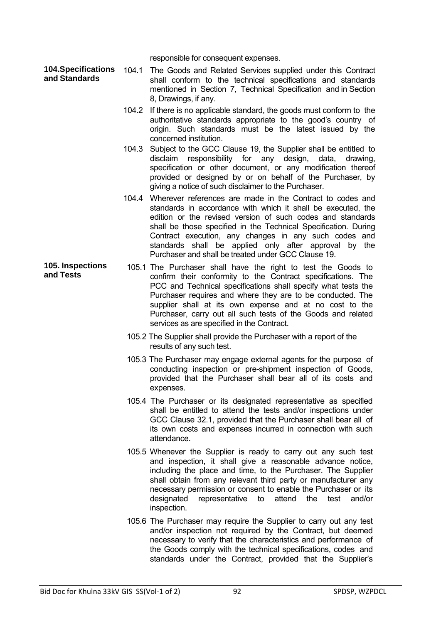responsible for consequent expenses.

- **104.Specifications and Standards**  104.1 The Goods and Related Services supplied under this Contract shall conform to the technical specifications and standards mentioned in Section 7, Technical Specification and in Section 8, Drawings, if any.
	- 104.2 If there is no applicable standard, the goods must conform to the authoritative standards appropriate to the good's country of origin. Such standards must be the latest issued by the concerned institution.
	- 104.3 Subject to the GCC Clause 19, the Supplier shall be entitled to disclaim responsibility for any design, data, drawing, specification or other document, or any modification thereof provided or designed by or on behalf of the Purchaser, by giving a notice of such disclaimer to the Purchaser.
	- 104.4 Wherever references are made in the Contract to codes and standards in accordance with which it shall be executed, the edition or the revised version of such codes and standards shall be those specified in the Technical Specification. During Contract execution, any changes in any such codes and standards shall be applied only after approval by the Purchaser and shall be treated under GCC Clause 19.
- **105. Inspections and Tests**  105.1 The Purchaser shall have the right to test the Goods to confirm their conformity to the Contract specifications. The PCC and Technical specifications shall specify what tests the Purchaser requires and where they are to be conducted. The supplier shall at its own expense and at no cost to the Purchaser, carry out all such tests of the Goods and related services as are specified in the Contract.
	- 105.2 The Supplier shall provide the Purchaser with a report of the results of any such test.
	- 105.3 The Purchaser may engage external agents for the purpose of conducting inspection or pre-shipment inspection of Goods, provided that the Purchaser shall bear all of its costs and expenses.
	- 105.4 The Purchaser or its designated representative as specified shall be entitled to attend the tests and/or inspections under GCC Clause 32.1, provided that the Purchaser shall bear all of its own costs and expenses incurred in connection with such attendance.
	- 105.5 Whenever the Supplier is ready to carry out any such test and inspection, it shall give a reasonable advance notice, including the place and time, to the Purchaser. The Supplier shall obtain from any relevant third party or manufacturer any necessary permission or consent to enable the Purchaser or its designated representative to attend the test and/or inspection.
	- 105.6 The Purchaser may require the Supplier to carry out any test and/or inspection not required by the Contract, but deemed necessary to verify that the characteristics and performance of the Goods comply with the technical specifications, codes and standards under the Contract, provided that the Supplier's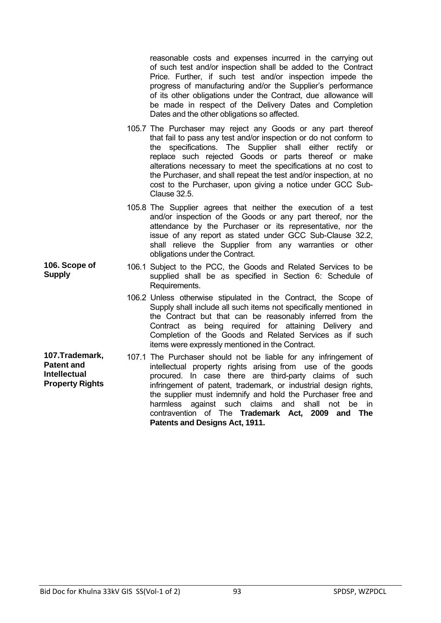reasonable costs and expenses incurred in the carrying out of such test and/or inspection shall be added to the Contract Price. Further, if such test and/or inspection impede the progress of manufacturing and/or the Supplier's performance of its other obligations under the Contract, due allowance will be made in respect of the Delivery Dates and Completion Dates and the other obligations so affected.

- 105.7 The Purchaser may reject any Goods or any part thereof that fail to pass any test and/or inspection or do not conform to the specifications. The Supplier shall either rectify or replace such rejected Goods or parts thereof or make alterations necessary to meet the specifications at no cost to the Purchaser, and shall repeat the test and/or inspection, at no cost to the Purchaser, upon giving a notice under GCC Sub-Clause 32.5.
- 105.8 The Supplier agrees that neither the execution of a test and/or inspection of the Goods or any part thereof, nor the attendance by the Purchaser or its representative, nor the issue of any report as stated under GCC Sub-Clause 32.2, shall relieve the Supplier from any warranties or other obligations under the Contract.
- 106.1 Subject to the PCC, the Goods and Related Services to be supplied shall be as specified in Section 6: Schedule of Requirements.
	- 106.2 Unless otherwise stipulated in the Contract, the Scope of Supply shall include all such items not specifically mentioned in the Contract but that can be reasonably inferred from the Contract as being required for attaining Delivery and Completion of the Goods and Related Services as if such items were expressly mentioned in the Contract.
- **107.Trademark, Patent and Intellectual Property Rights**  107.1 The Purchaser should not be liable for any infringement of intellectual property rights arising from use of the goods procured. In case there are third-party claims of such infringement of patent, trademark, or industrial design rights, the supplier must indemnify and hold the Purchaser free and harmless against such claims and shall not be in contravention of The **Trademark Act, 2009 and The Patents and Designs Act, 1911.**

**106. Scope of** 

**Supply**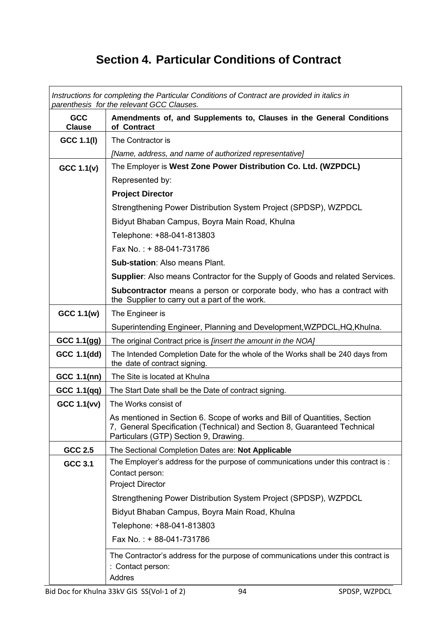# **Section 4. Particular Conditions of Contract**

|                             | Instructions for completing the Particular Conditions of Contract are provided in italics in<br>parenthesis for the relevant GCC Clauses.                                                      |
|-----------------------------|------------------------------------------------------------------------------------------------------------------------------------------------------------------------------------------------|
| <b>GCC</b><br><b>Clause</b> | Amendments of, and Supplements to, Clauses in the General Conditions<br>of Contract                                                                                                            |
| GCC 1.1(I)                  | The Contractor is                                                                                                                                                                              |
|                             | [Name, address, and name of authorized representative]                                                                                                                                         |
| GCC 1.1(v)                  | The Employer is West Zone Power Distribution Co. Ltd. (WZPDCL)                                                                                                                                 |
|                             | Represented by:                                                                                                                                                                                |
|                             | <b>Project Director</b>                                                                                                                                                                        |
|                             | Strengthening Power Distribution System Project (SPDSP), WZPDCL                                                                                                                                |
|                             | Bidyut Bhaban Campus, Boyra Main Road, Khulna                                                                                                                                                  |
|                             | Telephone: +88-041-813803                                                                                                                                                                      |
|                             | Fax No.: +88-041-731786                                                                                                                                                                        |
|                             | <b>Sub-station: Also means Plant.</b>                                                                                                                                                          |
|                             | <b>Supplier:</b> Also means Contractor for the Supply of Goods and related Services.                                                                                                           |
|                             | Subcontractor means a person or corporate body, who has a contract with<br>the Supplier to carry out a part of the work.                                                                       |
| GCC 1.1(w)                  | The Engineer is                                                                                                                                                                                |
|                             | Superintending Engineer, Planning and Development, WZPDCL, HQ, Khulna.                                                                                                                         |
| GCC 1.1(gg)                 | The original Contract price is <i>[insert the amount in the NOA]</i>                                                                                                                           |
| GCC 1.1(dd)                 | The Intended Completion Date for the whole of the Works shall be 240 days from<br>the date of contract signing.                                                                                |
| GCC 1.1(nn)                 | The Site is located at Khulna                                                                                                                                                                  |
| GCC 1.1(qq)                 | The Start Date shall be the Date of contract signing.                                                                                                                                          |
| <b>GCC 1.1(vv)</b>          | The Works consist of                                                                                                                                                                           |
|                             | As mentioned in Section 6. Scope of works and Bill of Quantities. Section<br>7, General Specification (Technical) and Section 8, Guaranteed Technical<br>Particulars (GTP) Section 9, Drawing. |
| GCC 2.5                     | The Sectional Completion Dates are: Not Applicable                                                                                                                                             |
| <b>GCC 3.1</b>              | The Employer's address for the purpose of communications under this contract is :<br>Contact person:<br><b>Project Director</b>                                                                |
|                             | Strengthening Power Distribution System Project (SPDSP), WZPDCL                                                                                                                                |
|                             | Bidyut Bhaban Campus, Boyra Main Road, Khulna                                                                                                                                                  |
|                             | Telephone: +88-041-813803                                                                                                                                                                      |
|                             | Fax No.: + 88-041-731786                                                                                                                                                                       |
|                             | The Contractor's address for the purpose of communications under this contract is<br>: Contact person:<br>Addres                                                                               |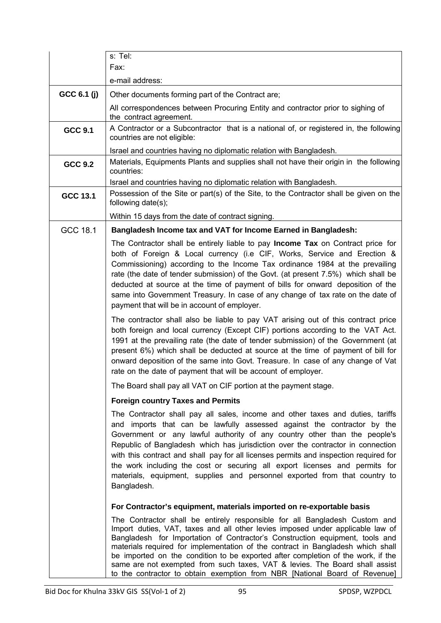|                | s: Tel:                                                                                                                                                                                                                                                                                                                                                                                                                                                                                                                                                                                        |
|----------------|------------------------------------------------------------------------------------------------------------------------------------------------------------------------------------------------------------------------------------------------------------------------------------------------------------------------------------------------------------------------------------------------------------------------------------------------------------------------------------------------------------------------------------------------------------------------------------------------|
|                | Fax:                                                                                                                                                                                                                                                                                                                                                                                                                                                                                                                                                                                           |
|                | e-mail address:                                                                                                                                                                                                                                                                                                                                                                                                                                                                                                                                                                                |
| GCC 6.1 (j)    | Other documents forming part of the Contract are;                                                                                                                                                                                                                                                                                                                                                                                                                                                                                                                                              |
|                | All correspondences between Procuring Entity and contractor prior to sighing of<br>the contract agreement.                                                                                                                                                                                                                                                                                                                                                                                                                                                                                     |
| <b>GCC 9.1</b> | A Contractor or a Subcontractor that is a national of, or registered in, the following<br>countries are not eligible:                                                                                                                                                                                                                                                                                                                                                                                                                                                                          |
|                | Israel and countries having no diplomatic relation with Bangladesh.                                                                                                                                                                                                                                                                                                                                                                                                                                                                                                                            |
| <b>GCC 9.2</b> | Materials, Equipments Plants and supplies shall not have their origin in the following<br>countries:                                                                                                                                                                                                                                                                                                                                                                                                                                                                                           |
|                | Israel and countries having no diplomatic relation with Bangladesh.                                                                                                                                                                                                                                                                                                                                                                                                                                                                                                                            |
| GCC 13.1       | Possession of the Site or part(s) of the Site, to the Contractor shall be given on the<br>following date(s);                                                                                                                                                                                                                                                                                                                                                                                                                                                                                   |
|                | Within 15 days from the date of contract signing.                                                                                                                                                                                                                                                                                                                                                                                                                                                                                                                                              |
| GCC 18.1       | Bangladesh Income tax and VAT for Income Earned in Bangladesh:                                                                                                                                                                                                                                                                                                                                                                                                                                                                                                                                 |
|                | The Contractor shall be entirely liable to pay Income Tax on Contract price for<br>both of Foreign & Local currency (i.e CIF, Works, Service and Erection &<br>Commissioning) according to the Income Tax ordinance 1984 at the prevailing<br>rate (the date of tender submission) of the Govt. (at present 7.5%) which shall be<br>deducted at source at the time of payment of bills for onward deposition of the<br>same into Government Treasury. In case of any change of tax rate on the date of<br>payment that will be in account of employer.                                         |
|                | The contractor shall also be liable to pay VAT arising out of this contract price<br>both foreign and local currency (Except CIF) portions according to the VAT Act.<br>1991 at the prevailing rate (the date of tender submission) of the Government (at<br>present 6%) which shall be deducted at source at the time of payment of bill for<br>onward deposition of the same into Govt. Treasure. In case of any change of Vat<br>rate on the date of payment that will be account of employer.                                                                                              |
|                | The Board shall pay all VAT on CIF portion at the payment stage.                                                                                                                                                                                                                                                                                                                                                                                                                                                                                                                               |
|                | <b>Foreign country Taxes and Permits</b>                                                                                                                                                                                                                                                                                                                                                                                                                                                                                                                                                       |
|                | The Contractor shall pay all sales, income and other taxes and duties, tariffs<br>and imports that can be lawfully assessed against the contractor by the<br>Government or any lawful authority of any country other than the people's<br>Republic of Bangladesh which has jurisdiction over the contractor in connection<br>with this contract and shall pay for all licenses permits and inspection required for<br>the work including the cost or securing all export licenses and permits for<br>materials, equipment, supplies and personnel exported from that country to<br>Bangladesh. |
|                | For Contractor's equipment, materials imported on re-exportable basis                                                                                                                                                                                                                                                                                                                                                                                                                                                                                                                          |
|                | The Contractor shall be entirely responsible for all Bangladesh Custom and<br>Import duties, VAT, taxes and all other levies imposed under applicable law of<br>Bangladesh for Importation of Contractor's Construction equipment, tools and<br>materials required for implementation of the contract in Bangladesh which shall<br>be imported on the condition to be exported after completion of the work, if the<br>same are not exempted from such taxes, VAT & levies. The Board shall assist<br>to the contractor to obtain exemption from NBR [National Board of Revenue]               |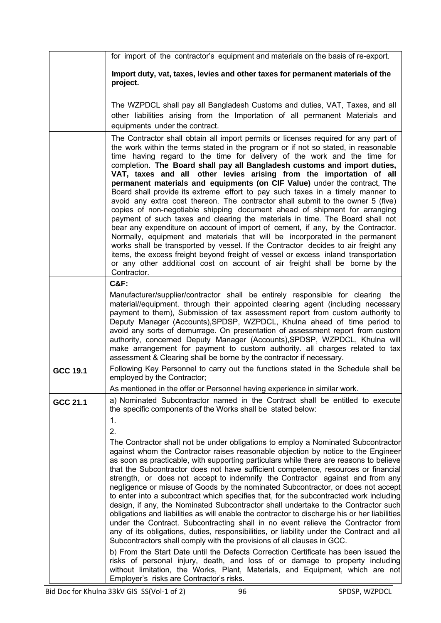|          | for import of the contractor's equipment and materials on the basis of re-export.                                                                                                                                                                                                                                                                                                                                                                                                                                                                                                                                                                                                                                                                                                                                                                                                                                                                                                                                                                                                                                                                                                                                                                                                                                                                                                                                                                                                                                                                                                                                    |
|----------|----------------------------------------------------------------------------------------------------------------------------------------------------------------------------------------------------------------------------------------------------------------------------------------------------------------------------------------------------------------------------------------------------------------------------------------------------------------------------------------------------------------------------------------------------------------------------------------------------------------------------------------------------------------------------------------------------------------------------------------------------------------------------------------------------------------------------------------------------------------------------------------------------------------------------------------------------------------------------------------------------------------------------------------------------------------------------------------------------------------------------------------------------------------------------------------------------------------------------------------------------------------------------------------------------------------------------------------------------------------------------------------------------------------------------------------------------------------------------------------------------------------------------------------------------------------------------------------------------------------------|
|          | Import duty, vat, taxes, levies and other taxes for permanent materials of the<br>project.                                                                                                                                                                                                                                                                                                                                                                                                                                                                                                                                                                                                                                                                                                                                                                                                                                                                                                                                                                                                                                                                                                                                                                                                                                                                                                                                                                                                                                                                                                                           |
|          | The WZPDCL shall pay all Bangladesh Customs and duties, VAT, Taxes, and all<br>other liabilities arising from the Importation of all permanent Materials and<br>equipments under the contract.                                                                                                                                                                                                                                                                                                                                                                                                                                                                                                                                                                                                                                                                                                                                                                                                                                                                                                                                                                                                                                                                                                                                                                                                                                                                                                                                                                                                                       |
|          | The Contractor shall obtain all import permits or licenses required for any part of<br>the work within the terms stated in the program or if not so stated, in reasonable<br>time having regard to the time for delivery of the work and the time for<br>completion. The Board shall pay all Bangladesh customs and import duties,<br>VAT, taxes and all other levies arising from the importation of all<br>permanent materials and equipments (on CIF Value) under the contract, The<br>Board shall provide its extreme effort to pay such taxes in a timely manner to<br>avoid any extra cost thereon. The contractor shall submit to the owner 5 (five)<br>copies of non-negotiable shipping document ahead of shipment for arranging<br>payment of such taxes and clearing the materials in time. The Board shall not<br>bear any expenditure on account of import of cement, if any, by the Contractor.<br>Normally, equipment and materials that will be incorporated in the permanent<br>works shall be transported by vessel. If the Contractor decides to air freight any<br>items, the excess freight beyond freight of vessel or excess inland transportation<br>or any other additional cost on account of air freight shall be borne by the<br>Contractor.                                                                                                                                                                                                                                                                                                                                             |
|          | <b>C&amp;F:</b><br>Manufacturer/supplier/contractor shall be entirely responsible for clearing<br>the<br>material//equipment. through their appointed clearing agent (including necessary<br>payment to them), Submission of tax assessment report from custom authority to<br>Deputy Manager (Accounts), SPDSP, WZPDCL, Khulna ahead of time period to<br>avoid any sorts of demurrage. On presentation of assessment report from custom<br>authority, concerned Deputy Manager (Accounts), SPDSP, WZPDCL, Khulna will<br>make arrangement for payment to custom authority. all charges related to tax<br>assessment & Clearing shall be borne by the contractor if necessary.                                                                                                                                                                                                                                                                                                                                                                                                                                                                                                                                                                                                                                                                                                                                                                                                                                                                                                                                      |
| GCC 19.1 | Following Key Personnel to carry out the functions stated in the Schedule shall be<br>employed by the Contractor;                                                                                                                                                                                                                                                                                                                                                                                                                                                                                                                                                                                                                                                                                                                                                                                                                                                                                                                                                                                                                                                                                                                                                                                                                                                                                                                                                                                                                                                                                                    |
| GCC 21.1 | As mentioned in the offer or Personnel having experience in similar work.<br>a) Nominated Subcontractor named in the Contract shall be entitled to execute<br>the specific components of the Works shall be stated below:<br>1.<br>2.<br>The Contractor shall not be under obligations to employ a Nominated Subcontractor<br>against whom the Contractor raises reasonable objection by notice to the Engineer<br>as soon as practicable, with supporting particulars while there are reasons to believe<br>that the Subcontractor does not have sufficient competence, resources or financial<br>strength, or does not accept to indemnify the Contractor against and from any<br>negligence or misuse of Goods by the nominated Subcontractor, or does not accept<br>to enter into a subcontract which specifies that, for the subcontracted work including<br>design, if any, the Nominated Subcontractor shall undertake to the Contractor such<br>obligations and liabilities as will enable the contractor to discharge his or her liabilities<br>under the Contract. Subcontracting shall in no event relieve the Contractor from<br>any of its obligations, duties, responsibilities, or liability under the Contract and all<br>Subcontractors shall comply with the provisions of all clauses in GCC.<br>b) From the Start Date until the Defects Correction Certificate has been issued the<br>risks of personal injury, death, and loss of or damage to property including<br>without limitation, the Works, Plant, Materials, and Equipment, which are not<br>Employer's risks are Contractor's risks. |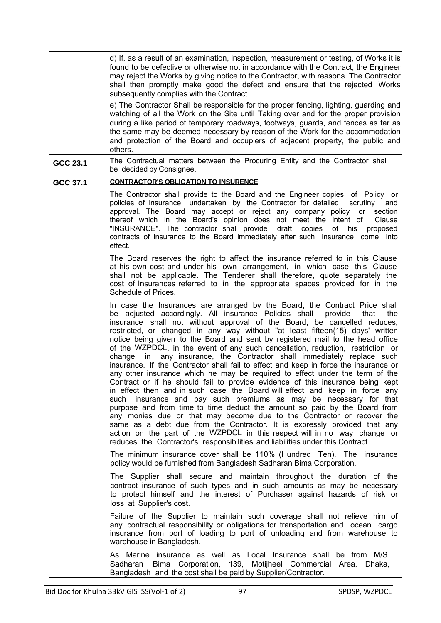|          | d) If, as a result of an examination, inspection, measurement or testing, of Works it is<br>found to be defective or otherwise not in accordance with the Contract, the Engineer<br>may reject the Works by giving notice to the Contractor, with reasons. The Contractor<br>shall then promptly make good the defect and ensure that the rejected Works<br>subsequently complies with the Contract.<br>e) The Contractor Shall be responsible for the proper fencing, lighting, guarding and<br>watching of all the Work on the Site until Taking over and for the proper provision<br>during a like period of temporary roadways, footways, guards, and fences as far as<br>the same may be deemed necessary by reason of the Work for the accommodation<br>and protection of the Board and occupiers of adjacent property, the public and<br>others.                                                                                                                                                                                                                                                                                                                                                                                                                                                                                                                                 |
|----------|-----------------------------------------------------------------------------------------------------------------------------------------------------------------------------------------------------------------------------------------------------------------------------------------------------------------------------------------------------------------------------------------------------------------------------------------------------------------------------------------------------------------------------------------------------------------------------------------------------------------------------------------------------------------------------------------------------------------------------------------------------------------------------------------------------------------------------------------------------------------------------------------------------------------------------------------------------------------------------------------------------------------------------------------------------------------------------------------------------------------------------------------------------------------------------------------------------------------------------------------------------------------------------------------------------------------------------------------------------------------------------------------|
| GCC 23.1 | The Contractual matters between the Procuring Entity and the Contractor shall<br>be decided by Consignee.                                                                                                                                                                                                                                                                                                                                                                                                                                                                                                                                                                                                                                                                                                                                                                                                                                                                                                                                                                                                                                                                                                                                                                                                                                                                               |
| GCC 37.1 | <u>CONTRACTOR'S OBLIGATION TO INSURENCE</u>                                                                                                                                                                                                                                                                                                                                                                                                                                                                                                                                                                                                                                                                                                                                                                                                                                                                                                                                                                                                                                                                                                                                                                                                                                                                                                                                             |
|          | The Contractor shall provide to the Board and the Engineer copies of Policy or<br>policies of insurance, undertaken by the Contractor for detailed<br>scrutiny<br>and<br>approval. The Board may accept or reject any company policy or section<br>thereof which in the Board's opinion does not meet the intent of<br>Clause<br>"INSURANCE". The contractor shall provide<br>draft copies<br>of<br>his<br>proposed<br>contracts of insurance to the Board immediately after such insurance come into<br>effect.                                                                                                                                                                                                                                                                                                                                                                                                                                                                                                                                                                                                                                                                                                                                                                                                                                                                        |
|          | The Board reserves the right to affect the insurance referred to in this Clause<br>at his own cost and under his own arrangement, in which case this Clause<br>shall not be applicable. The Tenderer shall therefore, quote separately the<br>cost of Insurances referred to in the appropriate spaces provided for in the<br>Schedule of Prices.                                                                                                                                                                                                                                                                                                                                                                                                                                                                                                                                                                                                                                                                                                                                                                                                                                                                                                                                                                                                                                       |
|          | In case the Insurances are arranged by the Board, the Contract Price shall<br>be adjusted accordingly. All insurance Policies shall provide<br>that<br>the<br>insurance shall not without approval of the Board, be cancelled reduces,<br>restricted, or changed in any way without "at least fifteen{15) days' written<br>notice being given to the Board and sent by registered mail to the head office<br>of the WZPDCL, in the event of any such cancellation, reduction, restriction or<br>change in any insurance, the Contractor shall immediately replace such<br>insurance. If the Contractor shall fail to effect and keep in force the insurance or<br>any other insurance which he may be required to effect under the term of the<br>Contract or if he should fail to provide evidence of this insurance being kept<br>in effect then and in such case the Board will effect and keep in force any<br>such insurance and pay such premiums as may be necessary for that<br>purpose and from time to time deduct the amount so paid by the Board from<br>any monies due or that may become due to the Contractor or recover the<br>same as a debt due from the Contractor. It is expressly provided that any<br>action on the part of the WZPDCL in this respect will in no way change or<br>reduces the Contractor's responsibilities and liabilities under this Contract. |
|          | The minimum insurance cover shall be 110% (Hundred Ten). The insurance<br>policy would be furnished from Bangladesh Sadharan Bima Corporation.                                                                                                                                                                                                                                                                                                                                                                                                                                                                                                                                                                                                                                                                                                                                                                                                                                                                                                                                                                                                                                                                                                                                                                                                                                          |
|          | The Supplier shall secure and maintain throughout the duration of the<br>contract insurance of such types and in such amounts as may be necessary<br>to protect himself and the interest of Purchaser against hazards of risk or<br>loss at Supplier's cost.                                                                                                                                                                                                                                                                                                                                                                                                                                                                                                                                                                                                                                                                                                                                                                                                                                                                                                                                                                                                                                                                                                                            |
|          | Failure of the Supplier to maintain such coverage shall not relieve him of<br>any contractual responsibility or obligations for transportation and ocean cargo<br>insurance from port of loading to port of unloading and from warehouse to<br>warehouse in Bangladesh.                                                                                                                                                                                                                                                                                                                                                                                                                                                                                                                                                                                                                                                                                                                                                                                                                                                                                                                                                                                                                                                                                                                 |
|          | As Marine insurance as well as Local Insurance shall be from M/S.<br>Bima Corporation, 139, Motijheel Commercial Area, Dhaka,<br>Sadharan<br>Bangladesh and the cost shall be paid by Supplier/Contractor.                                                                                                                                                                                                                                                                                                                                                                                                                                                                                                                                                                                                                                                                                                                                                                                                                                                                                                                                                                                                                                                                                                                                                                              |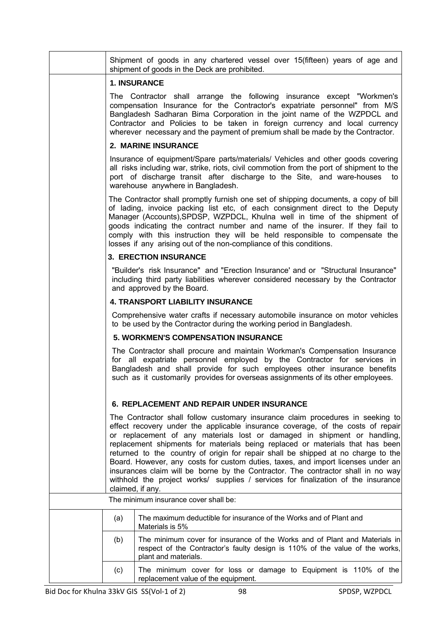|     | Shipment of goods in any chartered vessel over 15(fifteen) years of age and<br>shipment of goods in the Deck are prohibited.                                                                                                                                                                                                                                                                                                                                                                                                                                                                                                                                                                         |
|-----|------------------------------------------------------------------------------------------------------------------------------------------------------------------------------------------------------------------------------------------------------------------------------------------------------------------------------------------------------------------------------------------------------------------------------------------------------------------------------------------------------------------------------------------------------------------------------------------------------------------------------------------------------------------------------------------------------|
|     | <b>1. INSURANCE</b>                                                                                                                                                                                                                                                                                                                                                                                                                                                                                                                                                                                                                                                                                  |
|     | The Contractor shall arrange the following insurance except "Workmen's<br>compensation Insurance for the Contractor's expatriate personnel" from M/S<br>Bangladesh Sadharan Bima Corporation in the joint name of the WZPDCL and<br>Contractor and Policies to be taken in foreign currency and local currency<br>wherever necessary and the payment of premium shall be made by the Contractor.                                                                                                                                                                                                                                                                                                     |
|     | 2. MARINE INSURANCE                                                                                                                                                                                                                                                                                                                                                                                                                                                                                                                                                                                                                                                                                  |
|     | Insurance of equipment/Spare parts/materials/ Vehicles and other goods covering<br>all risks including war, strike, riots, civil commotion from the port of shipment to the<br>port of discharge transit after discharge to the Site, and ware-houses<br>to<br>warehouse anywhere in Bangladesh.                                                                                                                                                                                                                                                                                                                                                                                                     |
|     | The Contractor shall promptly furnish one set of shipping documents, a copy of bill<br>of lading, invoice packing list etc, of each consignment direct to the Deputy<br>Manager (Accounts), SPDSP, WZPDCL, Khulna well in time of the shipment of<br>goods indicating the contract number and name of the insurer. If they fail to<br>comply with this instruction they will be held responsible to compensate the<br>losses if any arising out of the non-compliance of this conditions.                                                                                                                                                                                                            |
|     | <b>3. ERECTION INSURANCE</b>                                                                                                                                                                                                                                                                                                                                                                                                                                                                                                                                                                                                                                                                         |
|     | "Builder's risk Insurance" and "Erection Insurance' and or "Structural Insurance"<br>including third party liabilities wherever considered necessary by the Contractor<br>and approved by the Board.                                                                                                                                                                                                                                                                                                                                                                                                                                                                                                 |
|     | <b>4. TRANSPORT LIABILITY INSURANCE</b>                                                                                                                                                                                                                                                                                                                                                                                                                                                                                                                                                                                                                                                              |
|     | Comprehensive water crafts if necessary automobile insurance on motor vehicles<br>to be used by the Contractor during the working period in Bangladesh.                                                                                                                                                                                                                                                                                                                                                                                                                                                                                                                                              |
|     | <b>5. WORKMEN'S COMPENSATION INSURANCE</b>                                                                                                                                                                                                                                                                                                                                                                                                                                                                                                                                                                                                                                                           |
|     | The Contractor shall procure and maintain Workman's Compensation Insurance<br>for all expatriate personnel employed by the Contractor for services in<br>Bangladesh and shall provide for such employees other insurance benefits<br>such as it customarily provides for overseas assignments of its other employees.                                                                                                                                                                                                                                                                                                                                                                                |
|     | <b>6. REPLACEMENT AND REPAIR UNDER INSURANCE</b>                                                                                                                                                                                                                                                                                                                                                                                                                                                                                                                                                                                                                                                     |
|     | The Contractor shall follow customary insurance claim procedures in seeking to<br>effect recovery under the applicable insurance coverage, of the costs of repair<br>or replacement of any materials lost or damaged in shipment or handling,<br>replacement shipments for materials being replaced or materials that has been<br>returned to the country of origin for repair shall be shipped at no charge to the<br>Board. However, any costs for custom duties, taxes, and import licenses under an<br>insurances claim will be borne by the Contractor. The contractor shall in no way<br>withhold the project works/ supplies / services for finalization of the insurance<br>claimed, if any. |
|     | The minimum insurance cover shall be:                                                                                                                                                                                                                                                                                                                                                                                                                                                                                                                                                                                                                                                                |
| (a) | The maximum deductible for insurance of the Works and of Plant and<br>Materials is 5%                                                                                                                                                                                                                                                                                                                                                                                                                                                                                                                                                                                                                |
| (b) | The minimum cover for insurance of the Works and of Plant and Materials in<br>respect of the Contractor's faulty design is 110% of the value of the works,<br>plant and materials.                                                                                                                                                                                                                                                                                                                                                                                                                                                                                                                   |
| (c) | The minimum cover for loss or damage to Equipment is 110% of the<br>replacement value of the equipment.                                                                                                                                                                                                                                                                                                                                                                                                                                                                                                                                                                                              |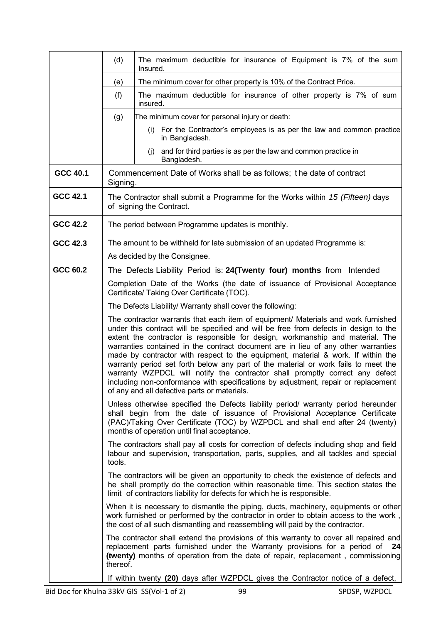|                 | (d)      | The maximum deductible for insurance of Equipment is 7% of the sum<br>Insured.                                                                                                                                                                                                                                                                                                                                                                                                                                                                                                                                                                                                                                                                   |
|-----------------|----------|--------------------------------------------------------------------------------------------------------------------------------------------------------------------------------------------------------------------------------------------------------------------------------------------------------------------------------------------------------------------------------------------------------------------------------------------------------------------------------------------------------------------------------------------------------------------------------------------------------------------------------------------------------------------------------------------------------------------------------------------------|
|                 | (e)      | The minimum cover for other property is 10% of the Contract Price.                                                                                                                                                                                                                                                                                                                                                                                                                                                                                                                                                                                                                                                                               |
|                 | (f)      | The maximum deductible for insurance of other property is 7% of sum<br>insured.                                                                                                                                                                                                                                                                                                                                                                                                                                                                                                                                                                                                                                                                  |
|                 | (g)      | The minimum cover for personal injury or death:                                                                                                                                                                                                                                                                                                                                                                                                                                                                                                                                                                                                                                                                                                  |
|                 |          | (i) For the Contractor's employees is as per the law and common practice<br>in Bangladesh.                                                                                                                                                                                                                                                                                                                                                                                                                                                                                                                                                                                                                                                       |
|                 |          | and for third parties is as per the law and common practice in<br>(i)<br>Bangladesh.                                                                                                                                                                                                                                                                                                                                                                                                                                                                                                                                                                                                                                                             |
| GCC 40.1        | Signing. | Commencement Date of Works shall be as follows; the date of contract                                                                                                                                                                                                                                                                                                                                                                                                                                                                                                                                                                                                                                                                             |
| <b>GCC 42.1</b> |          | The Contractor shall submit a Programme for the Works within 15 (Fifteen) days<br>of signing the Contract.                                                                                                                                                                                                                                                                                                                                                                                                                                                                                                                                                                                                                                       |
| <b>GCC 42.2</b> |          | The period between Programme updates is monthly.                                                                                                                                                                                                                                                                                                                                                                                                                                                                                                                                                                                                                                                                                                 |
| GCC 42.3        |          | The amount to be withheld for late submission of an updated Programme is:<br>As decided by the Consignee.                                                                                                                                                                                                                                                                                                                                                                                                                                                                                                                                                                                                                                        |
| GCC 60.2        |          | The Defects Liability Period is: 24(Twenty four) months from Intended                                                                                                                                                                                                                                                                                                                                                                                                                                                                                                                                                                                                                                                                            |
|                 |          | Completion Date of the Works (the date of issuance of Provisional Acceptance<br>Certificate/ Taking Over Certificate (TOC).                                                                                                                                                                                                                                                                                                                                                                                                                                                                                                                                                                                                                      |
|                 |          | The Defects Liability/ Warranty shall cover the following:                                                                                                                                                                                                                                                                                                                                                                                                                                                                                                                                                                                                                                                                                       |
|                 |          | The contractor warrants that each item of equipment/ Materials and work furnished<br>under this contract will be specified and will be free from defects in design to the<br>extent the contractor is responsible for design, workmanship and material. The<br>warranties contained in the contract document are in lieu of any other warranties<br>made by contractor with respect to the equipment, material & work. If within the<br>warranty period set forth below any part of the material or work fails to meet the<br>warranty WZPDCL will notify the contractor shall promptly correct any defect<br>including non-conformance with specifications by adjustment, repair or replacement<br>of any and all defective parts or materials. |
|                 |          | Unless otherwise specified the Defects liability period/ warranty period hereunder<br>shall begin from the date of issuance of Provisional Acceptance Certificate<br>(PAC)/Taking Over Certificate (TOC) by WZPDCL and shall end after 24 (twenty)<br>months of operation until final acceptance.                                                                                                                                                                                                                                                                                                                                                                                                                                                |
|                 | tools.   | The contractors shall pay all costs for correction of defects including shop and field<br>labour and supervision, transportation, parts, supplies, and all tackles and special                                                                                                                                                                                                                                                                                                                                                                                                                                                                                                                                                                   |
|                 |          | The contractors will be given an opportunity to check the existence of defects and<br>he shall promptly do the correction within reasonable time. This section states the<br>limit of contractors liability for defects for which he is responsible.                                                                                                                                                                                                                                                                                                                                                                                                                                                                                             |
|                 |          | When it is necessary to dismantle the piping, ducts, machinery, equipments or other<br>work furnished or performed by the contractor in order to obtain access to the work,<br>the cost of all such dismantling and reassembling will paid by the contractor.                                                                                                                                                                                                                                                                                                                                                                                                                                                                                    |
|                 | thereof. | The contractor shall extend the provisions of this warranty to cover all repaired and<br>replacement parts furnished under the Warranty provisions for a period of 24<br>(twenty) months of operation from the date of repair, replacement, commissioning                                                                                                                                                                                                                                                                                                                                                                                                                                                                                        |
|                 |          | If within twenty (20) days after WZPDCL gives the Contractor notice of a defect,                                                                                                                                                                                                                                                                                                                                                                                                                                                                                                                                                                                                                                                                 |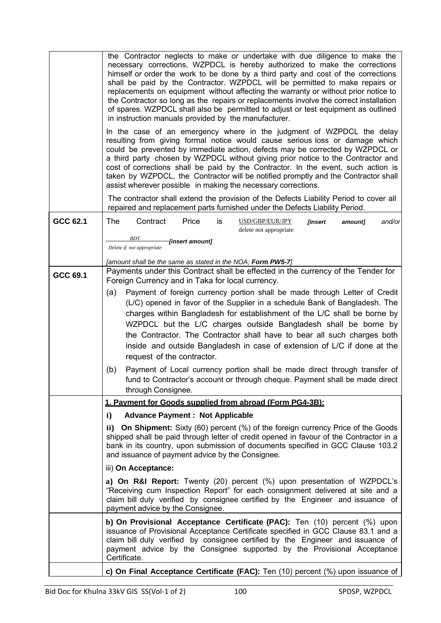|          | the Contractor neglects to make or undertake with due diligence to make the<br>necessary corrections, WZPDCL is hereby authorized to make the corrections<br>himself or order the work to be done by a third party and cost of the corrections<br>shall be paid by the Contractor. WZPDCL will be permitted to make repairs or<br>replacements on equipment without affecting the warranty or without prior notice to<br>the Contractor so long as the repairs or replacements involve the correct installation<br>of spares. WZPDCL shall also be permitted to adjust or test equipment as outlined<br>in instruction manuals provided by the manufacturer.<br>In the case of an emergency where in the judgment of WZPDCL the delay<br>resulting from giving formal notice would cause serious loss or damage which<br>could be prevented by immediate action, defects may be corrected by WZPDCL or<br>a third party chosen by WZPDCL without giving prior notice to the Contractor and<br>cost of corrections shall be paid by the Contractor. In the event, such action is<br>taken by WZPDCL, the Contractor will be notified promptly and the Contractor shall<br>assist wherever possible in making the necessary corrections.<br>The contractor shall extend the provision of the Defects Liability Period to cover all |
|----------|----------------------------------------------------------------------------------------------------------------------------------------------------------------------------------------------------------------------------------------------------------------------------------------------------------------------------------------------------------------------------------------------------------------------------------------------------------------------------------------------------------------------------------------------------------------------------------------------------------------------------------------------------------------------------------------------------------------------------------------------------------------------------------------------------------------------------------------------------------------------------------------------------------------------------------------------------------------------------------------------------------------------------------------------------------------------------------------------------------------------------------------------------------------------------------------------------------------------------------------------------------------------------------------------------------------------------------|
| GCC 62.1 | repaired and replacement parts furnished under the Defects Liability Period.<br><b>The</b><br>Price<br>Contract<br>is<br>USD/GBP/EUR/JPY<br>[insert<br>and/or<br>amount]                                                                                                                                                                                                                                                                                                                                                                                                                                                                                                                                                                                                                                                                                                                                                                                                                                                                                                                                                                                                                                                                                                                                                         |
|          | delete not appropriate<br>BDT<br>[insert amount]                                                                                                                                                                                                                                                                                                                                                                                                                                                                                                                                                                                                                                                                                                                                                                                                                                                                                                                                                                                                                                                                                                                                                                                                                                                                                 |
|          | Delete if not appropriate                                                                                                                                                                                                                                                                                                                                                                                                                                                                                                                                                                                                                                                                                                                                                                                                                                                                                                                                                                                                                                                                                                                                                                                                                                                                                                        |
| GCC 69.1 | [amount shall be the same as stated in the NOA; Form PW5-7]<br>Payments under this Contract shall be effected in the currency of the Tender for                                                                                                                                                                                                                                                                                                                                                                                                                                                                                                                                                                                                                                                                                                                                                                                                                                                                                                                                                                                                                                                                                                                                                                                  |
|          | Foreign Currency and in Taka for local currency.                                                                                                                                                                                                                                                                                                                                                                                                                                                                                                                                                                                                                                                                                                                                                                                                                                                                                                                                                                                                                                                                                                                                                                                                                                                                                 |
|          | Payment of foreign currency portion shall be made through Letter of Credit<br>(a)<br>(L/C) opened in favor of the Supplier in a schedule Bank of Bangladesh. The                                                                                                                                                                                                                                                                                                                                                                                                                                                                                                                                                                                                                                                                                                                                                                                                                                                                                                                                                                                                                                                                                                                                                                 |
|          | charges within Bangladesh for establishment of the L/C shall be borne by                                                                                                                                                                                                                                                                                                                                                                                                                                                                                                                                                                                                                                                                                                                                                                                                                                                                                                                                                                                                                                                                                                                                                                                                                                                         |
|          | WZPDCL but the L/C charges outside Bangladesh shall be borne by                                                                                                                                                                                                                                                                                                                                                                                                                                                                                                                                                                                                                                                                                                                                                                                                                                                                                                                                                                                                                                                                                                                                                                                                                                                                  |
|          | the Contractor. The Contractor shall have to bear all such charges both<br>inside and outside Bangladesh in case of extension of L/C if done at the                                                                                                                                                                                                                                                                                                                                                                                                                                                                                                                                                                                                                                                                                                                                                                                                                                                                                                                                                                                                                                                                                                                                                                              |
|          | request of the contractor.                                                                                                                                                                                                                                                                                                                                                                                                                                                                                                                                                                                                                                                                                                                                                                                                                                                                                                                                                                                                                                                                                                                                                                                                                                                                                                       |
|          | (b)<br>Payment of Local currency portion shall be made direct through transfer of                                                                                                                                                                                                                                                                                                                                                                                                                                                                                                                                                                                                                                                                                                                                                                                                                                                                                                                                                                                                                                                                                                                                                                                                                                                |
|          | fund to Contractor's account or through cheque. Payment shall be made direct<br>through Consignee.                                                                                                                                                                                                                                                                                                                                                                                                                                                                                                                                                                                                                                                                                                                                                                                                                                                                                                                                                                                                                                                                                                                                                                                                                               |
|          | 1. Pavment for Goods supplied from abroad (Form PG4-3B):                                                                                                                                                                                                                                                                                                                                                                                                                                                                                                                                                                                                                                                                                                                                                                                                                                                                                                                                                                                                                                                                                                                                                                                                                                                                         |
|          | <b>Advance Payment : Not Applicable</b><br>i)                                                                                                                                                                                                                                                                                                                                                                                                                                                                                                                                                                                                                                                                                                                                                                                                                                                                                                                                                                                                                                                                                                                                                                                                                                                                                    |
|          | ii) On Shipment: Sixty (60) percent (%) of the foreign currency Price of the Goods<br>shipped shall be paid through letter of credit opened in favour of the Contractor in a<br>bank in its country, upon submission of documents specified in GCC Clause 103.2<br>and issuance of payment advice by the Consignee.                                                                                                                                                                                                                                                                                                                                                                                                                                                                                                                                                                                                                                                                                                                                                                                                                                                                                                                                                                                                              |
|          | iii) On Acceptance:                                                                                                                                                                                                                                                                                                                                                                                                                                                                                                                                                                                                                                                                                                                                                                                                                                                                                                                                                                                                                                                                                                                                                                                                                                                                                                              |
|          | a) On R&I Report: Twenty (20) percent (%) upon presentation of WZPDCL's<br>"Receiving cum Inspection Report" for each consignment delivered at site and a<br>claim bill duly verified by consignee certified by the Engineer and issuance of<br>payment advice by the Consignee.                                                                                                                                                                                                                                                                                                                                                                                                                                                                                                                                                                                                                                                                                                                                                                                                                                                                                                                                                                                                                                                 |
|          | b) On Provisional Acceptance Certificate (PAC): Ten (10) percent (%) upon<br>issuance of Provisional Acceptance Certificate specified in GCC Clause 83.1 and a<br>claim bill duly verified by consignee certified by the Engineer and issuance of<br>payment advice by the Consignee supported by the Provisional Acceptance<br>Certificate.                                                                                                                                                                                                                                                                                                                                                                                                                                                                                                                                                                                                                                                                                                                                                                                                                                                                                                                                                                                     |
|          | c) On Final Acceptance Certificate (FAC): Ten (10) percent (%) upon issuance of                                                                                                                                                                                                                                                                                                                                                                                                                                                                                                                                                                                                                                                                                                                                                                                                                                                                                                                                                                                                                                                                                                                                                                                                                                                  |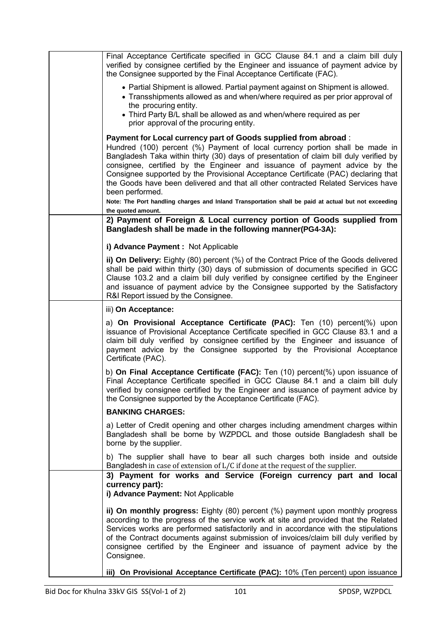| Final Acceptance Certificate specified in GCC Clause 84.1 and a claim bill duly<br>verified by consignee certified by the Engineer and issuance of payment advice by<br>the Consignee supported by the Final Acceptance Certificate (FAC).                                                                                                                                                                                                                                                                                                                                                                                                        |
|---------------------------------------------------------------------------------------------------------------------------------------------------------------------------------------------------------------------------------------------------------------------------------------------------------------------------------------------------------------------------------------------------------------------------------------------------------------------------------------------------------------------------------------------------------------------------------------------------------------------------------------------------|
| • Partial Shipment is allowed. Partial payment against on Shipment is allowed.<br>• Transshipments allowed as and when/where required as per prior approval of<br>the procuring entity.<br>• Third Party B/L shall be allowed as and when/where required as per                                                                                                                                                                                                                                                                                                                                                                                   |
| prior approval of the procuring entity.                                                                                                                                                                                                                                                                                                                                                                                                                                                                                                                                                                                                           |
| Payment for Local currency part of Goods supplied from abroad:<br>Hundred (100) percent (%) Payment of local currency portion shall be made in<br>Bangladesh Taka within thirty (30) days of presentation of claim bill duly verified by<br>consignee, certified by the Engineer and issuance of payment advice by the<br>Consignee supported by the Provisional Acceptance Certificate (PAC) declaring that<br>the Goods have been delivered and that all other contracted Related Services have<br>been performed.<br>Note: The Port handling charges and Inland Transportation shall be paid at actual but not exceeding<br>the quoted amount. |
| 2) Payment of Foreign & Local currency portion of Goods supplied from<br>Bangladesh shall be made in the following manner(PG4-3A):                                                                                                                                                                                                                                                                                                                                                                                                                                                                                                                |
| i) Advance Payment : Not Applicable                                                                                                                                                                                                                                                                                                                                                                                                                                                                                                                                                                                                               |
| ii) On Delivery: Eighty (80) percent (%) of the Contract Price of the Goods delivered<br>shall be paid within thirty (30) days of submission of documents specified in GCC<br>Clause 103.2 and a claim bill duly verified by consignee certified by the Engineer<br>and issuance of payment advice by the Consignee supported by the Satisfactory<br>R&I Report issued by the Consignee.                                                                                                                                                                                                                                                          |
| iii) On Acceptance:                                                                                                                                                                                                                                                                                                                                                                                                                                                                                                                                                                                                                               |
| a) On Provisional Acceptance Certificate (PAC): Ten (10) percent(%) upon<br>issuance of Provisional Acceptance Certificate specified in GCC Clause 83.1 and a<br>claim bill duly verified by consignee certified by the Engineer and issuance of<br>payment advice by the Consignee supported by the Provisional Acceptance<br>Certificate (PAC).                                                                                                                                                                                                                                                                                                 |
| b) On Final Acceptance Certificate (FAC): Ten (10) percent(%) upon issuance of<br>Final Acceptance Certificate specified in GCC Clause 84.1 and a claim bill duly<br>verified by consignee certified by the Engineer and issuance of payment advice by<br>the Consignee supported by the Acceptance Certificate (FAC).                                                                                                                                                                                                                                                                                                                            |
| <b>BANKING CHARGES:</b>                                                                                                                                                                                                                                                                                                                                                                                                                                                                                                                                                                                                                           |
| a) Letter of Credit opening and other charges including amendment charges within<br>Bangladesh shall be borne by WZPDCL and those outside Bangladesh shall be<br>borne by the supplier.                                                                                                                                                                                                                                                                                                                                                                                                                                                           |
| b) The supplier shall have to bear all such charges both inside and outside<br>Bangladesh in case of extension of L/C if done at the request of the supplier.                                                                                                                                                                                                                                                                                                                                                                                                                                                                                     |
| 3) Payment for works and Service (Foreign currency part and local<br>currency part):<br>i) Advance Payment: Not Applicable                                                                                                                                                                                                                                                                                                                                                                                                                                                                                                                        |
| ii) On monthly progress: Eighty (80) percent (%) payment upon monthly progress<br>according to the progress of the service work at site and provided that the Related<br>Services works are performed satisfactorily and in accordance with the stipulations<br>of the Contract documents against submission of invoices/claim bill duly verified by<br>consignee certified by the Engineer and issuance of payment advice by the<br>Consignee.                                                                                                                                                                                                   |
| iii) On Provisional Acceptance Certificate (PAC): 10% (Ten percent) upon issuance                                                                                                                                                                                                                                                                                                                                                                                                                                                                                                                                                                 |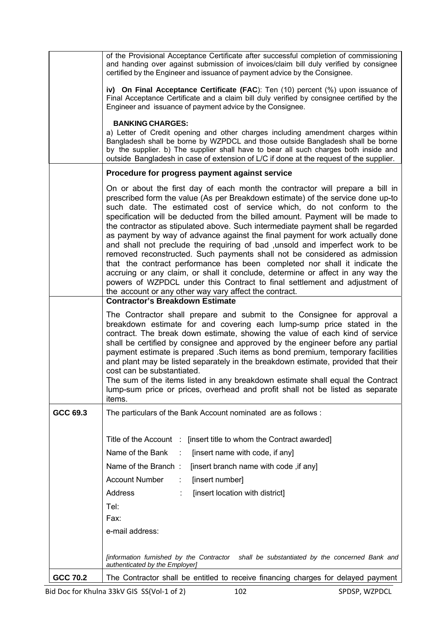|                 | of the Provisional Acceptance Certificate after successful completion of commissioning<br>and handing over against submission of invoices/claim bill duly verified by consignee                                                                                                                                                                                                                                                                                                                                                                                                                                                                                                                                                                                                                                                                                                                                                                                                                                  |
|-----------------|------------------------------------------------------------------------------------------------------------------------------------------------------------------------------------------------------------------------------------------------------------------------------------------------------------------------------------------------------------------------------------------------------------------------------------------------------------------------------------------------------------------------------------------------------------------------------------------------------------------------------------------------------------------------------------------------------------------------------------------------------------------------------------------------------------------------------------------------------------------------------------------------------------------------------------------------------------------------------------------------------------------|
|                 | certified by the Engineer and issuance of payment advice by the Consignee.                                                                                                                                                                                                                                                                                                                                                                                                                                                                                                                                                                                                                                                                                                                                                                                                                                                                                                                                       |
|                 | iv) On Final Acceptance Certificate (FAC): Ten (10) percent (%) upon issuance of<br>Final Acceptance Certificate and a claim bill duly verified by consignee certified by the<br>Engineer and issuance of payment advice by the Consignee.                                                                                                                                                                                                                                                                                                                                                                                                                                                                                                                                                                                                                                                                                                                                                                       |
|                 | <b>BANKING CHARGES:</b><br>a) Letter of Credit opening and other charges including amendment charges within<br>Bangladesh shall be borne by WZPDCL and those outside Bangladesh shall be borne<br>by the supplier. b) The supplier shall have to bear all such charges both inside and<br>outside Bangladesh in case of extension of L/C if done at the request of the supplier.                                                                                                                                                                                                                                                                                                                                                                                                                                                                                                                                                                                                                                 |
|                 | Procedure for progress payment against service                                                                                                                                                                                                                                                                                                                                                                                                                                                                                                                                                                                                                                                                                                                                                                                                                                                                                                                                                                   |
|                 | On or about the first day of each month the contractor will prepare a bill in<br>prescribed form the value (As per Breakdown estimate) of the service done up-to<br>such date. The estimated cost of service which, do not conform to the<br>specification will be deducted from the billed amount. Payment will be made to<br>the contractor as stipulated above. Such intermediate payment shall be regarded<br>as payment by way of advance against the final payment for work actually done<br>and shall not preclude the requiring of bad , unsold and imperfect work to be<br>removed reconstructed. Such payments shall not be considered as admission<br>that the contract performance has been completed nor shall it indicate the<br>accruing or any claim, or shall it conclude, determine or affect in any way the<br>powers of WZPDCL under this Contract to final settlement and adjustment of<br>the account or any other way vary affect the contract.<br><b>Contractor's Breakdown Estimate</b> |
|                 | The Contractor shall prepare and submit to the Consignee for approval a<br>breakdown estimate for and covering each lump-sump price stated in the<br>contract. The break down estimate, showing the value of each kind of service<br>shall be certified by consignee and approved by the engineer before any partial<br>payment estimate is prepared . Such items as bond premium, temporary facilities<br>and plant may be listed separately in the breakdown estimate, provided that their<br>cost can be substantiated.<br>The sum of the items listed in any breakdown estimate shall equal the Contract<br>lump-sum price or prices, overhead and profit shall not be listed as separate<br>items.                                                                                                                                                                                                                                                                                                          |
| GCC 69.3        | The particulars of the Bank Account nominated are as follows:                                                                                                                                                                                                                                                                                                                                                                                                                                                                                                                                                                                                                                                                                                                                                                                                                                                                                                                                                    |
|                 | Title of the Account : [insert title to whom the Contract awarded]<br>Name of the Bank<br>[insert name with code, if any]<br>$\sim$ 1.<br>Name of the Branch:<br>[insert branch name with code, if any]<br><b>Account Number</b><br>[insert number]<br>÷<br><b>Address</b><br>[insert location with district]<br>Tel:<br>Fax:<br>e-mail address:<br>[information furnished by the Contractor shall be substantiated by the concerned Bank and                                                                                                                                                                                                                                                                                                                                                                                                                                                                                                                                                                    |
| <b>GCC 70.2</b> | authenticated by the Employer]<br>The Contractor shall be entitled to receive financing charges for delayed payment                                                                                                                                                                                                                                                                                                                                                                                                                                                                                                                                                                                                                                                                                                                                                                                                                                                                                              |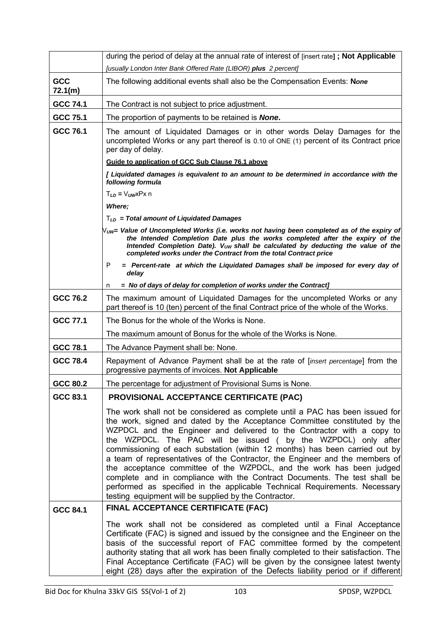|                 | during the period of delay at the annual rate of interest of [insert rate]; Not Applicable                                                                                                                                                                                                                                                                                                                                                                                                                                                                                                                                                                                                                                                                      |
|-----------------|-----------------------------------------------------------------------------------------------------------------------------------------------------------------------------------------------------------------------------------------------------------------------------------------------------------------------------------------------------------------------------------------------------------------------------------------------------------------------------------------------------------------------------------------------------------------------------------------------------------------------------------------------------------------------------------------------------------------------------------------------------------------|
|                 | [usually London Inter Bank Offered Rate (LIBOR) plus 2 percent]                                                                                                                                                                                                                                                                                                                                                                                                                                                                                                                                                                                                                                                                                                 |
| GCC<br>72.1(m)  | The following additional events shall also be the Compensation Events: None                                                                                                                                                                                                                                                                                                                                                                                                                                                                                                                                                                                                                                                                                     |
| GCC 74.1        | The Contract is not subject to price adjustment.                                                                                                                                                                                                                                                                                                                                                                                                                                                                                                                                                                                                                                                                                                                |
| GCC 75.1        | The proportion of payments to be retained is <b>None.</b>                                                                                                                                                                                                                                                                                                                                                                                                                                                                                                                                                                                                                                                                                                       |
| GCC 76.1        | The amount of Liquidated Damages or in other words Delay Damages for the<br>uncompleted Works or any part thereof is $0.10$ of ONE $(1)$ percent of its Contract price<br>per day of delay.                                                                                                                                                                                                                                                                                                                                                                                                                                                                                                                                                                     |
|                 | Guide to application of GCC Sub Clause 76.1 above                                                                                                                                                                                                                                                                                                                                                                                                                                                                                                                                                                                                                                                                                                               |
|                 | [ Liquidated damages is equivalent to an amount to be determined in accordance with the<br>following formula                                                                                                                                                                                                                                                                                                                                                                                                                                                                                                                                                                                                                                                    |
|                 | $T_{LD} = V_{UW}X$ Px n                                                                                                                                                                                                                                                                                                                                                                                                                                                                                                                                                                                                                                                                                                                                         |
|                 | Where;                                                                                                                                                                                                                                                                                                                                                                                                                                                                                                                                                                                                                                                                                                                                                          |
|                 | $T_{LD}$ = Total amount of Liquidated Damages                                                                                                                                                                                                                                                                                                                                                                                                                                                                                                                                                                                                                                                                                                                   |
|                 | $N_{\mathsf{UW}}$ = Value of Uncompleted Works (i.e. works not having been completed as of the expiry of<br>the Intended Completion Date plus the works completed after the expiry of the<br>Intended Completion Date). V <sub>UW</sub> shall be calculated by deducting the value of the<br>completed works under the Contract from the total Contract price                                                                                                                                                                                                                                                                                                                                                                                                   |
|                 | = Percent-rate at which the Liquidated Damages shall be imposed for every day of<br>P<br>delay                                                                                                                                                                                                                                                                                                                                                                                                                                                                                                                                                                                                                                                                  |
|                 | = No of days of delay for completion of works under the Contract]<br>n                                                                                                                                                                                                                                                                                                                                                                                                                                                                                                                                                                                                                                                                                          |
| GCC 76.2        | The maximum amount of Liquidated Damages for the uncompleted Works or any<br>part thereof is 10 (ten) percent of the final Contract price of the whole of the Works.                                                                                                                                                                                                                                                                                                                                                                                                                                                                                                                                                                                            |
| GCC 77.1        | The Bonus for the whole of the Works is None.                                                                                                                                                                                                                                                                                                                                                                                                                                                                                                                                                                                                                                                                                                                   |
|                 | The maximum amount of Bonus for the whole of the Works is None.                                                                                                                                                                                                                                                                                                                                                                                                                                                                                                                                                                                                                                                                                                 |
| GCC 78.1        | The Advance Payment shall be: None.                                                                                                                                                                                                                                                                                                                                                                                                                                                                                                                                                                                                                                                                                                                             |
| <b>GCC 78.4</b> | Repayment of Advance Payment shall be at the rate of [ <i>insert percentage</i> ] from the<br>progressive payments of invoices. Not Applicable                                                                                                                                                                                                                                                                                                                                                                                                                                                                                                                                                                                                                  |
| GCC 80.2        | The percentage for adjustment of Provisional Sums is None.                                                                                                                                                                                                                                                                                                                                                                                                                                                                                                                                                                                                                                                                                                      |
| GCC 83.1        | <b>PROVISIONAL ACCEPTANCE CERTIFICATE (PAC)</b>                                                                                                                                                                                                                                                                                                                                                                                                                                                                                                                                                                                                                                                                                                                 |
|                 | The work shall not be considered as complete until a PAC has been issued for<br>the work, signed and dated by the Acceptance Committee constituted by the<br>WZPDCL and the Engineer and delivered to the Contractor with a copy to<br>the WZPDCL. The PAC will be issued (by the WZPDCL) only after<br>commissioning of each substation (within 12 months) has been carried out by<br>a team of representatives of the Contractor, the Engineer and the members of<br>the acceptance committee of the WZPDCL, and the work has been judged<br>complete and in compliance with the Contract Documents. The test shall be<br>performed as specified in the applicable Technical Requirements. Necessary<br>testing equipment will be supplied by the Contractor. |
| <b>GCC 84.1</b> | FINAL ACCEPTANCE CERTIFICATE (FAC)                                                                                                                                                                                                                                                                                                                                                                                                                                                                                                                                                                                                                                                                                                                              |
|                 | The work shall not be considered as completed until a Final Acceptance<br>Certificate (FAC) is signed and issued by the consignee and the Engineer on the<br>basis of the successful report of FAC committee formed by the competent<br>authority stating that all work has been finally completed to their satisfaction. The<br>Final Acceptance Certificate (FAC) will be given by the consignee latest twenty<br>eight (28) days after the expiration of the Defects liability period or if different                                                                                                                                                                                                                                                        |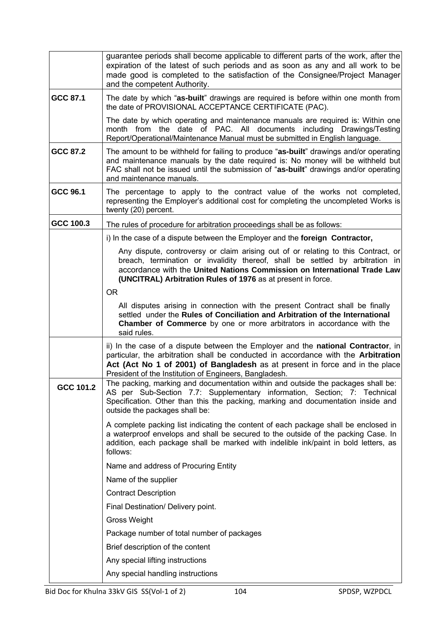|           | guarantee periods shall become applicable to different parts of the work, after the<br>expiration of the latest of such periods and as soon as any and all work to be<br>made good is completed to the satisfaction of the Consignee/Project Manager<br>and the competent Authority.                             |
|-----------|------------------------------------------------------------------------------------------------------------------------------------------------------------------------------------------------------------------------------------------------------------------------------------------------------------------|
| GCC 87.1  | The date by which "as-built" drawings are required is before within one month from<br>the date of PROVISIONAL ACCEPTANCE CERTIFICATE (PAC).                                                                                                                                                                      |
|           | The date by which operating and maintenance manuals are required is: Within one<br>month from the date of PAC. All documents including Drawings/Testing<br>Report/Operational/Maintenance Manual must be submitted in English language.                                                                          |
| GCC 87.2  | The amount to be withheld for failing to produce "as-built" drawings and/or operating<br>and maintenance manuals by the date required is: No money will be withheld but<br>FAC shall not be issued until the submission of "as-built" drawings and/or operating<br>and maintenance manuals.                      |
| GCC 96.1  | The percentage to apply to the contract value of the works not completed,<br>representing the Employer's additional cost for completing the uncompleted Works is<br>twenty (20) percent.                                                                                                                         |
| GCC 100.3 | The rules of procedure for arbitration proceedings shall be as follows:                                                                                                                                                                                                                                          |
|           | i) In the case of a dispute between the Employer and the foreign Contractor,                                                                                                                                                                                                                                     |
|           | Any dispute, controversy or claim arising out of or relating to this Contract, or<br>breach, termination or invalidity thereof, shall be settled by arbitration in<br>accordance with the United Nations Commission on International Trade Law<br>(UNCITRAL) Arbitration Rules of 1976 as at present in force.   |
|           | <b>OR</b>                                                                                                                                                                                                                                                                                                        |
|           | All disputes arising in connection with the present Contract shall be finally<br>settled under the Rules of Conciliation and Arbitration of the International<br><b>Chamber of Commerce</b> by one or more arbitrators in accordance with the<br>said rules.                                                     |
|           | ii) In the case of a dispute between the Employer and the national Contractor, in<br>particular, the arbitration shall be conducted in accordance with the Arbitration<br>Act (Act No 1 of 2001) of Bangladesh as at present in force and in the place<br>President of the Institution of Engineers, Bangladesh. |
| GCC 101.2 | The packing, marking and documentation within and outside the packages shall be:<br>AS per Sub-Section 7.7: Supplementary information, Section; 7: Technical<br>Specification. Other than this the packing, marking and documentation inside and<br>outside the packages shall be:                               |
|           | A complete packing list indicating the content of each package shall be enclosed in<br>a waterproof envelops and shall be secured to the outside of the packing Case. In<br>addition, each package shall be marked with indelible ink/paint in bold letters, as<br>follows:                                      |
|           | Name and address of Procuring Entity                                                                                                                                                                                                                                                                             |
|           | Name of the supplier                                                                                                                                                                                                                                                                                             |
|           | <b>Contract Description</b>                                                                                                                                                                                                                                                                                      |
|           | Final Destination/ Delivery point.                                                                                                                                                                                                                                                                               |
|           | Gross Weight                                                                                                                                                                                                                                                                                                     |
|           | Package number of total number of packages                                                                                                                                                                                                                                                                       |
|           | Brief description of the content                                                                                                                                                                                                                                                                                 |
|           | Any special lifting instructions                                                                                                                                                                                                                                                                                 |
|           | Any special handling instructions                                                                                                                                                                                                                                                                                |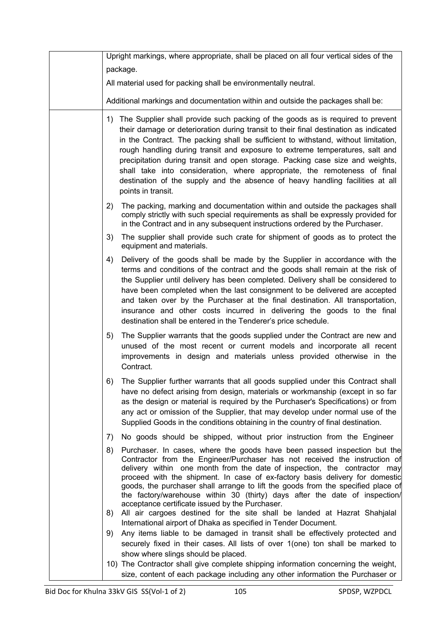| Upright markings, where appropriate, shall be placed on all four vertical sides of the                                                                                                                                                                                                                                                                                                                                                                                                                                                                                                                               |
|----------------------------------------------------------------------------------------------------------------------------------------------------------------------------------------------------------------------------------------------------------------------------------------------------------------------------------------------------------------------------------------------------------------------------------------------------------------------------------------------------------------------------------------------------------------------------------------------------------------------|
| package.                                                                                                                                                                                                                                                                                                                                                                                                                                                                                                                                                                                                             |
| All material used for packing shall be environmentally neutral.                                                                                                                                                                                                                                                                                                                                                                                                                                                                                                                                                      |
| Additional markings and documentation within and outside the packages shall be:                                                                                                                                                                                                                                                                                                                                                                                                                                                                                                                                      |
| 1) The Supplier shall provide such packing of the goods as is required to prevent<br>their damage or deterioration during transit to their final destination as indicated<br>in the Contract. The packing shall be sufficient to withstand, without limitation,<br>rough handling during transit and exposure to extreme temperatures, salt and<br>precipitation during transit and open storage. Packing case size and weights,<br>shall take into consideration, where appropriate, the remoteness of final<br>destination of the supply and the absence of heavy handling facilities at all<br>points in transit. |
| The packing, marking and documentation within and outside the packages shall<br>2)<br>comply strictly with such special requirements as shall be expressly provided for<br>in the Contract and in any subsequent instructions ordered by the Purchaser.                                                                                                                                                                                                                                                                                                                                                              |
| The supplier shall provide such crate for shipment of goods as to protect the<br>3)<br>equipment and materials.                                                                                                                                                                                                                                                                                                                                                                                                                                                                                                      |
| Delivery of the goods shall be made by the Supplier in accordance with the<br>4)<br>terms and conditions of the contract and the goods shall remain at the risk of<br>the Supplier until delivery has been completed. Delivery shall be considered to<br>have been completed when the last consignment to be delivered are accepted<br>and taken over by the Purchaser at the final destination. All transportation,<br>insurance and other costs incurred in delivering the goods to the final<br>destination shall be entered in the Tenderer's price schedule.                                                    |
| The Supplier warrants that the goods supplied under the Contract are new and<br>5)<br>unused of the most recent or current models and incorporate all recent<br>improvements in design and materials unless provided otherwise in the<br>Contract.                                                                                                                                                                                                                                                                                                                                                                   |
| The Supplier further warrants that all goods supplied under this Contract shall<br>6)<br>have no defect arising from design, materials or workmanship (except in so far<br>as the design or material is required by the Purchaser's Specifications) or from<br>any act or omission of the Supplier, that may develop under normal use of the<br>Supplied Goods in the conditions obtaining in the country of final destination.                                                                                                                                                                                      |
| No goods should be shipped, without prior instruction from the Engineer<br>7)                                                                                                                                                                                                                                                                                                                                                                                                                                                                                                                                        |
| Purchaser. In cases, where the goods have been passed inspection but the<br>8)<br>Contractor from the Engineer/Purchaser has not received the instruction of<br>delivery within one month from the date of inspection, the contractor may<br>proceed with the shipment. In case of ex-factory basis delivery for domestic<br>goods, the purchaser shall arrange to lift the goods from the specified place of<br>the factory/warehouse within 30 (thirty) days after the date of inspection/<br>acceptance certificate issued by the Purchaser.                                                                      |
| All air cargoes destined for the site shall be landed at Hazrat Shahjalal<br>8)<br>International airport of Dhaka as specified in Tender Document.                                                                                                                                                                                                                                                                                                                                                                                                                                                                   |
| Any items liable to be damaged in transit shall be effectively protected and<br>9)<br>securely fixed in their cases. All lists of over 1(one) ton shall be marked to<br>show where slings should be placed.                                                                                                                                                                                                                                                                                                                                                                                                          |
| 10) The Contractor shall give complete shipping information concerning the weight,<br>size, content of each package including any other information the Purchaser or                                                                                                                                                                                                                                                                                                                                                                                                                                                 |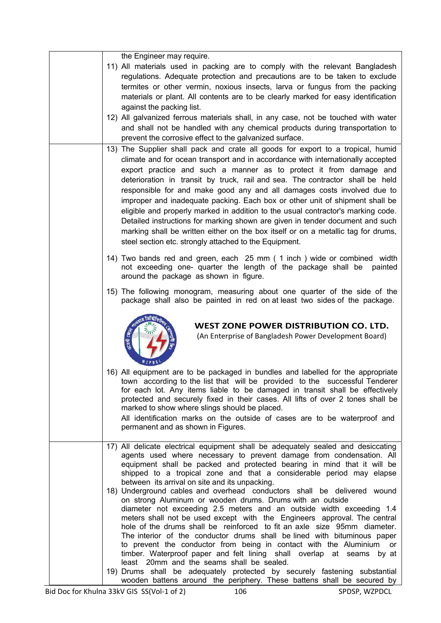| the Engineer may require.<br>11) All materials used in packing are to comply with the relevant Bangladesh<br>regulations. Adequate protection and precautions are to be taken to exclude<br>termites or other vermin, noxious insects, larva or fungus from the packing<br>materials or plant. All contents are to be clearly marked for easy identification<br>against the packing list.<br>12) All galvanized ferrous materials shall, in any case, not be touched with water<br>and shall not be handled with any chemical products during transportation to<br>prevent the corrosive effect to the galvanized surface.                                                                                                                                                                               |
|----------------------------------------------------------------------------------------------------------------------------------------------------------------------------------------------------------------------------------------------------------------------------------------------------------------------------------------------------------------------------------------------------------------------------------------------------------------------------------------------------------------------------------------------------------------------------------------------------------------------------------------------------------------------------------------------------------------------------------------------------------------------------------------------------------|
| 13) The Supplier shall pack and crate all goods for export to a tropical, humid<br>climate and for ocean transport and in accordance with internationally accepted<br>export practice and such a manner as to protect it from damage and<br>deterioration in transit by truck, rail and sea. The contractor shall be held<br>responsible for and make good any and all damages costs involved due to<br>improper and inadequate packing. Each box or other unit of shipment shall be<br>eligible and properly marked in addition to the usual contractor's marking code.<br>Detailed instructions for marking shown are given in tender document and such<br>marking shall be written either on the box itself or on a metallic tag for drums,<br>steel section etc. strongly attached to the Equipment. |
| 14) Two bands red and green, each 25 mm (1 inch) wide or combined width<br>not exceeding one- quarter the length of the package shall be<br>painted<br>around the package as shown in figure.                                                                                                                                                                                                                                                                                                                                                                                                                                                                                                                                                                                                            |
| 15) The following monogram, measuring about one quarter of the side of the<br>package shall also be painted in red on at least two sides of the package.                                                                                                                                                                                                                                                                                                                                                                                                                                                                                                                                                                                                                                                 |
| WEST ZONE POWER DISTRIBUTION CO. LTD.<br>(An Enterprise of Bangladesh Power Development Board)                                                                                                                                                                                                                                                                                                                                                                                                                                                                                                                                                                                                                                                                                                           |
| 16) All equipment are to be packaged in bundles and labelled for the appropriate<br>town according to the list that will be provided to the successful Tenderer<br>for each lot. Any items liable to be damaged in transit shall be effectively<br>protected and securely fixed in their cases. All lifts of over 2 tones shall be<br>marked to show where slings should be placed.<br>All identification marks on the outside of cases are to be waterproof and<br>permanent and as shown in Figures.                                                                                                                                                                                                                                                                                                   |
| 17) All delicate electrical equipment shall be adequately sealed and desiccating<br>agents used where necessary to prevent damage from condensation. All<br>equipment shall be packed and protected bearing in mind that it will be<br>shipped to a tropical zone and that a considerable period may elapse<br>between its arrival on site and its unpacking.                                                                                                                                                                                                                                                                                                                                                                                                                                            |
| 18) Underground cables and overhead conductors shall be delivered wound<br>on strong Aluminum or wooden drums. Drums with an outside<br>diameter not exceeding 2.5 meters and an outside width exceeding 1.4<br>meters shall not be used except with the Engineers approval. The central<br>hole of the drums shall be reinforced to fit an axle size 95mm diameter.<br>The interior of the conductor drums shall be lined with bituminous paper<br>to prevent the conductor from being in contact with the Aluminium<br>or<br>timber. Waterproof paper and felt lining shall overlap at seams by at<br>least 20mm and the seams shall be sealed.                                                                                                                                                        |
| 19) Drums shall be adequately protected by securely fastening substantial<br>wooden battens around the periphery. These battens shall be secured by $\vert$                                                                                                                                                                                                                                                                                                                                                                                                                                                                                                                                                                                                                                              |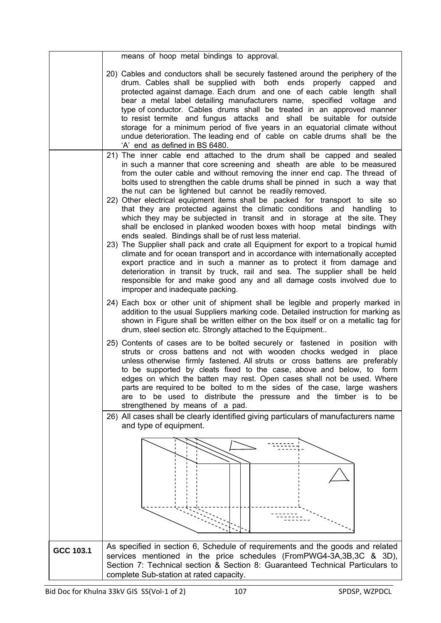|           | means of hoop metal bindings to approval.                                                                                                                                                                                                                                                                                                                                                                                                                                                                                                                                                                                                                         |
|-----------|-------------------------------------------------------------------------------------------------------------------------------------------------------------------------------------------------------------------------------------------------------------------------------------------------------------------------------------------------------------------------------------------------------------------------------------------------------------------------------------------------------------------------------------------------------------------------------------------------------------------------------------------------------------------|
|           | 20) Cables and conductors shall be securely fastened around the periphery of the<br>drum. Cables shall be supplied with both ends properly capped<br>and<br>protected against damage. Each drum and one of each cable length shall<br>bear a metal label detailing manufacturers name, specified voltage<br>and<br>type of conductor. Cables drums shall be treated in an approved manner<br>to resist termite and fungus attacks and shall be suitable for outside<br>storage for a minimum period of five years in an equatorial climate without<br>undue deterioration. The leading end of cable on cable drums shall be the<br>'A' end as defined in BS 6480. |
|           | 21) The inner cable end attached to the drum shall be capped and sealed                                                                                                                                                                                                                                                                                                                                                                                                                                                                                                                                                                                           |
|           | in such a manner that core screening and sheath are able to be measured<br>from the outer cable and without removing the inner end cap. The thread of<br>bolts used to strengthen the cable drums shall be pinned in such a way that<br>the nut can be lightened but cannot be readily removed.<br>22) Other electrical equipment items shall be packed for transport to site so                                                                                                                                                                                                                                                                                  |
|           | that they are protected against the climatic conditions and<br>handling to<br>which they may be subjected in transit and in storage at the site. They<br>shall be enclosed in planked wooden boxes with hoop metal bindings with<br>ends sealed. Bindings shall be of rust less material.                                                                                                                                                                                                                                                                                                                                                                         |
|           | 23) The Supplier shall pack and crate all Equipment for export to a tropical humid<br>climate and for ocean transport and in accordance with internationally accepted<br>export practice and in such a manner as to protect it from damage and<br>deterioration in transit by truck, rail and sea. The supplier shall be held<br>responsible for and make good any and all damage costs involved due to<br>improper and inadequate packing.                                                                                                                                                                                                                       |
|           | 24) Each box or other unit of shipment shall be legible and properly marked in<br>addition to the usual Suppliers marking code. Detailed instruction for marking as<br>shown in Figure shall be written either on the box itself or on a metallic tag for<br>drum, steel section etc. Strongly attached to the Equipment                                                                                                                                                                                                                                                                                                                                          |
|           | 25) Contents of cases are to be bolted securely or fastened in position with<br>struts or cross battens and not with wooden chocks wedged in<br>place<br>unless otherwise firmly fastened. All struts or cross battens are preferably<br>to be supported by cleats fixed to the case, above and below, to form<br>edges on which the batten may rest. Open cases shall not be used. Where<br>parts are required to be bolted to m the sides of the case, large washers<br>are to be used to distribute the pressure and the timber is to be<br>strengthened by means of a pad.                                                                                    |
|           | 26) All cases shall be clearly identified giving particulars of manufacturers name                                                                                                                                                                                                                                                                                                                                                                                                                                                                                                                                                                                |
|           | and type of equipment.                                                                                                                                                                                                                                                                                                                                                                                                                                                                                                                                                                                                                                            |
|           |                                                                                                                                                                                                                                                                                                                                                                                                                                                                                                                                                                                                                                                                   |
|           |                                                                                                                                                                                                                                                                                                                                                                                                                                                                                                                                                                                                                                                                   |
|           |                                                                                                                                                                                                                                                                                                                                                                                                                                                                                                                                                                                                                                                                   |
|           |                                                                                                                                                                                                                                                                                                                                                                                                                                                                                                                                                                                                                                                                   |
|           |                                                                                                                                                                                                                                                                                                                                                                                                                                                                                                                                                                                                                                                                   |
|           |                                                                                                                                                                                                                                                                                                                                                                                                                                                                                                                                                                                                                                                                   |
|           |                                                                                                                                                                                                                                                                                                                                                                                                                                                                                                                                                                                                                                                                   |
|           |                                                                                                                                                                                                                                                                                                                                                                                                                                                                                                                                                                                                                                                                   |
| GCC 103.1 | As specified in section 6, Schedule of requirements and the goods and related                                                                                                                                                                                                                                                                                                                                                                                                                                                                                                                                                                                     |
|           | services mentioned in the price schedules (FromPWG4-3A,3B,3C & 3D),<br>Section 7: Technical section & Section 8: Guaranteed Technical Particulars to                                                                                                                                                                                                                                                                                                                                                                                                                                                                                                              |
|           | complete Sub-station at rated capacity.                                                                                                                                                                                                                                                                                                                                                                                                                                                                                                                                                                                                                           |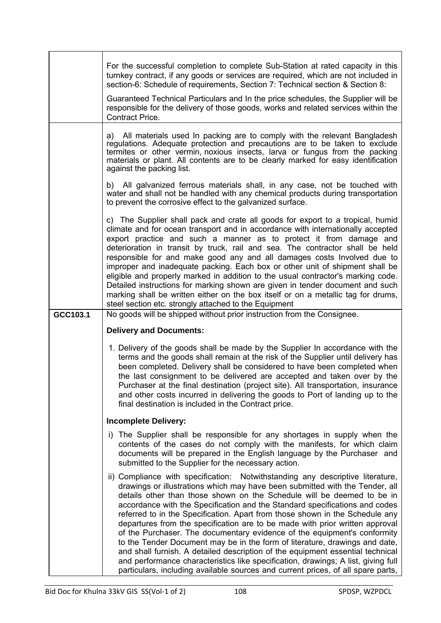|          | For the successful completion to complete Sub-Station at rated capacity in this<br>turnkey contract, if any goods or services are required, which are not included in<br>section-6: Schedule of requirements, Section 7: Technical section & Section 8:<br>Guaranteed Technical Particulars and In the price schedules, the Supplier will be<br>responsible for the delivery of those goods, works and related services within the<br>Contract Price.                                                                                                                                                                                                                                                                                                                                                                                                                                                         |
|----------|---------------------------------------------------------------------------------------------------------------------------------------------------------------------------------------------------------------------------------------------------------------------------------------------------------------------------------------------------------------------------------------------------------------------------------------------------------------------------------------------------------------------------------------------------------------------------------------------------------------------------------------------------------------------------------------------------------------------------------------------------------------------------------------------------------------------------------------------------------------------------------------------------------------|
|          | a) All materials used In packing are to comply with the relevant Bangladesh<br>regulations. Adequate protection and precautions are to be taken to exclude<br>termites or other vermin, noxious insects, larva or fungus from the packing<br>materials or plant. All contents are to be clearly marked for easy identification<br>against the packing list.                                                                                                                                                                                                                                                                                                                                                                                                                                                                                                                                                   |
|          | b) All galvanized ferrous materials shall, in any case, not be touched with<br>water and shall not be handled with any chemical products during transportation<br>to prevent the corrosive effect to the galvanized surface.                                                                                                                                                                                                                                                                                                                                                                                                                                                                                                                                                                                                                                                                                  |
|          | c) The Supplier shall pack and crate all goods for export to a tropical, humid<br>climate and for ocean transport and in accordance with internationally accepted<br>export practice and such a manner as to protect it from damage and<br>deterioration in transit by truck, rail and sea. The contractor shall be held<br>responsible for and make good any and all damages costs Involved due to<br>improper and inadequate packing. Each box or other unit of shipment shall be<br>eligible and properly marked in addition to the usual contractor's marking code.<br>Detailed instructions for marking shown are given in tender document and such<br>marking shall be written either on the box itself or on a metallic tag for drums,<br>steel section etc. strongly attached to the Equipment                                                                                                        |
| GCC103.1 | No goods will be shipped without prior instruction from the Consignee.                                                                                                                                                                                                                                                                                                                                                                                                                                                                                                                                                                                                                                                                                                                                                                                                                                        |
|          | <b>Delivery and Documents:</b>                                                                                                                                                                                                                                                                                                                                                                                                                                                                                                                                                                                                                                                                                                                                                                                                                                                                                |
|          | 1. Delivery of the goods shall be made by the Supplier In accordance with the<br>terms and the goods shall remain at the risk of the Supplier until delivery has<br>been completed. Delivery shall be considered to have been completed when<br>the last consignment to be delivered are accepted and taken over by the<br>Purchaser at the final destination (project site). All transportation, insurance<br>and other costs incurred in delivering the goods to Port of landing up to the<br>final destination is included in the Contract price.                                                                                                                                                                                                                                                                                                                                                          |
|          | <b>Incomplete Delivery:</b>                                                                                                                                                                                                                                                                                                                                                                                                                                                                                                                                                                                                                                                                                                                                                                                                                                                                                   |
|          | i) The Supplier shall be responsible for any shortages in supply when the<br>contents of the cases do not comply with the manifests, for which claim<br>documents will be prepared in the English language by the Purchaser and<br>submitted to the Supplier for the necessary action.                                                                                                                                                                                                                                                                                                                                                                                                                                                                                                                                                                                                                        |
|          | ii) Compliance with specification: Notwithstanding any descriptive literature,<br>drawings or illustrations which may have been submitted with the Tender, all<br>details other than those shown on the Schedule will be deemed to be in<br>accordance with the Specification and the Standard specifications and codes<br>referred to in the Specification. Apart from those shown in the Schedule any<br>departures from the specification are to be made with prior written approval<br>of the Purchaser. The documentary evidence of the equipment's conformity<br>to the Tender Document may be in the form of literature, drawings and date,<br>and shall furnish. A detailed description of the equipment essential technical<br>and performance characteristics like specification, drawings; A list, giving full<br>particulars, including available sources and current prices, of all spare parts, |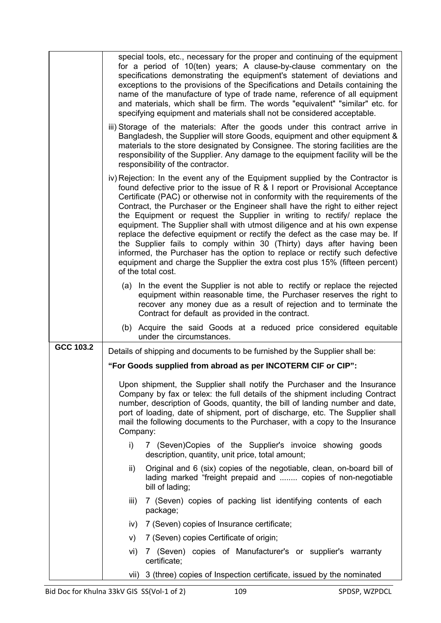|           | special tools, etc., necessary for the proper and continuing of the equipment<br>for a period of 10(ten) years; A clause-by-clause commentary on the<br>specifications demonstrating the equipment's statement of deviations and<br>exceptions to the provisions of the Specifications and Details containing the<br>name of the manufacture of type of trade name, reference of all equipment<br>and materials, which shall be firm. The words "equivalent" "similar" etc. for<br>specifying equipment and materials shall not be considered acceptable.                                                                                                                                                                                                                                                                                 |
|-----------|-------------------------------------------------------------------------------------------------------------------------------------------------------------------------------------------------------------------------------------------------------------------------------------------------------------------------------------------------------------------------------------------------------------------------------------------------------------------------------------------------------------------------------------------------------------------------------------------------------------------------------------------------------------------------------------------------------------------------------------------------------------------------------------------------------------------------------------------|
|           | iii) Storage of the materials: After the goods under this contract arrive in<br>Bangladesh, the Supplier will store Goods, equipment and other equipment &<br>materials to the store designated by Consignee. The storing facilities are the<br>responsibility of the Supplier. Any damage to the equipment facility will be the<br>responsibility of the contractor.                                                                                                                                                                                                                                                                                                                                                                                                                                                                     |
|           | iv) Rejection: In the event any of the Equipment supplied by the Contractor is<br>found defective prior to the issue of $R$ & I report or Provisional Acceptance<br>Certificate (PAC) or otherwise not in conformity with the requirements of the<br>Contract, the Purchaser or the Engineer shall have the right to either reject<br>the Equipment or request the Supplier in writing to rectify replace the<br>equipment. The Supplier shall with utmost diligence and at his own expense<br>replace the defective equipment or rectify the defect as the case may be. If<br>the Supplier fails to comply within 30 (Thirty) days after having been<br>informed, the Purchaser has the option to replace or rectify such defective<br>equipment and charge the Supplier the extra cost plus 15% (fifteen percent)<br>of the total cost. |
|           | (a) In the event the Supplier is not able to rectify or replace the rejected<br>equipment within reasonable time, the Purchaser reserves the right to<br>recover any money due as a result of rejection and to terminate the<br>Contract for default as provided in the contract.                                                                                                                                                                                                                                                                                                                                                                                                                                                                                                                                                         |
|           | (b) Acquire the said Goods at a reduced price considered equitable<br>under the circumstances.                                                                                                                                                                                                                                                                                                                                                                                                                                                                                                                                                                                                                                                                                                                                            |
| GCC 103.2 | Details of shipping and documents to be furnished by the Supplier shall be:                                                                                                                                                                                                                                                                                                                                                                                                                                                                                                                                                                                                                                                                                                                                                               |
|           | "For Goods supplied from abroad as per INCOTERM CIF or CIP":                                                                                                                                                                                                                                                                                                                                                                                                                                                                                                                                                                                                                                                                                                                                                                              |
|           | Upon shipment, the Supplier shall notify the Purchaser and the Insurance<br>Company by fax or telex: the full details of the shipment including Contract<br>number, description of Goods, quantity, the bill of landing number and date,<br>port of loading, date of shipment, port of discharge, etc. The Supplier shall<br>mail the following documents to the Purchaser, with a copy to the Insurance<br>Company:                                                                                                                                                                                                                                                                                                                                                                                                                      |
|           | i)<br>7 (Seven) Copies of the Supplier's invoice showing goods<br>description, quantity, unit price, total amount;                                                                                                                                                                                                                                                                                                                                                                                                                                                                                                                                                                                                                                                                                                                        |
|           | ii)<br>Original and 6 (six) copies of the negotiable, clean, on-board bill of<br>lading marked "freight prepaid and  copies of non-negotiable<br>bill of lading;                                                                                                                                                                                                                                                                                                                                                                                                                                                                                                                                                                                                                                                                          |
|           | 7 (Seven) copies of packing list identifying contents of each<br>iii)<br>package;                                                                                                                                                                                                                                                                                                                                                                                                                                                                                                                                                                                                                                                                                                                                                         |
|           | 7 (Seven) copies of Insurance certificate;<br>iv)                                                                                                                                                                                                                                                                                                                                                                                                                                                                                                                                                                                                                                                                                                                                                                                         |
|           | 7 (Seven) copies Certificate of origin;<br>V)                                                                                                                                                                                                                                                                                                                                                                                                                                                                                                                                                                                                                                                                                                                                                                                             |
|           | 7 (Seven) copies of Manufacturer's or supplier's warranty<br>vi)<br>certificate;                                                                                                                                                                                                                                                                                                                                                                                                                                                                                                                                                                                                                                                                                                                                                          |
|           | vii) 3 (three) copies of Inspection certificate, issued by the nominated                                                                                                                                                                                                                                                                                                                                                                                                                                                                                                                                                                                                                                                                                                                                                                  |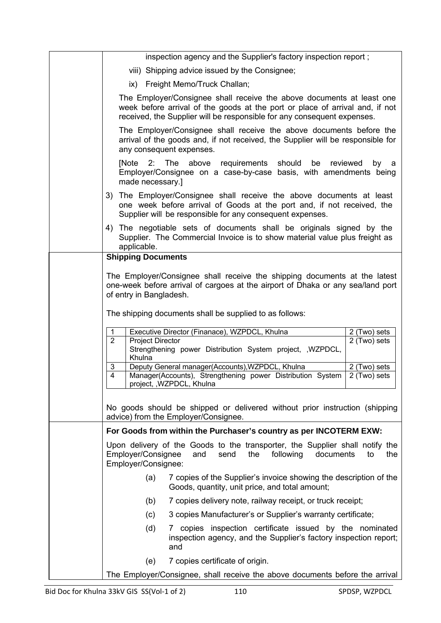| inspection agency and the Supplier's factory inspection report;                                                                                                                                                                  |
|----------------------------------------------------------------------------------------------------------------------------------------------------------------------------------------------------------------------------------|
| viii) Shipping advice issued by the Consignee;                                                                                                                                                                                   |
| ix) Freight Memo/Truck Challan;                                                                                                                                                                                                  |
| The Employer/Consignee shall receive the above documents at least one<br>week before arrival of the goods at the port or place of arrival and, if not<br>received, the Supplier will be responsible for any consequent expenses. |
| The Employer/Consignee shall receive the above documents before the<br>arrival of the goods and, if not received, the Supplier will be responsible for<br>any consequent expenses.                                               |
| The above requirements should<br>[Note<br>2:<br>be<br>reviewed<br>by<br>а<br>Employer/Consignee on a case-by-case basis, with amendments being<br>made necessary.]                                                               |
| 3) The Employer/Consignee shall receive the above documents at least<br>one week before arrival of Goods at the port and, if not received, the<br>Supplier will be responsible for any consequent expenses.                      |
| 4) The negotiable sets of documents shall be originals signed by the<br>Supplier. The Commercial Invoice is to show material value plus freight as<br>applicable.                                                                |
| <b>Shipping Documents</b>                                                                                                                                                                                                        |
| The Employer/Consignee shall receive the shipping documents at the latest<br>one-week before arrival of cargoes at the airport of Dhaka or any sea/land port<br>of entry in Bangladesh.                                          |
| The shipping documents shall be supplied to as follows:                                                                                                                                                                          |
| 1<br>Executive Director (Finanace), WZPDCL, Khulna<br>2 (Two) sets                                                                                                                                                               |
| $\overline{2}$<br><b>Project Director</b><br>2 (Two) sets<br>Strengthening power Distribution System project, , WZPDCL,<br>Khulna                                                                                                |
| Deputy General manager(Accounts), WZPDCL, Khulna<br>2 (Two) sets<br>3<br>4<br>Manager(Accounts), Strengthening power Distribution System<br>2 (Two) sets<br>project, , WZPDCL, Khulna                                            |
| No goods should be shipped or delivered without prior instruction (shipping<br>advice) from the Employer/Consignee.                                                                                                              |
| For Goods from within the Purchaser's country as per INCOTERM EXW:                                                                                                                                                               |
| Upon delivery of the Goods to the transporter, the Supplier shall notify the<br>Employer/Consignee<br>send<br>the<br>following<br>documents<br>the<br>and<br>to<br>Employer/Consignee:                                           |
| 7 copies of the Supplier's invoice showing the description of the<br>(a)<br>Goods, quantity, unit price, and total amount;                                                                                                       |
| 7 copies delivery note, railway receipt, or truck receipt;<br>(b)                                                                                                                                                                |
| 3 copies Manufacturer's or Supplier's warranty certificate;<br>(c)                                                                                                                                                               |
| (d)<br>copies inspection certificate issued by the nominated<br>inspection agency, and the Supplier's factory inspection report;<br>and                                                                                          |
| 7 copies certificate of origin.<br>(e)                                                                                                                                                                                           |
| The Employer/Consignee, shall receive the above documents before the arrival                                                                                                                                                     |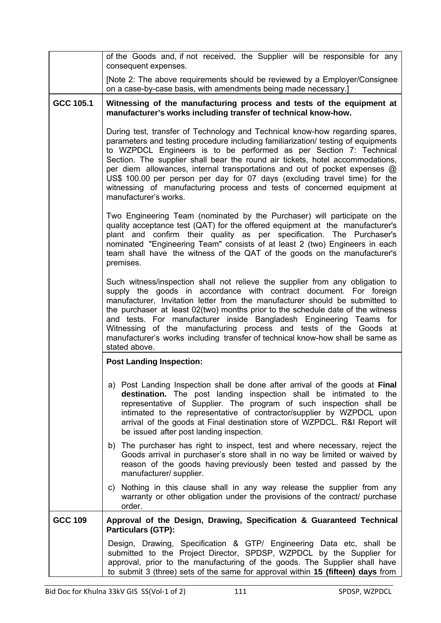|                | of the Goods and, if not received, the Supplier will be responsible for any<br>consequent expenses.                                                                                                                                                                                                                                                                                                                                                                                                                                                                                      |
|----------------|------------------------------------------------------------------------------------------------------------------------------------------------------------------------------------------------------------------------------------------------------------------------------------------------------------------------------------------------------------------------------------------------------------------------------------------------------------------------------------------------------------------------------------------------------------------------------------------|
|                | [Note 2: The above requirements should be reviewed by a Employer/Consignee<br>on a case-by-case basis, with amendments being made necessary.]                                                                                                                                                                                                                                                                                                                                                                                                                                            |
| GCC 105.1      | Witnessing of the manufacturing process and tests of the equipment at<br>manufacturer's works including transfer of technical know-how.                                                                                                                                                                                                                                                                                                                                                                                                                                                  |
|                | During test, transfer of Technology and Technical know-how regarding spares,<br>parameters and testing procedure including familiarization/ testing of equipments<br>to WZPDCL Engineers is to be performed as per Section 7: Technical<br>Section. The supplier shall bear the round air tickets, hotel accommodations,<br>per diem allowances, internal transportations and out of pocket expenses @<br>US\$ 100.00 per person per day for 07 days (excluding travel time) for the<br>witnessing of manufacturing process and tests of concerned equipment at<br>manufacturer's works. |
|                | Two Engineering Team (nominated by the Purchaser) will participate on the<br>quality acceptance test (QAT) for the offered equipment at the manufacturer's<br>plant and confirm their quality as per specification. The Purchaser's<br>nominated "Engineering Team" consists of at least 2 (two) Engineers in each<br>team shall have the witness of the QAT of the goods on the manufacturer's<br>premises.                                                                                                                                                                             |
|                | Such witness/inspection shall not relieve the supplier from any obligation to<br>supply the goods in accordance with contract document. For foreign<br>manufacturer, Invitation letter from the manufacturer should be submitted to<br>the purchaser at least 02(two) months prior to the schedule date of the witness<br>and tests. For manufacturer inside Bangladesh Engineering Teams for<br>Witnessing of the manufacturing process and tests of the Goods at<br>manufacturer's works including transfer of technical know-how shall be same as<br>stated above.                    |
|                | <b>Post Landing Inspection:</b>                                                                                                                                                                                                                                                                                                                                                                                                                                                                                                                                                          |
|                | a) Post Landing Inspection shall be done after arrival of the goods at Final<br>destination. The post landing inspection shall be intimated to the<br>representative of Supplier. The program of such inspection shall be<br>intimated to the representative of contractor/supplier by WZPDCL upon<br>arrival of the goods at Final destination store of WZPDCL. R&I Report will<br>be issued after post landing inspection.                                                                                                                                                             |
|                | b) The purchaser has right to inspect, test and where necessary, reject the<br>Goods arrival in purchaser's store shall in no way be limited or waived by<br>reason of the goods having previously been tested and passed by the<br>manufacturer/ supplier.                                                                                                                                                                                                                                                                                                                              |
|                | Nothing in this clause shall in any way release the supplier from any<br>C)<br>warranty or other obligation under the provisions of the contract/ purchase<br>order.                                                                                                                                                                                                                                                                                                                                                                                                                     |
| <b>GCC 109</b> | Approval of the Design, Drawing, Specification & Guaranteed Technical<br><b>Particulars (GTP):</b>                                                                                                                                                                                                                                                                                                                                                                                                                                                                                       |
|                | Design, Drawing, Specification & GTP/ Engineering Data etc, shall be<br>submitted to the Project Director, SPDSP, WZPDCL by the Supplier for<br>approval, prior to the manufacturing of the goods. The Supplier shall have<br>to submit 3 (three) sets of the same for approval within 15 (fifteen) days from                                                                                                                                                                                                                                                                            |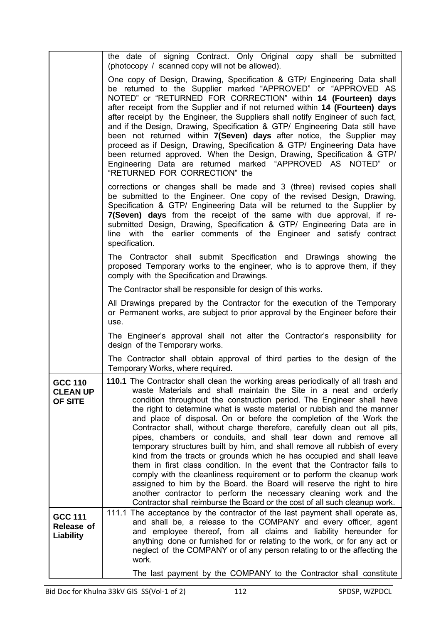|                                                  | the date of signing Contract. Only Original copy shall be submitted<br>(photocopy / scanned copy will not be allowed).                                                                                                                                                                                                                                                                                                                                                                                                                                                                                                                                                                                                                                                                                                                                                                                                                                                                                                                                                  |
|--------------------------------------------------|-------------------------------------------------------------------------------------------------------------------------------------------------------------------------------------------------------------------------------------------------------------------------------------------------------------------------------------------------------------------------------------------------------------------------------------------------------------------------------------------------------------------------------------------------------------------------------------------------------------------------------------------------------------------------------------------------------------------------------------------------------------------------------------------------------------------------------------------------------------------------------------------------------------------------------------------------------------------------------------------------------------------------------------------------------------------------|
|                                                  | One copy of Design, Drawing, Specification & GTP/ Engineering Data shall<br>be returned to the Supplier marked "APPROVED" or "APPROVED AS<br>NOTED" or "RETURNED FOR CORRECTION" within 14 (Fourteen) days<br>after receipt from the Supplier and if not returned within 14 (Fourteen) days<br>after receipt by the Engineer, the Suppliers shall notify Engineer of such fact,<br>and if the Design, Drawing, Specification & GTP/ Engineering Data still have<br>been not returned within 7(Seven) days after notice, the Supplier may<br>proceed as if Design, Drawing, Specification & GTP/ Engineering Data have<br>been returned approved. When the Design, Drawing, Specification & GTP/<br>Engineering Data are returned marked "APPROVED AS NOTED" or<br>"RETURNED FOR CORRECTION" the                                                                                                                                                                                                                                                                         |
|                                                  | corrections or changes shall be made and 3 (three) revised copies shall<br>be submitted to the Engineer. One copy of the revised Design, Drawing,<br>Specification & GTP/ Engineering Data will be returned to the Supplier by<br>7(Seven) days from the receipt of the same with due approval, if re-<br>submitted Design, Drawing, Specification & GTP/ Engineering Data are in<br>line with the earlier comments of the Engineer and satisfy contract<br>specification.                                                                                                                                                                                                                                                                                                                                                                                                                                                                                                                                                                                              |
|                                                  | The Contractor shall submit Specification and Drawings showing the<br>proposed Temporary works to the engineer, who is to approve them, if they<br>comply with the Specification and Drawings.                                                                                                                                                                                                                                                                                                                                                                                                                                                                                                                                                                                                                                                                                                                                                                                                                                                                          |
|                                                  | The Contractor shall be responsible for design of this works.                                                                                                                                                                                                                                                                                                                                                                                                                                                                                                                                                                                                                                                                                                                                                                                                                                                                                                                                                                                                           |
|                                                  | All Drawings prepared by the Contractor for the execution of the Temporary<br>or Permanent works, are subject to prior approval by the Engineer before their<br>use.                                                                                                                                                                                                                                                                                                                                                                                                                                                                                                                                                                                                                                                                                                                                                                                                                                                                                                    |
|                                                  | The Engineer's approval shall not alter the Contractor's responsibility for<br>design of the Temporary works.                                                                                                                                                                                                                                                                                                                                                                                                                                                                                                                                                                                                                                                                                                                                                                                                                                                                                                                                                           |
|                                                  | The Contractor shall obtain approval of third parties to the design of the<br>Temporary Works, where required.                                                                                                                                                                                                                                                                                                                                                                                                                                                                                                                                                                                                                                                                                                                                                                                                                                                                                                                                                          |
| <b>GCC 110</b><br><b>CLEAN UP</b><br>OF SITE     | 110.1 The Contractor shall clean the working areas periodically of all trash and<br>waste Materials and shall maintain the Site in a neat and orderly<br>condition throughout the construction period. The Engineer shall have<br>the right to determine what is waste material or rubbish and the manner<br>and place of disposal. On or before the completion of the Work the<br>Contractor shall, without charge therefore, carefully clean out all pits,<br>pipes, chambers or conduits, and shall tear down and remove all<br>temporary structures built by him, and shall remove all rubbish of every<br>kind from the tracts or grounds which he has occupied and shall leave<br>them in first class condition. In the event that the Contractor fails to<br>comply with the cleanliness requirement or to perform the cleanup work<br>assigned to him by the Board. the Board will reserve the right to hire<br>another contractor to perform the necessary cleaning work and the<br>Contractor shall reimburse the Board or the cost of all such cleanup work. |
| <b>GCC 111</b><br>Release of<br><b>Liability</b> | 111.1 The acceptance by the contractor of the last payment shall operate as,<br>and shall be, a release to the COMPANY and every officer, agent<br>and employee thereof, from all claims and liability hereunder for<br>anything done or furnished for or relating to the work, or for any act or<br>neglect of the COMPANY or of any person relating to or the affecting the<br>work.                                                                                                                                                                                                                                                                                                                                                                                                                                                                                                                                                                                                                                                                                  |
|                                                  | The last payment by the COMPANY to the Contractor shall constitute                                                                                                                                                                                                                                                                                                                                                                                                                                                                                                                                                                                                                                                                                                                                                                                                                                                                                                                                                                                                      |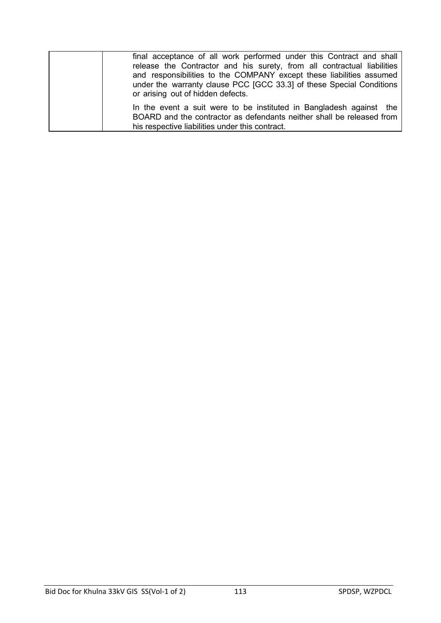| final acceptance of all work performed under this Contract and shall<br>release the Contractor and his surety, from all contractual liabilities<br>and responsibilities to the COMPANY except these liabilities assumed<br>under the warranty clause PCC [GCC 33.3] of these Special Conditions<br>or arising out of hidden defects. |
|--------------------------------------------------------------------------------------------------------------------------------------------------------------------------------------------------------------------------------------------------------------------------------------------------------------------------------------|
| In the event a suit were to be instituted in Bangladesh against the<br>BOARD and the contractor as defendants neither shall be released from<br>his respective liabilities under this contract.                                                                                                                                      |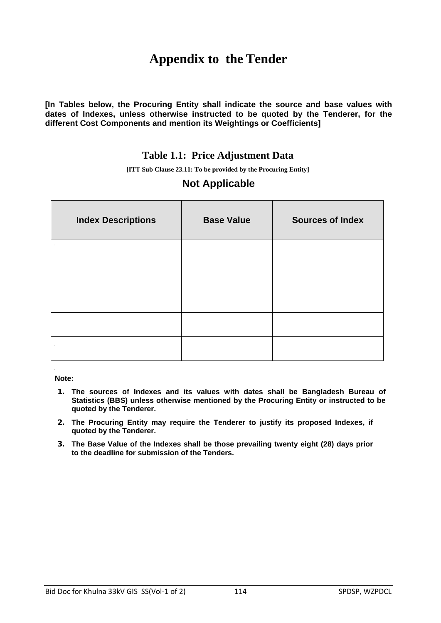# **Appendix to the Tender**

**[In Tables below, the Procuring Entity shall indicate the source and base values with dates of Indexes, unless otherwise instructed to be quoted by the Tenderer, for the different Cost Components and mention its Weightings or Coefficients]** 

#### **Table 1.1: Price Adjustment Data**

**[ITT Sub Clause 23.11: To be provided by the Procuring Entity]**

### **Not Applicable**

| <b>Index Descriptions</b> | <b>Base Value</b> | <b>Sources of Index</b> |
|---------------------------|-------------------|-------------------------|
|                           |                   |                         |
|                           |                   |                         |
|                           |                   |                         |
|                           |                   |                         |
|                           |                   |                         |

**Note:** 

- **1. The sources of Indexes and its values with dates shall be Bangladesh Bureau of Statistics (BBS) unless otherwise mentioned by the Procuring Entity or instructed to be quoted by the Tenderer.**
- **2. The Procuring Entity may require the Tenderer to justify its proposed Indexes, if quoted by the Tenderer.**
- **3. The Base Value of the Indexes shall be those prevailing twenty eight (28) days prior to the deadline for submission of the Tenders.**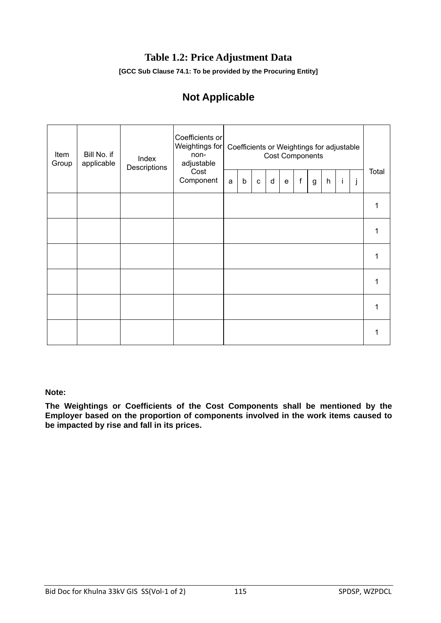## **Table 1.2: Price Adjustment Data**

**[GCC Sub Clause 74.1: To be provided by the Procuring Entity]**

# **Not Applicable**

| Item<br>Group | Bill No. if<br>applicable | Index<br>Descriptions | Coefficients or<br>Weightings for<br>non-<br>adjustable<br>Cost<br>Component |   |         |             |   |           |             | Coefficients or Weightings for adjustable<br><b>Cost Components</b> |                           |   |   |       |
|---------------|---------------------------|-----------------------|------------------------------------------------------------------------------|---|---------|-------------|---|-----------|-------------|---------------------------------------------------------------------|---------------------------|---|---|-------|
|               |                           |                       |                                                                              | a | $\sf b$ | $\mathbf c$ | d | ${\bf e}$ | $\mathsf f$ | g                                                                   | $\boldsymbol{\mathsf{h}}$ | İ | j | Total |
|               |                           |                       |                                                                              |   |         |             |   |           |             |                                                                     |                           |   |   |       |
|               |                           |                       |                                                                              |   |         |             |   |           |             |                                                                     |                           |   |   |       |
|               |                           |                       |                                                                              |   |         |             |   |           |             |                                                                     |                           |   |   |       |
|               |                           |                       |                                                                              |   |         |             |   |           |             |                                                                     |                           |   |   |       |
|               |                           |                       |                                                                              |   |         |             |   |           |             |                                                                     |                           |   |   |       |
|               |                           |                       |                                                                              |   |         |             |   |           |             |                                                                     |                           |   |   |       |

#### **Note:**

**The Weightings or Coefficients of the Cost Components shall be mentioned by the Employer based on the proportion of components involved in the work items caused to be impacted by rise and fall in its prices.**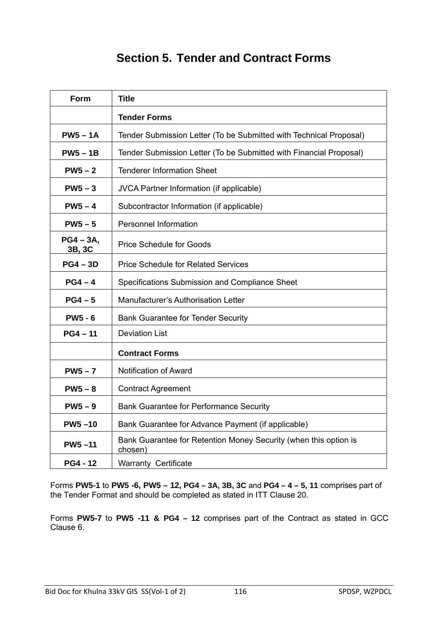# **Section 5. Tender and Contract Forms**

| Form                  | <b>Title</b>                                                                |  |  |
|-----------------------|-----------------------------------------------------------------------------|--|--|
|                       | <b>Tender Forms</b>                                                         |  |  |
| $PW5 - 1A$            | Tender Submission Letter (To be Submitted with Technical Proposal)          |  |  |
| $PW5 - 1B$            | Tender Submission Letter (To be Submitted with Financial Proposal)          |  |  |
| $PW5-2$               | <b>Tenderer Information Sheet</b>                                           |  |  |
| $PW5-3$               | JVCA Partner Information (if applicable)                                    |  |  |
| $PW5-4$               | Subcontractor Information (if applicable)                                   |  |  |
| $PW5-5$               | <b>Personnel Information</b>                                                |  |  |
| $PG4 - 3A,$<br>3B, 3C | <b>Price Schedule for Goods</b>                                             |  |  |
| $PG4 - 3D$            | <b>Price Schedule for Related Services</b>                                  |  |  |
| $PG4 - 4$             | Specifications Submission and Compliance Sheet                              |  |  |
| $PG4-5$               | Manufacturer's Authorisation Letter                                         |  |  |
| <b>PW5 - 6</b>        | <b>Bank Guarantee for Tender Security</b>                                   |  |  |
| $PG4 - 11$            | <b>Deviation List</b>                                                       |  |  |
|                       | <b>Contract Forms</b>                                                       |  |  |
| $PW5-7$               | Notification of Award                                                       |  |  |
| $PW5-8$               | <b>Contract Agreement</b>                                                   |  |  |
| $PW5-9$               | <b>Bank Guarantee for Performance Security</b>                              |  |  |
| $PW5-10$              | Bank Guarantee for Advance Payment (if applicable)                          |  |  |
| <b>PW5-11</b>         | Bank Guarantee for Retention Money Security (when this option is<br>chosen) |  |  |
| <b>PG4 - 12</b>       | <b>Warranty Certificate</b>                                                 |  |  |

Forms **PW5-1** to **PW5 -6, PW5 – 12, PG4 – 3A, 3B, 3C** and **PG4 – 4 – 5, 11** comprises part of the Tender Format and should be completed as stated in ITT Clause 20.

Forms **PW5-7** to **PW5 -11 & PG4 – 12** comprises part of the Contract as stated in GCC Clause 6.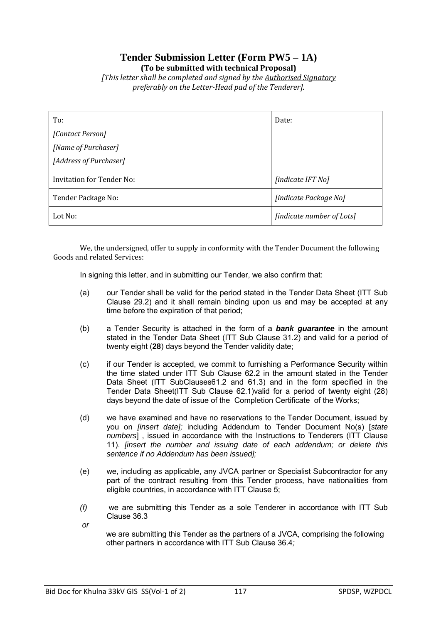### **Tender Submission Letter (Form PW5 – 1A) (To be submitted with technical Proposal)**

*[This letter shall be completed and signed by the Authorised Signatory preferably on the Letter-Head pad of the Tenderer].*

| To:                              | Date:                     |
|----------------------------------|---------------------------|
| [Contact Person]                 |                           |
| [Name of Purchaser]              |                           |
| [Address of Purchaser]           |                           |
| <b>Invitation for Tender No:</b> | [indicate IFT No]         |
| Tender Package No:               | [indicate Package No]     |
| Lot No:                          | [indicate number of Lots] |

We, the undersigned, offer to supply in conformity with the Tender Document the following Goods and related Services:

In signing this letter, and in submitting our Tender, we also confirm that:

- (a) our Tender shall be valid for the period stated in the Tender Data Sheet (ITT Sub Clause 29.2) and it shall remain binding upon us and may be accepted at any time before the expiration of that period;
- (b) a Tender Security is attached in the form of a *bank guarantee* in the amount stated in the Tender Data Sheet (ITT Sub Clause 31.2) and valid for a period of twenty eight (**28**) days beyond the Tender validity date;
- (c) if our Tender is accepted, we commit to furnishing a Performance Security within the time stated under ITT Sub Clause 62.2 in the amount stated in the Tender Data Sheet (ITT SubClauses61.2 and 61.3) and in the form specified in the Tender Data Sheet(ITT Sub Clause 62.1)valid for a period of twenty eight (28) days beyond the date of issue of the Completion Certificate of the Works;
- (d) we have examined and have no reservations to the Tender Document, issued by you on *[insert date];* including Addendum to Tender Document No(s) [*state numbers*] , issued in accordance with the Instructions to Tenderers (ITT Clause 11). *[insert the number and issuing date of each addendum; or delete this sentence if no Addendum has been issued];*
- (e) we, including as applicable, any JVCA partner or Specialist Subcontractor for any part of the contract resulting from this Tender process, have nationalities from eligible countries, in accordance with ITT Clause 5;
- *(f)* we are submitting this Tender as a sole Tenderer in accordance with ITT Sub Clause 36.3
- *or*

we are submitting this Tender as the partners of a JVCA, comprising the following other partners in accordance with ITT Sub Clause 36.4*;*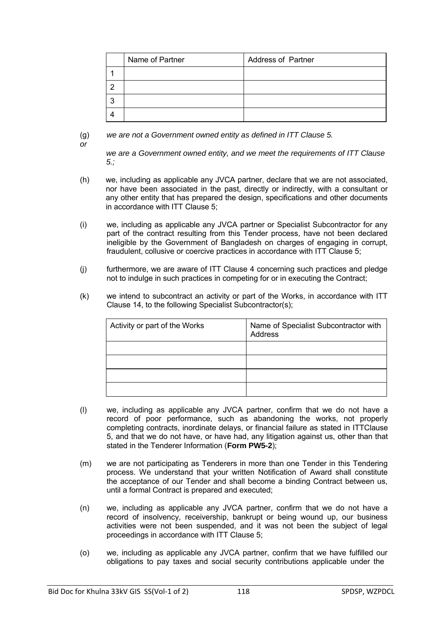| Name of Partner | <b>Address of Partner</b> |
|-----------------|---------------------------|
|                 |                           |
|                 |                           |
|                 |                           |
|                 |                           |

(g) *we are not a Government owned entity as defined in ITT Clause 5.* 

*or*

*we are a Government owned entity, and we meet the requirements of ITT Clause 5.;*

- (h) we, including as applicable any JVCA partner, declare that we are not associated, nor have been associated in the past, directly or indirectly, with a consultant or any other entity that has prepared the design, specifications and other documents in accordance with ITT Clause 5;
- (i) we, including as applicable any JVCA partner or Specialist Subcontractor for any part of the contract resulting from this Tender process, have not been declared ineligible by the Government of Bangladesh on charges of engaging in corrupt, fraudulent, collusive or coercive practices in accordance with ITT Clause 5;
- (j) furthermore, we are aware of ITT Clause 4 concerning such practices and pledge not to indulge in such practices in competing for or in executing the Contract;
- (k) we intend to subcontract an activity or part of the Works, in accordance with ITT Clause 14, to the following Specialist Subcontractor(s);

| Activity or part of the Works | Name of Specialist Subcontractor with<br>Address |
|-------------------------------|--------------------------------------------------|
|                               |                                                  |
|                               |                                                  |
|                               |                                                  |
|                               |                                                  |

- (l) we, including as applicable any JVCA partner, confirm that we do not have a record of poor performance, such as abandoning the works, not properly completing contracts, inordinate delays, or financial failure as stated in ITTClause 5, and that we do not have, or have had, any litigation against us, other than that stated in the Tenderer Information (**Form PW5-2**);
- (m) we are not participating as Tenderers in more than one Tender in this Tendering process. We understand that your written Notification of Award shall constitute the acceptance of our Tender and shall become a binding Contract between us, until a formal Contract is prepared and executed;
- (n) we, including as applicable any JVCA partner, confirm that we do not have a record of insolvency, receivership, bankrupt or being wound up, our business activities were not been suspended, and it was not been the subject of legal proceedings in accordance with ITT Clause 5;
- (o) we, including as applicable any JVCA partner, confirm that we have fulfilled our obligations to pay taxes and social security contributions applicable under the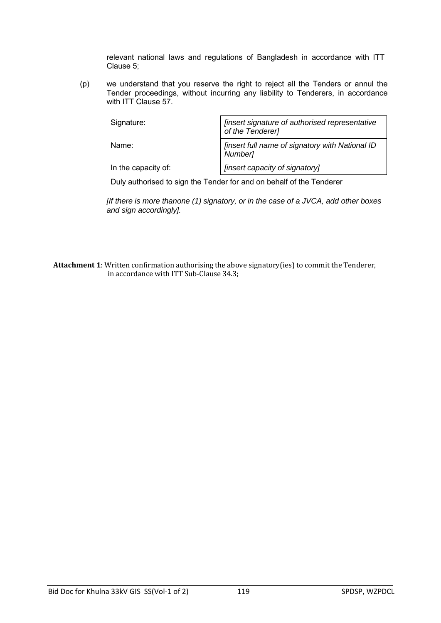relevant national laws and regulations of Bangladesh in accordance with ITT Clause 5;

(p) we understand that you reserve the right to reject all the Tenders or annul the Tender proceedings, without incurring any liability to Tenderers, in accordance with ITT Clause 57.

| Signature:          | [insert signature of authorised representative<br>of the Tenderer] |
|---------------------|--------------------------------------------------------------------|
| Name:               | [insert full name of signatory with National ID<br>Number]         |
| In the capacity of: | [insert capacity of signatory]                                     |

Duly authorised to sign the Tender for and on behalf of the Tenderer

*[If there is more thanone (1) signatory, or in the case of a JVCA, add other boxes and sign accordingly].*

**Attachment 1**: Written confirmation authorising the above signatory(ies) to commit the Tenderer, in accordance with ITT Sub-Clause 34.3;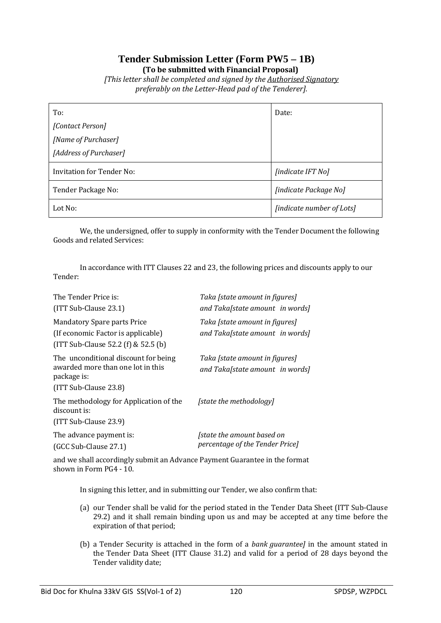### **Tender Submission Letter (Form PW5 – 1B) (To be submitted with Financial Proposal)**

*[This letter shall be completed and signed by the Authorised Signatory preferably on the Letter-Head pad of the Tenderer].*

| To:                       | Date:                     |
|---------------------------|---------------------------|
| [Contact Person]          |                           |
| [Name of Purchaser]       |                           |
| [Address of Purchaser]    |                           |
| Invitation for Tender No: | [indicate IFT No]         |
| Tender Package No:        | [indicate Package No]     |
| Lot No:                   | [indicate number of Lots] |

We, the undersigned, offer to supply in conformity with the Tender Document the following Goods and related Services:

Tender: In accordance with ITT Clauses 22 and 23, the following prices and discounts apply to our

| The Tender Price is:<br>$(ITT Sub-Clause 23.1)$                                                                     | Taka [state amount in figures]<br>and Taka[state amount in words] |
|---------------------------------------------------------------------------------------------------------------------|-------------------------------------------------------------------|
| <b>Mandatory Spare parts Price</b><br>(If economic Factor is applicable)<br>$[1TT Sub-Clause 52.2 (f) & 52.5 (b)]$  | Taka [state amount in figures]<br>and Taka[state amount in words] |
| The unconditional discount for being<br>awarded more than one lot in this<br>package is:<br>$(ITT Sub-Clause 23.8)$ | Taka [state amount in figures]<br>and Taka[state amount in words] |
| The methodology for Application of the<br>discount is:<br>$(ITT Sub-Clause 23.9)$                                   | [state the methodology]                                           |
| The advance payment is:<br>(GCC Sub-Clause 27.1)                                                                    | [state the amount based on<br>percentage of the Tender Price]     |

and we shall accordingly submit an Advance Payment Guarantee in the format shown in Form PG4 - 10.

In signing this letter, and in submitting our Tender, we also confirm that:

- (a) our Tender shall be valid for the period stated in the Tender Data Sheet (ITT Sub-Clause 29.2) and it shall remain binding upon us and may be accepted at any time before the expiration of that period;
- (b) a Tender Security is attached in the form of a *bank guarantee]* in the amount stated in the Tender Data Sheet (ITT Clause 31.2) and valid for a period of 28 days beyond the Tender validity date;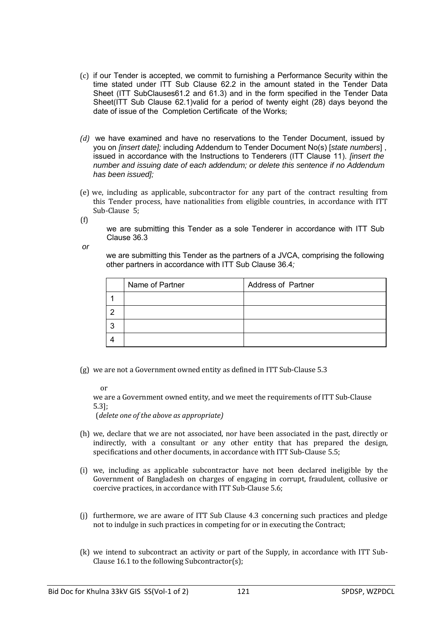- (c) if our Tender is accepted, we commit to furnishing a Performance Security within the time stated under ITT Sub Clause 62.2 in the amount stated in the Tender Data Sheet (ITT SubClauses61.2 and 61.3) and in the form specified in the Tender Data Sheet(ITT Sub Clause 62.1)valid for a period of twenty eight (28) days beyond the date of issue of the Completion Certificate of the Works;
- *(d)* we have examined and have no reservations to the Tender Document, issued by you on *[insert date];* including Addendum to Tender Document No(s) [*state numbers*] , issued in accordance with the Instructions to Tenderers (ITT Clause 11). *[insert the number and issuing date of each addendum; or delete this sentence if no Addendum has been issued];*
- (e) we, including as applicable, subcontractor for any part of the contract resulting from this Tender process, have nationalities from eligible countries, in accordance with ITT Sub-Clause 5;

(f)

we are submitting this Tender as a sole Tenderer in accordance with ITT Sub Clause 36.3

*or*

we are submitting this Tender as the partners of a JVCA, comprising the following other partners in accordance with ITT Sub Clause 36.4*;*

| Name of Partner | <b>Address of Partner</b> |
|-----------------|---------------------------|
|                 |                           |
|                 |                           |
|                 |                           |
|                 |                           |

(g) we are not a Government owned entity as defined in ITT Sub-Clause 5.3

or

we are a Government owned entity, and we meet the requirements of ITT Sub-Clause 5.3];

(*delete one of the above as appropriate)*

- (h) we, declare that we are not associated, nor have been associated in the past, directly or indirectly, with a consultant or any other entity that has prepared the design, specifications and other documents, in accordance with ITT Sub-Clause 5.5;
- (i) we, including as applicable subcontractor have not been declared ineligible by the Government of Bangladesh on charges of engaging in corrupt, fraudulent, collusive or coercive practices, in accordance with ITT Sub-Clause 5.6;
- (j) furthermore, we are aware of ITT Sub Clause 4.3 concerning such practices and pledge not to indulge in such practices in competing for or in executing the Contract;
- (k) we intend to subcontract an activity or part of the Supply, in accordance with ITT Sub-Clause 16.1 to the following Subcontractor(s);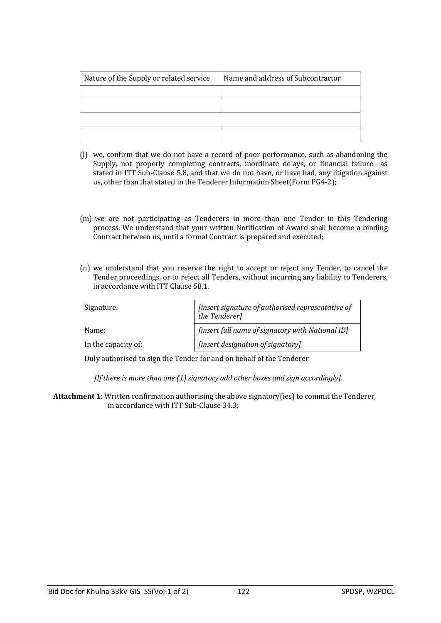| Nature of the Supply or related service | Name and address of Subcontractor |
|-----------------------------------------|-----------------------------------|
|                                         |                                   |
|                                         |                                   |
|                                         |                                   |
|                                         |                                   |

- (l) we, confirm that we do not have a record of poor performance, such as abandoning the Supply, not properly completing contracts, inordinate delays, or financial failure as stated in ITT Sub-Clause 5.8, and that we do not have, or have had, any litigation against us, other than that stated in the Tenderer Information Sheet(Form PG4-2);
- (m) we are not participating as Tenderers in more than one Tender in this Tendering process. We understand that your written Notification of Award shall become a binding Contract between us, until a formal Contract is prepared and executed;
- (n) we understand that you reserve the right to accept or reject any Tender, to cancel the Tender proceedings, or to reject all Tenders, without incurring any liability to Tenderers, in accordance with ITT Clause 58.1.

| Signature:          | [insert signature of authorised representative of<br>the Tenderer] |
|---------------------|--------------------------------------------------------------------|
| Name:               | [insert full name of signatory with National ID]                   |
| In the capacity of: | [insert designation of signatory]                                  |

Duly authorised to sign the Tender for and on behalf of the Tenderer

*[If there is more than one (1) signatory add other boxes and sign accordingly].*

**Attachment 1**: Written confirmation authorising the above signatory(ies) to commit the Tenderer, in accordance with ITT Sub-Clause 34.3;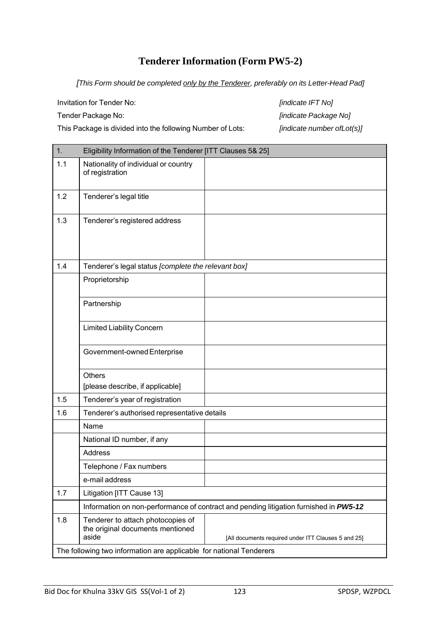## **Tenderer Information (Form PW5-2)**

*[This Form should be completed only by the Tenderer, preferably on its Letter-Head Pad]*

Invitation for Tender No: *[indicate IFT No]*

This Package is divided into the following Number of Lots: *[indicate number ofLot(s)]*

Tender Package No: *[indicate Package No]*

| $\overline{1}$ . | Eligibility Information of the Tenderer [ITT Clauses 5& 25]                    |                                                                                       |
|------------------|--------------------------------------------------------------------------------|---------------------------------------------------------------------------------------|
| 1.1              | Nationality of individual or country<br>of registration                        |                                                                                       |
| 1.2              | Tenderer's legal title                                                         |                                                                                       |
| 1.3              | Tenderer's registered address                                                  |                                                                                       |
| 1.4              | Tenderer's legal status [complete the relevant box]                            |                                                                                       |
|                  | Proprietorship                                                                 |                                                                                       |
|                  | Partnership                                                                    |                                                                                       |
|                  | <b>Limited Liability Concern</b>                                               |                                                                                       |
|                  | Government-owned Enterprise                                                    |                                                                                       |
|                  | <b>Others</b><br>[please describe, if applicable]                              |                                                                                       |
| 1.5              | Tenderer's year of registration                                                |                                                                                       |
| 1.6              | Tenderer's authorised representative details                                   |                                                                                       |
|                  | Name                                                                           |                                                                                       |
|                  | National ID number, if any                                                     |                                                                                       |
|                  | <b>Address</b>                                                                 |                                                                                       |
|                  | Telephone / Fax numbers                                                        |                                                                                       |
|                  | e-mail address                                                                 |                                                                                       |
| 1.7              | Litigation [ITT Cause 13]                                                      |                                                                                       |
|                  |                                                                                | Information on non-performance of contract and pending litigation furnished in PW5-12 |
| 1.8              | Tenderer to attach photocopies of<br>the original documents mentioned<br>aside | [All documents required under ITT Clauses 5 and 25]                                   |
|                  | The following two information are applicable for national Tenderers            |                                                                                       |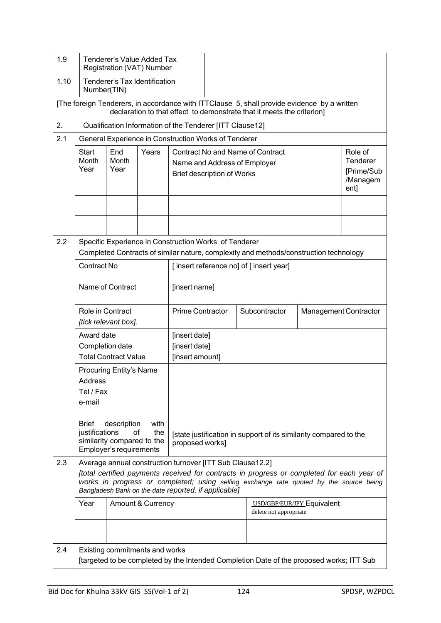| 1.9  | Tenderer's Value Added Tax<br>Registration (VAT) Number                                                                                                               |                                                                            |                   |                                                           |                                                                                                                                                                       |  |                                                                                                                                                                                      |                              |  |
|------|-----------------------------------------------------------------------------------------------------------------------------------------------------------------------|----------------------------------------------------------------------------|-------------------|-----------------------------------------------------------|-----------------------------------------------------------------------------------------------------------------------------------------------------------------------|--|--------------------------------------------------------------------------------------------------------------------------------------------------------------------------------------|------------------------------|--|
| 1.10 | Tenderer's Tax Identification<br>Number(TIN)                                                                                                                          |                                                                            |                   |                                                           |                                                                                                                                                                       |  |                                                                                                                                                                                      |                              |  |
|      | [The foreign Tenderers, in accordance with ITTClause 5, shall provide evidence by a written<br>declaration to that effect to demonstrate that it meets the criterion] |                                                                            |                   |                                                           |                                                                                                                                                                       |  |                                                                                                                                                                                      |                              |  |
| 2.   |                                                                                                                                                                       |                                                                            |                   | Qualification Information of the Tenderer [ITT Clause12]  |                                                                                                                                                                       |  |                                                                                                                                                                                      |                              |  |
| 2.1  |                                                                                                                                                                       |                                                                            |                   | General Experience in Construction Works of Tenderer      |                                                                                                                                                                       |  |                                                                                                                                                                                      |                              |  |
|      | Start<br>Month<br>Year                                                                                                                                                | End<br>Month<br>Year                                                       | Years             |                                                           | <b>Contract No and Name of Contract</b><br>Role of<br>Tenderer<br>Name and Address of Employer<br>[Prime/Sub<br><b>Brief description of Works</b><br>/Managem<br>ent] |  |                                                                                                                                                                                      |                              |  |
|      |                                                                                                                                                                       |                                                                            |                   |                                                           |                                                                                                                                                                       |  |                                                                                                                                                                                      |                              |  |
|      |                                                                                                                                                                       |                                                                            |                   |                                                           |                                                                                                                                                                       |  |                                                                                                                                                                                      |                              |  |
| 2.2  |                                                                                                                                                                       |                                                                            |                   | Specific Experience in Construction Works of Tenderer     |                                                                                                                                                                       |  | Completed Contracts of similar nature, complexity and methods/construction technology                                                                                                |                              |  |
|      | Contract No                                                                                                                                                           |                                                                            |                   |                                                           |                                                                                                                                                                       |  | [insert reference no] of [insert year]                                                                                                                                               |                              |  |
|      |                                                                                                                                                                       | Name of Contract                                                           |                   | [insert name]                                             |                                                                                                                                                                       |  |                                                                                                                                                                                      |                              |  |
|      |                                                                                                                                                                       | Role in Contract<br>[tick relevant box].                                   |                   | <b>Prime Contractor</b>                                   |                                                                                                                                                                       |  | Subcontractor                                                                                                                                                                        | <b>Management Contractor</b> |  |
|      | Award date                                                                                                                                                            |                                                                            |                   | [insert date]                                             |                                                                                                                                                                       |  |                                                                                                                                                                                      |                              |  |
|      |                                                                                                                                                                       | Completion date                                                            |                   | [insert date]                                             |                                                                                                                                                                       |  |                                                                                                                                                                                      |                              |  |
|      |                                                                                                                                                                       | <b>Total Contract Value</b>                                                |                   | [insert amount]                                           |                                                                                                                                                                       |  |                                                                                                                                                                                      |                              |  |
|      | <b>Address</b>                                                                                                                                                        | Procuring Entity's Name                                                    |                   |                                                           |                                                                                                                                                                       |  |                                                                                                                                                                                      |                              |  |
|      | Tel / Fax                                                                                                                                                             |                                                                            |                   |                                                           |                                                                                                                                                                       |  |                                                                                                                                                                                      |                              |  |
|      | e-mail                                                                                                                                                                |                                                                            |                   |                                                           |                                                                                                                                                                       |  |                                                                                                                                                                                      |                              |  |
|      | <b>Brief</b><br>justifications                                                                                                                                        | description<br>οf<br>similarity compared to the<br>Employer's requirements | with<br>the       | proposed works]                                           |                                                                                                                                                                       |  | [state justification in support of its similarity compared to the                                                                                                                    |                              |  |
| 2.3  |                                                                                                                                                                       |                                                                            |                   | Average annual construction turnover [ITT Sub Clause12.2] |                                                                                                                                                                       |  |                                                                                                                                                                                      |                              |  |
|      |                                                                                                                                                                       |                                                                            |                   | Bangladesh Bank on the date reported, if applicable]      |                                                                                                                                                                       |  | [total certified payments received for contracts in progress or completed for each year of<br>works in progress or completed; using selling exchange rate quoted by the source being |                              |  |
|      | Year                                                                                                                                                                  |                                                                            | Amount & Currency |                                                           |                                                                                                                                                                       |  | USD/GBP/EUR/JPY Equivalent<br>delete not appropriate                                                                                                                                 |                              |  |
|      |                                                                                                                                                                       |                                                                            |                   |                                                           |                                                                                                                                                                       |  |                                                                                                                                                                                      |                              |  |
| 2.4  |                                                                                                                                                                       | Existing commitments and works                                             |                   |                                                           |                                                                                                                                                                       |  | [targeted to be completed by the Intended Completion Date of the proposed works; ITT Sub                                                                                             |                              |  |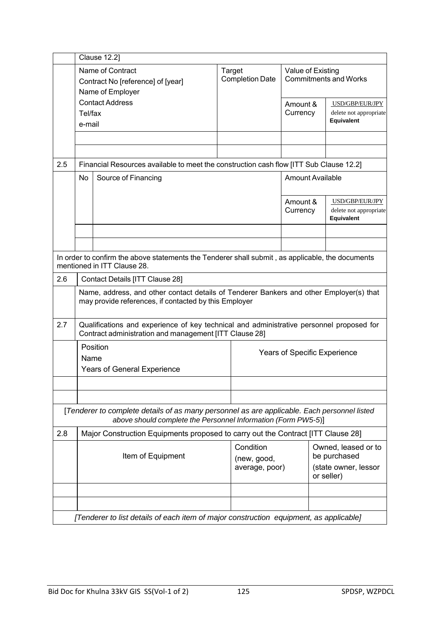|     | <b>Clause 12.2]</b> |                                                                                                                                                              |                                            |                                     |                                                                           |  |  |
|-----|---------------------|--------------------------------------------------------------------------------------------------------------------------------------------------------------|--------------------------------------------|-------------------------------------|---------------------------------------------------------------------------|--|--|
|     |                     | Name of Contract<br>Contract No [reference] of [year]<br>Name of Employer                                                                                    | <b>Target</b><br><b>Completion Date</b>    |                                     | Value of Existing<br><b>Commitments and Works</b>                         |  |  |
|     | Tel/fax<br>e-mail   | <b>Contact Address</b>                                                                                                                                       |                                            | Amount &<br>Currency                | USD/GBP/EUR/JPY<br>delete not appropriate<br>Equivalent                   |  |  |
|     |                     |                                                                                                                                                              |                                            |                                     |                                                                           |  |  |
|     |                     |                                                                                                                                                              |                                            |                                     |                                                                           |  |  |
| 2.5 |                     | Financial Resources available to meet the construction cash flow [ITT Sub Clause 12.2]                                                                       |                                            |                                     |                                                                           |  |  |
|     | No                  | Source of Financing                                                                                                                                          |                                            | <b>Amount Available</b>             |                                                                           |  |  |
|     |                     |                                                                                                                                                              |                                            | Amount &<br>Currency                | USD/GBP/EUR/JPY<br>delete not appropriate<br>Equivalent                   |  |  |
|     |                     |                                                                                                                                                              |                                            |                                     |                                                                           |  |  |
|     |                     |                                                                                                                                                              |                                            |                                     |                                                                           |  |  |
|     |                     | In order to confirm the above statements the Tenderer shall submit, as applicable, the documents<br>mentioned in ITT Clause 28.                              |                                            |                                     |                                                                           |  |  |
| 2.6 |                     | Contact Details [ITT Clause 28]                                                                                                                              |                                            |                                     |                                                                           |  |  |
|     |                     | Name, address, and other contact details of Tenderer Bankers and other Employer(s) that<br>may provide references, if contacted by this Employer             |                                            |                                     |                                                                           |  |  |
| 2.7 |                     | Qualifications and experience of key technical and administrative personnel proposed for<br>Contract administration and management [ITT Clause 28]           |                                            |                                     |                                                                           |  |  |
|     | Name                | Position<br>Years of General Experience                                                                                                                      |                                            | <b>Years of Specific Experience</b> |                                                                           |  |  |
|     |                     |                                                                                                                                                              |                                            |                                     |                                                                           |  |  |
|     |                     |                                                                                                                                                              |                                            |                                     |                                                                           |  |  |
|     |                     | [Tenderer to complete details of as many personnel as are applicable. Each personnel listed<br>above should complete the Personnel Information (Form PW5-5)] |                                            |                                     |                                                                           |  |  |
| 2.8 |                     | Major Construction Equipments proposed to carry out the Contract [ITT Clause 28]                                                                             |                                            |                                     |                                                                           |  |  |
|     | Item of Equipment   |                                                                                                                                                              | Condition<br>(new, good,<br>average, poor) |                                     | Owned, leased or to<br>be purchased<br>(state owner, lessor<br>or seller) |  |  |
|     |                     |                                                                                                                                                              |                                            |                                     |                                                                           |  |  |
|     |                     |                                                                                                                                                              |                                            |                                     |                                                                           |  |  |
|     |                     | [Tenderer to list details of each item of major construction equipment, as applicable]                                                                       |                                            |                                     |                                                                           |  |  |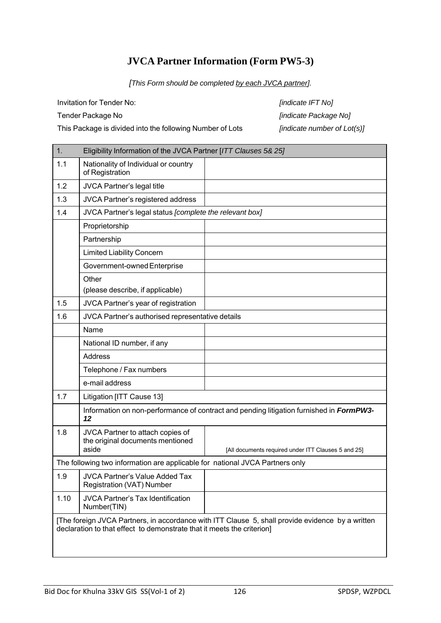## **JVCA Partner Information (Form PW5-3)**

*[This Form should be completed by each JVCA partner].*

Invitation for Tender No: *[indicate IFT No]*

Tender Package No *[indicate Package No]*

This Package is divided into the following Number of Lots *[indicate number of Lot(s)]*

| 1.   | Eligibility Information of the JVCA Partner [ITT Clauses 5& 25]                                                                                                            |                                                                                         |  |  |  |  |  |
|------|----------------------------------------------------------------------------------------------------------------------------------------------------------------------------|-----------------------------------------------------------------------------------------|--|--|--|--|--|
| 1.1  | Nationality of Individual or country<br>of Registration                                                                                                                    |                                                                                         |  |  |  |  |  |
| 1.2  | JVCA Partner's legal title                                                                                                                                                 |                                                                                         |  |  |  |  |  |
| 1.3  | JVCA Partner's registered address                                                                                                                                          |                                                                                         |  |  |  |  |  |
| 1.4  | JVCA Partner's legal status [complete the relevant box]                                                                                                                    |                                                                                         |  |  |  |  |  |
|      | Proprietorship                                                                                                                                                             |                                                                                         |  |  |  |  |  |
|      | Partnership                                                                                                                                                                |                                                                                         |  |  |  |  |  |
|      | <b>Limited Liability Concern</b>                                                                                                                                           |                                                                                         |  |  |  |  |  |
|      | Government-owned Enterprise                                                                                                                                                |                                                                                         |  |  |  |  |  |
|      | Other<br>(please describe, if applicable)                                                                                                                                  |                                                                                         |  |  |  |  |  |
| 1.5  | JVCA Partner's year of registration                                                                                                                                        |                                                                                         |  |  |  |  |  |
| 1.6  | JVCA Partner's authorised representative details                                                                                                                           |                                                                                         |  |  |  |  |  |
|      | Name                                                                                                                                                                       |                                                                                         |  |  |  |  |  |
|      | National ID number, if any                                                                                                                                                 |                                                                                         |  |  |  |  |  |
|      | <b>Address</b>                                                                                                                                                             |                                                                                         |  |  |  |  |  |
|      | Telephone / Fax numbers                                                                                                                                                    |                                                                                         |  |  |  |  |  |
|      | e-mail address                                                                                                                                                             |                                                                                         |  |  |  |  |  |
| 1.7  | Litigation [ITT Cause 13]                                                                                                                                                  |                                                                                         |  |  |  |  |  |
|      | 12                                                                                                                                                                         | Information on non-performance of contract and pending litigation furnished in FormPW3- |  |  |  |  |  |
| 1.8  | JVCA Partner to attach copies of<br>the original documents mentioned<br>aside                                                                                              | [All documents required under ITT Clauses 5 and 25]                                     |  |  |  |  |  |
|      | The following two information are applicable for national JVCA Partners only                                                                                               |                                                                                         |  |  |  |  |  |
| 1.9  | JVCA Partner's Value Added Tax<br>Registration (VAT) Number                                                                                                                |                                                                                         |  |  |  |  |  |
| 1.10 | <b>JVCA Partner's Tax Identification</b><br>Number(TIN)                                                                                                                    |                                                                                         |  |  |  |  |  |
|      | [The foreign JVCA Partners, in accordance with ITT Clause 5, shall provide evidence by a written<br>declaration to that effect to demonstrate that it meets the criterion] |                                                                                         |  |  |  |  |  |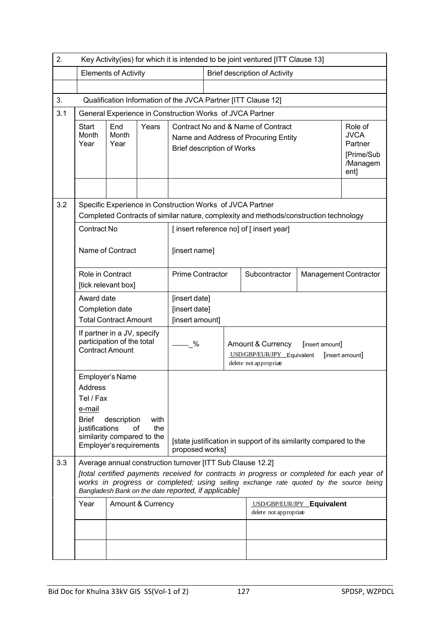| 2.                                                                                                                                                                                                                                                                       |                                         | Key Activity(ies) for which it is intended to be joint ventured [ITT Clause 13]     |                   |                                                                                                                    |                                                                                                                                                    |                                               |                                                                                                                                                                                      |                            |  |  |
|--------------------------------------------------------------------------------------------------------------------------------------------------------------------------------------------------------------------------------------------------------------------------|-----------------------------------------|-------------------------------------------------------------------------------------|-------------------|--------------------------------------------------------------------------------------------------------------------|----------------------------------------------------------------------------------------------------------------------------------------------------|-----------------------------------------------|--------------------------------------------------------------------------------------------------------------------------------------------------------------------------------------|----------------------------|--|--|
|                                                                                                                                                                                                                                                                          |                                         | <b>Elements of Activity</b>                                                         |                   |                                                                                                                    |                                                                                                                                                    | <b>Brief description of Activity</b>          |                                                                                                                                                                                      |                            |  |  |
|                                                                                                                                                                                                                                                                          |                                         |                                                                                     |                   |                                                                                                                    |                                                                                                                                                    |                                               |                                                                                                                                                                                      |                            |  |  |
| 3.                                                                                                                                                                                                                                                                       |                                         | Qualification Information of the JVCA Partner [ITT Clause 12]                       |                   |                                                                                                                    |                                                                                                                                                    |                                               |                                                                                                                                                                                      |                            |  |  |
| 3.1                                                                                                                                                                                                                                                                      |                                         |                                                                                     |                   | General Experience in Construction Works of JVCA Partner                                                           |                                                                                                                                                    |                                               |                                                                                                                                                                                      |                            |  |  |
|                                                                                                                                                                                                                                                                          | <b>Start</b><br>Month<br>Year           | End<br>Month<br>Year                                                                | Years             |                                                                                                                    | Contract No and & Name of Contract<br>Name and Address of Procuring Entity<br><b>Brief description of Works</b>                                    |                                               |                                                                                                                                                                                      |                            |  |  |
| 3.2                                                                                                                                                                                                                                                                      |                                         |                                                                                     |                   |                                                                                                                    | Specific Experience in Construction Works of JVCA Partner<br>Completed Contracts of similar nature, complexity and methods/construction technology |                                               |                                                                                                                                                                                      |                            |  |  |
| <b>Contract No</b><br>[insert reference no] of [insert year]                                                                                                                                                                                                             |                                         |                                                                                     |                   |                                                                                                                    |                                                                                                                                                    |                                               |                                                                                                                                                                                      |                            |  |  |
|                                                                                                                                                                                                                                                                          |                                         | Name of Contract                                                                    |                   | [insert name]                                                                                                      |                                                                                                                                                    |                                               |                                                                                                                                                                                      |                            |  |  |
|                                                                                                                                                                                                                                                                          | Role in Contract<br>[tick relevant box] |                                                                                     |                   | <b>Prime Contractor</b>                                                                                            |                                                                                                                                                    | Subcontractor<br><b>Management Contractor</b> |                                                                                                                                                                                      |                            |  |  |
|                                                                                                                                                                                                                                                                          | Award date                              |                                                                                     |                   | [insert date]                                                                                                      |                                                                                                                                                    |                                               |                                                                                                                                                                                      |                            |  |  |
|                                                                                                                                                                                                                                                                          | Completion date                         | <b>Total Contract Amount</b>                                                        |                   | [insert date]<br>[insert amount]                                                                                   |                                                                                                                                                    |                                               |                                                                                                                                                                                      |                            |  |  |
|                                                                                                                                                                                                                                                                          |                                         | If partner in a JV, specify<br>participation of the total<br><b>Contract Amount</b> |                   | - %                                                                                                                | Amount & Currency<br>[insert amount]<br>USD/GBP/EUR/JPY Equivalent<br>[insert amount]<br>delete not appropriate                                    |                                               |                                                                                                                                                                                      |                            |  |  |
| Employer's Name<br>Address<br>Tel / Fax<br>e-mail<br><b>Brief</b><br>description<br>with<br>justifications<br>of<br>the<br>similarity compared to the<br>[state justification in support of its similarity compared to the<br>Employer's requirements<br>proposed works] |                                         |                                                                                     |                   |                                                                                                                    |                                                                                                                                                    |                                               |                                                                                                                                                                                      |                            |  |  |
| 3.3                                                                                                                                                                                                                                                                      |                                         |                                                                                     |                   | Average annual construction turnover [ITT Sub Clause 12.2]<br>Bangladesh Bank on the date reported, if applicable] |                                                                                                                                                    |                                               | [total certified payments received for contracts in progress or completed for each year of<br>works in progress or completed; using selling exchange rate quoted by the source being |                            |  |  |
|                                                                                                                                                                                                                                                                          | Year                                    |                                                                                     | Amount & Currency |                                                                                                                    |                                                                                                                                                    |                                               | delete not appropriate                                                                                                                                                               | USD/GBP/EUR/JPY Equivalent |  |  |
|                                                                                                                                                                                                                                                                          |                                         |                                                                                     |                   |                                                                                                                    |                                                                                                                                                    |                                               |                                                                                                                                                                                      |                            |  |  |
|                                                                                                                                                                                                                                                                          |                                         |                                                                                     |                   |                                                                                                                    |                                                                                                                                                    |                                               |                                                                                                                                                                                      |                            |  |  |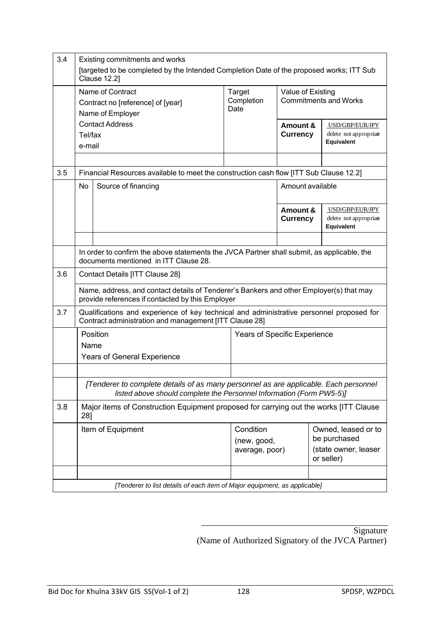| 3.4 | Existing commitments and works<br>[targeted to be completed by the Intended Completion Date of the proposed works; ITT Sub<br><b>Clause 12.2]</b> |                                                                                                                                                              |                                            |                                                   |                                                                           |                                                         |  |  |
|-----|---------------------------------------------------------------------------------------------------------------------------------------------------|--------------------------------------------------------------------------------------------------------------------------------------------------------------|--------------------------------------------|---------------------------------------------------|---------------------------------------------------------------------------|---------------------------------------------------------|--|--|
|     |                                                                                                                                                   | Name of Contract<br>Contract no [reference] of [year]<br>Name of Employer                                                                                    | Target<br>Completion<br>Date               | Value of Existing<br><b>Commitments and Works</b> |                                                                           |                                                         |  |  |
|     | <b>Contact Address</b><br>Tel/fax<br>e-mail                                                                                                       |                                                                                                                                                              |                                            | Amount &<br><b>Currency</b>                       |                                                                           | USD/GBP/EUR/JPY<br>delete not appropriate<br>Equivalent |  |  |
|     |                                                                                                                                                   |                                                                                                                                                              |                                            |                                                   |                                                                           |                                                         |  |  |
| 3.5 |                                                                                                                                                   | Financial Resources available to meet the construction cash flow [ITT Sub Clause 12.2]                                                                       |                                            |                                                   |                                                                           |                                                         |  |  |
|     | No                                                                                                                                                | Source of financing                                                                                                                                          |                                            | Amount available                                  |                                                                           |                                                         |  |  |
|     |                                                                                                                                                   |                                                                                                                                                              |                                            | Amount &<br><b>Currency</b>                       |                                                                           | USD/GBP/EUR/JPY<br>delete not appropriate<br>Equivalent |  |  |
|     |                                                                                                                                                   |                                                                                                                                                              |                                            |                                                   |                                                                           |                                                         |  |  |
|     | In order to confirm the above statements the JVCA Partner shall submit, as applicable, the<br>documents mentioned in ITT Clause 28.               |                                                                                                                                                              |                                            |                                                   |                                                                           |                                                         |  |  |
| 3.6 |                                                                                                                                                   | Contact Details [ITT Clause 28]                                                                                                                              |                                            |                                                   |                                                                           |                                                         |  |  |
|     |                                                                                                                                                   | Name, address, and contact details of Tenderer's Bankers and other Employer(s) that may<br>provide references if contacted by this Employer                  |                                            |                                                   |                                                                           |                                                         |  |  |
| 3.7 |                                                                                                                                                   | Qualifications and experience of key technical and administrative personnel proposed for<br>Contract administration and management [ITT Clause 28]           |                                            |                                                   |                                                                           |                                                         |  |  |
|     |                                                                                                                                                   | Position                                                                                                                                                     | Years of Specific Experience               |                                                   |                                                                           |                                                         |  |  |
|     | Name                                                                                                                                              |                                                                                                                                                              |                                            |                                                   |                                                                           |                                                         |  |  |
|     |                                                                                                                                                   | <b>Years of General Experience</b>                                                                                                                           |                                            |                                                   |                                                                           |                                                         |  |  |
|     |                                                                                                                                                   | [Tenderer to complete details of as many personnel as are applicable. Each personnel<br>listed above should complete the Personnel Information (Form PW5-5)] |                                            |                                                   |                                                                           |                                                         |  |  |
| 3.8 | 28]                                                                                                                                               | Major items of Construction Equipment proposed for carrying out the works [ITT Clause                                                                        |                                            |                                                   |                                                                           |                                                         |  |  |
|     | Item of Equipment                                                                                                                                 |                                                                                                                                                              | Condition<br>(new, good,<br>average, poor) |                                                   | Owned, leased or to<br>be purchased<br>(state owner, leaser<br>or seller) |                                                         |  |  |
|     |                                                                                                                                                   |                                                                                                                                                              |                                            |                                                   |                                                                           |                                                         |  |  |
|     |                                                                                                                                                   | [Tenderer to list details of each item of Major equipment, as applicable]                                                                                    |                                            |                                                   |                                                                           |                                                         |  |  |

**Signature** (Name of Authorized Signatory of the JVCA Partner)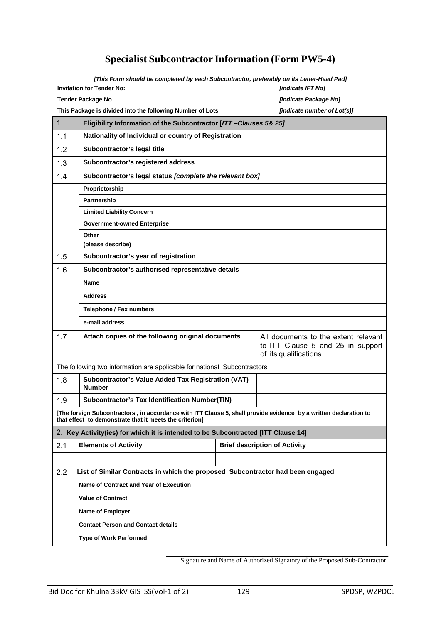# **Specialist Subcontractor Information (Form PW5-4)**

*[This Form should be completed by each Subcontractor, preferably on its Letter-Head Pad]*

| <b>Invitation for Tender No:</b> | <b>findicate IFT No1</b>     |
|----------------------------------|------------------------------|
| Tender Package No                | <b>findicate Package No1</b> |

**Invitation for Tender No:** *[indicate IFT No]*

**This Package is divided into the following Number of Lots** *[indicate number of Lot(s)]*

| 1.  | Eligibility Information of the Subcontractor [ITT-Clauses 5& 25]                                                                                                            |                                                                                                    |                                      |  |  |  |  |  |
|-----|-----------------------------------------------------------------------------------------------------------------------------------------------------------------------------|----------------------------------------------------------------------------------------------------|--------------------------------------|--|--|--|--|--|
| 1.1 | Nationality of Individual or country of Registration                                                                                                                        |                                                                                                    |                                      |  |  |  |  |  |
| 1.2 | Subcontractor's legal title                                                                                                                                                 |                                                                                                    |                                      |  |  |  |  |  |
| 1.3 | Subcontractor's registered address                                                                                                                                          |                                                                                                    |                                      |  |  |  |  |  |
| 1.4 | Subcontractor's legal status [complete the relevant box]                                                                                                                    |                                                                                                    |                                      |  |  |  |  |  |
|     | Proprietorship                                                                                                                                                              |                                                                                                    |                                      |  |  |  |  |  |
|     | Partnership                                                                                                                                                                 |                                                                                                    |                                      |  |  |  |  |  |
|     | <b>Limited Liability Concern</b>                                                                                                                                            |                                                                                                    |                                      |  |  |  |  |  |
|     | <b>Government-owned Enterprise</b>                                                                                                                                          |                                                                                                    |                                      |  |  |  |  |  |
|     | Other                                                                                                                                                                       |                                                                                                    |                                      |  |  |  |  |  |
|     | (please describe)                                                                                                                                                           |                                                                                                    |                                      |  |  |  |  |  |
| 1.5 | Subcontractor's year of registration                                                                                                                                        |                                                                                                    |                                      |  |  |  |  |  |
| 1.6 | Subcontractor's authorised representative details                                                                                                                           |                                                                                                    |                                      |  |  |  |  |  |
|     | <b>Name</b>                                                                                                                                                                 |                                                                                                    |                                      |  |  |  |  |  |
|     | <b>Address</b>                                                                                                                                                              |                                                                                                    |                                      |  |  |  |  |  |
|     | Telephone / Fax numbers                                                                                                                                                     |                                                                                                    |                                      |  |  |  |  |  |
|     | e-mail address                                                                                                                                                              |                                                                                                    |                                      |  |  |  |  |  |
| 1.7 | Attach copies of the following original documents                                                                                                                           | All documents to the extent relevant<br>to ITT Clause 5 and 25 in support<br>of its qualifications |                                      |  |  |  |  |  |
|     | The following two information are applicable for national Subcontractors                                                                                                    |                                                                                                    |                                      |  |  |  |  |  |
| 1.8 | Subcontractor's Value Added Tax Registration (VAT)<br><b>Number</b>                                                                                                         |                                                                                                    |                                      |  |  |  |  |  |
| 1.9 | <b>Subcontractor's Tax Identification Number(TIN)</b>                                                                                                                       |                                                                                                    |                                      |  |  |  |  |  |
|     | [The foreign Subcontractors, in accordance with ITT Clause 5, shall provide evidence by a written declaration to<br>that effect to demonstrate that it meets the criterion] |                                                                                                    |                                      |  |  |  |  |  |
|     | 2. Key Activity(ies) for which it is intended to be Subcontracted [ITT Clause 14]                                                                                           |                                                                                                    |                                      |  |  |  |  |  |
| 2.1 | <b>Elements of Activity</b>                                                                                                                                                 |                                                                                                    | <b>Brief description of Activity</b> |  |  |  |  |  |
|     |                                                                                                                                                                             |                                                                                                    |                                      |  |  |  |  |  |
| 2.2 | List of Similar Contracts in which the proposed Subcontractor had been engaged                                                                                              |                                                                                                    |                                      |  |  |  |  |  |
|     | Name of Contract and Year of Execution                                                                                                                                      |                                                                                                    |                                      |  |  |  |  |  |
|     | <b>Value of Contract</b>                                                                                                                                                    |                                                                                                    |                                      |  |  |  |  |  |
|     | Name of Employer                                                                                                                                                            |                                                                                                    |                                      |  |  |  |  |  |
|     | <b>Contact Person and Contact details</b>                                                                                                                                   |                                                                                                    |                                      |  |  |  |  |  |
|     | <b>Type of Work Performed</b>                                                                                                                                               |                                                                                                    |                                      |  |  |  |  |  |
|     |                                                                                                                                                                             |                                                                                                    |                                      |  |  |  |  |  |

Signature and Name of Authorized Signatory of the Proposed Sub-Contractor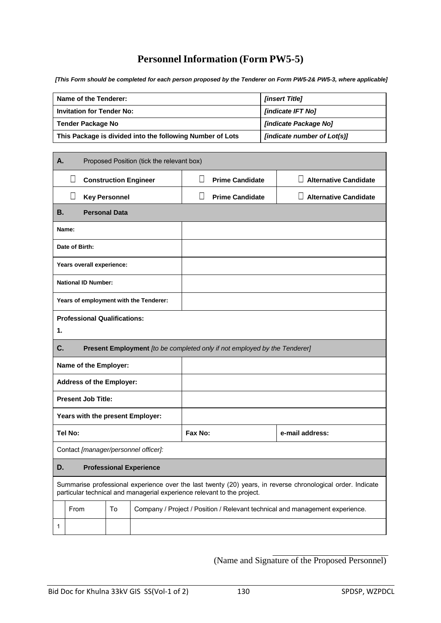# **Personnel Information (Form PW5-5)**

*[This Form should be completed for each person proposed by the Tenderer on Form PW5-2& PW5-3, where applicable]*

| Name of the Tenderer:                                     | <b><i><u>Iinsert Titlel</u></i></b>         |
|-----------------------------------------------------------|---------------------------------------------|
| <b>Invitation for Tender No:</b>                          | <b>findicate IFT Nol</b>                    |
| Tender Package No                                         | <b><i><u>lindicate Package Noll</u></i></b> |
| This Package is divided into the following Number of Lots | <i>lindicate number of Lot(s)l</i>          |

| А. |                |                                     |                      | Proposed Position (tick the relevant box) |              |                                                                           |                                                                                                             |
|----|----------------|-------------------------------------|----------------------|-------------------------------------------|--------------|---------------------------------------------------------------------------|-------------------------------------------------------------------------------------------------------------|
|    | $\Box$         |                                     |                      | <b>Construction Engineer</b>              | Н            | <b>Prime Candidate</b>                                                    | <b>Alternative Candidate</b>                                                                                |
|    | П              |                                     | <b>Key Personnel</b> |                                           | $\mathsf{L}$ | <b>Prime Candidate</b>                                                    | <b>Alternative Candidate</b>                                                                                |
| В. |                | <b>Personal Data</b>                |                      |                                           |              |                                                                           |                                                                                                             |
|    | Name:          |                                     |                      |                                           |              |                                                                           |                                                                                                             |
|    | Date of Birth: |                                     |                      |                                           |              |                                                                           |                                                                                                             |
|    |                | Years overall experience:           |                      |                                           |              |                                                                           |                                                                                                             |
|    |                | <b>National ID Number:</b>          |                      |                                           |              |                                                                           |                                                                                                             |
|    |                |                                     |                      | Years of employment with the Tenderer:    |              |                                                                           |                                                                                                             |
|    |                | <b>Professional Qualifications:</b> |                      |                                           |              |                                                                           |                                                                                                             |
| 1. |                |                                     |                      |                                           |              |                                                                           |                                                                                                             |
| C. |                |                                     |                      |                                           |              | Present Employment [to be completed only if not employed by the Tenderer] |                                                                                                             |
|    |                | Name of the Employer:               |                      |                                           |              |                                                                           |                                                                                                             |
|    |                | <b>Address of the Employer:</b>     |                      |                                           |              |                                                                           |                                                                                                             |
|    |                | <b>Present Job Title:</b>           |                      |                                           |              |                                                                           |                                                                                                             |
|    |                |                                     |                      | Years with the present Employer:          |              |                                                                           |                                                                                                             |
|    | <b>Tel No:</b> |                                     |                      |                                           | Fax No:      |                                                                           | e-mail address:                                                                                             |
|    |                |                                     |                      | Contact [manager/personnel officer]:      |              |                                                                           |                                                                                                             |
| D. |                |                                     |                      | <b>Professional Experience</b>            |              |                                                                           |                                                                                                             |
|    |                |                                     |                      |                                           |              | particular technical and managerial experience relevant to the project.   | Summarise professional experience over the last twenty (20) years, in reverse chronological order. Indicate |
|    | From           |                                     | To                   |                                           |              |                                                                           | Company / Project / Position / Relevant technical and management experience.                                |
| 1  |                |                                     |                      |                                           |              |                                                                           |                                                                                                             |

(Name and Signature of the Proposed Personnel)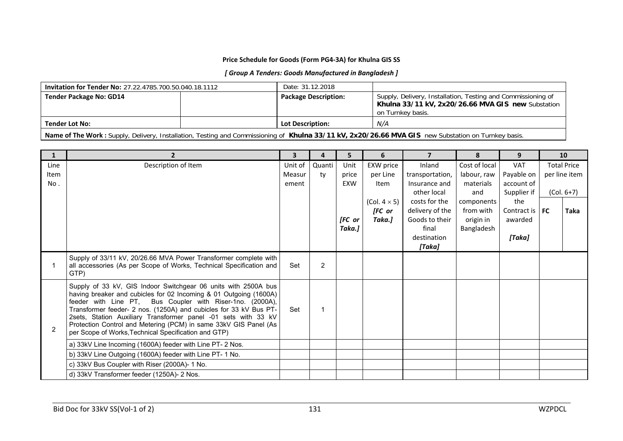#### **Price Schedule for Goods (Form PG4-3A) for Khulna GIS SS**

#### *[ Group A Tenders: Goods Manufactured in Bangladesh ]*

| <b>Invitation for Tender No: 27.22.4785.700.50.040.18.1112</b> | Date: 31.12.2018            |                                                                                                                                         |
|----------------------------------------------------------------|-----------------------------|-----------------------------------------------------------------------------------------------------------------------------------------|
| <b>Tender Package No: GD14</b>                                 | <b>Package Description:</b> | Supply, Delivery, Installation, Testing and Commissioning of<br>Khulna 33/11 kV, 2x20/26.66 MVA GIS new Substation<br>on Turnkey basis. |
| <b>Tender Lot No:</b>                                          | <b>Lot Description:</b>     | N/A                                                                                                                                     |

**Name of The Work :** Supply, Delivery, Installation, Testing and Commissioning of **Khulna 33/11 kV, 2x20/26.66 MVA GIS** new Substation on Turnkey basis.

| $\mathbf{1}$   |                                                                                                                                                                                                                                                                                                                                                                                                                                                                     | $\overline{\mathbf{3}}$ | 4              | 5          | 6                    | $\overline{\mathbf{z}}$ | 8             | 9           |           | 10                 |
|----------------|---------------------------------------------------------------------------------------------------------------------------------------------------------------------------------------------------------------------------------------------------------------------------------------------------------------------------------------------------------------------------------------------------------------------------------------------------------------------|-------------------------|----------------|------------|----------------------|-------------------------|---------------|-------------|-----------|--------------------|
| Line           | Description of Item                                                                                                                                                                                                                                                                                                                                                                                                                                                 | Unit of                 | Quanti         | Unit       | EXW price            | Inland                  | Cost of local | <b>VAT</b>  |           | <b>Total Price</b> |
| Item           |                                                                                                                                                                                                                                                                                                                                                                                                                                                                     | Measur                  | ty             | price      | per Line             | transportation,         | labour, raw   | Payable on  |           | per line item      |
| No.            |                                                                                                                                                                                                                                                                                                                                                                                                                                                                     | ement                   |                | <b>EXW</b> | <b>Item</b>          | Insurance and           | materials     | account of  |           |                    |
|                |                                                                                                                                                                                                                                                                                                                                                                                                                                                                     |                         |                |            |                      | other local             | and           | Supplier if |           | $(Col. 6+7)$       |
|                |                                                                                                                                                                                                                                                                                                                                                                                                                                                                     |                         |                |            | (Col. $4 \times 5$ ) | costs for the           | components    | the         |           |                    |
|                |                                                                                                                                                                                                                                                                                                                                                                                                                                                                     |                         |                |            | [FC or               | delivery of the         | from with     | Contract is | <b>FC</b> | Taka               |
|                |                                                                                                                                                                                                                                                                                                                                                                                                                                                                     |                         |                | [FC or     | Taka.]               | Goods to their<br>final | origin in     | awarded     |           |                    |
|                |                                                                                                                                                                                                                                                                                                                                                                                                                                                                     |                         |                | Taka.]     |                      | destination             | Bangladesh    | [Taka]      |           |                    |
|                |                                                                                                                                                                                                                                                                                                                                                                                                                                                                     |                         |                |            |                      | [Taka]                  |               |             |           |                    |
|                | Supply of 33/11 kV, 20/26.66 MVA Power Transformer complete with<br>all accessories (As per Scope of Works, Technical Specification and<br>GTP)                                                                                                                                                                                                                                                                                                                     | Set                     | $\overline{2}$ |            |                      |                         |               |             |           |                    |
| $\overline{2}$ | Supply of 33 kV, GIS Indoor Switchgear 06 units with 2500A bus<br>having breaker and cubicles for 02 Incoming & 01 Outgoing (1600A)<br>feeder with Line PT, Bus Coupler with Riser-1no. (2000A),<br>Transformer feeder- 2 nos. (1250A) and cubicles for 33 kV Bus PT-<br>2sets, Station Auxiliary Transformer panel -01 sets with 33 kV<br>Protection Control and Metering (PCM) in same 33kV GIS Panel (As<br>per Scope of Works, Technical Specification and GTP) | Set                     | $\mathbf 1$    |            |                      |                         |               |             |           |                    |
|                | a) 33kV Line Incoming (1600A) feeder with Line PT- 2 Nos.                                                                                                                                                                                                                                                                                                                                                                                                           |                         |                |            |                      |                         |               |             |           |                    |
|                | b) 33kV Line Outgoing (1600A) feeder with Line PT-1 No.                                                                                                                                                                                                                                                                                                                                                                                                             |                         |                |            |                      |                         |               |             |           |                    |
|                | c) 33kV Bus Coupler with Riser (2000A)- 1 No.                                                                                                                                                                                                                                                                                                                                                                                                                       |                         |                |            |                      |                         |               |             |           |                    |
|                | d) 33kV Transformer feeder (1250A)- 2 Nos.                                                                                                                                                                                                                                                                                                                                                                                                                          |                         |                |            |                      |                         |               |             |           |                    |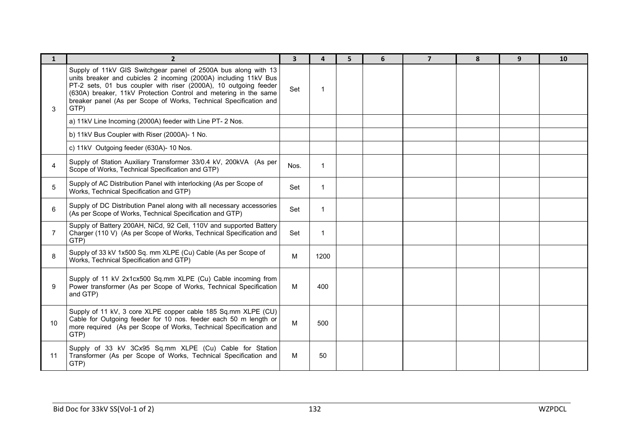| $\mathbf{1}$ | $2^{\circ}$                                                                                                                                                                                                                                                                                                                                             | $\overline{\mathbf{3}}$ | $\overline{a}$ | 5 | 6 | $\overline{7}$ | 8 | 9 <sup>°</sup> | 10 |
|--------------|---------------------------------------------------------------------------------------------------------------------------------------------------------------------------------------------------------------------------------------------------------------------------------------------------------------------------------------------------------|-------------------------|----------------|---|---|----------------|---|----------------|----|
| 3            | Supply of 11kV GIS Switchgear panel of 2500A bus along with 13<br>units breaker and cubicles 2 incoming (2000A) including 11kV Bus<br>PT-2 sets, 01 bus coupler with riser (2000A), 10 outgoing feeder<br>(630A) breaker, 11kV Protection Control and metering in the same<br>breaker panel (As per Scope of Works, Technical Specification and<br>GTP) | Set                     |                |   |   |                |   |                |    |
|              | a) 11kV Line Incoming (2000A) feeder with Line PT- 2 Nos.                                                                                                                                                                                                                                                                                               |                         |                |   |   |                |   |                |    |
|              | b) 11kV Bus Coupler with Riser (2000A)- 1 No.                                                                                                                                                                                                                                                                                                           |                         |                |   |   |                |   |                |    |
|              | c) 11kV Outgoing feeder (630A)- 10 Nos.                                                                                                                                                                                                                                                                                                                 |                         |                |   |   |                |   |                |    |
| 4            | Supply of Station Auxiliary Transformer 33/0.4 kV, 200kVA (As per<br>Scope of Works, Technical Specification and GTP)                                                                                                                                                                                                                                   | Nos.                    | $\mathbf 1$    |   |   |                |   |                |    |
| 5            | Supply of AC Distribution Panel with interlocking (As per Scope of<br>Works, Technical Specification and GTP)                                                                                                                                                                                                                                           | Set                     | $\mathbf{1}$   |   |   |                |   |                |    |
| 6            | Supply of DC Distribution Panel along with all necessary accessories<br>(As per Scope of Works, Technical Specification and GTP)                                                                                                                                                                                                                        | Set                     | -1             |   |   |                |   |                |    |
|              | Supply of Battery 200AH, NiCd, 92 Cell, 110V and supported Battery<br>Charger (110 V) (As per Scope of Works, Technical Specification and<br>GTP)                                                                                                                                                                                                       | Set                     |                |   |   |                |   |                |    |
| 8            | Supply of 33 kV 1x500 Sq. mm XLPE (Cu) Cable (As per Scope of<br>Works, Technical Specification and GTP)                                                                                                                                                                                                                                                | M                       | 1200           |   |   |                |   |                |    |
| 9            | Supply of 11 kV 2x1cx500 Sq.mm XLPE (Cu) Cable incoming from<br>Power transformer (As per Scope of Works, Technical Specification<br>and GTP)                                                                                                                                                                                                           | M                       | 400            |   |   |                |   |                |    |
| 10           | Supply of 11 kV, 3 core XLPE copper cable 185 Sq.mm XLPE (CU)<br>Cable for Outgoing feeder for 10 nos. feeder each 50 m length or<br>more required (As per Scope of Works, Technical Specification and<br>GTP)                                                                                                                                          | M                       | 500            |   |   |                |   |                |    |
| 11           | Supply of 33 kV 3Cx95 Sq.mm XLPE (Cu) Cable for Station<br>Transformer (As per Scope of Works, Technical Specification and<br>GTP)                                                                                                                                                                                                                      | м                       | 50             |   |   |                |   |                |    |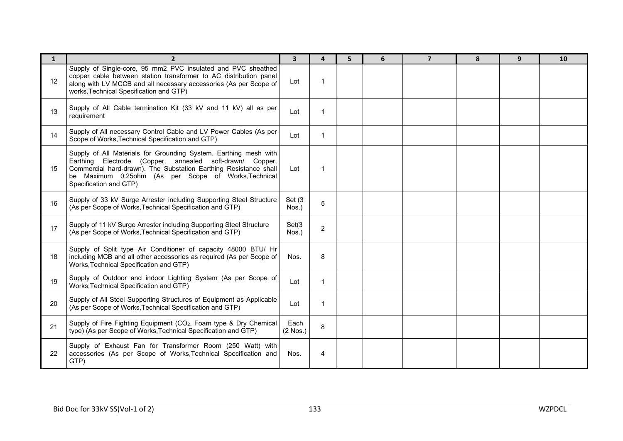| $\mathbf{1}$ | $\overline{2}$                                                                                                                                                                                                                                                                     | $\overline{\mathbf{3}}$ | 4            | 5 | 6 | $\overline{7}$ | 8 | 9 | 10 |
|--------------|------------------------------------------------------------------------------------------------------------------------------------------------------------------------------------------------------------------------------------------------------------------------------------|-------------------------|--------------|---|---|----------------|---|---|----|
| 12           | Supply of Single-core, 95 mm2 PVC insulated and PVC sheathed<br>copper cable between station transformer to AC distribution panel<br>along with LV MCCB and all necessary accessories (As per Scope of<br>works, Technical Specification and GTP)                                  | Lot                     | 1            |   |   |                |   |   |    |
| 13           | Supply of All Cable termination Kit (33 kV and 11 kV) all as per<br>requirement                                                                                                                                                                                                    | Lot                     | $\mathbf{1}$ |   |   |                |   |   |    |
| 14           | Supply of All necessary Control Cable and LV Power Cables (As per<br>Scope of Works, Technical Specification and GTP)                                                                                                                                                              | Lot                     | $\mathbf{1}$ |   |   |                |   |   |    |
| 15           | Supply of All Materials for Grounding System. Earthing mesh with<br>Earthing Electrode (Copper, annealed soft-drawn/ Copper,<br>Commercial hard-drawn). The Substation Earthing Resistance shall<br>be Maximum 0.25ohm (As per Scope of Works, Technical<br>Specification and GTP) | Lot                     | -1           |   |   |                |   |   |    |
| 16           | Supply of 33 kV Surge Arrester including Supporting Steel Structure<br>(As per Scope of Works, Technical Specification and GTP)                                                                                                                                                    | Set (3<br>Nos.)         | 5            |   |   |                |   |   |    |
| 17           | Supply of 11 kV Surge Arrester including Supporting Steel Structure<br>(As per Scope of Works, Technical Specification and GTP)                                                                                                                                                    | Set(3)<br>Nos.)         | 2            |   |   |                |   |   |    |
| 18           | Supply of Split type Air Conditioner of capacity 48000 BTU/ Hr<br>including MCB and all other accessories as required (As per Scope of<br>Works, Technical Specification and GTP)                                                                                                  | Nos.                    | 8            |   |   |                |   |   |    |
| 19           | Supply of Outdoor and indoor Lighting System (As per Scope of<br>Works, Technical Specification and GTP)                                                                                                                                                                           | Lot                     | $\mathbf{1}$ |   |   |                |   |   |    |
| 20           | Supply of All Steel Supporting Structures of Equipment as Applicable<br>(As per Scope of Works, Technical Specification and GTP)                                                                                                                                                   | Lot                     | 1            |   |   |                |   |   |    |
| 21           | Supply of Fire Fighting Equipment (CO <sub>2</sub> , Foam type & Dry Chemical<br>type) (As per Scope of Works, Technical Specification and GTP)                                                                                                                                    | Each<br>$(2$ Nos.)      | 8            |   |   |                |   |   |    |
| 22           | Supply of Exhaust Fan for Transformer Room (250 Watt) with<br>accessories (As per Scope of Works, Technical Specification and<br>GTP)                                                                                                                                              | Nos.                    | 4            |   |   |                |   |   |    |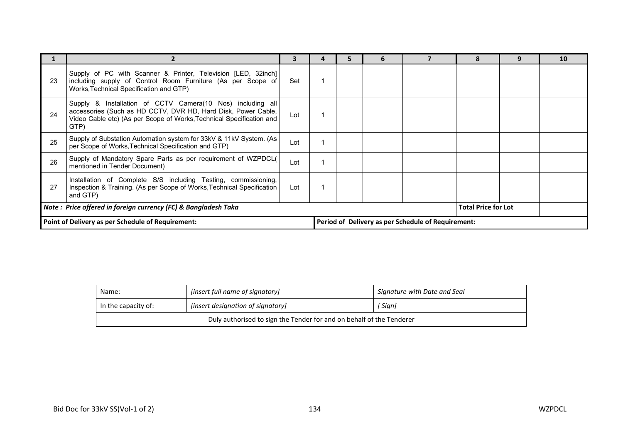|                                                                 |                                                                                                                                                                                                             |     |                                                    |  |  |  |                            |  | 10 |
|-----------------------------------------------------------------|-------------------------------------------------------------------------------------------------------------------------------------------------------------------------------------------------------------|-----|----------------------------------------------------|--|--|--|----------------------------|--|----|
| 23                                                              | Supply of PC with Scanner & Printer, Television [LED, 32inch]<br>including supply of Control Room Furniture (As per Scope of<br>Works, Technical Specification and GTP)                                     | Set |                                                    |  |  |  |                            |  |    |
| 24                                                              | Supply & Installation of CCTV Camera(10 Nos) including all<br>accessories (Such as HD CCTV, DVR HD, Hard Disk, Power Cable,<br>Video Cable etc) (As per Scope of Works, Technical Specification and<br>GTP) | Lot |                                                    |  |  |  |                            |  |    |
| 25                                                              | Supply of Substation Automation system for 33kV & 11kV System. (As<br>per Scope of Works, Technical Specification and GTP)                                                                                  | Lot |                                                    |  |  |  |                            |  |    |
| 26                                                              | Supply of Mandatory Spare Parts as per requirement of WZPDCL(<br>mentioned in Tender Document)                                                                                                              | Lot |                                                    |  |  |  |                            |  |    |
| 27                                                              | Installation of Complete S/S including Testing, commissioning,<br>Inspection & Training. (As per Scope of Works, Technical Specification<br>and GTP)                                                        | Lot |                                                    |  |  |  |                            |  |    |
| Note : Price offered in foreign currency (FC) & Bangladesh Taka |                                                                                                                                                                                                             |     |                                                    |  |  |  | <b>Total Price for Lot</b> |  |    |
| Point of Delivery as per Schedule of Requirement:               |                                                                                                                                                                                                             |     | Period of Delivery as per Schedule of Requirement: |  |  |  |                            |  |    |

| Name:                                                                | [insert full name of signatory]   | Signature with Date and Seal |  |  |  |  |  |  |
|----------------------------------------------------------------------|-----------------------------------|------------------------------|--|--|--|--|--|--|
| In the capacity of:                                                  | [insert designation of signatory] | `Sign]                       |  |  |  |  |  |  |
| Duly authorised to sign the Tender for and on behalf of the Tenderer |                                   |                              |  |  |  |  |  |  |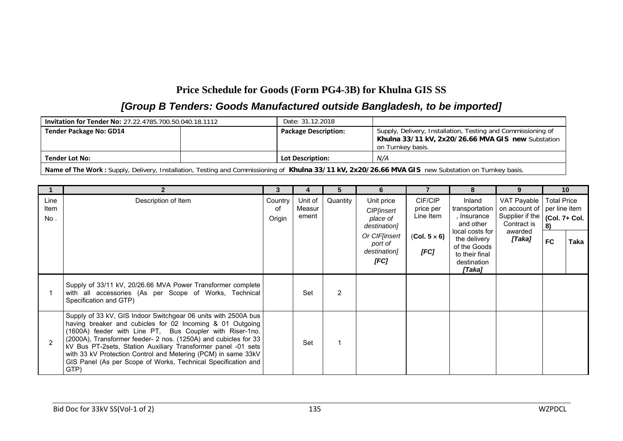# **Price Schedule for Goods (Form PG4-3B) for Khulna GIS SS**

# *[Group B Tenders: Goods Manufactured outside Bangladesh, to be imported]*

| <b>Invitation for Tender No: 27.22.4785.700.50.040.18.1112</b>                                                                                      | Date: 31.12.2018            |                                                                                                                                         |  |  |  |  |  |  |
|-----------------------------------------------------------------------------------------------------------------------------------------------------|-----------------------------|-----------------------------------------------------------------------------------------------------------------------------------------|--|--|--|--|--|--|
| <b>Tender Package No: GD14</b>                                                                                                                      | <b>Package Description:</b> | Supply, Delivery, Installation, Testing and Commissioning of<br>Khulna 33/11 kV, 2x20/26.66 MVA GIS new Substation<br>on Turnkey basis. |  |  |  |  |  |  |
| N/A<br><b>Lot Description:</b><br><b>Tender Lot No:</b>                                                                                             |                             |                                                                                                                                         |  |  |  |  |  |  |
| Name of The Work: Supply, Delivery, Installation, Testing and Commissioning of Khulna 33/11 kV, 2x20/26.66 MVA GIS new Substation on Turnkey basis. |                             |                                                                                                                                         |  |  |  |  |  |  |

|                     |                                                                                                                                                                                                                                                                                                                                                                                                                                                                       | 3                       | 4                          |          | 6                                                                                                                |                                                                  |                                                                                                                                                    |                                                                                     | 10 <sup>1</sup>                                                         |      |
|---------------------|-----------------------------------------------------------------------------------------------------------------------------------------------------------------------------------------------------------------------------------------------------------------------------------------------------------------------------------------------------------------------------------------------------------------------------------------------------------------------|-------------------------|----------------------------|----------|------------------------------------------------------------------------------------------------------------------|------------------------------------------------------------------|----------------------------------------------------------------------------------------------------------------------------------------------------|-------------------------------------------------------------------------------------|-------------------------------------------------------------------------|------|
| Line<br>Item<br>No. | Description of Item                                                                                                                                                                                                                                                                                                                                                                                                                                                   | Country<br>οf<br>Origin | Unit of<br>Measur<br>ement | Quantity | Unit price<br>CIP <i>[insert</i><br>place of<br>destination]<br>Or CIFfinsert<br>port of<br>destination]<br>[FC] | CIF/CIP<br>price per<br>Line Item<br>$(Col. 5 \times 6)$<br>[FC] | Inland<br>transportation<br>, Insurance<br>and other<br>local costs for<br>the delivery<br>of the Goods<br>to their final<br>destination<br>[Taka] | VAT Payable<br>on account of<br>Supplier if the<br>Contract is<br>awarded<br>[Taka] | <b>Total Price</b><br>per line item<br>(Col. 7+ Col.<br>8)<br><b>FC</b> | Taka |
|                     | Supply of 33/11 kV, 20/26.66 MVA Power Transformer complete<br>with all accessories (As per Scope of Works, Technical<br>Specification and GTP)                                                                                                                                                                                                                                                                                                                       |                         | Set                        | 2        |                                                                                                                  |                                                                  |                                                                                                                                                    |                                                                                     |                                                                         |      |
|                     | Supply of 33 kV, GIS Indoor Switchgear 06 units with 2500A bus<br>having breaker and cubicles for 02 Incoming & 01 Outgoing<br>(1600A) feeder with Line PT, Bus Coupler with Riser-1no.<br>(2000A), Transformer feeder- 2 nos. (1250A) and cubicles for 33<br>kV Bus PT-2sets, Station Auxiliary Transformer panel -01 sets<br>with 33 kV Protection Control and Metering (PCM) in same 33kV<br>GIS Panel (As per Scope of Works, Technical Specification and<br>GTP) |                         | Set                        |          |                                                                                                                  |                                                                  |                                                                                                                                                    |                                                                                     |                                                                         |      |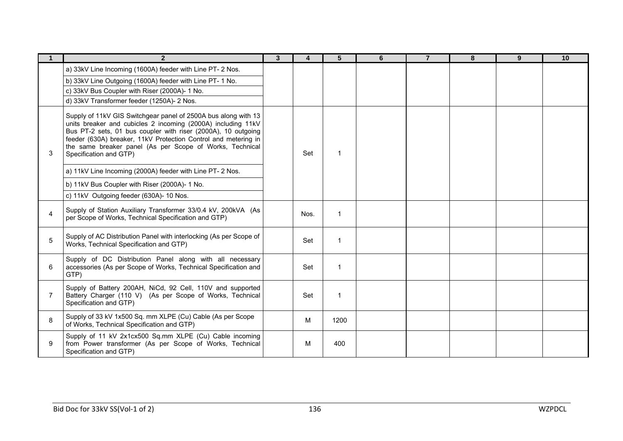|                | $\overline{2}$                                                                                                                                                                                                                                                                                                                                          | 3 | $\overline{\mathbf{4}}$ | 5                       | 6 | $\overline{7}$ | 8 | 9 | 10 |
|----------------|---------------------------------------------------------------------------------------------------------------------------------------------------------------------------------------------------------------------------------------------------------------------------------------------------------------------------------------------------------|---|-------------------------|-------------------------|---|----------------|---|---|----|
|                | a) 33kV Line Incoming (1600A) feeder with Line PT- 2 Nos.                                                                                                                                                                                                                                                                                               |   |                         |                         |   |                |   |   |    |
|                | b) 33kV Line Outgoing (1600A) feeder with Line PT-1 No.                                                                                                                                                                                                                                                                                                 |   |                         |                         |   |                |   |   |    |
|                | c) 33kV Bus Coupler with Riser (2000A)- 1 No.                                                                                                                                                                                                                                                                                                           |   |                         |                         |   |                |   |   |    |
|                | d) 33kV Transformer feeder (1250A)- 2 Nos.                                                                                                                                                                                                                                                                                                              |   |                         |                         |   |                |   |   |    |
| 3              | Supply of 11kV GIS Switchgear panel of 2500A bus along with 13<br>units breaker and cubicles 2 incoming (2000A) including 11kV<br>Bus PT-2 sets, 01 bus coupler with riser (2000A), 10 outgoing<br>feeder (630A) breaker, 11kV Protection Control and metering in<br>the same breaker panel (As per Scope of Works, Technical<br>Specification and GTP) |   | Set                     | $\overline{\mathbf{1}}$ |   |                |   |   |    |
|                | a) 11kV Line Incoming (2000A) feeder with Line PT- 2 Nos.                                                                                                                                                                                                                                                                                               |   |                         |                         |   |                |   |   |    |
|                | b) 11kV Bus Coupler with Riser (2000A)- 1 No.                                                                                                                                                                                                                                                                                                           |   |                         |                         |   |                |   |   |    |
|                | c) 11kV Outgoing feeder (630A)- 10 Nos.                                                                                                                                                                                                                                                                                                                 |   |                         |                         |   |                |   |   |    |
| $\overline{4}$ | Supply of Station Auxiliary Transformer 33/0.4 kV, 200kVA (As<br>per Scope of Works, Technical Specification and GTP)                                                                                                                                                                                                                                   |   | Nos.                    | $\overline{\mathbf{1}}$ |   |                |   |   |    |
| 5              | Supply of AC Distribution Panel with interlocking (As per Scope of<br>Works, Technical Specification and GTP)                                                                                                                                                                                                                                           |   | Set                     | $\overline{1}$          |   |                |   |   |    |
| 6              | Supply of DC Distribution Panel along with all necessary<br>accessories (As per Scope of Works, Technical Specification and<br>GTP)                                                                                                                                                                                                                     |   | Set                     | $\overline{\mathbf{1}}$ |   |                |   |   |    |
| $\overline{7}$ | Supply of Battery 200AH, NiCd, 92 Cell, 110V and supported<br>Battery Charger (110 V) (As per Scope of Works, Technical<br>Specification and GTP)                                                                                                                                                                                                       |   | Set                     | $\mathbf 1$             |   |                |   |   |    |
| 8              | Supply of 33 kV 1x500 Sq. mm XLPE (Cu) Cable (As per Scope<br>of Works, Technical Specification and GTP)                                                                                                                                                                                                                                                |   | M                       | 1200                    |   |                |   |   |    |
| 9              | Supply of 11 kV 2x1cx500 Sq.mm XLPE (Cu) Cable incoming<br>from Power transformer (As per Scope of Works, Technical<br>Specification and GTP)                                                                                                                                                                                                           |   | M                       | 400                     |   |                |   |   |    |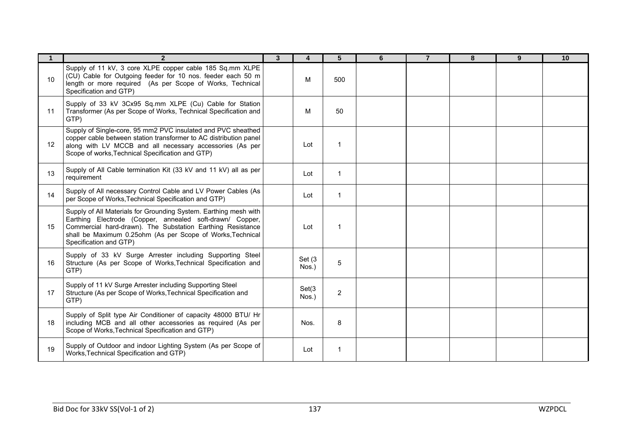|    | $\overline{2}$                                                                                                                                                                                                                                                                     | $\mathbf{3}$ | 4               | 5              | 6 | $\overline{7}$ | 8 | 9 | 10 |
|----|------------------------------------------------------------------------------------------------------------------------------------------------------------------------------------------------------------------------------------------------------------------------------------|--------------|-----------------|----------------|---|----------------|---|---|----|
| 10 | Supply of 11 kV, 3 core XLPE copper cable 185 Sq.mm XLPE<br>(CU) Cable for Outgoing feeder for 10 nos. feeder each 50 m<br>length or more required (As per Scope of Works, Technical<br>Specification and GTP)                                                                     |              | M               | 500            |   |                |   |   |    |
| 11 | Supply of 33 kV 3Cx95 Sq.mm XLPE (Cu) Cable for Station<br>Transformer (As per Scope of Works, Technical Specification and<br>GTP)                                                                                                                                                 |              | M               | 50             |   |                |   |   |    |
| 12 | Supply of Single-core, 95 mm2 PVC insulated and PVC sheathed<br>copper cable between station transformer to AC distribution panel<br>along with LV MCCB and all necessary accessories (As per<br>Scope of works, Technical Specification and GTP)                                  |              | Lot             | 1              |   |                |   |   |    |
| 13 | Supply of All Cable termination Kit (33 kV and 11 kV) all as per<br>requirement                                                                                                                                                                                                    |              | Lot             | 1              |   |                |   |   |    |
| 14 | Supply of All necessary Control Cable and LV Power Cables (As<br>per Scope of Works, Technical Specification and GTP)                                                                                                                                                              |              | Lot             | $\mathbf 1$    |   |                |   |   |    |
| 15 | Supply of All Materials for Grounding System. Earthing mesh with<br>Earthing Electrode (Copper, annealed soft-drawn/ Copper,<br>Commercial hard-drawn). The Substation Earthing Resistance<br>shall be Maximum 0.25ohm (As per Scope of Works, Technical<br>Specification and GTP) |              | Lot             | 1              |   |                |   |   |    |
| 16 | Supply of 33 kV Surge Arrester including Supporting Steel<br>Structure (As per Scope of Works, Technical Specification and<br>GTP)                                                                                                                                                 |              | Set (3<br>Nos.) | 5              |   |                |   |   |    |
| 17 | Supply of 11 kV Surge Arrester including Supporting Steel<br>Structure (As per Scope of Works, Technical Specification and<br>GTP)                                                                                                                                                 |              | Set(3)<br>Nos.) | $\overline{2}$ |   |                |   |   |    |
| 18 | Supply of Split type Air Conditioner of capacity 48000 BTU/ Hr<br>including MCB and all other accessories as required (As per<br>Scope of Works, Technical Specification and GTP)                                                                                                  |              | Nos.            | 8              |   |                |   |   |    |
| 19 | Supply of Outdoor and indoor Lighting System (As per Scope of<br>Works, Technical Specification and GTP)                                                                                                                                                                           |              | Lot             | 1              |   |                |   |   |    |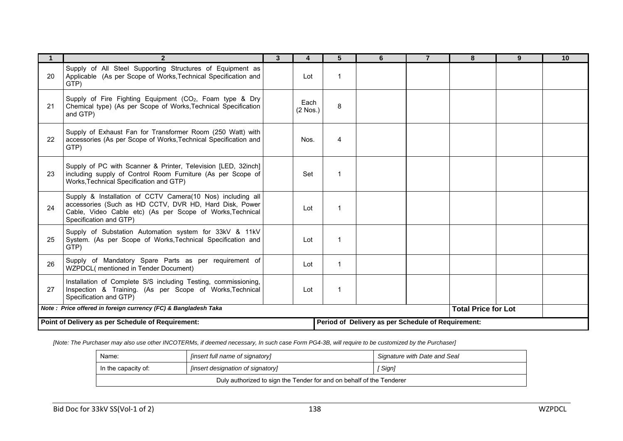|                                                                                                                                                                   | $\overline{2}$                                                                                                                                                                                              | 3 | Δ                  |    | 6 | 8                          | 9 | 10 |
|-------------------------------------------------------------------------------------------------------------------------------------------------------------------|-------------------------------------------------------------------------------------------------------------------------------------------------------------------------------------------------------------|---|--------------------|----|---|----------------------------|---|----|
| 20                                                                                                                                                                | Supply of All Steel Supporting Structures of Equipment as<br>Applicable (As per Scope of Works, Technical Specification and<br>GTP)                                                                         |   | Lot                |    |   |                            |   |    |
| 21                                                                                                                                                                | Supply of Fire Fighting Equipment (CO <sub>2</sub> , Foam type & Dry<br>Chemical type) (As per Scope of Works, Technical Specification<br>and GTP)                                                          |   | Each<br>$(2$ Nos.) | 8  |   |                            |   |    |
| 22                                                                                                                                                                | Supply of Exhaust Fan for Transformer Room (250 Watt) with<br>accessories (As per Scope of Works, Technical Specification and<br>GTP)                                                                       |   | Nos.               | 4  |   |                            |   |    |
| 23                                                                                                                                                                | Supply of PC with Scanner & Printer, Television [LED, 32inch]<br>including supply of Control Room Furniture (As per Scope of<br>Works, Technical Specification and GTP)                                     |   | Set                | -1 |   |                            |   |    |
| 24                                                                                                                                                                | Supply & Installation of CCTV Camera(10 Nos) including all<br>accessories (Such as HD CCTV, DVR HD, Hard Disk, Power<br>Cable, Video Cable etc) (As per Scope of Works, Technical<br>Specification and GTP) |   | Lot                |    |   |                            |   |    |
| 25                                                                                                                                                                | Supply of Substation Automation system for 33kV & 11kV<br>System. (As per Scope of Works, Technical Specification and<br>GTP)                                                                               |   | Lot                |    |   |                            |   |    |
| 26                                                                                                                                                                | Supply of Mandatory Spare Parts as per requirement of<br>WZPDCL(mentioned in Tender Document)                                                                                                               |   | Lot                | -1 |   |                            |   |    |
| Installation of Complete S/S including Testing, commissioning,<br>Inspection & Training. (As per Scope of Works, Technical<br>Lot<br>27<br>Specification and GTP) |                                                                                                                                                                                                             |   |                    |    |   |                            |   |    |
| Note: Price offered in foreign currency (FC) & Bangladesh Taka                                                                                                    |                                                                                                                                                                                                             |   |                    |    |   | <b>Total Price for Lot</b> |   |    |
| Point of Delivery as per Schedule of Requirement:<br>Period of Delivery as per Schedule of Requirement:                                                           |                                                                                                                                                                                                             |   |                    |    |   |                            |   |    |

*[Note: The Purchaser may also use other INCOTERMs, if deemed necessary, In such case Form PG4-3B, will require to be customized by the Purchaser]*

| Name:<br><i>linsert full name of signatory]</i>                      |                                   | Signature with Date and Seal |  |  |  |
|----------------------------------------------------------------------|-----------------------------------|------------------------------|--|--|--|
| In the capacity of:                                                  | [insert designation of signatory] | `Sign]                       |  |  |  |
| Duly authorized to sign the Tender for and on behalf of the Tenderer |                                   |                              |  |  |  |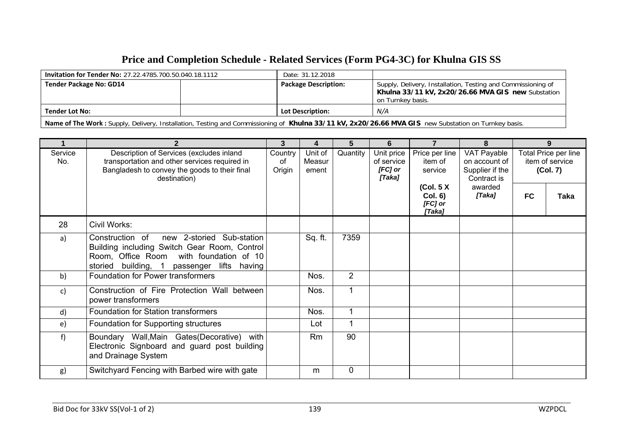## **Price and Completion Schedule - Related Services (Form PG4-3C) for Khulna GIS SS**

| <b>Invitation for Tender No: 27.22.4785.700.50.040.18.1112</b>                                                                                      | Date: 31.12.2018            |                                                                                                                                         |  |  |
|-----------------------------------------------------------------------------------------------------------------------------------------------------|-----------------------------|-----------------------------------------------------------------------------------------------------------------------------------------|--|--|
| <b>Tender Package No: GD14</b>                                                                                                                      | <b>Package Description:</b> | Supply, Delivery, Installation, Testing and Commissioning of<br>Khulna 33/11 kV, 2x20/26.66 MVA GIS new Substation<br>on Turnkey basis. |  |  |
| <b>Tender Lot No:</b>                                                                                                                               | <b>Lot Description:</b>     | N/A                                                                                                                                     |  |  |
| Name of The Work: Supply, Delivery, Installation, Testing and Commissioning of Khulna 33/11 kV, 2x20/26.66 MVA GIS new Substation on Turnkey basis. |                             |                                                                                                                                         |  |  |

|                | $\mathbf{2}$                                                                                                                                                                          | 3                       | $\overline{\mathbf{4}}$    | 5              | 6                                             | $\overline{7}$                                    | 8                                                              |                                                     | 9           |
|----------------|---------------------------------------------------------------------------------------------------------------------------------------------------------------------------------------|-------------------------|----------------------------|----------------|-----------------------------------------------|---------------------------------------------------|----------------------------------------------------------------|-----------------------------------------------------|-------------|
| Service<br>No. | Description of Services (excludes inland<br>transportation and other services required in<br>Bangladesh to convey the goods to their final<br>destination)                            | Country<br>οf<br>Origin | Unit of<br>Measur<br>ement | Quantity       | Unit price<br>of service<br>[FC] or<br>[Taka] | Price per line<br>item of<br>service              | VAT Payable<br>on account of<br>Supplier if the<br>Contract is | Total Price per line<br>item of service<br>(Col. 7) |             |
|                |                                                                                                                                                                                       |                         |                            |                |                                               | (Col. 5 X)<br><b>Col. 6)</b><br>[FC] or<br>[Taka] | awarded<br>[Taka]                                              | <b>FC</b>                                           | <b>Taka</b> |
| 28             | Civil Works:                                                                                                                                                                          |                         |                            |                |                                               |                                                   |                                                                |                                                     |             |
| a)             | new 2-storied Sub-station<br>Construction of<br>Building including Switch Gear Room, Control<br>Room, Office Room with foundation of 10<br>storied building, 1 passenger lifts having |                         | Sq. ft.                    | 7359           |                                               |                                                   |                                                                |                                                     |             |
| b)             | <b>Foundation for Power transformers</b>                                                                                                                                              |                         | Nos.                       | $\overline{2}$ |                                               |                                                   |                                                                |                                                     |             |
| c)             | Construction of Fire Protection Wall between<br>power transformers                                                                                                                    |                         | Nos.                       |                |                                               |                                                   |                                                                |                                                     |             |
| d)             | Foundation for Station transformers                                                                                                                                                   |                         | Nos.                       | 1              |                                               |                                                   |                                                                |                                                     |             |
| e)             | Foundation for Supporting structures                                                                                                                                                  |                         | Lot                        |                |                                               |                                                   |                                                                |                                                     |             |
| f)             | Boundary Wall, Main Gates (Decorative) with<br>Electronic Signboard and guard post building<br>and Drainage System                                                                    |                         | Rm                         | 90             |                                               |                                                   |                                                                |                                                     |             |
| g)             | Switchyard Fencing with Barbed wire with gate                                                                                                                                         |                         | m                          | 0              |                                               |                                                   |                                                                |                                                     |             |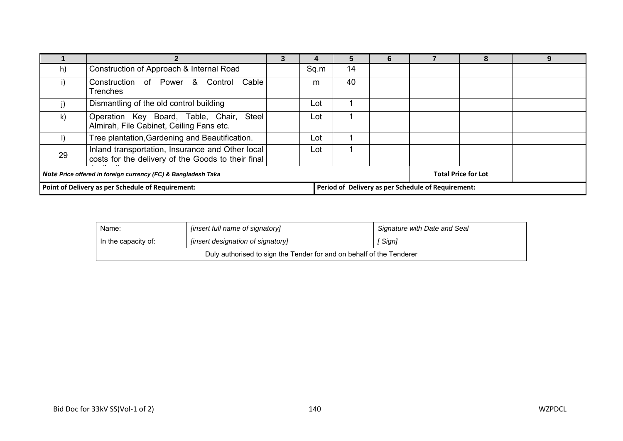|                                                               |                                                                                                        |  |      | 5  | 6 |                                                    |                            |  |
|---------------------------------------------------------------|--------------------------------------------------------------------------------------------------------|--|------|----|---|----------------------------------------------------|----------------------------|--|
| h)                                                            | Construction of Approach & Internal Road                                                               |  | Sq.m | 14 |   |                                                    |                            |  |
| i)                                                            | Construction of Power & Control Cable<br><b>Trenches</b>                                               |  | m    | 40 |   |                                                    |                            |  |
|                                                               | Dismantling of the old control building                                                                |  | Lot  |    |   |                                                    |                            |  |
| k)                                                            | Operation Key Board, Table, Chair, Steel<br>Almirah, File Cabinet, Ceiling Fans etc.                   |  | Lot  |    |   |                                                    |                            |  |
|                                                               | Tree plantation, Gardening and Beautification.                                                         |  | Lot  |    |   |                                                    |                            |  |
| 29                                                            | Inland transportation, Insurance and Other local<br>costs for the delivery of the Goods to their final |  | Lot  |    |   |                                                    |                            |  |
| Note Price offered in foreign currency (FC) & Bangladesh Taka |                                                                                                        |  |      |    |   |                                                    | <b>Total Price for Lot</b> |  |
| Point of Delivery as per Schedule of Requirement:             |                                                                                                        |  |      |    |   | Period of Delivery as per Schedule of Requirement: |                            |  |

| Name:                                                                | [insert full name of signatory]   | Signature with Date and Seal |  |  |
|----------------------------------------------------------------------|-----------------------------------|------------------------------|--|--|
| In the capacity of:                                                  | [insert designation of signatory] | Sign]                        |  |  |
| Duly authorised to sign the Tender for and on behalf of the Tenderer |                                   |                              |  |  |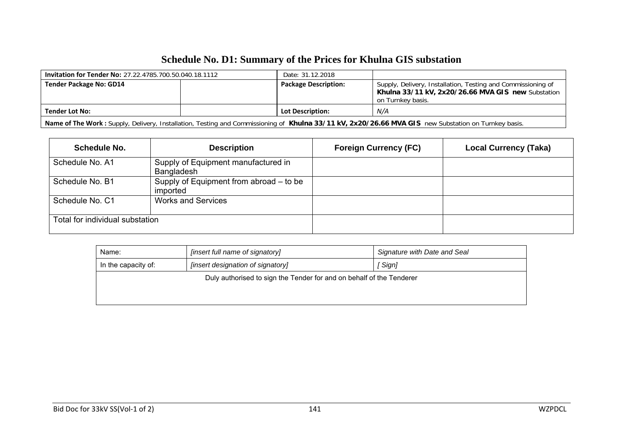# **Schedule No. D1: Summary of the Prices for Khulna GIS substation**

| <b>Invitation for Tender No: 27.22.4785.700.50.040.18.1112</b>                                                                                      | Date: 31.12.2018            |                                                                                                                                         |  |  |
|-----------------------------------------------------------------------------------------------------------------------------------------------------|-----------------------------|-----------------------------------------------------------------------------------------------------------------------------------------|--|--|
| <b>Tender Package No: GD14</b>                                                                                                                      | <b>Package Description:</b> | Supply, Delivery, Installation, Testing and Commissioning of<br>Khulna 33/11 kV, 2x20/26.66 MVA GIS new Substation<br>on Turnkey basis. |  |  |
| Tender Lot No:                                                                                                                                      | <b>Lot Description:</b>     | N/A                                                                                                                                     |  |  |
| Name of The Work: Supply, Delivery, Installation, Testing and Commissioning of Khulna 33/11 kV, 2x20/26.66 MVA GIS new Substation on Turnkey basis. |                             |                                                                                                                                         |  |  |

| Schedule No.                    | <b>Description</b>                                  | <b>Foreign Currency (FC)</b> | <b>Local Currency (Taka)</b> |
|---------------------------------|-----------------------------------------------------|------------------------------|------------------------------|
| Schedule No. A1                 | Supply of Equipment manufactured in<br>Bangladesh   |                              |                              |
| Schedule No. B1                 | Supply of Equipment from abroad – to be<br>imported |                              |                              |
| Schedule No. C1                 | <b>Works and Services</b>                           |                              |                              |
| Total for individual substation |                                                     |                              |                              |

| [insert full name of signatory]<br>Name:                             |  | Signature with Date and Seal |  |  |  |  |
|----------------------------------------------------------------------|--|------------------------------|--|--|--|--|
| [insert designation of signatory]<br>In the capacity of:             |  | [ Sign]                      |  |  |  |  |
| Duly authorised to sign the Tender for and on behalf of the Tenderer |  |                              |  |  |  |  |
|                                                                      |  |                              |  |  |  |  |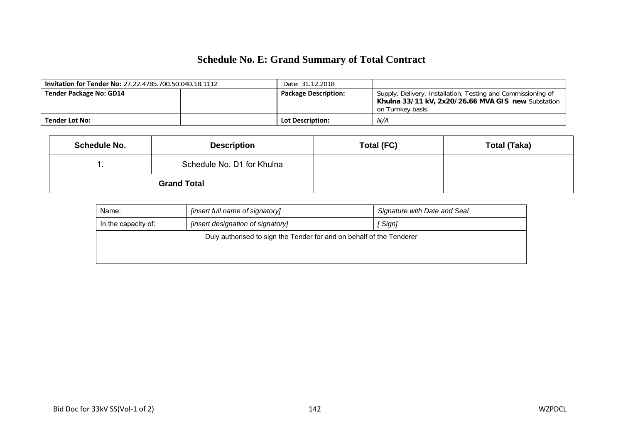# **Schedule No. E: Grand Summary of Total Contract**

| <b>Invitation for Tender No: 27.22.4785.700.50.040.18.1112</b> |  | Date: 31.12.2018            |                                                                                                                                         |
|----------------------------------------------------------------|--|-----------------------------|-----------------------------------------------------------------------------------------------------------------------------------------|
| <b>Tender Package No: GD14</b>                                 |  | <b>Package Description:</b> | Supply, Delivery, Installation, Testing and Commissioning of<br>Khulna 33/11 kV, 2x20/26.66 MVA GIS new Substation<br>on Turnkey basis. |
| <b>Tender Lot No:</b>                                          |  | <b>Lot Description:</b>     | N/A                                                                                                                                     |

|                    | <b>Schedule No.</b> | <b>Description</b>         | Total (FC) | <b>Total (Taka)</b> |
|--------------------|---------------------|----------------------------|------------|---------------------|
|                    |                     | Schedule No. D1 for Khulna |            |                     |
| <b>Grand Total</b> |                     |                            |            |                     |

| [insert full name of signatory]<br>Name:                             |                                   | Signature with Date and Seal |  |  |  |
|----------------------------------------------------------------------|-----------------------------------|------------------------------|--|--|--|
| In the capacity of:                                                  | [insert designation of signatory] | Sign]                        |  |  |  |
| Duly authorised to sign the Tender for and on behalf of the Tenderer |                                   |                              |  |  |  |
|                                                                      |                                   |                              |  |  |  |
|                                                                      |                                   |                              |  |  |  |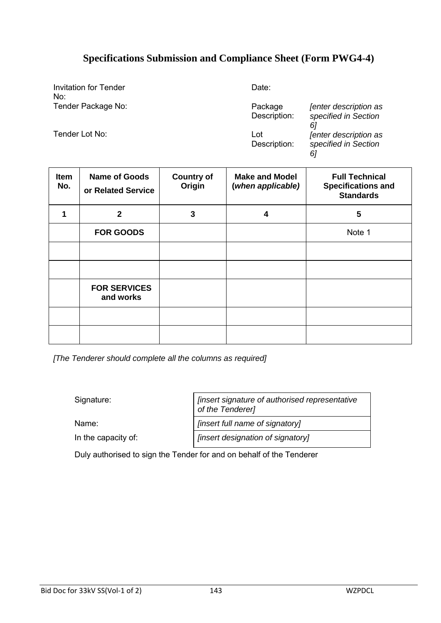### **Specifications Submission and Compliance Sheet (Form PWG4-4)**

Invitation for Tender No: Tender Package No: Package

Date:

Tender Lot No: Lot Lot No:

Description: *[enter description as specified in Section 6]* Description: *[enter description as specified in Section 6]*

| <b>Item</b><br>No. | <b>Name of Goods</b><br>or Related Service | <b>Country of</b><br>Origin | <b>Make and Model</b><br>(when applicable) | <b>Full Technical</b><br><b>Specifications and</b><br><b>Standards</b> |
|--------------------|--------------------------------------------|-----------------------------|--------------------------------------------|------------------------------------------------------------------------|
| 1                  | $\mathbf{2}$                               | 3                           | 4                                          | 5                                                                      |
|                    | <b>FOR GOODS</b>                           |                             |                                            | Note 1                                                                 |
|                    |                                            |                             |                                            |                                                                        |
|                    |                                            |                             |                                            |                                                                        |
|                    | <b>FOR SERVICES</b><br>and works           |                             |                                            |                                                                        |
|                    |                                            |                             |                                            |                                                                        |
|                    |                                            |                             |                                            |                                                                        |

*[The Tenderer should complete all the columns as required]*

Signature: *[insert signature of authorised representative of the Tenderer]* Name: *lack insert full name of signatory* In the capacity of: *[insert designation of signatory]*

Duly authorised to sign the Tender for and on behalf of the Tenderer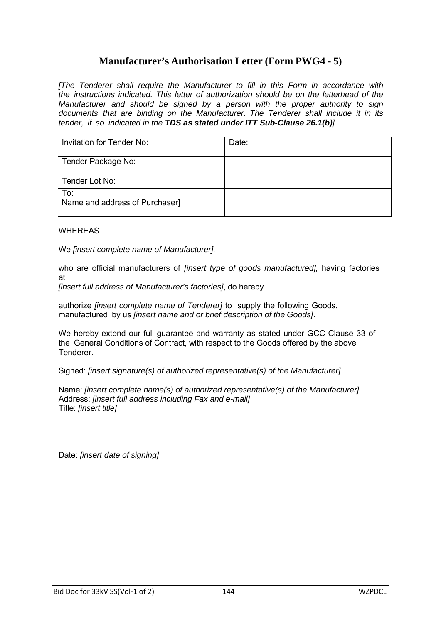### **Manufacturer's Authorisation Letter (Form PWG4 - 5)**

*[The Tenderer shall require the Manufacturer to fill in this Form in accordance with the instructions indicated. This letter of authorization should be on the letterhead of the Manufacturer and should be signed by a person with the proper authority to sign documents that are binding on the Manufacturer. The Tenderer shall include it in its tender, if so indicated in the TDS as stated under ITT Sub-Clause 26.1(b)]*

| <b>Invitation for Tender No:</b>      | Date: |
|---------------------------------------|-------|
| Tender Package No:                    |       |
| Tender Lot No:                        |       |
| To:<br>Name and address of Purchaser] |       |

#### WHEREAS

We *[insert complete name of Manufacturer],*

who are official manufacturers of *[insert type of goods manufactured],* having factories at

*[insert full address of Manufacturer's factories]*, do hereby

authorize *[insert complete name of Tenderer]* to supply the following Goods, manufactured by us *[insert name and or brief description of the Goods]*.

We hereby extend our full guarantee and warranty as stated under GCC Clause 33 of the General Conditions of Contract, with respect to the Goods offered by the above Tenderer.

Signed: *[insert signature(s) of authorized representative(s) of the Manufacturer]*

Name: *[insert complete name(s) of authorized representative(s) of the Manufacturer]* Address: *[insert full address including Fax and e-mail]* Title: *[insert title]*

Date: *[insert date of signing]*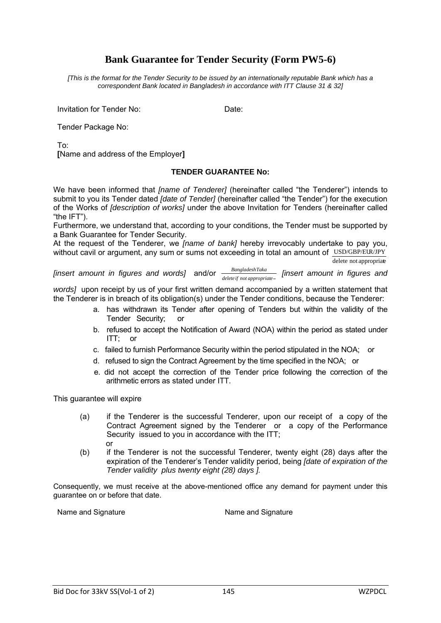### **Bank Guarantee for Tender Security (Form PW5-6)**

*[This is the format for the Tender Security to be issued by an internationally reputable Bank which has a correspondent Bank located in Bangladesh in accordance with ITT Clause 31 & 32]*

Invitation for Tender No: **Date:** Date:

Tender Package No:

To:

**[**Name and address of the Employer**]** 

#### **TENDER GUARANTEE No:**

We have been informed that *[name of Tenderer]* (hereinafter called "the Tenderer") intends to submit to you its Tender dated *[date of Tender]* (hereinafter called "the Tender") for the execution of the Works of *[description of works]* under the above Invitation for Tenders (hereinafter called "the IFT").

Furthermore, we understand that, according to your conditions, the Tender must be supported by a Bank Guarantee for Tender Security.

At the request of the Tenderer, we *[name of bank]* hereby irrevocably undertake to pay you, without cavil or argument, any sum or sums not exceeding in total an amount of USD/GBP/EUR/JPY delete not appropriate

*[insert amount in figures and words]* and/or *deleteif not appropriate BangladeshTaka [insert amount in figures and* 

*words]* upon receipt by us of your first written demand accompanied by a written statement that the Tenderer is in breach of its obligation(s) under the Tender conditions, because the Tenderer:

- a. has withdrawn its Tender after opening of Tenders but within the validity of the Tender Security; or
- b. refused to accept the Notification of Award (NOA) within the period as stated under ITT; or
- c. failed to furnish Performance Security within the period stipulated in the NOA; or
- d. refused to sign the Contract Agreement by the time specified in the NOA; or
- e. did not accept the correction of the Tender price following the correction of the arithmetic errors as stated under ITT.

This guarantee will expire

- (a) if the Tenderer is the successful Tenderer, upon our receipt of a copy of the Contract Agreement signed by the Tenderer or a copy of the Performance Security issued to you in accordance with the ITT; or
- (b) if the Tenderer is not the successful Tenderer, twenty eight (28) days after the expiration of the Tenderer's Tender validity period, being *[date of expiration of the Tender validity plus twenty eight (28) days ].*

Consequently, we must receive at the above-mentioned office any demand for payment under this guarantee on or before that date.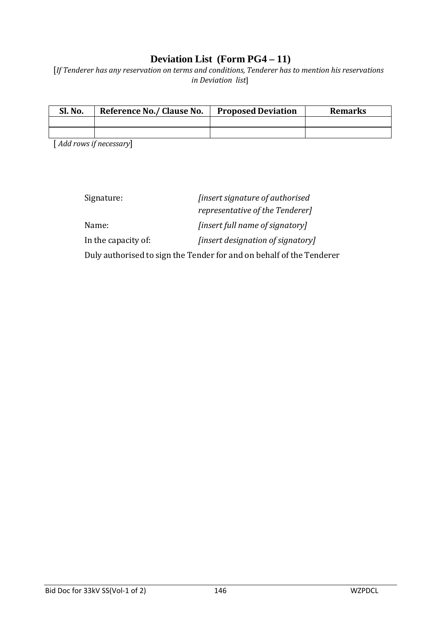### **Deviation List (Form PG4 – 11)**

[*If Tenderer has any reservation on terms and conditions, Tenderer has to mention his reservations in Deviation list*]

| Sl. No. | Reference No./ Clause No. | <b>Proposed Deviation</b> | <b>Remarks</b> |
|---------|---------------------------|---------------------------|----------------|
|         |                           |                           |                |
|         |                           |                           |                |

[ *Add rows if necessary*]

| Signature:          | <i>finsert signature of authorised</i>                               |
|---------------------|----------------------------------------------------------------------|
|                     | <i>representative of the Tenderer]</i>                               |
| Name:               | [insert full name of signatory]                                      |
| In the capacity of: | [insert designation of signatory]                                    |
|                     | Duly authorised to sign the Tender for and on behalf of the Tenderer |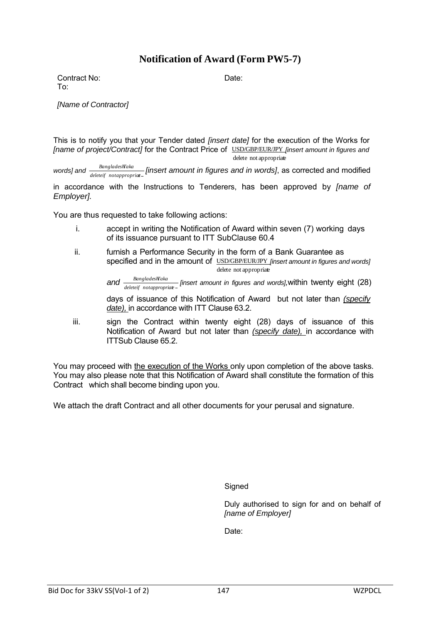### **Notification of Award (Form PW5-7)**

Contract No: Date: To:

*[Name of Contractor]*

This is to notify you that your Tender dated *[insert date]* for the execution of the Works for *[name of project/Contract]* for the Contract Price of USD/GBP/EUR/JPY *[insert amount in figures and* delete not appropriate

words] and  $\frac{Banglades/klas}{deleteif~notappropriae}$  [insert amount in figures and in words], as corrected and modified

in accordance with the Instructions to Tenderers, has been approved by *[name of Employer].*

You are thus requested to take following actions:

- i. accept in writing the Notification of Award within seven (7) working days of its issuance pursuant to ITT SubClause 60.4
- ii. furnish a Performance Security in the form of a Bank Guarantee as specified and in the amount of USD/GBP/EUR/JPY *[insert amount in figures and words]* delete not appropriate

*and BangladeshTaka deleteif notappropriate [insert amount in figures and words],*within twenty eight (28)

days of issuance of this Notification of Award but not later than *(specify date),* in accordance with ITT Clause 63.2.

iii. sign the Contract within twenty eight (28) days of issuance of this Notification of Award but not later than *(specify date),* in accordance with ITTSub Clause 65.2.

You may proceed with the execution of the Works only upon completion of the above tasks. You may also please note that this Notification of Award shall constitute the formation of this Contract which shall become binding upon you.

We attach the draft Contract and all other documents for your perusal and signature.

**Signed** 

Duly authorised to sign for and on behalf of *[name of Employer]*

Date: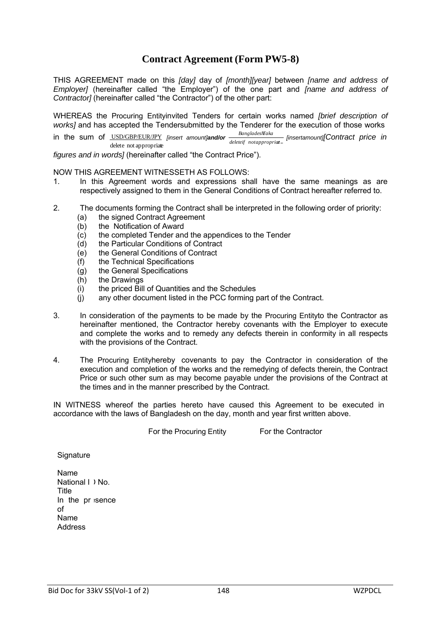### **Contract Agreement (Form PW5-8)**

THIS AGREEMENT made on this *[day]* day of *[month][year]* between *[name and address of Employer]* (hereinafter called "the Employer") of the one part and *[name and address of Contractor]* (hereinafter called "the Contractor") of the other part:

WHEREAS the Procuring Entityinvited Tenders for certain works named *[brief description of works]* and has accepted the Tendersubmitted by the Tenderer for the execution of those works

in the sum of USD/GBP/EUR/JPY *[insert amount]and/or BangladeshTaka* delete not appropriate *deleteif notappropriaet [insertamount][Contract price in*

*figures and in words]* (hereinafter called "the Contract Price").

NOW THIS AGREEMENT WITNESSETH AS FOLLOWS:

- 1. In this Agreement words and expressions shall have the same meanings as are respectively assigned to them in the General Conditions of Contract hereafter referred to.
- 2. The documents forming the Contract shall be interpreted in the following order of priority:
	- (a) the signed Contract Agreement
	- (b) the Notification of Award
	- (c) the completed Tender and the appendices to the Tender
	- (d) the Particular Conditions of Contract
	- (e) the General Conditions of Contract
	- (f) the Technical Specifications
	- (g) the General Specifications
	- (h) the Drawings
	- (i) the priced Bill of Quantities and the Schedules
	- (j) any other document listed in the PCC forming part of the Contract.
- 3. In consideration of the payments to be made by the Procuring Entityto the Contractor as hereinafter mentioned, the Contractor hereby covenants with the Employer to execute and complete the works and to remedy any defects therein in conformity in all respects with the provisions of the Contract.
- 4. The Procuring Entityhereby covenants to pay the Contractor in consideration of the execution and completion of the works and the remedying of defects therein, the Contract Price or such other sum as may become payable under the provisions of the Contract at the times and in the manner prescribed by the Contract.

IN WITNESS whereof the parties hereto have caused this Agreement to be executed in accordance with the laws of Bangladesh on the day, month and year first written above.

For the Procuring Entity For the Contractor

**Signature** 

Name National I ) No. **Title** In the pr sence of Name **Address**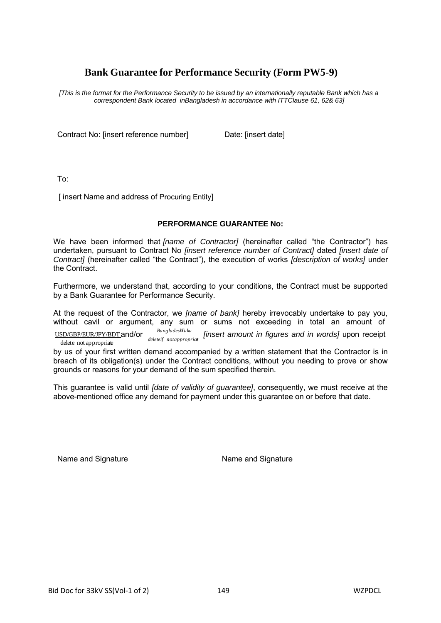### **Bank Guarantee for Performance Security (Form PW5-9)**

*[This is the format for the Performance Security to be issued by an internationally reputable Bank which has a correspondent Bank located inBangladesh in accordance with ITTClause 61, 62& 63]*

Contract No: linsert reference numberl Date: linsert datel

To:

[ insert Name and address of Procuring Entity]

#### **PERFORMANCE GUARANTEE No:**

We have been informed that *[name of Contractor]* (hereinafter called "the Contractor") has undertaken, pursuant to Contract No *[insert reference number of Contract]* dated *[insert date of Contract]* (hereinafter called "the Contract"), the execution of works *[description of works]* under the Contract.

Furthermore, we understand that, according to your conditions, the Contract must be supported by a Bank Guarantee for Performance Security.

At the request of the Contractor, we *[name of bank]* hereby irrevocably undertake to pay you, without cavil or argument, any sum or sums not exceeding in total an amount of  $\frac{BanzladesHaka}{\text{Area}}$ 

USD/GBP/EUR/JPY/BDT and/or *BangladeshTaka deleteif notappropriaet [insert amount in figures and in words]* upon receipt delete not appropriate

by us of your first written demand accompanied by a written statement that the Contractor is in breach of its obligation(s) under the Contract conditions, without you needing to prove or show grounds or reasons for your demand of the sum specified therein.

This guarantee is valid until *[date of validity of guarantee]*, consequently, we must receive at the above-mentioned office any demand for payment under this guarantee on or before that date.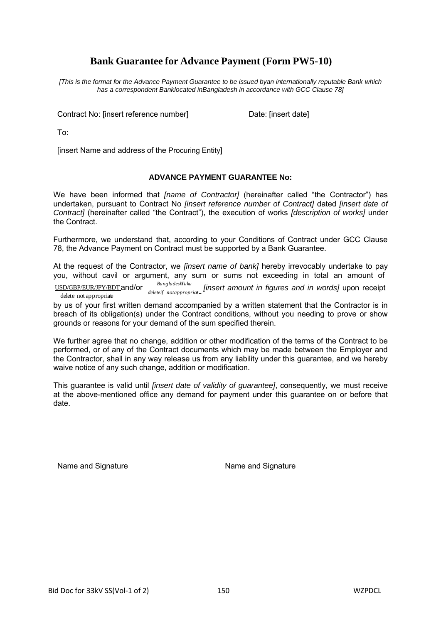### **Bank Guarantee for Advance Payment (Form PW5-10)**

*[This is the format for the Advance Payment Guarantee to be issued byan internationally reputable Bank which has a correspondent Banklocated inBangladesh in accordance with GCC Clause 78]*

Contract No: [insert reference number] Date: [insert date]

To:

[insert Name and address of the Procuring Entity]

#### **ADVANCE PAYMENT GUARANTEE No:**

We have been informed that *[name of Contractor]* (hereinafter called "the Contractor") has undertaken, pursuant to Contract No *[insert reference number of Contract]* dated *[insert date of Contract]* (hereinafter called "the Contract"), the execution of works *[description of works]* under the Contract.

Furthermore, we understand that, according to your Conditions of Contract under GCC Clause 78, the Advance Payment on Contract must be supported by a Bank Guarantee.

At the request of the Contractor, we *[insert name of bank]* hereby irrevocably undertake to pay you, without cavil or argument, any sum or sums not exceeding in total an amount of

USD/GBP/EUR/JPY/BDT and/or delete not appropriate *BangladeshTaka deleteif notappropriaet [insert amount in figures and in words]* upon receipt

by us of your first written demand accompanied by a written statement that the Contractor is in breach of its obligation(s) under the Contract conditions, without you needing to prove or show grounds or reasons for your demand of the sum specified therein.

We further agree that no change, addition or other modification of the terms of the Contract to be performed, or of any of the Contract documents which may be made between the Employer and the Contractor, shall in any way release us from any liability under this guarantee, and we hereby waive notice of any such change, addition or modification.

This guarantee is valid until *[insert date of validity of guarantee]*, consequently, we must receive at the above-mentioned office any demand for payment under this guarantee on or before that date.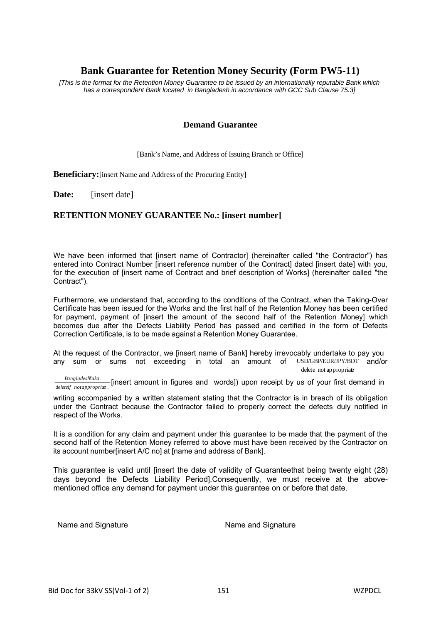### **Bank Guarantee for Retention Money Security (Form PW5-11)**

*[This is the format for the Retention Money Guarantee to be issued by an internationally reputable Bank which has a correspondent Bank located in Bangladesh in accordance with GCC Sub Clause 75.3]*

#### **Demand Guarantee**

[Bank's Name, and Address of Issuing Branch or Office]

**Beneficiary:**[insert Name and Address of the Procuring Entity]

**Date:** [insert date]

#### **RETENTION MONEY GUARANTEE No.: [insert number]**

We have been informed that linsert name of Contractor (hereinafter called "the Contractor") has entered into Contract Number linsert reference number of the Contractl dated linsert datel with you, for the execution of [insert name of Contract and brief description of Works] (hereinafter called "the Contract").

Furthermore, we understand that, according to the conditions of the Contract, when the Taking-Over Certificate has been issued for the Works and the first half of the Retention Money has been certified for payment, payment of [insert the amount of the second half of the Retention Money] which becomes due after the Defects Liability Period has passed and certified in the form of Defects Correction Certificate, is to be made against a Retention Money Guarantee.

At the request of the Contractor, we [insert name of Bank] hereby irrevocably undertake to pay you any sum or sums not exceeding in total an amount of USD/GBP/EUR/JPY/BDT and/or delete not appropriate

*BangladesFIaka*<br>*deleteif notappropriat*-<br>*deleteif notappropriat*-

writing accompanied by a written statement stating that the Contractor is in breach of its obligation under the Contract because the Contractor failed to properly correct the defects duly notified in respect of the Works.

It is a condition for any claim and payment under this guarantee to be made that the payment of the second half of the Retention Money referred to above must have been received by the Contractor on its account number[insert A/C no] at [name and address of Bank].

This guarantee is valid until [insert the date of validity of Guaranteethat being twenty eight (28) days beyond the Defects Liability Period].Consequently, we must receive at the abovementioned office any demand for payment under this guarantee on or before that date.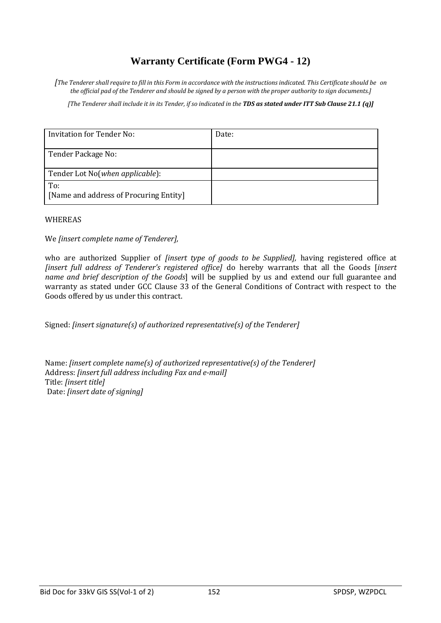### **Warranty Certificate (Form PWG4 - 12)**

*[The Tenderer shall require to fill in this Form in accordance with the instructions indicated. This Certificate should be on the official pad of the Tenderer and should be signed by a person with the proper authority to sign documents.]*

*[The Tenderer shall include it in its Tender, if so indicated in the TDS as stated under ITT Sub Clause 21.1 (q)]*

| Invitation for Tender No:                     | Date: |
|-----------------------------------------------|-------|
| Tender Package No:                            |       |
| Tender Lot No(when applicable):               |       |
| To:<br>[Name and address of Procuring Entity] |       |

#### WHEREAS

We *[insert complete name of Tenderer],*

who are authorized Supplier of *[insert type of goods to be Supplied],* having registered office at *[insert full address of Tenderer's registered office]* do hereby warrants that all the Goods [*insert name and brief description of the Goods*] will be supplied by us and extend our full guarantee and warranty as stated under GCC Clause 33 of the General Conditions of Contract with respect to the Goods offered by us under this contract.

Signed: *[insert signature(s) of authorized representative(s) of the Tenderer]*

Name: *[insert complete name(s) of authorized representative(s) of the Tenderer]* Address: *[insert full address including Fax and e-mail]* Title: *[insert title]* Date: *[insert date of signing]*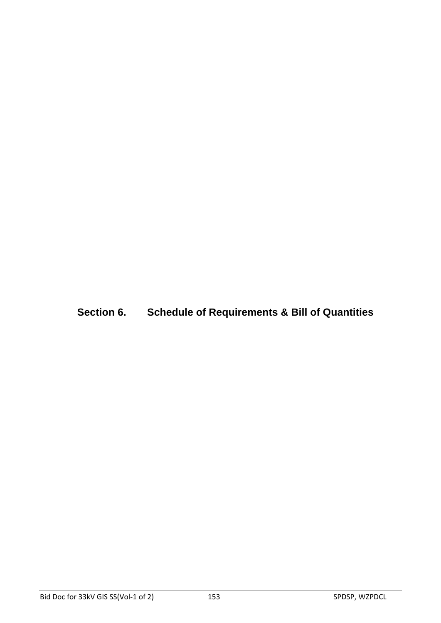**Section 6. Schedule of Requirements & Bill of Quantities**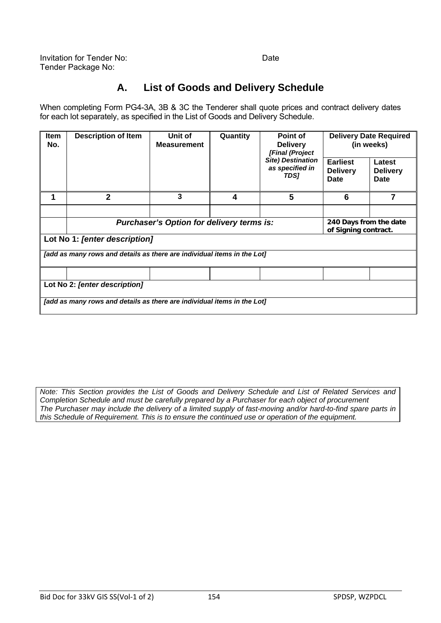### **A. List of Goods and Delivery Schedule**

When completing Form PG4-3A, 3B & 3C the Tenderer shall quote prices and contract delivery dates for each lot separately, as specified in the List of Goods and Delivery Schedule.

| <b>Item</b><br>No.                                                      | <b>Description of Item</b>                                              | Unit of<br><b>Measurement</b> | Quantity | Point of<br><b>Delivery</b><br>[Final (Project<br><b>Site) Destination</b><br>as specified in<br>TDS] | <b>Delivery Date Required</b><br>(in weeks) |                                                |  |
|-------------------------------------------------------------------------|-------------------------------------------------------------------------|-------------------------------|----------|-------------------------------------------------------------------------------------------------------|---------------------------------------------|------------------------------------------------|--|
|                                                                         |                                                                         |                               |          |                                                                                                       | <b>Earliest</b><br><b>Delivery</b><br>Date  | Latest<br><b>Delivery</b><br>Date              |  |
|                                                                         | $\mathbf 2$                                                             | 3                             | 4        | 5                                                                                                     | 6                                           | 7                                              |  |
|                                                                         |                                                                         |                               |          |                                                                                                       |                                             |                                                |  |
|                                                                         | Purchaser's Option for delivery terms is:                               |                               |          |                                                                                                       |                                             | 240 Days from the date<br>of Signing contract. |  |
|                                                                         | Lot No 1: [enter description]                                           |                               |          |                                                                                                       |                                             |                                                |  |
|                                                                         | [add as many rows and details as there are individual items in the Lot] |                               |          |                                                                                                       |                                             |                                                |  |
|                                                                         |                                                                         |                               |          |                                                                                                       |                                             |                                                |  |
| Lot No 2: [enter description]                                           |                                                                         |                               |          |                                                                                                       |                                             |                                                |  |
| [add as many rows and details as there are individual items in the Lot] |                                                                         |                               |          |                                                                                                       |                                             |                                                |  |

*Note: This Section provides the List of Goods and Delivery Schedule and List of Related Services and Completion Schedule and must be carefully prepared by a Purchaser for each object of procurement The Purchaser may include the delivery of a limited supply of fast-moving and/or hard-to-find spare parts in this Schedule of Requirement. This is to ensure the continued use or operation of the equipment.*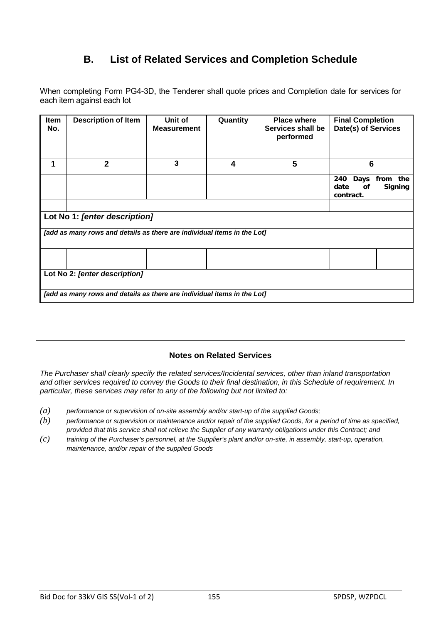### **B. List of Related Services and Completion Schedule**

When completing Form PG4-3D, the Tenderer shall quote prices and Completion date for services for each item against each lot

| Item<br>No.                   | <b>Description of Item</b>                                              | Unit of<br><b>Measurement</b> | Quantity | <b>Place where</b><br>Services shall be<br>performed | <b>Final Completion</b><br>Date(s) of Services                          |  |  |
|-------------------------------|-------------------------------------------------------------------------|-------------------------------|----------|------------------------------------------------------|-------------------------------------------------------------------------|--|--|
| 1                             | $\overline{2}$                                                          | 3                             | 4        | 5                                                    | 6                                                                       |  |  |
|                               |                                                                         |                               |          |                                                      | 240<br>Days<br>from<br>the<br>date<br>of<br><b>Signing</b><br>contract. |  |  |
|                               |                                                                         |                               |          |                                                      |                                                                         |  |  |
|                               | Lot No 1: [enter description]                                           |                               |          |                                                      |                                                                         |  |  |
|                               | [add as many rows and details as there are individual items in the Lot] |                               |          |                                                      |                                                                         |  |  |
|                               |                                                                         |                               |          |                                                      |                                                                         |  |  |
| Lot No 2: [enter description] |                                                                         |                               |          |                                                      |                                                                         |  |  |
|                               | [add as many rows and details as there are individual items in the Lot] |                               |          |                                                      |                                                                         |  |  |

### **Notes on Related Services**

*The Purchaser shall clearly specify the related services/Incidental services, other than inland transportation and other services required to convey the Goods to their final destination, in this Schedule of requirement. In particular, these services may refer to any of the following but not limited to:* 

- *(a) performance or supervision of on-site assembly and/or start-up of the supplied Goods;*
- *(b) performance or supervision or maintenance and/or repair of the supplied Goods, for a period of time as specified, provided that this service shall not relieve the Supplier of any warranty obligations under this Contract; and*
- *(c) training of the Purchaser's personnel, at the Supplier's plant and/or on-site, in assembly, start-up, operation, maintenance, and/or repair of the supplied Goods*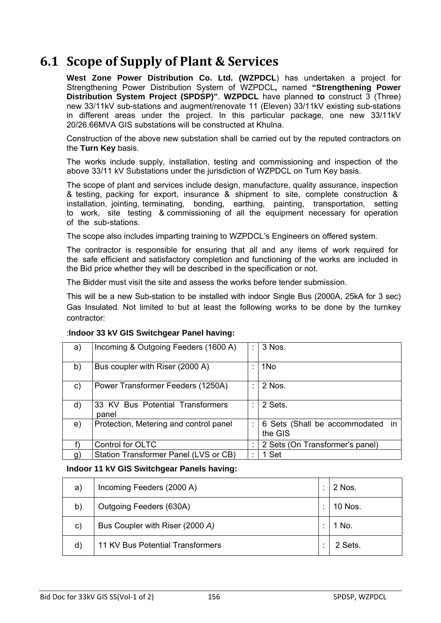# **6.1 Scope of Supply of Plant & Services**

**West Zone Power Distribution Co. Ltd. (WZPDCL**) has undertaken a project for Strengthening Power Distribution System of WZPDCL**,** named **"Strengthening Power Distribution System Project (SPDSP)"**. **WZPDCL** have planned **to** construct 3 (Three) new 33/11kV sub-stations and augment/renovate 11 (Eleven) 33/11kV existing sub-stations in different areas under the project. In this particular package, one new 33/11kV 20/26.66MVA GIS substations will be constructed at Khulna.

Construction of the above new substation shall be carried out by the reputed contractors on the **Turn Key** basis.

The works include supply, installation, testing and commissioning and inspection of the above 33/11 kV Substations under the jurisdiction of WZPDCL on Turn Key basis.

The scope of plant and services include design, manufacture, quality assurance, inspection & testing, packing for export, insurance & shipment to site, complete construction & installation, jointing, terminating, bonding, earthing, painting, transportation, setting to work, site testing & commissioning of all the equipment necessary for operation of the sub-stations.

The scope also includes imparting training to WZPDCL's Engineers on offered system.

The contractor is responsible for ensuring that all and any items of work required for the safe efficient and satisfactory completion and functioning of the works are included in the Bid price whether they will be described in the specification or not.

The Bidder must visit the site and assess the works before tender submission.

This will be a new Sub-station to be installed with indoor Single Bus (2000A, 25kA for 3 sec) Gas Insulated. Not limited to but at least the following works to be done by the turnkey contractor:

| a) | Incoming & Outgoing Feeders (1600 A)      | ÷ | 3 Nos.                                          |
|----|-------------------------------------------|---|-------------------------------------------------|
| b) | Bus coupler with Riser (2000 A)           |   | 1N <sub>o</sub>                                 |
| C) | Power Transformer Feeders (1250A)         |   | 2 Nos.                                          |
| d) | 33 KV Bus Potential Transformers<br>panel | t | 2 Sets.                                         |
| e) | Protection, Metering and control panel    | ÷ | 6 Sets (Shall be accommodated<br>-in<br>the GIS |
|    | Control for OLTC                          |   | 2 Sets (On Transformer's panel)                 |
| g  | Station Transformer Panel (LVS or CB)     | ٠ | 1 Set                                           |

### :**Indoor 33 kV GIS Switchgear Panel having:**

#### **Indoor 11 kV GIS Switchgear Panels having:**

| a) | Incoming Feeders (2000 A)        | 2 Nos.  |
|----|----------------------------------|---------|
| b) | Outgoing Feeders (630A)          | 10 Nos. |
| C) | Bus Coupler with Riser (2000 A)  | 1 No.   |
| d) | 11 KV Bus Potential Transformers | 2 Sets. |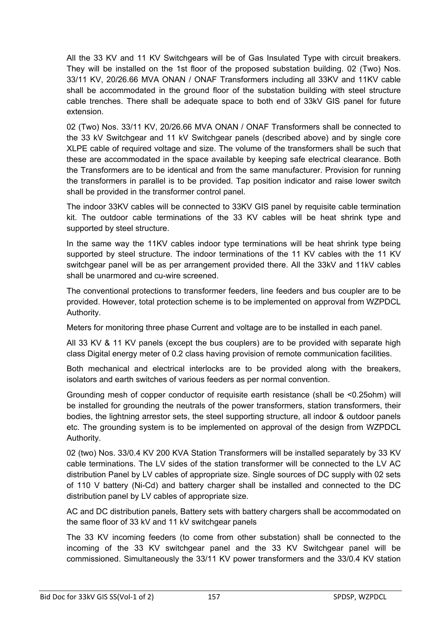All the 33 KV and 11 KV Switchgears will be of Gas Insulated Type with circuit breakers. They will be installed on the 1st floor of the proposed substation building. 02 (Two) Nos. 33/11 KV, 20/26.66 MVA ONAN / ONAF Transformers including all 33KV and 11KV cable shall be accommodated in the ground floor of the substation building with steel structure cable trenches. There shall be adequate space to both end of 33kV GIS panel for future extension.

02 (Two) Nos. 33/11 KV, 20/26.66 MVA ONAN / ONAF Transformers shall be connected to the 33 kV Switchgear and 11 kV Switchgear panels (described above) and by single core XLPE cable of required voltage and size. The volume of the transformers shall be such that these are accommodated in the space available by keeping safe electrical clearance. Both the Transformers are to be identical and from the same manufacturer. Provision for running the transformers in parallel is to be provided. Tap position indicator and raise lower switch shall be provided in the transformer control panel.

The indoor 33KV cables will be connected to 33KV GIS panel by requisite cable termination kit. The outdoor cable terminations of the 33 KV cables will be heat shrink type and supported by steel structure.

In the same way the 11KV cables indoor type terminations will be heat shrink type being supported by steel structure. The indoor terminations of the 11 KV cables with the 11 KV switchgear panel will be as per arrangement provided there. All the 33kV and 11kV cables shall be unarmored and cu-wire screened.

The conventional protections to transformer feeders, line feeders and bus coupler are to be provided. However, total protection scheme is to be implemented on approval from WZPDCL Authority.

Meters for monitoring three phase Current and voltage are to be installed in each panel.

All 33 KV & 11 KV panels (except the bus couplers) are to be provided with separate high class Digital energy meter of 0.2 class having provision of remote communication facilities.

Both mechanical and electrical interlocks are to be provided along with the breakers, isolators and earth switches of various feeders as per normal convention.

Grounding mesh of copper conductor of requisite earth resistance (shall be <0.25ohm) will be installed for grounding the neutrals of the power transformers, station transformers, their bodies, the lightning arrestor sets, the steel supporting structure, all indoor & outdoor panels etc. The grounding system is to be implemented on approval of the design from WZPDCL Authority.

02 (two) Nos. 33/0.4 KV 200 KVA Station Transformers will be installed separately by 33 KV cable terminations. The LV sides of the station transformer will be connected to the LV AC distribution Panel by LV cables of appropriate size. Single sources of DC supply with 02 sets of 110 V battery (Ni-Cd) and battery charger shall be installed and connected to the DC distribution panel by LV cables of appropriate size.

AC and DC distribution panels, Battery sets with battery chargers shall be accommodated on the same floor of 33 kV and 11 kV switchgear panels

The 33 KV incoming feeders (to come from other substation) shall be connected to the incoming of the 33 KV switchgear panel and the 33 KV Switchgear panel will be commissioned. Simultaneously the 33/11 KV power transformers and the 33/0.4 KV station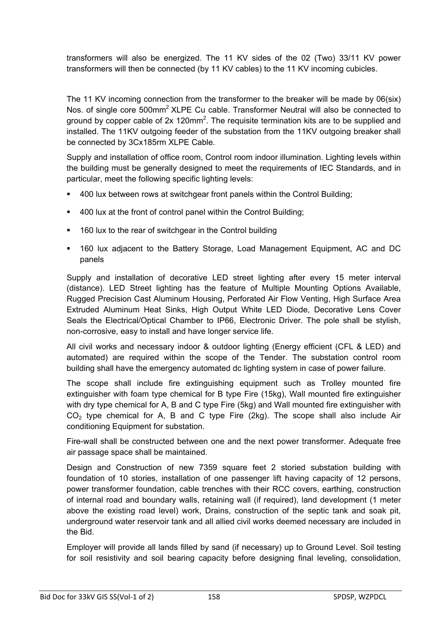transformers will also be energized. The 11 KV sides of the 02 (Two) 33/11 KV power transformers will then be connected (by 11 KV cables) to the 11 KV incoming cubicles.

The 11 KV incoming connection from the transformer to the breaker will be made by 06(six) Nos. of single core 500mm<sup>2</sup> XLPE Cu cable. Transformer Neutral will also be connected to ground by copper cable of  $2x$  120mm<sup>2</sup>. The requisite termination kits are to be supplied and installed. The 11KV outgoing feeder of the substation from the 11KV outgoing breaker shall be connected by 3Cx185rm XLPE Cable.

Supply and installation of office room, Control room indoor illumination. Lighting levels within the building must be generally designed to meet the requirements of IEC Standards, and in particular, meet the following specific lighting levels:

- 400 lux between rows at switchgear front panels within the Control Building;
- 400 lux at the front of control panel within the Control Building;
- 160 lux to the rear of switchgear in the Control building
- 160 lux adjacent to the Battery Storage, Load Management Equipment, AC and DC panels

Supply and installation of decorative LED street lighting after every 15 meter interval (distance). LED Street lighting has the feature of Multiple Mounting Options Available, Rugged Precision Cast Aluminum Housing, Perforated Air Flow Venting, High Surface Area Extruded Aluminum Heat Sinks, High Output White LED Diode, Decorative Lens Cover Seals the Electrical/Optical Chamber to IP66, Electronic Driver. The pole shall be stylish, non-corrosive, easy to install and have longer service life.

All civil works and necessary indoor & outdoor lighting (Energy efficient (CFL & LED) and automated) are required within the scope of the Tender. The substation control room building shall have the emergency automated dc lighting system in case of power failure.

The scope shall include fire extinguishing equipment such as Trolley mounted fire extinguisher with foam type chemical for B type Fire (15kg), Wall mounted fire extinguisher with dry type chemical for A, B and C type Fire (5kg) and Wall mounted fire extinguisher with  $CO<sub>2</sub>$  type chemical for A, B and C type Fire (2kg). The scope shall also include Air conditioning Equipment for substation.

Fire-wall shall be constructed between one and the next power transformer. Adequate free air passage space shall be maintained.

Design and Construction of new 7359 square feet 2 storied substation building with foundation of 10 stories, installation of one passenger lift having capacity of 12 persons, power transformer foundation, cable trenches with their RCC covers, earthing, construction of internal road and boundary walls, retaining wall (if required), land development (1 meter above the existing road level) work, Drains, construction of the septic tank and soak pit, underground water reservoir tank and all allied civil works deemed necessary are included in the Bid.

Employer will provide all lands filled by sand (if necessary) up to Ground Level. Soil testing for soil resistivity and soil bearing capacity before designing final leveling, consolidation,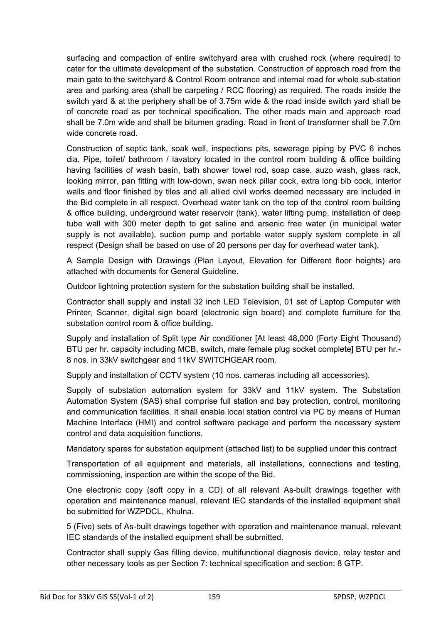surfacing and compaction of entire switchyard area with crushed rock (where required) to cater for the ultimate development of the substation. Construction of approach road from the main gate to the switchyard & Control Room entrance and internal road for whole sub-station area and parking area (shall be carpeting / RCC flooring) as required. The roads inside the switch yard & at the periphery shall be of 3.75m wide & the road inside switch yard shall be of concrete road as per technical specification. The other roads main and approach road shall be 7.0m wide and shall be bitumen grading. Road in front of transformer shall be 7.0m wide concrete road.

Construction of septic tank, soak well, inspections pits, sewerage piping by PVC 6 inches dia. Pipe, toilet/ bathroom / lavatory located in the control room building & office building having facilities of wash basin, bath shower towel rod, soap case, auzo wash, glass rack, looking mirror, pan fitting with low-down, swan neck pillar cock, extra long bib cock, interior walls and floor finished by tiles and all allied civil works deemed necessary are included in the Bid complete in all respect. Overhead water tank on the top of the control room building & office building, underground water reservoir (tank), water lifting pump, installation of deep tube wall with 300 meter depth to get saline and arsenic free water (in municipal water supply is not available), suction pump and portable water supply system complete in all respect (Design shall be based on use of 20 persons per day for overhead water tank),

A Sample Design with Drawings (Plan Layout, Elevation for Different floor heights) are attached with documents for General Guideline.

Outdoor lightning protection system for the substation building shall be installed.

Contractor shall supply and install 32 inch LED Television, 01 set of Laptop Computer with Printer, Scanner, digital sign board (electronic sign board) and complete furniture for the substation control room & office building.

Supply and installation of Split type Air conditioner [At least 48,000 (Forty Eight Thousand) BTU per hr. capacity including MCB, switch, male female plug socket complete] BTU per hr.- 8 nos. in 33kV switchgear and 11kV SWITCHGEAR room.

Supply and installation of CCTV system (10 nos. cameras including all accessories).

Supply of substation automation system for 33kV and 11kV system. The Substation Automation System (SAS) shall comprise full station and bay protection, control, monitoring and communication facilities. It shall enable local station control via PC by means of Human Machine Interface (HMI) and control software package and perform the necessary system control and data acquisition functions.

Mandatory spares for substation equipment (attached list) to be supplied under this contract

Transportation of all equipment and materials, all installations, connections and testing, commissioning, inspection are within the scope of the Bid.

One electronic copy (soft copy in a CD) of all relevant As-built drawings together with operation and maintenance manual, relevant IEC standards of the installed equipment shall be submitted for WZPDCL, Khulna.

5 (Five) sets of As-built drawings together with operation and maintenance manual, relevant IEC standards of the installed equipment shall be submitted.

Contractor shall supply Gas filling device, multifunctional diagnosis device, relay tester and other necessary tools as per Section 7: technical specification and section: 8 GTP.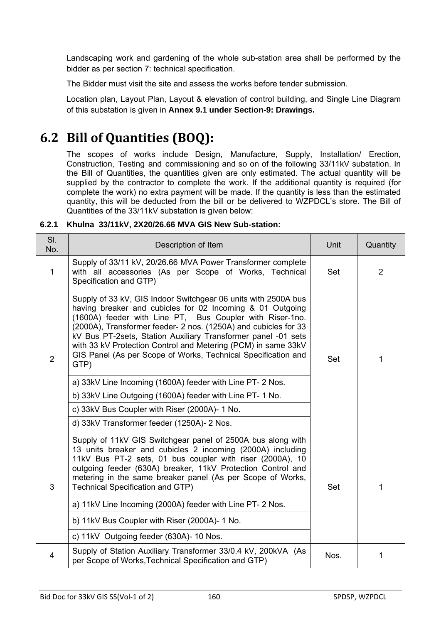Landscaping work and gardening of the whole sub-station area shall be performed by the bidder as per section 7: technical specification.

The Bidder must visit the site and assess the works before tender submission.

Location plan, Layout Plan, Layout & elevation of control building, and Single Line Diagram of this substation is given in **Annex 9.1 under Section-9: Drawings.** 

# **6.2 Bill of Quantities (BOQ):**

The scopes of works include Design, Manufacture, Supply, Installation/ Erection, Construction, Testing and commissioning and so on of the following 33/11kV substation. In the Bill of Quantities, the quantities given are only estimated. The actual quantity will be supplied by the contractor to complete the work. If the additional quantity is required (for complete the work) no extra payment will be made. If the quantity is less than the estimated quantity, this will be deducted from the bill or be delivered to WZPDCL's store. The Bill of Quantities of the 33/11kV substation is given below:

| SI.<br>No.     | Description of Item                                                                                                                                                                                                                                                                                                                                                                                                                                                   | Unit | Quantity |
|----------------|-----------------------------------------------------------------------------------------------------------------------------------------------------------------------------------------------------------------------------------------------------------------------------------------------------------------------------------------------------------------------------------------------------------------------------------------------------------------------|------|----------|
| $\mathbf{1}$   | Supply of 33/11 kV, 20/26.66 MVA Power Transformer complete<br>with all accessories (As per Scope of Works, Technical<br>Specification and GTP)                                                                                                                                                                                                                                                                                                                       |      | 2        |
| $\overline{2}$ | Supply of 33 kV, GIS Indoor Switchgear 06 units with 2500A bus<br>having breaker and cubicles for 02 Incoming & 01 Outgoing<br>(1600A) feeder with Line PT, Bus Coupler with Riser-1no.<br>(2000A), Transformer feeder- 2 nos. (1250A) and cubicles for 33<br>kV Bus PT-2sets, Station Auxiliary Transformer panel -01 sets<br>with 33 kV Protection Control and Metering (PCM) in same 33kV<br>GIS Panel (As per Scope of Works, Technical Specification and<br>GTP) | Set  | 1        |
|                | a) 33kV Line Incoming (1600A) feeder with Line PT- 2 Nos.                                                                                                                                                                                                                                                                                                                                                                                                             |      |          |
|                | b) 33kV Line Outgoing (1600A) feeder with Line PT- 1 No.                                                                                                                                                                                                                                                                                                                                                                                                              |      |          |
|                | c) 33kV Bus Coupler with Riser (2000A)- 1 No.                                                                                                                                                                                                                                                                                                                                                                                                                         |      |          |
|                | d) 33kV Transformer feeder (1250A)- 2 Nos.                                                                                                                                                                                                                                                                                                                                                                                                                            |      |          |
| 3              | Supply of 11kV GIS Switchgear panel of 2500A bus along with<br>13 units breaker and cubicles 2 incoming (2000A) including<br>11kV Bus PT-2 sets, 01 bus coupler with riser (2000A), 10<br>outgoing feeder (630A) breaker, 11kV Protection Control and<br>metering in the same breaker panel (As per Scope of Works,<br><b>Technical Specification and GTP)</b>                                                                                                        | Set  | 1        |
|                | a) 11kV Line Incoming (2000A) feeder with Line PT- 2 Nos.                                                                                                                                                                                                                                                                                                                                                                                                             |      |          |
|                | b) 11kV Bus Coupler with Riser (2000A)- 1 No.                                                                                                                                                                                                                                                                                                                                                                                                                         |      |          |
|                | c) 11kV Outgoing feeder (630A)- 10 Nos.                                                                                                                                                                                                                                                                                                                                                                                                                               |      |          |
| 4              | Supply of Station Auxiliary Transformer 33/0.4 kV, 200kVA (As<br>per Scope of Works, Technical Specification and GTP)                                                                                                                                                                                                                                                                                                                                                 | Nos. | 1        |

#### **6.2.1 Khulna 33/11kV, 2X20/26.66 MVA GIS New Sub-station:**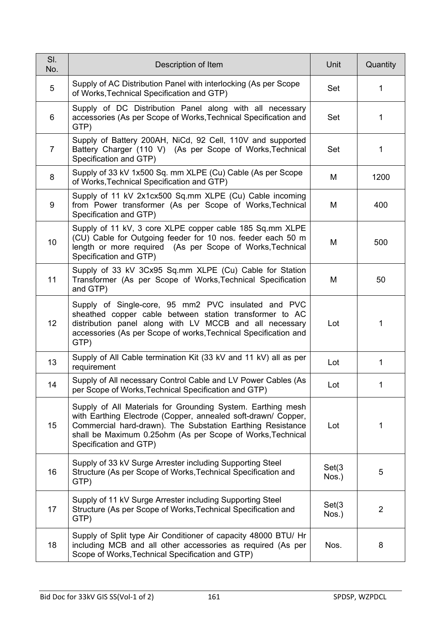| SI.<br>No.     | Description of Item                                                                                                                                                                                                                                                                | Unit            | Quantity       |
|----------------|------------------------------------------------------------------------------------------------------------------------------------------------------------------------------------------------------------------------------------------------------------------------------------|-----------------|----------------|
| 5              | Supply of AC Distribution Panel with interlocking (As per Scope<br>of Works, Technical Specification and GTP)                                                                                                                                                                      | Set             | 1              |
| 6              | Supply of DC Distribution Panel along with all necessary<br>accessories (As per Scope of Works, Technical Specification and<br>GTP)                                                                                                                                                | Set             | 1              |
| $\overline{7}$ | Supply of Battery 200AH, NiCd, 92 Cell, 110V and supported<br>Battery Charger (110 V) (As per Scope of Works, Technical<br>Specification and GTP)                                                                                                                                  | Set             | 1              |
| 8              | Supply of 33 kV 1x500 Sq. mm XLPE (Cu) Cable (As per Scope<br>of Works, Technical Specification and GTP)                                                                                                                                                                           | M               | 1200           |
| 9              | Supply of 11 kV 2x1cx500 Sq.mm XLPE (Cu) Cable incoming<br>from Power transformer (As per Scope of Works, Technical<br>Specification and GTP)                                                                                                                                      | M               | 400            |
| 10             | Supply of 11 kV, 3 core XLPE copper cable 185 Sq.mm XLPE<br>(CU) Cable for Outgoing feeder for 10 nos. feeder each 50 m<br>length or more required (As per Scope of Works, Technical<br>Specification and GTP)                                                                     | M               | 500            |
| 11             | Supply of 33 kV 3Cx95 Sq.mm XLPE (Cu) Cable for Station<br>Transformer (As per Scope of Works, Technical Specification<br>and GTP)                                                                                                                                                 | M               | 50             |
| 12             | Supply of Single-core, 95 mm2 PVC insulated and PVC<br>sheathed copper cable between station transformer to AC<br>distribution panel along with LV MCCB and all necessary<br>accessories (As per Scope of works, Technical Specification and<br>GTP)                               | Lot             | 1              |
| 13             | Supply of All Cable termination Kit (33 kV and 11 kV) all as per<br>requirement                                                                                                                                                                                                    | Lot             | 1              |
| 14             | Supply of All necessary Control Cable and LV Power Cables (As<br>per Scope of Works, Technical Specification and GTP)                                                                                                                                                              | Lot             |                |
| 15             | Supply of All Materials for Grounding System. Earthing mesh<br>with Earthing Electrode (Copper, annealed soft-drawn/ Copper,<br>Commercial hard-drawn). The Substation Earthing Resistance<br>shall be Maximum 0.25ohm (As per Scope of Works, Technical<br>Specification and GTP) | Lot             | 1              |
| 16             | Supply of 33 kV Surge Arrester including Supporting Steel<br>Structure (As per Scope of Works, Technical Specification and<br>GTP)                                                                                                                                                 | Set(3)<br>Nos.) | 5              |
| 17             | Supply of 11 kV Surge Arrester including Supporting Steel<br>Structure (As per Scope of Works, Technical Specification and<br>GTP)                                                                                                                                                 | Set(3)<br>Nos.) | $\overline{2}$ |
| 18             | Supply of Split type Air Conditioner of capacity 48000 BTU/ Hr<br>including MCB and all other accessories as required (As per<br>Scope of Works, Technical Specification and GTP)                                                                                                  | Nos.            | 8              |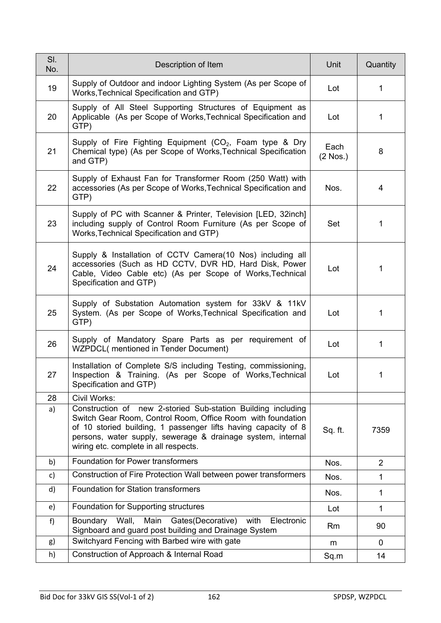| SI.<br>No. | Description of Item                                                                                                                                                                                                                                                                                   | Unit               | Quantity       |
|------------|-------------------------------------------------------------------------------------------------------------------------------------------------------------------------------------------------------------------------------------------------------------------------------------------------------|--------------------|----------------|
| 19         | Supply of Outdoor and indoor Lighting System (As per Scope of<br>Works, Technical Specification and GTP)                                                                                                                                                                                              | Lot                | $\mathbf{1}$   |
| 20         | Supply of All Steel Supporting Structures of Equipment as<br>Applicable (As per Scope of Works, Technical Specification and<br>GTP)                                                                                                                                                                   | Lot                | $\mathbf{1}$   |
| 21         | Supply of Fire Fighting Equipment $(CO_2, Foam$ type & Dry<br>Chemical type) (As per Scope of Works, Technical Specification<br>and GTP)                                                                                                                                                              | Each<br>$(2$ Nos.) | 8              |
| 22         | Supply of Exhaust Fan for Transformer Room (250 Watt) with<br>accessories (As per Scope of Works, Technical Specification and<br>GTP)                                                                                                                                                                 | Nos.               | 4              |
| 23         | Supply of PC with Scanner & Printer, Television [LED, 32inch]<br>including supply of Control Room Furniture (As per Scope of<br>Works, Technical Specification and GTP)                                                                                                                               | Set                | 1              |
| 24         | Supply & Installation of CCTV Camera(10 Nos) including all<br>accessories (Such as HD CCTV, DVR HD, Hard Disk, Power<br>Cable, Video Cable etc) (As per Scope of Works, Technical<br>Specification and GTP)                                                                                           | Lot                | 1              |
| 25         | Supply of Substation Automation system for 33kV & 11kV<br>System. (As per Scope of Works, Technical Specification and<br>GTP)                                                                                                                                                                         | Lot                | 1              |
| 26         | Supply of Mandatory Spare Parts as per requirement of<br>WZPDCL(mentioned in Tender Document)                                                                                                                                                                                                         | Lot                | 1              |
| 27         | Installation of Complete S/S including Testing, commissioning,<br>Inspection & Training. (As per Scope of Works, Technical<br>Specification and GTP)                                                                                                                                                  | Lot                | 1              |
| 28         | Civil Works:                                                                                                                                                                                                                                                                                          |                    |                |
| a)         | Construction of new 2-storied Sub-station Building including<br>Switch Gear Room, Control Room, Office Room with foundation<br>of 10 storied building, 1 passenger lifts having capacity of 8<br>persons, water supply, sewerage & drainage system, internal<br>wiring etc. complete in all respects. | Sq. ft.            | 7359           |
| b)         | <b>Foundation for Power transformers</b>                                                                                                                                                                                                                                                              | Nos.               | $\overline{2}$ |
| c)         | Construction of Fire Protection Wall between power transformers                                                                                                                                                                                                                                       | Nos.               | 1              |
| d)         | <b>Foundation for Station transformers</b>                                                                                                                                                                                                                                                            | Nos.               | 1              |
| e)         | Foundation for Supporting structures                                                                                                                                                                                                                                                                  | Lot                | 1              |
| f)         | Main Gates(Decorative)<br>Wall,<br>Boundary<br>with<br>Electronic<br>Signboard and guard post building and Drainage System                                                                                                                                                                            | Rm                 | 90             |
| g)         | Switchyard Fencing with Barbed wire with gate                                                                                                                                                                                                                                                         | m                  | 0              |
| h)         | Construction of Approach & Internal Road                                                                                                                                                                                                                                                              | Sq.m               | 14             |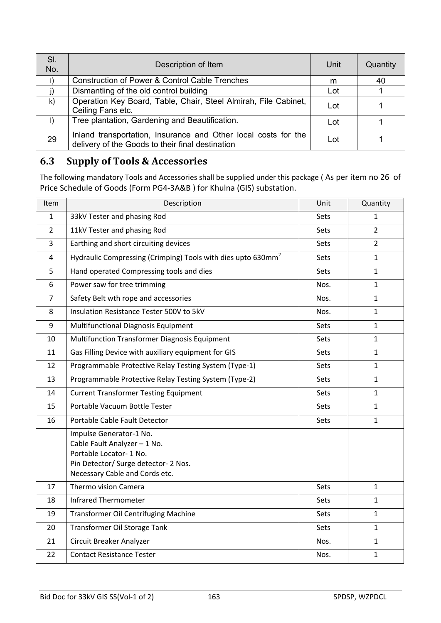| SI.<br>No.   | Description of Item                                                                                                | Unit | Quantity |
|--------------|--------------------------------------------------------------------------------------------------------------------|------|----------|
|              | <b>Construction of Power &amp; Control Cable Trenches</b>                                                          | m    | 40       |
|              | Dismantling of the old control building                                                                            | Lot  |          |
| $\mathsf{k}$ | Operation Key Board, Table, Chair, Steel Almirah, File Cabinet,<br>Ceiling Fans etc.                               | Lot  |          |
| $\vert$      | Tree plantation, Gardening and Beautification.                                                                     | Lot  |          |
| 29           | Inland transportation, Insurance and Other local costs for the<br>delivery of the Goods to their final destination | Lot  |          |

## **6.3 Supply of Tools & Accessories**

The following mandatory Tools and Accessories shall be supplied under this package ( As per item no 26 of Price Schedule of Goods (Form PG4-3A&B ) for Khulna (GIS) substation.

| <b>Item</b>    | Description                                                                                                                                                  | Unit        | Quantity       |
|----------------|--------------------------------------------------------------------------------------------------------------------------------------------------------------|-------------|----------------|
| $\mathbf{1}$   | 33kV Tester and phasing Rod                                                                                                                                  | <b>Sets</b> | $\mathbf{1}$   |
| $\overline{2}$ | 11kV Tester and phasing Rod                                                                                                                                  | Sets        | $\overline{2}$ |
| 3              | Earthing and short circuiting devices                                                                                                                        | <b>Sets</b> | $\overline{2}$ |
| 4              | Hydraulic Compressing (Crimping) Tools with dies upto 630mm <sup>2</sup>                                                                                     | Sets        | $\mathbf{1}$   |
| 5              | Hand operated Compressing tools and dies                                                                                                                     | <b>Sets</b> | $\mathbf{1}$   |
| 6              | Power saw for tree trimming                                                                                                                                  | Nos.        | $\mathbf{1}$   |
| $\overline{7}$ | Safety Belt wth rope and accessories                                                                                                                         | Nos.        | $\mathbf{1}$   |
| 8              | Insulation Resistance Tester 500V to 5kV                                                                                                                     | Nos.        | $\mathbf{1}$   |
| 9              | Multifunctional Diagnosis Equipment                                                                                                                          | <b>Sets</b> | $\mathbf{1}$   |
| 10             | Multifunction Transformer Diagnosis Equipment                                                                                                                | <b>Sets</b> | $\mathbf{1}$   |
| 11             | Gas Filling Device with auxiliary equipment for GIS                                                                                                          | <b>Sets</b> | $\mathbf{1}$   |
| 12             | Programmable Protective Relay Testing System (Type-1)                                                                                                        | Sets        | $\mathbf{1}$   |
| 13             | Programmable Protective Relay Testing System (Type-2)                                                                                                        | Sets        | $\mathbf{1}$   |
| 14             | <b>Current Transformer Testing Equipment</b>                                                                                                                 | Sets        | $\mathbf{1}$   |
| 15             | Portable Vacuum Bottle Tester                                                                                                                                | Sets        | $\mathbf{1}$   |
| 16             | Portable Cable Fault Detector                                                                                                                                | Sets        | $\mathbf{1}$   |
|                | Impulse Generator-1 No.<br>Cable Fault Analyzer - 1 No.<br>Portable Locator- 1 No.<br>Pin Detector/ Surge detector- 2 Nos.<br>Necessary Cable and Cords etc. |             |                |
| 17             | Thermo vision Camera                                                                                                                                         | Sets        | $\mathbf{1}$   |
| 18             | <b>Infrared Thermometer</b>                                                                                                                                  | Sets        | $\mathbf{1}$   |
| 19             | <b>Transformer Oil Centrifuging Machine</b>                                                                                                                  | Sets        | $\mathbf{1}$   |
| 20             | Transformer Oil Storage Tank                                                                                                                                 | Sets        | $\mathbf{1}$   |
| 21             | Circuit Breaker Analyzer                                                                                                                                     | Nos.        | $\mathbf{1}$   |
| 22             | <b>Contact Resistance Tester</b>                                                                                                                             | Nos.        | $\mathbf{1}$   |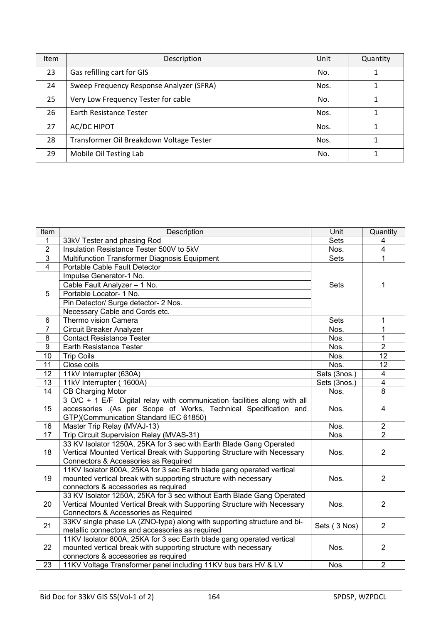| <b>Item</b> | Description                              | Unit | Quantity |
|-------------|------------------------------------------|------|----------|
| 23          | Gas refilling cart for GIS               | No.  |          |
| 24          | Sweep Frequency Response Analyzer (SFRA) | Nos. |          |
| 25          | Very Low Frequency Tester for cable      | No.  |          |
| 26          | Earth Resistance Tester                  | Nos. |          |
| 27          | <b>AC/DC HIPOT</b>                       | Nos. |          |
| 28          | Transformer Oil Breakdown Voltage Tester | Nos. |          |
| 29          | Mobile Oil Testing Lab                   | No.  |          |

| Item                    | Description                                                              | Unit         | Quantity                |
|-------------------------|--------------------------------------------------------------------------|--------------|-------------------------|
| $\mathbf{1}$            | 33kV Tester and phasing Rod                                              | <b>Sets</b>  | 4                       |
| $\overline{2}$          | Insulation Resistance Tester 500V to 5kV                                 | Nos.         | $\overline{\mathbf{4}}$ |
| $\overline{3}$          | Multifunction Transformer Diagnosis Equipment                            | <b>Sets</b>  | 1                       |
| $\overline{\mathbf{4}}$ | Portable Cable Fault Detector                                            |              |                         |
|                         | Impulse Generator-1 No.                                                  |              |                         |
| 5                       | Cable Fault Analyzer - 1 No.                                             | <b>Sets</b>  | 1                       |
|                         | Portable Locator- 1 No.                                                  |              |                         |
|                         | Pin Detector/ Surge detector- 2 Nos.                                     |              |                         |
|                         | Necessary Cable and Cords etc.                                           |              |                         |
| 6                       | Thermo vision Camera                                                     | <b>Sets</b>  | 1                       |
| $\overline{7}$          | <b>Circuit Breaker Analyzer</b>                                          | Nos.         | $\mathbf 1$             |
| 8                       | <b>Contact Resistance Tester</b>                                         | Nos.         | $\mathbf 1$             |
| $\overline{9}$          | Earth Resistance Tester                                                  | Nos.         | $\overline{2}$          |
| 10                      | <b>Trip Coils</b>                                                        | Nos.         | 12                      |
| 11                      | Close coils                                                              | Nos.         | 12                      |
| 12                      | 11kV Interrupter (630A)                                                  | Sets (3nos.) | $\overline{4}$          |
| 13                      | 11kV Interrupter (1600A)                                                 | Sets (3nos.) | $\overline{4}$          |
| 14                      | <b>CB Charging Motor</b>                                                 | Nos.         | 8                       |
|                         | 3 O/C + 1 E/F Digital relay with communication facilities along with all |              |                         |
| 15                      | accessories .(As per Scope of Works, Technical Specification and         | Nos.         | 4                       |
|                         | GTP)(Communication Standard IEC 61850)                                   |              |                         |
| 16                      | Master Trip Relay (MVAJ-13)                                              | Nos.         | $\overline{2}$          |
| 17                      | Trip Circuit Supervision Relay (MVAS-31)                                 | Nos.         | $\overline{2}$          |
|                         | 33 KV Isolator 1250A, 25KA for 3 sec with Earth Blade Gang Operated      |              |                         |
| 18                      | Vertical Mounted Vertical Break with Supporting Structure with Necessary | Nos.         | $\overline{2}$          |
|                         | Connectors & Accessories as Required                                     |              |                         |
|                         | 11KV Isolator 800A, 25KA for 3 sec Earth blade gang operated vertical    |              |                         |
| 19                      | mounted vertical break with supporting structure with necessary          | Nos.         | $\overline{2}$          |
|                         | connectors & accessories as required                                     |              |                         |
|                         | 33 KV Isolator 1250A, 25KA for 3 sec without Earth Blade Gang Operated   |              |                         |
| 20                      | Vertical Mounted Vertical Break with Supporting Structure with Necessary | Nos.         | $\overline{2}$          |
|                         | Connectors & Accessories as Required                                     |              |                         |
| 21                      | 33KV single phase LA (ZNO-type) along with supporting structure and bi-  | Sets (3 Nos) | $\overline{2}$          |
|                         | metallic connectors and accessories as required                          |              |                         |
| 22                      | 11KV Isolator 800A, 25KA for 3 sec Earth blade gang operated vertical    |              |                         |
|                         | mounted vertical break with supporting structure with necessary          | Nos.         | $\overline{2}$          |
|                         | connectors & accessories as required                                     |              |                         |
| 23                      | 11KV Voltage Transformer panel including 11KV bus bars HV & LV           | Nos.         | $\overline{2}$          |